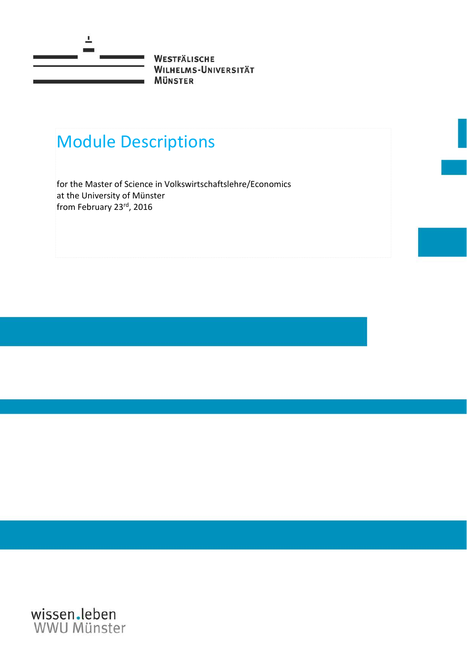

# Module Descriptions

for the Master of Science in Volkswirtschaftslehre/Economics at the University of Münster from February 23rd, 2016

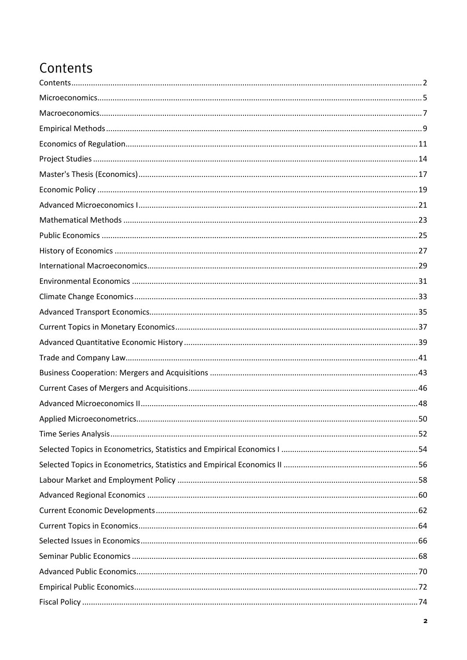#### <span id="page-1-0"></span>Contents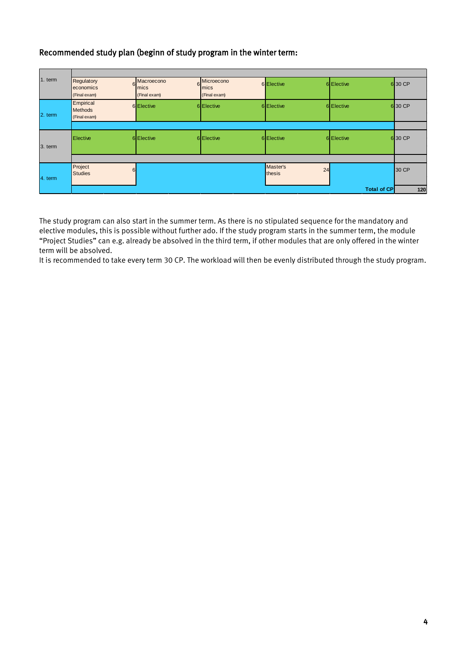#### Recommended study plan (beginn of study program in the winter term:

| 1. term | Regulatory<br>6<br>economics<br>(Final exam) | Macroecono<br>6<br>mics<br>(Final exam) | Microecono<br>mics<br>(Final exam) | 6 Elective               | 6 Elective         | 6 30 CP |
|---------|----------------------------------------------|-----------------------------------------|------------------------------------|--------------------------|--------------------|---------|
| 2. term | Empirical<br><b>Methods</b><br>(Final exam)  | <b>6</b> Elective                       | 6 Elective                         | 6 Elective               | 6 Elective         | 6 30 CP |
|         |                                              |                                         |                                    |                          |                    |         |
| 3. term | <b>Elective</b>                              | 6 Elective                              | 6 Elective                         | 6 Elective               | 6 Elective         | 6 30 CP |
|         |                                              |                                         |                                    |                          |                    |         |
| 4. term | Project<br>6<br><b>Studies</b>               |                                         |                                    | Master's<br>24<br>thesis |                    | 30 CP   |
|         |                                              |                                         |                                    |                          | <b>Total of CP</b> | 120     |

The study program can also start in the summer term. As there is no stipulated sequence for the mandatory and elective modules, this is possible without further ado. If the study program starts in the summer term, the module "Project Studies" can e.g. already be absolved in the third term, if other modules that are only offered in the winter term will be absolved.

It is recommended to take every term 30 CP. The workload will then be evenly distributed through the study program.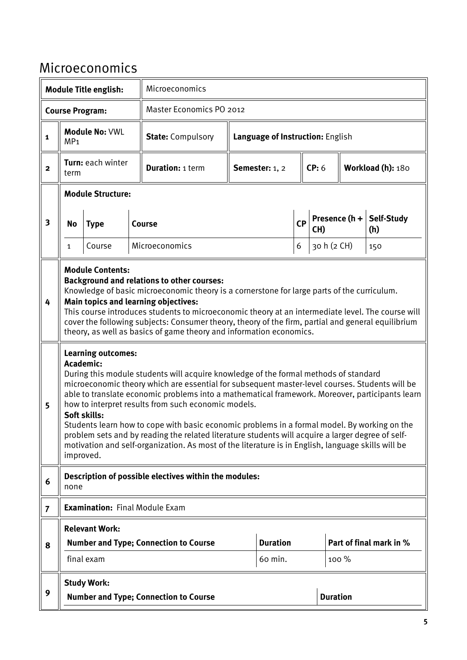#### <span id="page-4-0"></span>Microeconomics

|                         | Microeconomics<br><b>Module Title english:</b>                                        |                                                                                   |  |                                                                                                                                                                                                                                                                                                                                                                                                                                                                                                                                                                                                                                                                                                                                                                                                                                                                                                                                                                                                                                                                                                                                                  |                                  |                            |    |             |                 |                         |
|-------------------------|---------------------------------------------------------------------------------------|-----------------------------------------------------------------------------------|--|--------------------------------------------------------------------------------------------------------------------------------------------------------------------------------------------------------------------------------------------------------------------------------------------------------------------------------------------------------------------------------------------------------------------------------------------------------------------------------------------------------------------------------------------------------------------------------------------------------------------------------------------------------------------------------------------------------------------------------------------------------------------------------------------------------------------------------------------------------------------------------------------------------------------------------------------------------------------------------------------------------------------------------------------------------------------------------------------------------------------------------------------------|----------------------------------|----------------------------|----|-------------|-----------------|-------------------------|
|                         |                                                                                       | <b>Course Program:</b>                                                            |  | Master Economics PO 2012                                                                                                                                                                                                                                                                                                                                                                                                                                                                                                                                                                                                                                                                                                                                                                                                                                                                                                                                                                                                                                                                                                                         |                                  |                            |    |             |                 |                         |
| $\mathbf 1$             | MP <sub>1</sub>                                                                       | <b>Module No: VWL</b>                                                             |  | <b>State: Compulsory</b>                                                                                                                                                                                                                                                                                                                                                                                                                                                                                                                                                                                                                                                                                                                                                                                                                                                                                                                                                                                                                                                                                                                         | Language of Instruction: English |                            |    |             |                 |                         |
| $\mathbf{2}$            | term                                                                                  | Turn: each winter                                                                 |  | <b>Duration: 1 term</b>                                                                                                                                                                                                                                                                                                                                                                                                                                                                                                                                                                                                                                                                                                                                                                                                                                                                                                                                                                                                                                                                                                                          |                                  | Semester: 1, 2             |    | CP: 6       |                 | Workload (h): 180       |
|                         |                                                                                       | <b>Module Structure:</b>                                                          |  |                                                                                                                                                                                                                                                                                                                                                                                                                                                                                                                                                                                                                                                                                                                                                                                                                                                                                                                                                                                                                                                                                                                                                  |                                  |                            |    |             |                 |                         |
| $\overline{\mathbf{3}}$ | <b>No</b>                                                                             | <b>Type</b>                                                                       |  | <b>Course</b>                                                                                                                                                                                                                                                                                                                                                                                                                                                                                                                                                                                                                                                                                                                                                                                                                                                                                                                                                                                                                                                                                                                                    |                                  |                            | CP | CH)         | Presence $(h +$ | Self-Study<br>(h)       |
|                         | $\mathbf{1}$                                                                          | Course                                                                            |  | Microeconomics                                                                                                                                                                                                                                                                                                                                                                                                                                                                                                                                                                                                                                                                                                                                                                                                                                                                                                                                                                                                                                                                                                                                   |                                  |                            | 6  | 30 h (2 CH) |                 | 150                     |
| 4<br>5                  | improved.                                                                             | <b>Module Contents:</b><br><b>Learning outcomes:</b><br>Academic:<br>Soft skills: |  | <b>Background and relations to other courses:</b><br>Knowledge of basic microeconomic theory is a cornerstone for large parts of the curriculum.<br><b>Main topics and learning objectives:</b><br>This course introduces students to microeconomic theory at an intermediate level. The course will<br>cover the following subjects: Consumer theory, theory of the firm, partial and general equilibrium<br>theory, as well as basics of game theory and information economics.<br>During this module students will acquire knowledge of the formal methods of standard<br>microeconomic theory which are essential for subsequent master-level courses. Students will be<br>able to translate economic problems into a mathematical framework. Moreover, participants learn<br>how to interpret results from such economic models.<br>Students learn how to cope with basic economic problems in a formal model. By working on the<br>problem sets and by reading the related literature students will acquire a larger degree of self-<br>motivation and self-organization. As most of the literature is in English, language skills will be |                                  |                            |    |             |                 |                         |
| 6                       | none                                                                                  |                                                                                   |  | Description of possible electives within the modules:                                                                                                                                                                                                                                                                                                                                                                                                                                                                                                                                                                                                                                                                                                                                                                                                                                                                                                                                                                                                                                                                                            |                                  |                            |    |             |                 |                         |
| $\overline{7}$          |                                                                                       | <b>Examination: Final Module Exam</b>                                             |  |                                                                                                                                                                                                                                                                                                                                                                                                                                                                                                                                                                                                                                                                                                                                                                                                                                                                                                                                                                                                                                                                                                                                                  |                                  |                            |    |             |                 |                         |
| 8                       |                                                                                       | <b>Relevant Work:</b><br>final exam                                               |  | <b>Number and Type; Connection to Course</b>                                                                                                                                                                                                                                                                                                                                                                                                                                                                                                                                                                                                                                                                                                                                                                                                                                                                                                                                                                                                                                                                                                     |                                  | <b>Duration</b><br>60 min. |    |             | 100 %           | Part of final mark in % |
| 9                       | <b>Study Work:</b><br><b>Duration</b><br><b>Number and Type; Connection to Course</b> |                                                                                   |  |                                                                                                                                                                                                                                                                                                                                                                                                                                                                                                                                                                                                                                                                                                                                                                                                                                                                                                                                                                                                                                                                                                                                                  |                                  |                            |    |             |                 |                         |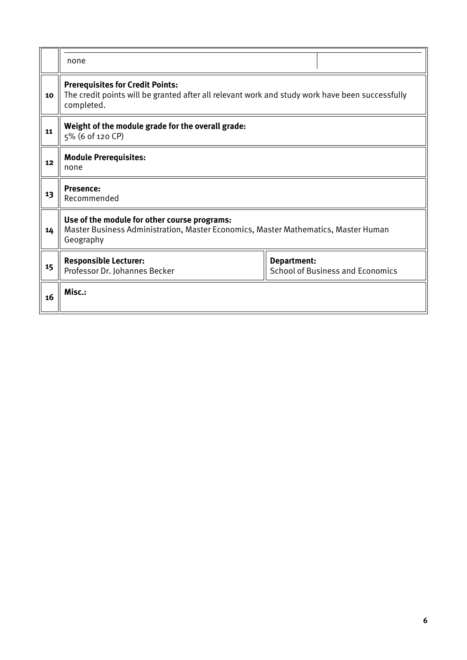|    | none                                                                                                                                                     |                                                        |  |  |  |  |  |  |
|----|----------------------------------------------------------------------------------------------------------------------------------------------------------|--------------------------------------------------------|--|--|--|--|--|--|
| 10 | <b>Prerequisites for Credit Points:</b><br>The credit points will be granted after all relevant work and study work have been successfully<br>completed. |                                                        |  |  |  |  |  |  |
| 11 | Weight of the module grade for the overall grade:<br>5% (6 of 120 CP)                                                                                    |                                                        |  |  |  |  |  |  |
| 12 | <b>Module Prerequisites:</b><br>none                                                                                                                     |                                                        |  |  |  |  |  |  |
| 13 | <b>Presence:</b><br>Recommended                                                                                                                          |                                                        |  |  |  |  |  |  |
| 14 | Use of the module for other course programs:<br>Master Business Administration, Master Economics, Master Mathematics, Master Human<br>Geography          |                                                        |  |  |  |  |  |  |
| 15 | <b>Responsible Lecturer:</b><br>Professor Dr. Johannes Becker                                                                                            | Department:<br><b>School of Business and Economics</b> |  |  |  |  |  |  |
| 16 | Misc.:                                                                                                                                                   |                                                        |  |  |  |  |  |  |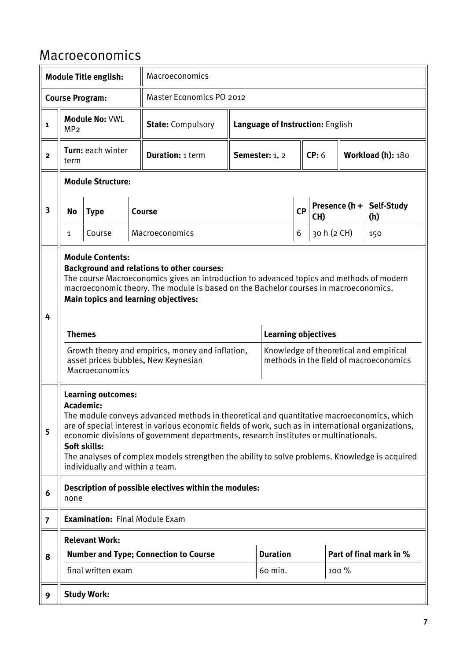### <span id="page-6-0"></span>Macroeconomics

|                         |                                                           | <b>Module Title english:</b>                                                              |  | Macroeconomics                                                                                                                                                                                                                                                                                                                                                                             |                |                                  |           |                        |       |                                                                                  |  |
|-------------------------|-----------------------------------------------------------|-------------------------------------------------------------------------------------------|--|--------------------------------------------------------------------------------------------------------------------------------------------------------------------------------------------------------------------------------------------------------------------------------------------------------------------------------------------------------------------------------------------|----------------|----------------------------------|-----------|------------------------|-------|----------------------------------------------------------------------------------|--|
|                         | <b>Master Economics PO 2012</b><br><b>Course Program:</b> |                                                                                           |  |                                                                                                                                                                                                                                                                                                                                                                                            |                |                                  |           |                        |       |                                                                                  |  |
| 1                       | MP <sub>2</sub>                                           | <b>Module No: VWL</b>                                                                     |  | <b>State: Compulsory</b>                                                                                                                                                                                                                                                                                                                                                                   |                | Language of Instruction: English |           |                        |       |                                                                                  |  |
| $\mathbf{2}$            | term                                                      | Turn: each winter                                                                         |  | <b>Duration: 1 term</b>                                                                                                                                                                                                                                                                                                                                                                    | Semester: 1, 2 |                                  |           | CP: 6                  |       | Workload (h): 180                                                                |  |
|                         |                                                           | <b>Module Structure:</b>                                                                  |  |                                                                                                                                                                                                                                                                                                                                                                                            |                |                                  |           |                        |       |                                                                                  |  |
| $\overline{\mathbf{3}}$ | No                                                        | <b>Type</b>                                                                               |  | Course                                                                                                                                                                                                                                                                                                                                                                                     |                |                                  | <b>CP</b> | Presence $(h +$<br>CH) |       | Self-Study<br>(h)                                                                |  |
|                         | 1                                                         | Course                                                                                    |  | Macroeconomics                                                                                                                                                                                                                                                                                                                                                                             |                |                                  | 6         | 30 h (2 CH)            |       | 150                                                                              |  |
| 4                       | <b>Themes</b>                                             | <b>Module Contents:</b><br>Macroeconomics                                                 |  | <b>Background and relations to other courses:</b><br>The course Macroeconomics gives an introduction to advanced topics and methods of modern<br>macroeconomic theory. The module is based on the Bachelor courses in macroeconomics.<br><b>Main topics and learning objectives:</b><br>Growth theory and empirics, money and inflation,<br>asset prices bubbles, New Keynesian            |                | <b>Learning objectives</b>       |           |                        |       | Knowledge of theoretical and empirical<br>methods in the field of macroeconomics |  |
| 5                       |                                                           | <b>Learning outcomes:</b><br>Academic:<br>Soft skills:<br>individually and within a team. |  | The module conveys advanced methods in theoretical and quantitative macroeconomics, which<br>are of special interest in various economic fields of work, such as in international organizations,<br>economic divisions of government departments, research institutes or multinationals.<br>The analyses of complex models strengthen the ability to solve problems. Knowledge is acquired |                |                                  |           |                        |       |                                                                                  |  |
| 6                       | none                                                      |                                                                                           |  | Description of possible electives within the modules:                                                                                                                                                                                                                                                                                                                                      |                |                                  |           |                        |       |                                                                                  |  |
| $\overline{7}$          |                                                           | <b>Examination: Final Module Exam</b>                                                     |  |                                                                                                                                                                                                                                                                                                                                                                                            |                |                                  |           |                        |       |                                                                                  |  |
|                         |                                                           | <b>Relevant Work:</b>                                                                     |  |                                                                                                                                                                                                                                                                                                                                                                                            |                |                                  |           |                        |       |                                                                                  |  |
| 8                       |                                                           |                                                                                           |  | <b>Number and Type; Connection to Course</b>                                                                                                                                                                                                                                                                                                                                               |                | <b>Duration</b>                  |           |                        |       | Part of final mark in %                                                          |  |
|                         |                                                           | final written exam                                                                        |  |                                                                                                                                                                                                                                                                                                                                                                                            |                | 60 min.                          |           |                        | 100 % |                                                                                  |  |
| 9                       |                                                           | <b>Study Work:</b>                                                                        |  |                                                                                                                                                                                                                                                                                                                                                                                            |                |                                  |           |                        |       |                                                                                  |  |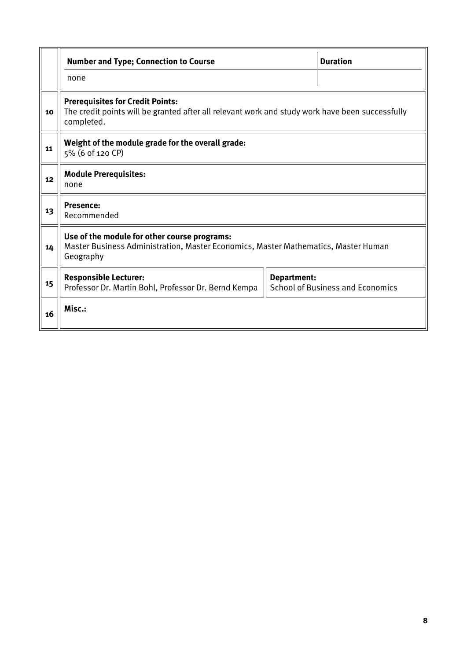|    | <b>Number and Type; Connection to Course</b>                                                                                                             | <b>Duration</b>    |                                         |  |  |  |  |  |
|----|----------------------------------------------------------------------------------------------------------------------------------------------------------|--------------------|-----------------------------------------|--|--|--|--|--|
|    | none                                                                                                                                                     |                    |                                         |  |  |  |  |  |
| 10 | <b>Prerequisites for Credit Points:</b><br>The credit points will be granted after all relevant work and study work have been successfully<br>completed. |                    |                                         |  |  |  |  |  |
| 11 | Weight of the module grade for the overall grade:<br>5% (6 of 120 CP)                                                                                    |                    |                                         |  |  |  |  |  |
| 12 | <b>Module Prerequisites:</b><br>none                                                                                                                     |                    |                                         |  |  |  |  |  |
| 13 | <b>Presence:</b><br>Recommended                                                                                                                          |                    |                                         |  |  |  |  |  |
| 14 | Use of the module for other course programs:<br>Master Business Administration, Master Economics, Master Mathematics, Master Human<br>Geography          |                    |                                         |  |  |  |  |  |
| 15 | <b>Responsible Lecturer:</b><br>Professor Dr. Martin Bohl, Professor Dr. Bernd Kempa                                                                     | <b>Department:</b> | <b>School of Business and Economics</b> |  |  |  |  |  |
| 16 | Misc.:                                                                                                                                                   |                    |                                         |  |  |  |  |  |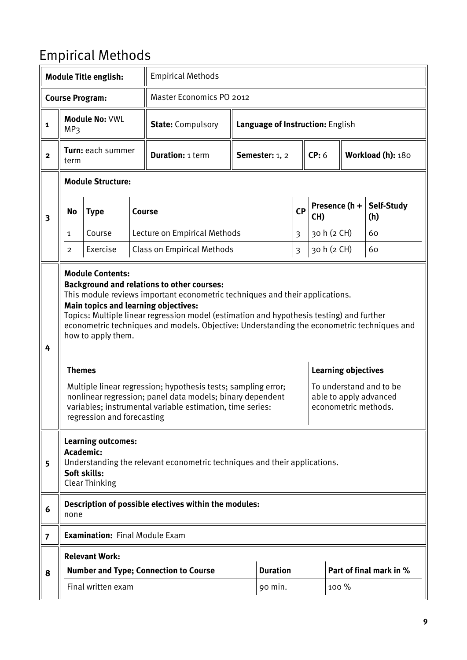### <span id="page-8-0"></span>Empirical Methods

|                |                                                                                                                                                              | <b>Module Title english:</b>                                                |               | <b>Empirical Methods</b>                                                                                                                                                                                                                                                                                                                                                                                                                                                                                                                                       |                                  |                 |                |                            |                   |                                                                           |
|----------------|--------------------------------------------------------------------------------------------------------------------------------------------------------------|-----------------------------------------------------------------------------|---------------|----------------------------------------------------------------------------------------------------------------------------------------------------------------------------------------------------------------------------------------------------------------------------------------------------------------------------------------------------------------------------------------------------------------------------------------------------------------------------------------------------------------------------------------------------------------|----------------------------------|-----------------|----------------|----------------------------|-------------------|---------------------------------------------------------------------------|
|                |                                                                                                                                                              | <b>Master Economics PO 2012</b><br><b>Course Program:</b>                   |               |                                                                                                                                                                                                                                                                                                                                                                                                                                                                                                                                                                |                                  |                 |                |                            |                   |                                                                           |
| 1              | MP3                                                                                                                                                          | <b>Module No: VWL</b>                                                       |               | <b>State: Compulsory</b>                                                                                                                                                                                                                                                                                                                                                                                                                                                                                                                                       | Language of Instruction: English |                 |                |                            |                   |                                                                           |
| $\mathbf{2}$   | term                                                                                                                                                         | Turn: each summer                                                           |               | <b>Duration: 1 term</b>                                                                                                                                                                                                                                                                                                                                                                                                                                                                                                                                        |                                  | Semester: 1, 2  |                | CP: 6                      | Workload (h): 180 |                                                                           |
|                |                                                                                                                                                              | <b>Module Structure:</b>                                                    |               |                                                                                                                                                                                                                                                                                                                                                                                                                                                                                                                                                                |                                  |                 |                |                            |                   |                                                                           |
| 3              | No                                                                                                                                                           | <b>Type</b>                                                                 | <b>Course</b> |                                                                                                                                                                                                                                                                                                                                                                                                                                                                                                                                                                |                                  |                 | <b>CP</b>      | Presence (h +<br>CH)       |                   | Self-Study<br>(h)                                                         |
|                | $\mathbf{1}$                                                                                                                                                 | Course                                                                      |               | Lecture on Empirical Methods                                                                                                                                                                                                                                                                                                                                                                                                                                                                                                                                   |                                  |                 | 3              | 30 h (2 CH)                |                   | 60                                                                        |
|                | 2                                                                                                                                                            | Exercise                                                                    |               | <b>Class on Empirical Methods</b>                                                                                                                                                                                                                                                                                                                                                                                                                                                                                                                              |                                  |                 | $\mathfrak{Z}$ | 30 h (2 CH)                |                   | 60                                                                        |
| 4              | <b>Themes</b>                                                                                                                                                | <b>Module Contents:</b><br>how to apply them.<br>regression and forecasting |               | <b>Background and relations to other courses:</b><br>This module reviews important econometric techniques and their applications.<br>Main topics and learning objectives:<br>Topics: Multiple linear regression model (estimation and hypothesis testing) and further<br>econometric techniques and models. Objective: Understanding the econometric techniques and<br>Multiple linear regression; hypothesis tests; sampling error;<br>nonlinear regression; panel data models; binary dependent<br>variables; instrumental variable estimation, time series: |                                  |                 |                | <b>Learning objectives</b> |                   | To understand and to be<br>able to apply advanced<br>econometric methods. |
| 5              | <b>Learning outcomes:</b><br>Academic:<br>Understanding the relevant econometric techniques and their applications.<br>Soft skills:<br><b>Clear Thinking</b> |                                                                             |               |                                                                                                                                                                                                                                                                                                                                                                                                                                                                                                                                                                |                                  |                 |                |                            |                   |                                                                           |
| 6              | none                                                                                                                                                         |                                                                             |               | Description of possible electives within the modules:                                                                                                                                                                                                                                                                                                                                                                                                                                                                                                          |                                  |                 |                |                            |                   |                                                                           |
| $\overline{7}$ |                                                                                                                                                              | <b>Examination: Final Module Exam</b>                                       |               |                                                                                                                                                                                                                                                                                                                                                                                                                                                                                                                                                                |                                  |                 |                |                            |                   |                                                                           |
|                |                                                                                                                                                              | <b>Relevant Work:</b>                                                       |               |                                                                                                                                                                                                                                                                                                                                                                                                                                                                                                                                                                |                                  |                 |                |                            |                   |                                                                           |
| 8              |                                                                                                                                                              |                                                                             |               | <b>Number and Type; Connection to Course</b>                                                                                                                                                                                                                                                                                                                                                                                                                                                                                                                   |                                  | <b>Duration</b> |                | Part of final mark in %    |                   |                                                                           |
|                |                                                                                                                                                              | Final written exam                                                          |               |                                                                                                                                                                                                                                                                                                                                                                                                                                                                                                                                                                |                                  | 90 min.         |                | $100\%$                    |                   |                                                                           |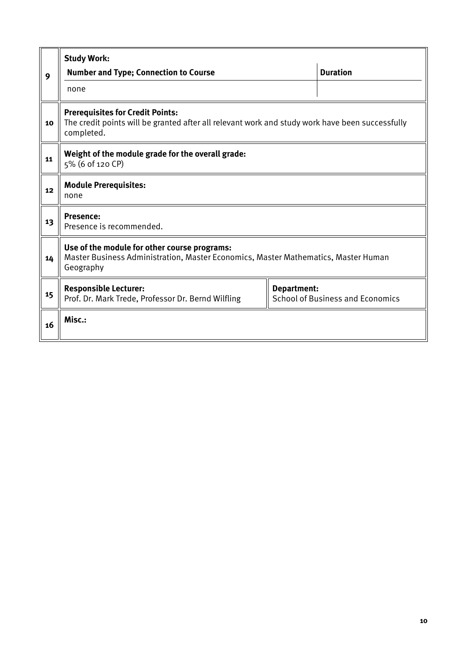|    | <b>Study Work:</b>                                                                                                                                       |  |  |  |  |  |  |  |  |
|----|----------------------------------------------------------------------------------------------------------------------------------------------------------|--|--|--|--|--|--|--|--|
| 9  | <b>Duration</b><br><b>Number and Type; Connection to Course</b>                                                                                          |  |  |  |  |  |  |  |  |
|    | none                                                                                                                                                     |  |  |  |  |  |  |  |  |
| 10 | <b>Prerequisites for Credit Points:</b><br>The credit points will be granted after all relevant work and study work have been successfully<br>completed. |  |  |  |  |  |  |  |  |
| 11 | Weight of the module grade for the overall grade:<br>5% (6 of 120 CP)                                                                                    |  |  |  |  |  |  |  |  |
| 12 | <b>Module Prerequisites:</b><br>none                                                                                                                     |  |  |  |  |  |  |  |  |
| 13 | <b>Presence:</b><br>Presence is recommended.                                                                                                             |  |  |  |  |  |  |  |  |
| 14 | Use of the module for other course programs:<br>Master Business Administration, Master Economics, Master Mathematics, Master Human<br>Geography          |  |  |  |  |  |  |  |  |
| 15 | <b>Responsible Lecturer:</b><br><b>Department:</b><br><b>School of Business and Economics</b><br>Prof. Dr. Mark Trede, Professor Dr. Bernd Wilfling      |  |  |  |  |  |  |  |  |
| 16 | Misc.:                                                                                                                                                   |  |  |  |  |  |  |  |  |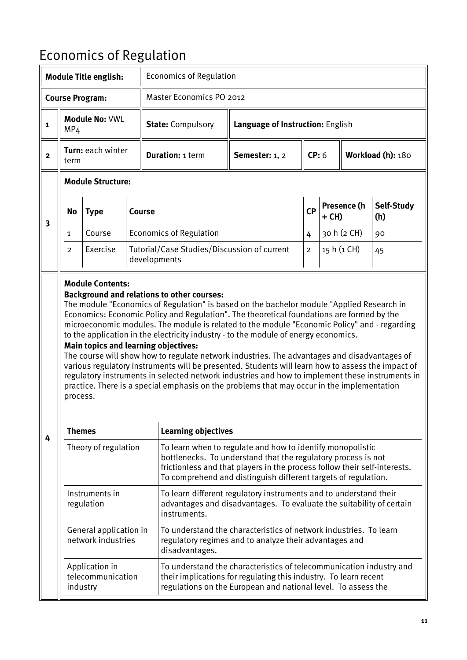## <span id="page-10-0"></span>Economics of Regulation

| <b>Economics of Regulation</b><br><b>Module Title english:</b> |                                                                                                                                                                                           |                                                 |                                 |                                                                                                                                                                                                                                                                                                                                                                                                                                                                                                                                                                                                                                                                                                                                                                     |                                                                                                                                                                                                              |                |       |             |                   |
|----------------------------------------------------------------|-------------------------------------------------------------------------------------------------------------------------------------------------------------------------------------------|-------------------------------------------------|---------------------------------|---------------------------------------------------------------------------------------------------------------------------------------------------------------------------------------------------------------------------------------------------------------------------------------------------------------------------------------------------------------------------------------------------------------------------------------------------------------------------------------------------------------------------------------------------------------------------------------------------------------------------------------------------------------------------------------------------------------------------------------------------------------------|--------------------------------------------------------------------------------------------------------------------------------------------------------------------------------------------------------------|----------------|-------|-------------|-------------------|
|                                                                |                                                                                                                                                                                           | <b>Course Program:</b>                          | <b>Master Economics PO 2012</b> |                                                                                                                                                                                                                                                                                                                                                                                                                                                                                                                                                                                                                                                                                                                                                                     |                                                                                                                                                                                                              |                |       |             |                   |
| $\mathbf{1}$                                                   | MP <sub>4</sub>                                                                                                                                                                           | Module No: VWI                                  |                                 | <b>State: Compulsory</b>                                                                                                                                                                                                                                                                                                                                                                                                                                                                                                                                                                                                                                                                                                                                            | Language of Instruction: English                                                                                                                                                                             |                |       |             |                   |
| $\overline{\mathbf{2}}$                                        | term                                                                                                                                                                                      | Turn: each winter                               |                                 | <b>Duration: 1 term</b>                                                                                                                                                                                                                                                                                                                                                                                                                                                                                                                                                                                                                                                                                                                                             | Semester: 1, 2                                                                                                                                                                                               | CP: 6          |       |             | Workload (h): 180 |
|                                                                |                                                                                                                                                                                           | <b>Module Structure:</b>                        |                                 |                                                                                                                                                                                                                                                                                                                                                                                                                                                                                                                                                                                                                                                                                                                                                                     |                                                                                                                                                                                                              |                |       |             |                   |
| 3                                                              | <b>No</b>                                                                                                                                                                                 | <b>Type</b>                                     |                                 | <b>Course</b>                                                                                                                                                                                                                                                                                                                                                                                                                                                                                                                                                                                                                                                                                                                                                       |                                                                                                                                                                                                              | <b>CP</b>      | + CH) | Presence (h | Self-Study<br>(h) |
|                                                                | 1                                                                                                                                                                                         | Course                                          |                                 | <b>Economics of Regulation</b>                                                                                                                                                                                                                                                                                                                                                                                                                                                                                                                                                                                                                                                                                                                                      |                                                                                                                                                                                                              | 4              |       | 30 h (2 CH) | 90                |
|                                                                | 2                                                                                                                                                                                         | Exercise                                        |                                 | Tutorial/Case Studies/Discussion of current<br>developments                                                                                                                                                                                                                                                                                                                                                                                                                                                                                                                                                                                                                                                                                                         |                                                                                                                                                                                                              | $\overline{a}$ |       | 15 h (1 CH) | 45                |
|                                                                | process.<br><b>Themes</b>                                                                                                                                                                 |                                                 |                                 | Economics: Economic Policy and Regulation". The theoretical foundations are formed by the<br>microeconomic modules. The module is related to the module "Economic Policy" and - regarding<br>to the application in the electricity industry - to the module of energy economics.<br><b>Main topics and learning objectives:</b><br>The course will show how to regulate network industries. The advantages and disadvantages of<br>various regulatory instruments will be presented. Students will learn how to assess the impact of<br>regulatory instruments in selected network industries and how to implement these instruments in<br>practice. There is a special emphasis on the problems that may occur in the implementation<br><b>Learning objectives</b> |                                                                                                                                                                                                              |                |       |             |                   |
| 4                                                              |                                                                                                                                                                                           | Theory of regulation                            |                                 | To learn when to regulate and how to identify monopolistic                                                                                                                                                                                                                                                                                                                                                                                                                                                                                                                                                                                                                                                                                                          |                                                                                                                                                                                                              |                |       |             |                   |
|                                                                |                                                                                                                                                                                           |                                                 |                                 |                                                                                                                                                                                                                                                                                                                                                                                                                                                                                                                                                                                                                                                                                                                                                                     | bottlenecks. To understand that the regulatory process is not<br>frictionless and that players in the process follow their self-interests.<br>To comprehend and distinguish different targets of regulation. |                |       |             |                   |
|                                                                | Instruments in<br>To learn different regulatory instruments and to understand their<br>advantages and disadvantages. To evaluate the suitability of certain<br>regulation<br>instruments. |                                                 |                                 |                                                                                                                                                                                                                                                                                                                                                                                                                                                                                                                                                                                                                                                                                                                                                                     |                                                                                                                                                                                                              |                |       |             |                   |
|                                                                |                                                                                                                                                                                           | General application in<br>network industries    |                                 | disadvantages.                                                                                                                                                                                                                                                                                                                                                                                                                                                                                                                                                                                                                                                                                                                                                      | To understand the characteristics of network industries. To learn<br>regulatory regimes and to analyze their advantages and                                                                                  |                |       |             |                   |
|                                                                |                                                                                                                                                                                           | Application in<br>telecommunication<br>industry |                                 |                                                                                                                                                                                                                                                                                                                                                                                                                                                                                                                                                                                                                                                                                                                                                                     | To understand the characteristics of telecommunication industry and<br>their implications for regulating this industry. To learn recent<br>regulations on the European and national level. To assess the     |                |       |             |                   |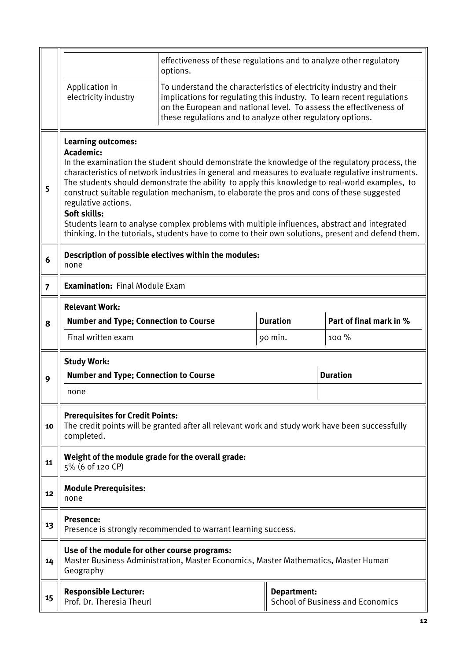|                | effectiveness of these regulations and to analyze other regulatory<br>options.                                                                                                                                                                                                                                                                                                                                                                                                                                                                                                                                                                                                             |                                                                                                 |                 |                         |  |  |  |  |  |  |
|----------------|--------------------------------------------------------------------------------------------------------------------------------------------------------------------------------------------------------------------------------------------------------------------------------------------------------------------------------------------------------------------------------------------------------------------------------------------------------------------------------------------------------------------------------------------------------------------------------------------------------------------------------------------------------------------------------------------|-------------------------------------------------------------------------------------------------|-----------------|-------------------------|--|--|--|--|--|--|
|                | Application in<br>To understand the characteristics of electricity industry and their<br>electricity industry<br>implications for regulating this industry. To learn recent regulations<br>on the European and national level. To assess the effectiveness of<br>these regulations and to analyze other regulatory options.                                                                                                                                                                                                                                                                                                                                                                |                                                                                                 |                 |                         |  |  |  |  |  |  |
| 5              | <b>Learning outcomes:</b><br>Academic:<br>In the examination the student should demonstrate the knowledge of the regulatory process, the<br>characteristics of network industries in general and measures to evaluate regulative instruments.<br>The students should demonstrate the ability to apply this knowledge to real-world examples, to<br>construct suitable regulation mechanism, to elaborate the pros and cons of these suggested<br>regulative actions.<br>Soft skills:<br>Students learn to analyse complex problems with multiple influences, abstract and integrated<br>thinking. In the tutorials, students have to come to their own solutions, present and defend them. |                                                                                                 |                 |                         |  |  |  |  |  |  |
| 6              | none                                                                                                                                                                                                                                                                                                                                                                                                                                                                                                                                                                                                                                                                                       | Description of possible electives within the modules:                                           |                 |                         |  |  |  |  |  |  |
| $\overline{7}$ | <b>Examination: Final Module Exam</b>                                                                                                                                                                                                                                                                                                                                                                                                                                                                                                                                                                                                                                                      |                                                                                                 |                 |                         |  |  |  |  |  |  |
|                | <b>Relevant Work:</b>                                                                                                                                                                                                                                                                                                                                                                                                                                                                                                                                                                                                                                                                      |                                                                                                 |                 |                         |  |  |  |  |  |  |
| 8              | <b>Number and Type; Connection to Course</b>                                                                                                                                                                                                                                                                                                                                                                                                                                                                                                                                                                                                                                               |                                                                                                 | <b>Duration</b> | Part of final mark in % |  |  |  |  |  |  |
|                | Final written exam                                                                                                                                                                                                                                                                                                                                                                                                                                                                                                                                                                                                                                                                         |                                                                                                 | 90 min.         | 100 %                   |  |  |  |  |  |  |
| 9              | <b>Study Work:</b><br><b>Number and Type; Connection to Course</b>                                                                                                                                                                                                                                                                                                                                                                                                                                                                                                                                                                                                                         |                                                                                                 |                 | <b>Duration</b>         |  |  |  |  |  |  |
|                | none                                                                                                                                                                                                                                                                                                                                                                                                                                                                                                                                                                                                                                                                                       |                                                                                                 |                 |                         |  |  |  |  |  |  |
| 10             | <b>Prerequisites for Credit Points:</b><br>completed.                                                                                                                                                                                                                                                                                                                                                                                                                                                                                                                                                                                                                                      | The credit points will be granted after all relevant work and study work have been successfully |                 |                         |  |  |  |  |  |  |
| 11             | Weight of the module grade for the overall grade:<br>5% (6 of 120 CP)                                                                                                                                                                                                                                                                                                                                                                                                                                                                                                                                                                                                                      |                                                                                                 |                 |                         |  |  |  |  |  |  |
| 12             | <b>Module Prerequisites:</b><br>none                                                                                                                                                                                                                                                                                                                                                                                                                                                                                                                                                                                                                                                       |                                                                                                 |                 |                         |  |  |  |  |  |  |
| 13             | <b>Presence:</b>                                                                                                                                                                                                                                                                                                                                                                                                                                                                                                                                                                                                                                                                           | Presence is strongly recommended to warrant learning success.                                   |                 |                         |  |  |  |  |  |  |
| 14             | Use of the module for other course programs:<br>Geography                                                                                                                                                                                                                                                                                                                                                                                                                                                                                                                                                                                                                                  | Master Business Administration, Master Economics, Master Mathematics, Master Human              |                 |                         |  |  |  |  |  |  |
| 15             | Department:<br><b>Responsible Lecturer:</b><br>Prof. Dr. Theresia Theurl<br><b>School of Business and Economics</b>                                                                                                                                                                                                                                                                                                                                                                                                                                                                                                                                                                        |                                                                                                 |                 |                         |  |  |  |  |  |  |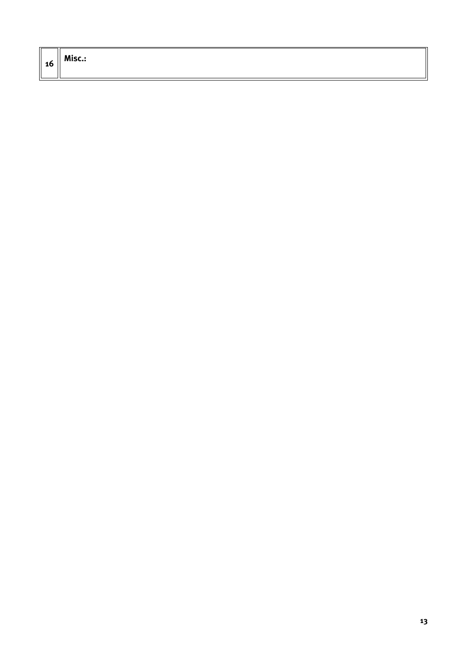| - 1<br>10 | Misc.: |
|-----------|--------|
|           |        |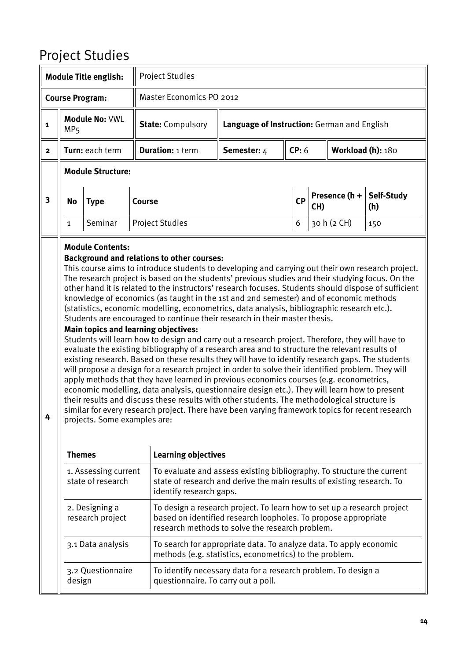#### <span id="page-13-0"></span>Project Studies

|                         |                                                        | <b>Module Title english:</b>                            | <b>Project Studies</b>                                                                                                                                                                                                                                                                                                                                                                                                                                                                                                                                                                                                                                                                                                                                                                                                                                                                                                                                                                                                                                                                                                                                                                                                                                                                                                                                                                                                                                                                                  |                                                                                                                                                                                              |           |             |                   |                   |  |
|-------------------------|--------------------------------------------------------|---------------------------------------------------------|---------------------------------------------------------------------------------------------------------------------------------------------------------------------------------------------------------------------------------------------------------------------------------------------------------------------------------------------------------------------------------------------------------------------------------------------------------------------------------------------------------------------------------------------------------------------------------------------------------------------------------------------------------------------------------------------------------------------------------------------------------------------------------------------------------------------------------------------------------------------------------------------------------------------------------------------------------------------------------------------------------------------------------------------------------------------------------------------------------------------------------------------------------------------------------------------------------------------------------------------------------------------------------------------------------------------------------------------------------------------------------------------------------------------------------------------------------------------------------------------------------|----------------------------------------------------------------------------------------------------------------------------------------------------------------------------------------------|-----------|-------------|-------------------|-------------------|--|
|                         |                                                        | <b>Course Program:</b>                                  |                                                                                                                                                                                                                                                                                                                                                                                                                                                                                                                                                                                                                                                                                                                                                                                                                                                                                                                                                                                                                                                                                                                                                                                                                                                                                                                                                                                                                                                                                                         | Master Economics PO 2012                                                                                                                                                                     |           |             |                   |                   |  |
| $\mathbf{1}$            | MP <sub>5</sub>                                        | <b>Module No: VWL</b>                                   | <b>State: Compulsory</b>                                                                                                                                                                                                                                                                                                                                                                                                                                                                                                                                                                                                                                                                                                                                                                                                                                                                                                                                                                                                                                                                                                                                                                                                                                                                                                                                                                                                                                                                                | Language of Instruction: German and English                                                                                                                                                  |           |             |                   |                   |  |
| $\mathbf{2}$            |                                                        | Turn: each term                                         | <b>Duration: 1 term</b>                                                                                                                                                                                                                                                                                                                                                                                                                                                                                                                                                                                                                                                                                                                                                                                                                                                                                                                                                                                                                                                                                                                                                                                                                                                                                                                                                                                                                                                                                 | Semester: 4                                                                                                                                                                                  | CP: 6     |             | Workload (h): 180 |                   |  |
|                         |                                                        | <b>Module Structure:</b>                                |                                                                                                                                                                                                                                                                                                                                                                                                                                                                                                                                                                                                                                                                                                                                                                                                                                                                                                                                                                                                                                                                                                                                                                                                                                                                                                                                                                                                                                                                                                         |                                                                                                                                                                                              |           |             |                   |                   |  |
| $\overline{\mathbf{3}}$ | <b>No</b>                                              | <b>Type</b>                                             | <b>Course</b>                                                                                                                                                                                                                                                                                                                                                                                                                                                                                                                                                                                                                                                                                                                                                                                                                                                                                                                                                                                                                                                                                                                                                                                                                                                                                                                                                                                                                                                                                           |                                                                                                                                                                                              | <b>CP</b> | CH)         | Presence (h +     | Self-Study<br>(h) |  |
|                         | Seminar<br><b>Project Studies</b><br>6<br>$\mathbf{1}$ |                                                         |                                                                                                                                                                                                                                                                                                                                                                                                                                                                                                                                                                                                                                                                                                                                                                                                                                                                                                                                                                                                                                                                                                                                                                                                                                                                                                                                                                                                                                                                                                         |                                                                                                                                                                                              |           | 30 h (2 CH) | 150               |                   |  |
| 4                       |                                                        | <b>Module Contents:</b><br>projects. Some examples are: | <b>Background and relations to other courses:</b><br>This course aims to introduce students to developing and carrying out their own research project.<br>The research project is based on the students' previous studies and their studying focus. On the<br>other hand it is related to the instructors' research focuses. Students should dispose of sufficient<br>knowledge of economics (as taught in the 1st and 2nd semester) and of economic methods<br>(statistics, economic modelling, econometrics, data analysis, bibliographic research etc.).<br>Students are encouraged to continue their research in their master thesis.<br><b>Main topics and learning objectives:</b><br>Students will learn how to design and carry out a research project. Therefore, they will have to<br>evaluate the existing bibliography of a research area and to structure the relevant results of<br>existing research. Based on these results they will have to identify research gaps. The students<br>will propose a design for a research project in order to solve their identified problem. They will<br>apply methods that they have learned in previous economics courses (e.g. econometrics,<br>economic modelling, data analysis, questionnaire design etc.). They will learn how to present<br>their results and discuss these results with other students. The methodological structure is<br>similar for every research project. There have been varying framework topics for recent research |                                                                                                                                                                                              |           |             |                   |                   |  |
|                         | <b>Themes</b>                                          |                                                         | <b>Learning objectives</b>                                                                                                                                                                                                                                                                                                                                                                                                                                                                                                                                                                                                                                                                                                                                                                                                                                                                                                                                                                                                                                                                                                                                                                                                                                                                                                                                                                                                                                                                              |                                                                                                                                                                                              |           |             |                   |                   |  |
|                         |                                                        | 1. Assessing current<br>state of research               | identify research gaps.                                                                                                                                                                                                                                                                                                                                                                                                                                                                                                                                                                                                                                                                                                                                                                                                                                                                                                                                                                                                                                                                                                                                                                                                                                                                                                                                                                                                                                                                                 | To evaluate and assess existing bibliography. To structure the current<br>state of research and derive the main results of existing research. To                                             |           |             |                   |                   |  |
|                         |                                                        | 2. Designing a<br>research project                      |                                                                                                                                                                                                                                                                                                                                                                                                                                                                                                                                                                                                                                                                                                                                                                                                                                                                                                                                                                                                                                                                                                                                                                                                                                                                                                                                                                                                                                                                                                         | To design a research project. To learn how to set up a research project<br>based on identified research loopholes. To propose appropriate<br>research methods to solve the research problem. |           |             |                   |                   |  |
|                         |                                                        | 3.1 Data analysis                                       |                                                                                                                                                                                                                                                                                                                                                                                                                                                                                                                                                                                                                                                                                                                                                                                                                                                                                                                                                                                                                                                                                                                                                                                                                                                                                                                                                                                                                                                                                                         | To search for appropriate data. To analyze data. To apply economic<br>methods (e.g. statistics, econometrics) to the problem.                                                                |           |             |                   |                   |  |
|                         | design                                                 | 3.2 Questionnaire                                       | questionnaire. To carry out a poll.                                                                                                                                                                                                                                                                                                                                                                                                                                                                                                                                                                                                                                                                                                                                                                                                                                                                                                                                                                                                                                                                                                                                                                                                                                                                                                                                                                                                                                                                     | To identify necessary data for a research problem. To design a                                                                                                                               |           |             |                   |                   |  |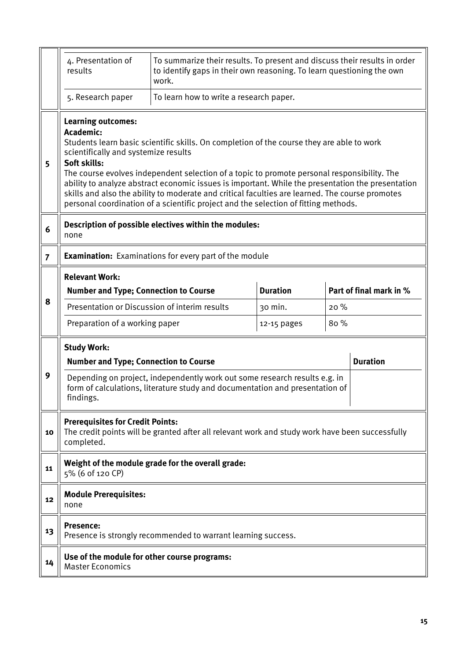|                | 4. Presentation of<br>results                                                                                                                                          | To summarize their results. To present and discuss their results in order<br>to identify gaps in their own reasoning. To learn questioning the own<br>work.                                                                                                                                                                                                                                                                                                                             |                 |      |                         |  |  |  |
|----------------|------------------------------------------------------------------------------------------------------------------------------------------------------------------------|-----------------------------------------------------------------------------------------------------------------------------------------------------------------------------------------------------------------------------------------------------------------------------------------------------------------------------------------------------------------------------------------------------------------------------------------------------------------------------------------|-----------------|------|-------------------------|--|--|--|
|                | 5. Research paper                                                                                                                                                      | To learn how to write a research paper.                                                                                                                                                                                                                                                                                                                                                                                                                                                 |                 |      |                         |  |  |  |
| 5              | <b>Learning outcomes:</b><br>Academic:<br>scientifically and systemize results<br>Soft skills:                                                                         | Students learn basic scientific skills. On completion of the course they are able to work<br>The course evolves independent selection of a topic to promote personal responsibility. The<br>ability to analyze abstract economic issues is important. While the presentation the presentation<br>skills and also the ability to moderate and critical faculties are learned. The course promotes<br>personal coordination of a scientific project and the selection of fitting methods. |                 |      |                         |  |  |  |
| 6              | Description of possible electives within the modules:<br>none                                                                                                          |                                                                                                                                                                                                                                                                                                                                                                                                                                                                                         |                 |      |                         |  |  |  |
| $\overline{7}$ | <b>Examination:</b> Examinations for every part of the module                                                                                                          |                                                                                                                                                                                                                                                                                                                                                                                                                                                                                         |                 |      |                         |  |  |  |
| 8              | <b>Relevant Work:</b><br><b>Number and Type; Connection to Course</b>                                                                                                  |                                                                                                                                                                                                                                                                                                                                                                                                                                                                                         | <b>Duration</b> |      | Part of final mark in % |  |  |  |
|                | Presentation or Discussion of interim results                                                                                                                          |                                                                                                                                                                                                                                                                                                                                                                                                                                                                                         | 30 min.         | 20%  |                         |  |  |  |
|                | Preparation of a working paper                                                                                                                                         |                                                                                                                                                                                                                                                                                                                                                                                                                                                                                         | 12-15 pages     | 80 % |                         |  |  |  |
|                | <b>Study Work:</b><br><b>Duration</b><br><b>Number and Type; Connection to Course</b>                                                                                  |                                                                                                                                                                                                                                                                                                                                                                                                                                                                                         |                 |      |                         |  |  |  |
| 9              | Depending on project, independently work out some research results e.g. in<br>form of calculations, literature study and documentation and presentation of<br>findings |                                                                                                                                                                                                                                                                                                                                                                                                                                                                                         |                 |      |                         |  |  |  |
| 10             | <b>Prerequisites for Credit Points:</b><br>completed.                                                                                                                  | The credit points will be granted after all relevant work and study work have been successfully                                                                                                                                                                                                                                                                                                                                                                                         |                 |      |                         |  |  |  |
| 11             | 5% (6 of 120 CP)                                                                                                                                                       | Weight of the module grade for the overall grade:                                                                                                                                                                                                                                                                                                                                                                                                                                       |                 |      |                         |  |  |  |
| 12             | <b>Module Prerequisites:</b><br>none                                                                                                                                   |                                                                                                                                                                                                                                                                                                                                                                                                                                                                                         |                 |      |                         |  |  |  |
| 13             | <b>Presence:</b>                                                                                                                                                       | Presence is strongly recommended to warrant learning success.                                                                                                                                                                                                                                                                                                                                                                                                                           |                 |      |                         |  |  |  |
| 14             | Use of the module for other course programs:<br><b>Master Economics</b>                                                                                                |                                                                                                                                                                                                                                                                                                                                                                                                                                                                                         |                 |      |                         |  |  |  |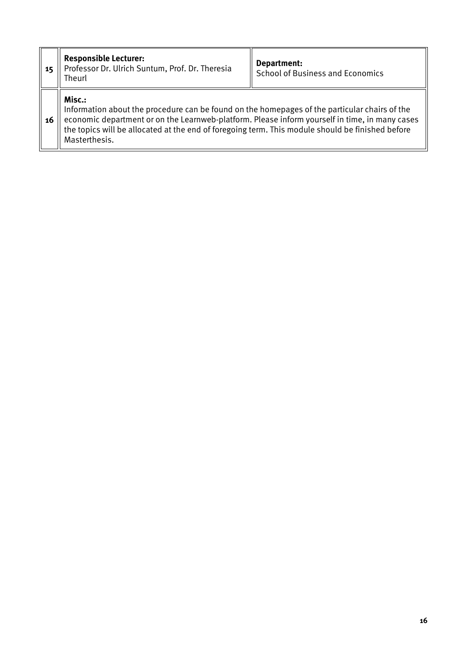| 15 | <b>Responsible Lecturer:</b><br>Professor Dr. Ulrich Suntum, Prof. Dr. Theresia<br>Theurl                                                                                                                                                                                                                                      | Department:<br><b>School of Business and Economics</b> |
|----|--------------------------------------------------------------------------------------------------------------------------------------------------------------------------------------------------------------------------------------------------------------------------------------------------------------------------------|--------------------------------------------------------|
| 16 | Misc.:<br>Information about the procedure can be found on the homepages of the particular chairs of the<br>economic department or on the Learnweb-platform. Please inform yourself in time, in many cases<br>the topics will be allocated at the end of foregoing term. This module should be finished before<br>Masterthesis. |                                                        |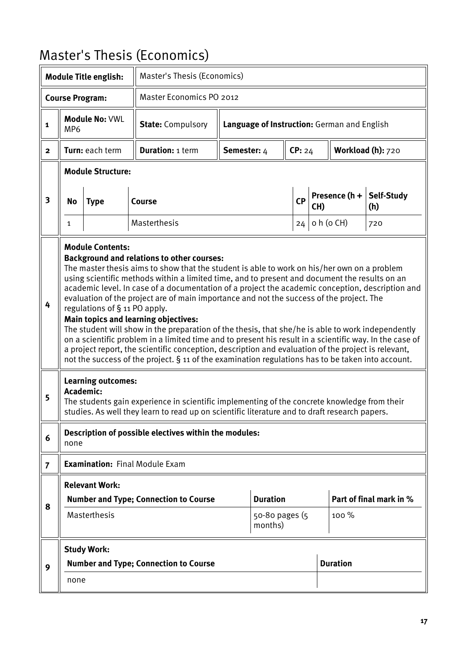#### <span id="page-16-0"></span>Master's Thesis (Economics)

|                         |                                                                                                                                                                                                                                                                                                                                                                                                                                                                                                                                                                                                                                                                                                                                                                                                                                                                                                                                                                                   | <b>Module Title english:</b>                                                                                                                                              |                                                                                                                                                                                               | Master's Thesis (Economics)                 |           |            |                   |                   |  |  |
|-------------------------|-----------------------------------------------------------------------------------------------------------------------------------------------------------------------------------------------------------------------------------------------------------------------------------------------------------------------------------------------------------------------------------------------------------------------------------------------------------------------------------------------------------------------------------------------------------------------------------------------------------------------------------------------------------------------------------------------------------------------------------------------------------------------------------------------------------------------------------------------------------------------------------------------------------------------------------------------------------------------------------|---------------------------------------------------------------------------------------------------------------------------------------------------------------------------|-----------------------------------------------------------------------------------------------------------------------------------------------------------------------------------------------|---------------------------------------------|-----------|------------|-------------------|-------------------|--|--|
|                         |                                                                                                                                                                                                                                                                                                                                                                                                                                                                                                                                                                                                                                                                                                                                                                                                                                                                                                                                                                                   | <b>Course Program:</b>                                                                                                                                                    | Master Economics PO 2012                                                                                                                                                                      |                                             |           |            |                   |                   |  |  |
| 1                       | MP <sub>6</sub>                                                                                                                                                                                                                                                                                                                                                                                                                                                                                                                                                                                                                                                                                                                                                                                                                                                                                                                                                                   | Module No: VWL                                                                                                                                                            | <b>State: Compulsory</b>                                                                                                                                                                      | Language of Instruction: German and English |           |            |                   |                   |  |  |
| $\overline{2}$          |                                                                                                                                                                                                                                                                                                                                                                                                                                                                                                                                                                                                                                                                                                                                                                                                                                                                                                                                                                                   | Turn: each term                                                                                                                                                           | <b>Duration: 1 term</b>                                                                                                                                                                       | Semester: 4                                 | CP: 24    |            | Workload (h): 720 |                   |  |  |
|                         |                                                                                                                                                                                                                                                                                                                                                                                                                                                                                                                                                                                                                                                                                                                                                                                                                                                                                                                                                                                   | <b>Module Structure:</b>                                                                                                                                                  |                                                                                                                                                                                               |                                             |           |            |                   |                   |  |  |
| $\overline{\mathbf{3}}$ | No                                                                                                                                                                                                                                                                                                                                                                                                                                                                                                                                                                                                                                                                                                                                                                                                                                                                                                                                                                                | <b>Type</b>                                                                                                                                                               | Course                                                                                                                                                                                        |                                             | <b>CP</b> | CH)        | Presence (h +     | Self-Study<br>(h) |  |  |
|                         | 1                                                                                                                                                                                                                                                                                                                                                                                                                                                                                                                                                                                                                                                                                                                                                                                                                                                                                                                                                                                 |                                                                                                                                                                           | Masterthesis                                                                                                                                                                                  |                                             | 24        | o h (o CH) | 720               |                   |  |  |
| 4                       | <b>Module Contents:</b><br><b>Background and relations to other courses:</b><br>The master thesis aims to show that the student is able to work on his/her own on a problem<br>using scientific methods within a limited time, and to present and document the results on an<br>academic level. In case of a documentation of a project the academic conception, description and<br>evaluation of the project are of main importance and not the success of the project. The<br>regulations of § 11 PO apply.<br>Main topics and learning objectives:<br>The student will show in the preparation of the thesis, that she/he is able to work independently<br>on a scientific problem in a limited time and to present his result in a scientific way. In the case of<br>a project report, the scientific conception, description and evaluation of the project is relevant,<br>not the success of the project. § 11 of the examination regulations has to be taken into account. |                                                                                                                                                                           |                                                                                                                                                                                               |                                             |           |            |                   |                   |  |  |
| 5                       |                                                                                                                                                                                                                                                                                                                                                                                                                                                                                                                                                                                                                                                                                                                                                                                                                                                                                                                                                                                   | <b>Learning outcomes:</b><br>Academic:                                                                                                                                    | The students gain experience in scientific implementing of the concrete knowledge from their<br>studies. As well they learn to read up on scientific literature and to draft research papers. |                                             |           |            |                   |                   |  |  |
| 6                       | none                                                                                                                                                                                                                                                                                                                                                                                                                                                                                                                                                                                                                                                                                                                                                                                                                                                                                                                                                                              |                                                                                                                                                                           | Description of possible electives within the modules:                                                                                                                                         |                                             |           |            |                   |                   |  |  |
| $\overline{7}$          |                                                                                                                                                                                                                                                                                                                                                                                                                                                                                                                                                                                                                                                                                                                                                                                                                                                                                                                                                                                   |                                                                                                                                                                           | <b>Examination: Final Module Exam</b>                                                                                                                                                         |                                             |           |            |                   |                   |  |  |
| 8                       |                                                                                                                                                                                                                                                                                                                                                                                                                                                                                                                                                                                                                                                                                                                                                                                                                                                                                                                                                                                   | <b>Relevant Work:</b><br><b>Duration</b><br>Part of final mark in %<br><b>Number and Type; Connection to Course</b><br>Masterthesis<br>100 %<br>50-80 pages (5<br>months) |                                                                                                                                                                                               |                                             |           |            |                   |                   |  |  |
| 9                       |                                                                                                                                                                                                                                                                                                                                                                                                                                                                                                                                                                                                                                                                                                                                                                                                                                                                                                                                                                                   | <b>Study Work:</b><br><b>Number and Type; Connection to Course</b>                                                                                                        |                                                                                                                                                                                               |                                             |           |            | <b>Duration</b>   |                   |  |  |
|                         | none                                                                                                                                                                                                                                                                                                                                                                                                                                                                                                                                                                                                                                                                                                                                                                                                                                                                                                                                                                              |                                                                                                                                                                           |                                                                                                                                                                                               |                                             |           |            |                   |                   |  |  |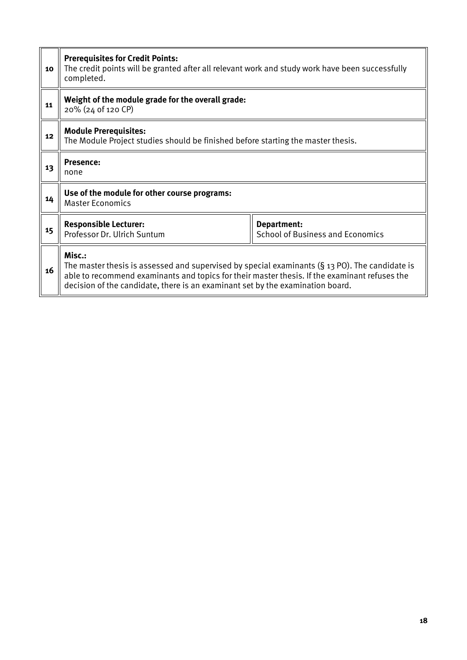| 10 | <b>Prerequisites for Credit Points:</b><br>The credit points will be granted after all relevant work and study work have been successfully<br>completed.                                                                                                                                             |                                                        |  |  |  |  |
|----|------------------------------------------------------------------------------------------------------------------------------------------------------------------------------------------------------------------------------------------------------------------------------------------------------|--------------------------------------------------------|--|--|--|--|
| 11 | Weight of the module grade for the overall grade:<br>20% (24 of 120 CP)                                                                                                                                                                                                                              |                                                        |  |  |  |  |
| 12 | <b>Module Prerequisites:</b><br>The Module Project studies should be finished before starting the master thesis.                                                                                                                                                                                     |                                                        |  |  |  |  |
| 13 | <b>Presence:</b><br>none                                                                                                                                                                                                                                                                             |                                                        |  |  |  |  |
| 14 | Use of the module for other course programs:<br><b>Master Economics</b>                                                                                                                                                                                                                              |                                                        |  |  |  |  |
| 15 | <b>Responsible Lecturer:</b><br>Professor Dr. Ulrich Suntum                                                                                                                                                                                                                                          | Department:<br><b>School of Business and Economics</b> |  |  |  |  |
| 16 | Misc.:<br>The master thesis is assessed and supervised by special examinants $(S_1, S_2, S_3)$ . The candidate is<br>able to recommend examinants and topics for their master thesis. If the examinant refuses the<br>decision of the candidate, there is an examinant set by the examination board. |                                                        |  |  |  |  |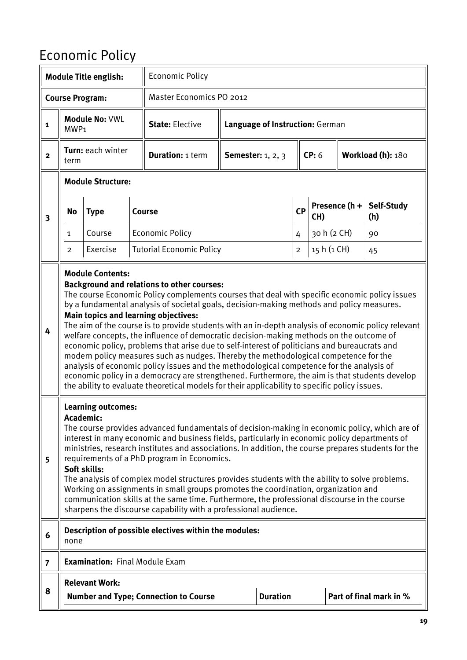### <span id="page-18-0"></span>Economic Policy

|                |                  | <b>Module Title english:</b>              | <b>Economic Policy</b>                                                                                                                                                                                                                                                                                                                                                                                                                                                                                                                                                                                                                                                                                                                                                                                                                                                                                                                                                                 |                                   |                |             |                   |                         |
|----------------|------------------|-------------------------------------------|----------------------------------------------------------------------------------------------------------------------------------------------------------------------------------------------------------------------------------------------------------------------------------------------------------------------------------------------------------------------------------------------------------------------------------------------------------------------------------------------------------------------------------------------------------------------------------------------------------------------------------------------------------------------------------------------------------------------------------------------------------------------------------------------------------------------------------------------------------------------------------------------------------------------------------------------------------------------------------------|-----------------------------------|----------------|-------------|-------------------|-------------------------|
|                |                  | <b>Course Program:</b>                    | <b>Master Economics PO 2012</b>                                                                                                                                                                                                                                                                                                                                                                                                                                                                                                                                                                                                                                                                                                                                                                                                                                                                                                                                                        |                                   |                |             |                   |                         |
| $\mathbf{1}$   | MWP <sub>1</sub> | <b>Module No: VWL</b>                     | <b>State: Elective</b>                                                                                                                                                                                                                                                                                                                                                                                                                                                                                                                                                                                                                                                                                                                                                                                                                                                                                                                                                                 | Language of Instruction: German   |                |             |                   |                         |
| $\mathbf{2}$   | term             | Turn: each winter                         | <b>Duration: 1 term</b>                                                                                                                                                                                                                                                                                                                                                                                                                                                                                                                                                                                                                                                                                                                                                                                                                                                                                                                                                                | <b>Semester:</b> 1, 2, 3          |                | CP: 6       | Workload (h): 180 |                         |
|                |                  | <b>Module Structure:</b>                  |                                                                                                                                                                                                                                                                                                                                                                                                                                                                                                                                                                                                                                                                                                                                                                                                                                                                                                                                                                                        |                                   |                |             |                   |                         |
| 3              | No               | <b>Type</b>                               | <b>Course</b>                                                                                                                                                                                                                                                                                                                                                                                                                                                                                                                                                                                                                                                                                                                                                                                                                                                                                                                                                                          | Presence (h +<br><b>CP</b><br>CH) |                |             |                   | Self-Study<br>(h)       |
|                | $\mathbf{1}$     | Course                                    | <b>Economic Policy</b>                                                                                                                                                                                                                                                                                                                                                                                                                                                                                                                                                                                                                                                                                                                                                                                                                                                                                                                                                                 |                                   | 4              | 30 h (2 CH) |                   | 90                      |
|                | $\overline{2}$   | Exercise                                  | <b>Tutorial Economic Policy</b>                                                                                                                                                                                                                                                                                                                                                                                                                                                                                                                                                                                                                                                                                                                                                                                                                                                                                                                                                        |                                   | $\overline{2}$ | 15 h (1 CH) |                   | 45                      |
| 4              |                  | <b>Module Contents:</b>                   | <b>Background and relations to other courses:</b><br>The course Economic Policy complements courses that deal with specific economic policy issues<br>by a fundamental analysis of societal goals, decision-making methods and policy measures.<br><b>Main topics and learning objectives:</b><br>The aim of the course is to provide students with an in-depth analysis of economic policy relevant<br>welfare concepts, the influence of democratic decision-making methods on the outcome of<br>economic policy, problems that arise due to self-interest of politicians and bureaucrats and<br>modern policy measures such as nudges. Thereby the methodological competence for the<br>analysis of economic policy issues and the methodological competence for the analysis of<br>economic policy in a democracy are strengthened. Furthermore, the aim is that students develop<br>the ability to evaluate theoretical models for their applicability to specific policy issues. |                                   |                |             |                   |                         |
| 5              | Academic:        | <b>Learning outcomes:</b><br>Soft skills: | The course provides advanced fundamentals of decision-making in economic policy, which are of<br>interest in many economic and business fields, particularly in economic policy departments of<br>ministries, research institutes and associations. In addition, the course prepares students for the<br>requirements of a PhD program in Economics.<br>The analysis of complex model structures provides students with the ability to solve problems.<br>Working on assignments in small groups promotes the coordination, organization and<br>communication skills at the same time. Furthermore, the professional discourse in the course<br>sharpens the discourse capability with a professional audience.                                                                                                                                                                                                                                                                        |                                   |                |             |                   |                         |
| 6              | none             |                                           | Description of possible electives within the modules:                                                                                                                                                                                                                                                                                                                                                                                                                                                                                                                                                                                                                                                                                                                                                                                                                                                                                                                                  |                                   |                |             |                   |                         |
| $\overline{7}$ |                  | <b>Examination: Final Module Exam</b>     |                                                                                                                                                                                                                                                                                                                                                                                                                                                                                                                                                                                                                                                                                                                                                                                                                                                                                                                                                                                        |                                   |                |             |                   |                         |
| 8              |                  | <b>Relevant Work:</b>                     | <b>Number and Type; Connection to Course</b>                                                                                                                                                                                                                                                                                                                                                                                                                                                                                                                                                                                                                                                                                                                                                                                                                                                                                                                                           | <b>Duration</b>                   |                |             |                   | Part of final mark in % |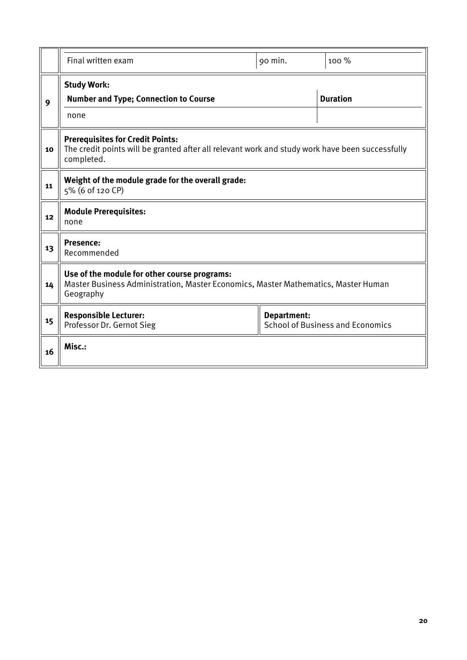|    | Final written exam                                                                                                                                       | 90 min.                                                | 100 %           |  |  |  |  |  |
|----|----------------------------------------------------------------------------------------------------------------------------------------------------------|--------------------------------------------------------|-----------------|--|--|--|--|--|
| 9  | <b>Study Work:</b><br><b>Number and Type; Connection to Course</b><br>none                                                                               |                                                        | <b>Duration</b> |  |  |  |  |  |
| 10 | <b>Prerequisites for Credit Points:</b><br>The credit points will be granted after all relevant work and study work have been successfully<br>completed. |                                                        |                 |  |  |  |  |  |
| 11 | Weight of the module grade for the overall grade:<br>5% (6 of 120 CP)                                                                                    |                                                        |                 |  |  |  |  |  |
| 12 | <b>Module Prerequisites:</b><br>none                                                                                                                     |                                                        |                 |  |  |  |  |  |
| 13 | Presence:<br>Recommended                                                                                                                                 |                                                        |                 |  |  |  |  |  |
| 14 | Use of the module for other course programs:<br>Master Business Administration, Master Economics, Master Mathematics, Master Human<br>Geography          |                                                        |                 |  |  |  |  |  |
| 15 | <b>Responsible Lecturer:</b><br>Professor Dr. Gernot Sieg                                                                                                | Department:<br><b>School of Business and Economics</b> |                 |  |  |  |  |  |
| 16 | Misc.:                                                                                                                                                   |                                                        |                 |  |  |  |  |  |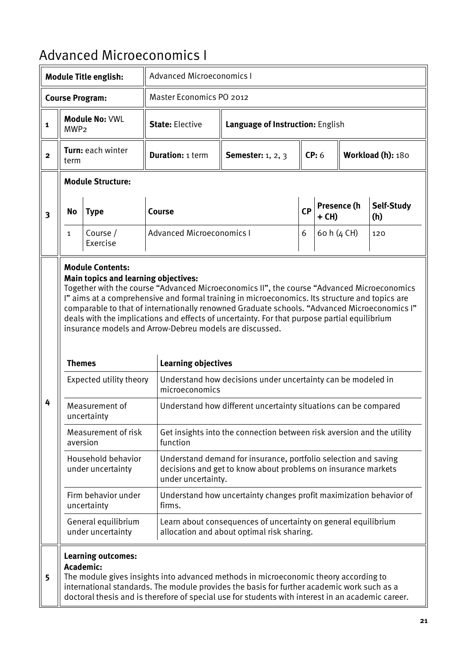#### <span id="page-20-0"></span>Advanced Microeconomics I

| <b>Module Title english:</b> |                                                                                                                                                                                                                                                                                                                                   |                                             | <b>Advanced Microeconomics I</b>                                                                                                                       |                                                                                                                                                                                                                                                                                                                                                                                                                                                         |           |             |             |                   |  |
|------------------------------|-----------------------------------------------------------------------------------------------------------------------------------------------------------------------------------------------------------------------------------------------------------------------------------------------------------------------------------|---------------------------------------------|--------------------------------------------------------------------------------------------------------------------------------------------------------|---------------------------------------------------------------------------------------------------------------------------------------------------------------------------------------------------------------------------------------------------------------------------------------------------------------------------------------------------------------------------------------------------------------------------------------------------------|-----------|-------------|-------------|-------------------|--|
|                              |                                                                                                                                                                                                                                                                                                                                   | <b>Course Program:</b>                      | Master Economics PO 2012                                                                                                                               |                                                                                                                                                                                                                                                                                                                                                                                                                                                         |           |             |             |                   |  |
| $\mathbf{1}$                 | MWP <sub>2</sub>                                                                                                                                                                                                                                                                                                                  | <b>Module No: VWL</b>                       | <b>State: Elective</b>                                                                                                                                 | Language of Instruction: English                                                                                                                                                                                                                                                                                                                                                                                                                        |           |             |             |                   |  |
| $\overline{2}$               | term                                                                                                                                                                                                                                                                                                                              | Turn: each winter                           | <b>Duration: 1 term</b>                                                                                                                                | CP: 6<br>Workload (h): 180<br><b>Semester:</b> 1, 2, 3                                                                                                                                                                                                                                                                                                                                                                                                  |           |             |             |                   |  |
|                              | <b>Module Structure:</b>                                                                                                                                                                                                                                                                                                          |                                             |                                                                                                                                                        |                                                                                                                                                                                                                                                                                                                                                                                                                                                         |           |             |             |                   |  |
| $\overline{\mathbf{3}}$      | <b>No</b><br><b>Type</b>                                                                                                                                                                                                                                                                                                          |                                             | Course                                                                                                                                                 |                                                                                                                                                                                                                                                                                                                                                                                                                                                         | <b>CP</b> | + CH)       | Presence (h | Self-Study<br>(h) |  |
|                              | $\mathbf{1}$                                                                                                                                                                                                                                                                                                                      | Course /<br>Exercise                        | <b>Advanced Microeconomics I</b>                                                                                                                       |                                                                                                                                                                                                                                                                                                                                                                                                                                                         | 6         | 60 h (4 CH) |             | 120               |  |
|                              | <b>Themes</b>                                                                                                                                                                                                                                                                                                                     | <b>Main topics and learning objectives:</b> | <b>Learning objectives</b>                                                                                                                             | Together with the course "Advanced Microeconomics II", the course "Advanced Microeconomics<br>I" aims at a comprehensive and formal training in microeconomics. Its structure and topics are<br>comparable to that of internationally renowned Graduate schools. "Advanced Microeconomics I"<br>deals with the implications and effects of uncertainty. For that purpose partial equilibrium<br>insurance models and Arrow-Debreu models are discussed. |           |             |             |                   |  |
|                              | Expected utility theory                                                                                                                                                                                                                                                                                                           |                                             | Understand how decisions under uncertainty can be modeled in<br>microeconomics                                                                         |                                                                                                                                                                                                                                                                                                                                                                                                                                                         |           |             |             |                   |  |
| 4                            |                                                                                                                                                                                                                                                                                                                                   | Measurement of<br>uncertainty               | Understand how different uncertainty situations can be compared                                                                                        |                                                                                                                                                                                                                                                                                                                                                                                                                                                         |           |             |             |                   |  |
|                              |                                                                                                                                                                                                                                                                                                                                   | Measurement of risk<br>aversion             | function                                                                                                                                               | Get insights into the connection between risk aversion and the utility                                                                                                                                                                                                                                                                                                                                                                                  |           |             |             |                   |  |
|                              |                                                                                                                                                                                                                                                                                                                                   | Household behavior<br>under uncertainty     | Understand demand for insurance, portfolio selection and saving<br>decisions and get to know about problems on insurance markets<br>under uncertainty. |                                                                                                                                                                                                                                                                                                                                                                                                                                                         |           |             |             |                   |  |
|                              |                                                                                                                                                                                                                                                                                                                                   | Firm behavior under<br>uncertainty          | firms.                                                                                                                                                 | Understand how uncertainty changes profit maximization behavior of                                                                                                                                                                                                                                                                                                                                                                                      |           |             |             |                   |  |
|                              |                                                                                                                                                                                                                                                                                                                                   | General equilibrium<br>under uncertainty    |                                                                                                                                                        | Learn about consequences of uncertainty on general equilibrium<br>allocation and about optimal risk sharing.                                                                                                                                                                                                                                                                                                                                            |           |             |             |                   |  |
| 5                            | <b>Learning outcomes:</b><br>Academic:<br>The module gives insights into advanced methods in microeconomic theory according to<br>international standards. The module provides the basis for further academic work such as a<br>doctoral thesis and is therefore of special use for students with interest in an academic career. |                                             |                                                                                                                                                        |                                                                                                                                                                                                                                                                                                                                                                                                                                                         |           |             |             |                   |  |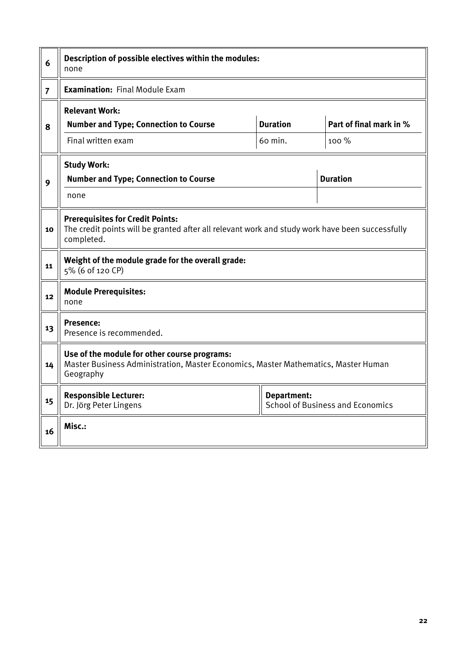| 6              | Description of possible electives within the modules:<br>none                                                                                            |                    |                                         |  |  |  |  |
|----------------|----------------------------------------------------------------------------------------------------------------------------------------------------------|--------------------|-----------------------------------------|--|--|--|--|
| $\overline{7}$ | <b>Examination: Final Module Exam</b>                                                                                                                    |                    |                                         |  |  |  |  |
| 8              | <b>Relevant Work:</b><br><b>Number and Type; Connection to Course</b>                                                                                    | <b>Duration</b>    | Part of final mark in %                 |  |  |  |  |
|                | Final written exam                                                                                                                                       | 100 %              |                                         |  |  |  |  |
|                | <b>Study Work:</b>                                                                                                                                       |                    |                                         |  |  |  |  |
| 9              | <b>Number and Type; Connection to Course</b>                                                                                                             |                    | <b>Duration</b>                         |  |  |  |  |
|                | none                                                                                                                                                     |                    |                                         |  |  |  |  |
| 10             | <b>Prerequisites for Credit Points:</b><br>The credit points will be granted after all relevant work and study work have been successfully<br>completed. |                    |                                         |  |  |  |  |
| 11             | Weight of the module grade for the overall grade:<br>5% (6 of 120 CP)                                                                                    |                    |                                         |  |  |  |  |
| 12             | <b>Module Prerequisites:</b><br>none                                                                                                                     |                    |                                         |  |  |  |  |
| 13             | <b>Presence:</b><br>Presence is recommended.                                                                                                             |                    |                                         |  |  |  |  |
| 14             | Use of the module for other course programs:<br>Master Business Administration, Master Economics, Master Mathematics, Master Human<br>Geography          |                    |                                         |  |  |  |  |
| 15             | <b>Responsible Lecturer:</b><br>Dr. Jörg Peter Lingens                                                                                                   | <b>Department:</b> | <b>School of Business and Economics</b> |  |  |  |  |
| 16             | Misc.:                                                                                                                                                   |                    |                                         |  |  |  |  |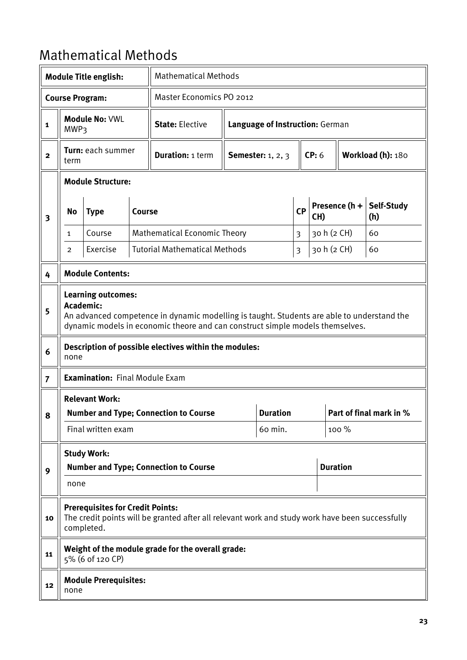#### <span id="page-22-0"></span>Mathematical Methods

|                         |                                                                                                                                                                                                                       | <b>Module Title english:</b>                          |               | <b>Mathematical Methods</b>                                                                     |                                 |                            |           |             |                                           |                   |  |
|-------------------------|-----------------------------------------------------------------------------------------------------------------------------------------------------------------------------------------------------------------------|-------------------------------------------------------|---------------|-------------------------------------------------------------------------------------------------|---------------------------------|----------------------------|-----------|-------------|-------------------------------------------|-------------------|--|
|                         |                                                                                                                                                                                                                       | <b>Course Program:</b>                                |               |                                                                                                 | Master Economics PO 2012        |                            |           |             |                                           |                   |  |
| $\mathbf{1}$            | <b>MWP3</b>                                                                                                                                                                                                           | <b>Module No: VWL</b>                                 |               | <b>State: Elective</b>                                                                          | Language of Instruction: German |                            |           |             |                                           |                   |  |
| $\mathbf{2}$            | term                                                                                                                                                                                                                  | Turn: each summer                                     |               | <b>Duration: 1 term</b>                                                                         |                                 | <b>Semester:</b> 1, 2, 3   |           | CP: 6       |                                           | Workload (h): 180 |  |
|                         | <b>Module Structure:</b>                                                                                                                                                                                              |                                                       |               |                                                                                                 |                                 |                            |           |             |                                           |                   |  |
| $\overline{\mathbf{3}}$ | No                                                                                                                                                                                                                    | <b>Type</b>                                           | <b>Course</b> |                                                                                                 |                                 |                            | <b>CP</b> | CH)         | Presence (h +<br><b>Self-Study</b><br>(h) |                   |  |
|                         | $\mathbf{1}$                                                                                                                                                                                                          | Course                                                |               | <b>Mathematical Economic Theory</b>                                                             |                                 |                            | 3         | 30 h (2 CH) |                                           | 60                |  |
|                         | $\overline{2}$                                                                                                                                                                                                        | Exercise                                              |               | <b>Tutorial Mathematical Methods</b>                                                            |                                 |                            | 3         | 30 h (2 CH) |                                           | 60                |  |
| 4                       |                                                                                                                                                                                                                       | <b>Module Contents:</b>                               |               |                                                                                                 |                                 |                            |           |             |                                           |                   |  |
| 5                       | <b>Learning outcomes:</b><br>Academic:<br>An advanced competence in dynamic modelling is taught. Students are able to understand the<br>dynamic models in economic theore and can construct simple models themselves. |                                                       |               |                                                                                                 |                                 |                            |           |             |                                           |                   |  |
| 6                       | none                                                                                                                                                                                                                  |                                                       |               | Description of possible electives within the modules:                                           |                                 |                            |           |             |                                           |                   |  |
| $\overline{7}$          |                                                                                                                                                                                                                       | <b>Examination: Final Module Exam</b>                 |               |                                                                                                 |                                 |                            |           |             |                                           |                   |  |
|                         |                                                                                                                                                                                                                       | <b>Relevant Work:</b>                                 |               |                                                                                                 |                                 |                            |           |             |                                           |                   |  |
| ჾ                       |                                                                                                                                                                                                                       | Final written exam                                    |               | <b>Number and Type; Connection to Course</b>                                                    |                                 | <b>Duration</b><br>60 min. |           |             | Part of final mark in %<br>100 %          |                   |  |
|                         |                                                                                                                                                                                                                       |                                                       |               |                                                                                                 |                                 |                            |           |             |                                           |                   |  |
| 9                       | <b>Study Work:</b><br><b>Number and Type; Connection to Course</b>                                                                                                                                                    |                                                       |               |                                                                                                 |                                 |                            |           |             | <b>Duration</b>                           |                   |  |
|                         | none                                                                                                                                                                                                                  |                                                       |               |                                                                                                 |                                 |                            |           |             |                                           |                   |  |
| 10                      |                                                                                                                                                                                                                       | <b>Prerequisites for Credit Points:</b><br>completed. |               | The credit points will be granted after all relevant work and study work have been successfully |                                 |                            |           |             |                                           |                   |  |
| 11                      |                                                                                                                                                                                                                       | 5% (6 of 120 CP)                                      |               | Weight of the module grade for the overall grade:                                               |                                 |                            |           |             |                                           |                   |  |
| 12                      | none                                                                                                                                                                                                                  | <b>Module Prerequisites:</b>                          |               |                                                                                                 |                                 |                            |           |             |                                           |                   |  |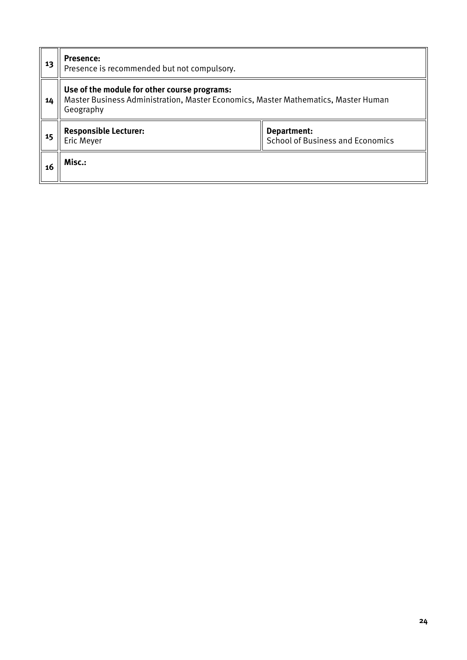| 13 | <b>Presence:</b><br>Presence is recommended but not compulsory.                                                                                 |                                                        |  |  |  |  |
|----|-------------------------------------------------------------------------------------------------------------------------------------------------|--------------------------------------------------------|--|--|--|--|
| 14 | Use of the module for other course programs:<br>Master Business Administration, Master Economics, Master Mathematics, Master Human<br>Geography |                                                        |  |  |  |  |
| 15 | <b>Responsible Lecturer:</b><br>Eric Meyer                                                                                                      | Department:<br><b>School of Business and Economics</b> |  |  |  |  |
| 16 | Misc.:                                                                                                                                          |                                                        |  |  |  |  |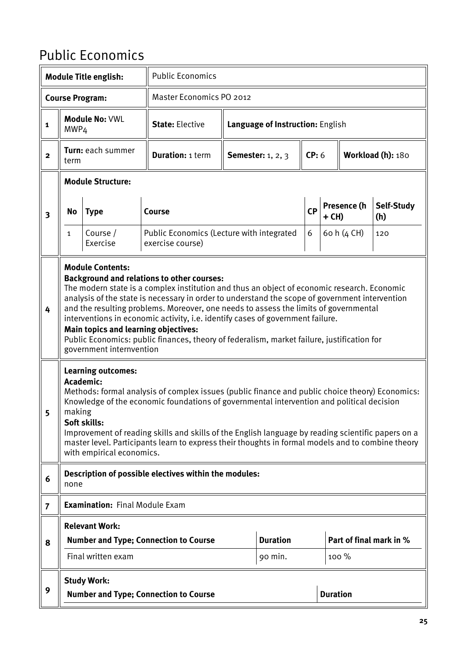#### <span id="page-24-0"></span>Public Economics

|                         |                                                                                                                                                                                                                                                                                                                                                                                                                                                                                                                                                                                                                                  | <b>Module Title english:</b>                                                        | <b>Public Economics</b>                                                                                                                                                                                                                                                                                                                                                                                 |                                  |                            |           |                 |                   |                         |
|-------------------------|----------------------------------------------------------------------------------------------------------------------------------------------------------------------------------------------------------------------------------------------------------------------------------------------------------------------------------------------------------------------------------------------------------------------------------------------------------------------------------------------------------------------------------------------------------------------------------------------------------------------------------|-------------------------------------------------------------------------------------|---------------------------------------------------------------------------------------------------------------------------------------------------------------------------------------------------------------------------------------------------------------------------------------------------------------------------------------------------------------------------------------------------------|----------------------------------|----------------------------|-----------|-----------------|-------------------|-------------------------|
|                         |                                                                                                                                                                                                                                                                                                                                                                                                                                                                                                                                                                                                                                  | <b>Course Program:</b>                                                              | <b>Master Economics PO 2012</b>                                                                                                                                                                                                                                                                                                                                                                         |                                  |                            |           |                 |                   |                         |
| $\mathbf{1}$            | MWP4                                                                                                                                                                                                                                                                                                                                                                                                                                                                                                                                                                                                                             | <b>Module No: VWL</b>                                                               | <b>State: Elective</b>                                                                                                                                                                                                                                                                                                                                                                                  | Language of Instruction: English |                            |           |                 |                   |                         |
| $\overline{2}$          | term                                                                                                                                                                                                                                                                                                                                                                                                                                                                                                                                                                                                                             | Turn: each summer                                                                   | <b>Duration: 1 term</b>                                                                                                                                                                                                                                                                                                                                                                                 |                                  | <b>Semester:</b> 1, 2, 3   | CP: 6     |                 | Workload (h): 180 |                         |
|                         |                                                                                                                                                                                                                                                                                                                                                                                                                                                                                                                                                                                                                                  | <b>Module Structure:</b>                                                            |                                                                                                                                                                                                                                                                                                                                                                                                         |                                  |                            |           |                 |                   |                         |
| $\overline{\mathbf{3}}$ | No                                                                                                                                                                                                                                                                                                                                                                                                                                                                                                                                                                                                                               | <b>Type</b>                                                                         | Course                                                                                                                                                                                                                                                                                                                                                                                                  |                                  |                            | <b>CP</b> | $+$ CH)         | Presence (h       | Self-Study<br>(h)       |
|                         | $\mathbf{1}$                                                                                                                                                                                                                                                                                                                                                                                                                                                                                                                                                                                                                     | Course /<br>Exercise                                                                | Public Economics (Lecture with integrated<br>exercise course)                                                                                                                                                                                                                                                                                                                                           |                                  |                            | 6         |                 | 60 h (4 CH)       | 120                     |
| 4                       | <b>Module Contents:</b><br><b>Background and relations to other courses:</b><br>The modern state is a complex institution and thus an object of economic research. Economic<br>analysis of the state is necessary in order to understand the scope of government intervention<br>and the resulting problems. Moreover, one needs to assess the limits of governmental<br>interventions in economic activity, i.e. identify cases of government failure.<br><b>Main topics and learning objectives:</b><br>Public Economics: public finances, theory of federalism, market failure, justification for<br>government internvention |                                                                                     |                                                                                                                                                                                                                                                                                                                                                                                                         |                                  |                            |           |                 |                   |                         |
| 5                       | making                                                                                                                                                                                                                                                                                                                                                                                                                                                                                                                                                                                                                           | <b>Learning outcomes:</b><br>Academic:<br>Soft skills:<br>with empirical economics. | Methods: formal analysis of complex issues (public finance and public choice theory) Economics:<br>Knowledge of the economic foundations of governmental intervention and political decision<br>Improvement of reading skills and skills of the English language by reading scientific papers on a<br>master level. Participants learn to express their thoughts in formal models and to combine theory |                                  |                            |           |                 |                   |                         |
| 6                       | none                                                                                                                                                                                                                                                                                                                                                                                                                                                                                                                                                                                                                             |                                                                                     | Description of possible electives within the modules:                                                                                                                                                                                                                                                                                                                                                   |                                  |                            |           |                 |                   |                         |
| $\overline{7}$          |                                                                                                                                                                                                                                                                                                                                                                                                                                                                                                                                                                                                                                  | <b>Examination: Final Module Exam</b>                                               |                                                                                                                                                                                                                                                                                                                                                                                                         |                                  |                            |           |                 |                   |                         |
| 8                       |                                                                                                                                                                                                                                                                                                                                                                                                                                                                                                                                                                                                                                  | <b>Relevant Work:</b><br>Final written exam                                         | <b>Number and Type; Connection to Course</b>                                                                                                                                                                                                                                                                                                                                                            |                                  | <b>Duration</b><br>90 min. |           |                 | 100 %             | Part of final mark in % |
| 9                       |                                                                                                                                                                                                                                                                                                                                                                                                                                                                                                                                                                                                                                  | <b>Study Work:</b>                                                                  | <b>Number and Type; Connection to Course</b>                                                                                                                                                                                                                                                                                                                                                            |                                  |                            |           | <b>Duration</b> |                   |                         |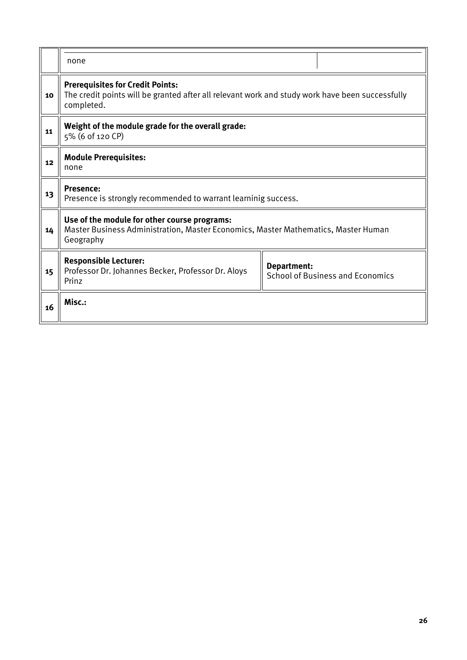|    | none                                                                                                                                                     |  |  |  |  |  |  |
|----|----------------------------------------------------------------------------------------------------------------------------------------------------------|--|--|--|--|--|--|
| 10 | <b>Prerequisites for Credit Points:</b><br>The credit points will be granted after all relevant work and study work have been successfully<br>completed. |  |  |  |  |  |  |
| 11 | Weight of the module grade for the overall grade:<br>5% (6 of 120 CP)                                                                                    |  |  |  |  |  |  |
| 12 | <b>Module Prerequisites:</b><br>none                                                                                                                     |  |  |  |  |  |  |
| 13 | <b>Presence:</b><br>Presence is strongly recommended to warrant learninig success.                                                                       |  |  |  |  |  |  |
| 14 | Use of the module for other course programs:<br>Master Business Administration, Master Economics, Master Mathematics, Master Human<br>Geography          |  |  |  |  |  |  |
| 15 | <b>Responsible Lecturer:</b><br>Department:<br>Professor Dr. Johannes Becker, Professor Dr. Aloys<br><b>School of Business and Economics</b><br>Prinz    |  |  |  |  |  |  |
| 16 | Misc.:                                                                                                                                                   |  |  |  |  |  |  |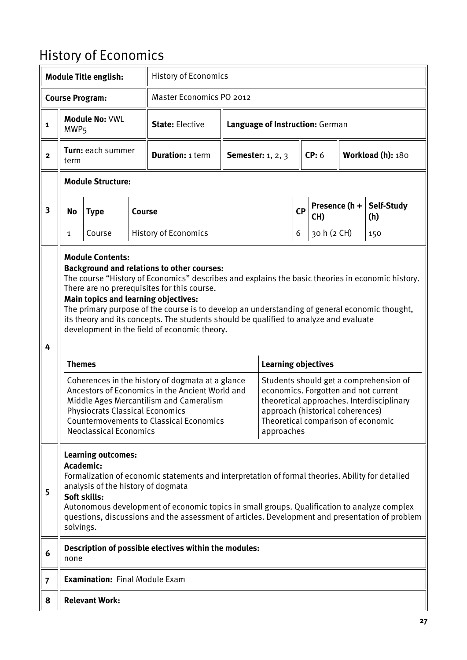### <span id="page-26-0"></span>History of Economics

|                |                                                                                                                                                                                                                                                                                                                                                                                                                                                                                                                                                                                                                                                                                                                                                                                                                                                                                                                                                                                                                                                                               | <b>Module Title english:</b>          |               | <b>History of Economics</b>                           |                          |                                 |           |                      |  |                   |  |
|----------------|-------------------------------------------------------------------------------------------------------------------------------------------------------------------------------------------------------------------------------------------------------------------------------------------------------------------------------------------------------------------------------------------------------------------------------------------------------------------------------------------------------------------------------------------------------------------------------------------------------------------------------------------------------------------------------------------------------------------------------------------------------------------------------------------------------------------------------------------------------------------------------------------------------------------------------------------------------------------------------------------------------------------------------------------------------------------------------|---------------------------------------|---------------|-------------------------------------------------------|--------------------------|---------------------------------|-----------|----------------------|--|-------------------|--|
|                |                                                                                                                                                                                                                                                                                                                                                                                                                                                                                                                                                                                                                                                                                                                                                                                                                                                                                                                                                                                                                                                                               | <b>Course Program:</b>                |               | Master Economics PO 2012                              |                          |                                 |           |                      |  |                   |  |
| $\mathbf{1}$   | MWP <sub>5</sub>                                                                                                                                                                                                                                                                                                                                                                                                                                                                                                                                                                                                                                                                                                                                                                                                                                                                                                                                                                                                                                                              | <b>Module No: VWL</b>                 |               | <b>State: Elective</b>                                |                          | Language of Instruction: German |           |                      |  |                   |  |
| $\mathbf 2$    | term                                                                                                                                                                                                                                                                                                                                                                                                                                                                                                                                                                                                                                                                                                                                                                                                                                                                                                                                                                                                                                                                          | Turn: each summer                     |               | <b>Duration: 1 term</b>                               | <b>Semester:</b> 1, 2, 3 |                                 | CP: 6     | Workload (h): 180    |  |                   |  |
|                |                                                                                                                                                                                                                                                                                                                                                                                                                                                                                                                                                                                                                                                                                                                                                                                                                                                                                                                                                                                                                                                                               | <b>Module Structure:</b>              |               |                                                       |                          |                                 |           |                      |  |                   |  |
| 3              | No                                                                                                                                                                                                                                                                                                                                                                                                                                                                                                                                                                                                                                                                                                                                                                                                                                                                                                                                                                                                                                                                            | <b>Type</b>                           | <b>Course</b> |                                                       |                          |                                 | <b>CP</b> | Presence (h +<br>CH) |  | Self-Study<br>(h) |  |
|                | $\mathbf{1}$                                                                                                                                                                                                                                                                                                                                                                                                                                                                                                                                                                                                                                                                                                                                                                                                                                                                                                                                                                                                                                                                  | Course                                |               | <b>History of Economics</b>                           |                          |                                 | 6         | 30 h (2 CH)          |  | 150               |  |
| 4              | <b>Module Contents:</b><br><b>Background and relations to other courses:</b><br>The course "History of Economics" describes and explains the basic theories in economic history.<br>There are no prerequisites for this course.<br><b>Main topics and learning objectives:</b><br>The primary purpose of the course is to develop an understanding of general economic thought,<br>its theory and its concepts. The students should be qualified to analyze and evaluate<br>development in the field of economic theory.<br><b>Learning objectives</b><br><b>Themes</b><br>Coherences in the history of dogmata at a glance<br>Students should get a comprehension of<br>Ancestors of Economics in the Ancient World and<br>economics. Forgotten and not current<br>Middle Ages Mercantilism and Cameralism<br>theoretical approaches. Interdisciplinary<br><b>Physiocrats Classical Economics</b><br>approach (historical coherences)<br><b>Countermovements to Classical Economics</b><br>Theoretical comparison of economic<br><b>Neoclassical Economics</b><br>approaches |                                       |               |                                                       |                          |                                 |           |                      |  |                   |  |
| 5              | <b>Learning outcomes:</b><br>Academic:<br>Formalization of economic statements and interpretation of formal theories. Ability for detailed<br>analysis of the history of dogmata<br>Soft skills:<br>Autonomous development of economic topics in small groups. Qualification to analyze complex<br>questions, discussions and the assessment of articles. Development and presentation of problem<br>solvings.                                                                                                                                                                                                                                                                                                                                                                                                                                                                                                                                                                                                                                                                |                                       |               |                                                       |                          |                                 |           |                      |  |                   |  |
| 6              | none                                                                                                                                                                                                                                                                                                                                                                                                                                                                                                                                                                                                                                                                                                                                                                                                                                                                                                                                                                                                                                                                          |                                       |               | Description of possible electives within the modules: |                          |                                 |           |                      |  |                   |  |
| $\overline{7}$ |                                                                                                                                                                                                                                                                                                                                                                                                                                                                                                                                                                                                                                                                                                                                                                                                                                                                                                                                                                                                                                                                               | <b>Examination: Final Module Exam</b> |               |                                                       |                          |                                 |           |                      |  |                   |  |
| 8              |                                                                                                                                                                                                                                                                                                                                                                                                                                                                                                                                                                                                                                                                                                                                                                                                                                                                                                                                                                                                                                                                               | <b>Relevant Work:</b>                 |               |                                                       |                          |                                 |           |                      |  |                   |  |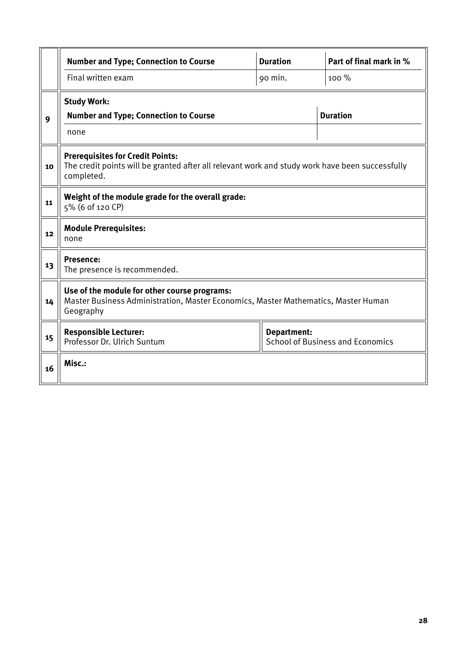|    | <b>Number and Type; Connection to Course</b>                                                                                                             | <b>Duration</b> | Part of final mark in % |  |  |  |  |
|----|----------------------------------------------------------------------------------------------------------------------------------------------------------|-----------------|-------------------------|--|--|--|--|
|    | Final written exam                                                                                                                                       | 90 min.         | 100 %                   |  |  |  |  |
|    | <b>Study Work:</b>                                                                                                                                       |                 |                         |  |  |  |  |
| 9  | <b>Number and Type; Connection to Course</b>                                                                                                             |                 | <b>Duration</b>         |  |  |  |  |
|    | none                                                                                                                                                     |                 |                         |  |  |  |  |
| 10 | <b>Prerequisites for Credit Points:</b><br>The credit points will be granted after all relevant work and study work have been successfully<br>completed. |                 |                         |  |  |  |  |
| 11 | Weight of the module grade for the overall grade:<br>5% (6 of 120 CP)                                                                                    |                 |                         |  |  |  |  |
| 12 | <b>Module Prerequisites:</b><br>none                                                                                                                     |                 |                         |  |  |  |  |
| 13 | <b>Presence:</b><br>The presence is recommended.                                                                                                         |                 |                         |  |  |  |  |
| 14 | Use of the module for other course programs:<br>Master Business Administration, Master Economics, Master Mathematics, Master Human<br>Geography          |                 |                         |  |  |  |  |
| 15 | <b>Responsible Lecturer:</b><br><b>Department:</b><br>Professor Dr. Ulrich Suntum<br><b>School of Business and Economics</b>                             |                 |                         |  |  |  |  |
| 16 | Misc.:                                                                                                                                                   |                 |                         |  |  |  |  |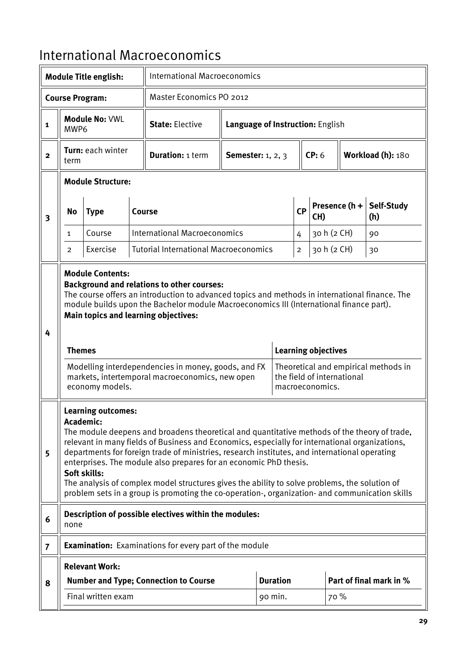#### <span id="page-28-0"></span>International Macroeconomics

| <b>International Macroeconomics</b><br><b>Module Title english:</b> |                                                                                                                                                                                                                                                                                                                                                                                                                                                                                                                                                                                                                                   |                                            |  |                                                                                                                                                                                                                                                                                                                                                                                                  |  |                                  |  |                |                                                                             |  |                                      |
|---------------------------------------------------------------------|-----------------------------------------------------------------------------------------------------------------------------------------------------------------------------------------------------------------------------------------------------------------------------------------------------------------------------------------------------------------------------------------------------------------------------------------------------------------------------------------------------------------------------------------------------------------------------------------------------------------------------------|--------------------------------------------|--|--------------------------------------------------------------------------------------------------------------------------------------------------------------------------------------------------------------------------------------------------------------------------------------------------------------------------------------------------------------------------------------------------|--|----------------------------------|--|----------------|-----------------------------------------------------------------------------|--|--------------------------------------|
|                                                                     |                                                                                                                                                                                                                                                                                                                                                                                                                                                                                                                                                                                                                                   | <b>Course Program:</b>                     |  | <b>Master Economics PO 2012</b>                                                                                                                                                                                                                                                                                                                                                                  |  |                                  |  |                |                                                                             |  |                                      |
| $\mathbf{1}$                                                        | MWP6                                                                                                                                                                                                                                                                                                                                                                                                                                                                                                                                                                                                                              | <b>Module No: VWL</b>                      |  | <b>State: Elective</b>                                                                                                                                                                                                                                                                                                                                                                           |  | Language of Instruction: English |  |                |                                                                             |  |                                      |
| $\overline{2}$                                                      | Turn: each winter<br><b>Duration: 1 term</b><br><b>Semester:</b> 1, 2, 3<br>term                                                                                                                                                                                                                                                                                                                                                                                                                                                                                                                                                  |                                            |  |                                                                                                                                                                                                                                                                                                                                                                                                  |  | CP: 6                            |  |                | Workload (h): 180                                                           |  |                                      |
|                                                                     |                                                                                                                                                                                                                                                                                                                                                                                                                                                                                                                                                                                                                                   | <b>Module Structure:</b>                   |  |                                                                                                                                                                                                                                                                                                                                                                                                  |  |                                  |  |                |                                                                             |  |                                      |
| $\overline{\mathbf{3}}$                                             | No                                                                                                                                                                                                                                                                                                                                                                                                                                                                                                                                                                                                                                | <b>Type</b>                                |  | Course                                                                                                                                                                                                                                                                                                                                                                                           |  |                                  |  | CP             | Presence $(h +$<br>CH)                                                      |  | Self-Study<br>(h)                    |
|                                                                     | 1                                                                                                                                                                                                                                                                                                                                                                                                                                                                                                                                                                                                                                 | Course                                     |  | <b>International Macroeconomics</b>                                                                                                                                                                                                                                                                                                                                                              |  |                                  |  | 4              | 30 h (2 CH)                                                                 |  | 90                                   |
|                                                                     | $\overline{2}$                                                                                                                                                                                                                                                                                                                                                                                                                                                                                                                                                                                                                    | Exercise                                   |  | <b>Tutorial International Macroeconomics</b>                                                                                                                                                                                                                                                                                                                                                     |  |                                  |  | $\overline{c}$ | 30 h (2 CH)                                                                 |  | 30                                   |
| 4                                                                   | <b>Themes</b>                                                                                                                                                                                                                                                                                                                                                                                                                                                                                                                                                                                                                     | <b>Module Contents:</b><br>economy models. |  | <b>Background and relations to other courses:</b><br>The course offers an introduction to advanced topics and methods in international finance. The<br>module builds upon the Bachelor module Macroeconomics III (International finance part).<br>Main topics and learning objectives:<br>Modelling interdependencies in money, goods, and FX<br>markets, intertemporal macroeconomics, new open |  |                                  |  |                | <b>Learning objectives</b><br>the field of international<br>macroeconomics. |  | Theoretical and empirical methods in |
| 5                                                                   | <b>Learning outcomes:</b><br>Academic:<br>The module deepens and broadens theoretical and quantitative methods of the theory of trade,<br>relevant in many fields of Business and Economics, especially for international organizations,<br>departments for foreign trade of ministries, research institutes, and international operating<br>enterprises. The module also prepares for an economic PhD thesis.<br>Soft skills:<br>The analysis of complex model structures gives the ability to solve problems, the solution of<br>problem sets in a group is promoting the co-operation-, organization- and communication skills |                                            |  |                                                                                                                                                                                                                                                                                                                                                                                                  |  |                                  |  |                |                                                                             |  |                                      |
| 6                                                                   | none                                                                                                                                                                                                                                                                                                                                                                                                                                                                                                                                                                                                                              |                                            |  | Description of possible electives within the modules:                                                                                                                                                                                                                                                                                                                                            |  |                                  |  |                |                                                                             |  |                                      |
| $\overline{7}$                                                      |                                                                                                                                                                                                                                                                                                                                                                                                                                                                                                                                                                                                                                   |                                            |  | <b>Examination:</b> Examinations for every part of the module                                                                                                                                                                                                                                                                                                                                    |  |                                  |  |                |                                                                             |  |                                      |
|                                                                     |                                                                                                                                                                                                                                                                                                                                                                                                                                                                                                                                                                                                                                   | <b>Relevant Work:</b>                      |  |                                                                                                                                                                                                                                                                                                                                                                                                  |  |                                  |  |                |                                                                             |  |                                      |
| 8                                                                   |                                                                                                                                                                                                                                                                                                                                                                                                                                                                                                                                                                                                                                   |                                            |  | <b>Number and Type; Connection to Course</b>                                                                                                                                                                                                                                                                                                                                                     |  | <b>Duration</b>                  |  |                |                                                                             |  | Part of final mark in %              |
|                                                                     |                                                                                                                                                                                                                                                                                                                                                                                                                                                                                                                                                                                                                                   | Final written exam                         |  |                                                                                                                                                                                                                                                                                                                                                                                                  |  | 90 min.                          |  |                | 70 %                                                                        |  |                                      |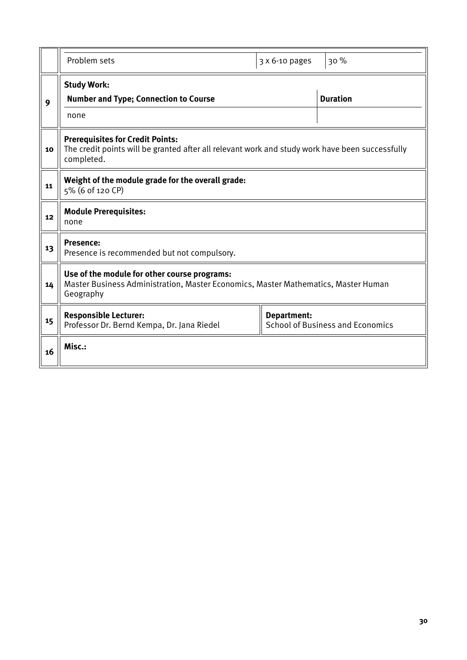|    | Problem sets                                                                                                                                             | 3 x 6-10 pages | 30%                                     |  |  |  |  |
|----|----------------------------------------------------------------------------------------------------------------------------------------------------------|----------------|-----------------------------------------|--|--|--|--|
| 9  | <b>Study Work:</b><br><b>Number and Type; Connection to Course</b><br>none                                                                               |                | <b>Duration</b>                         |  |  |  |  |
| 10 | <b>Prerequisites for Credit Points:</b><br>The credit points will be granted after all relevant work and study work have been successfully<br>completed. |                |                                         |  |  |  |  |
| 11 | Weight of the module grade for the overall grade:<br>5% (6 of 120 CP)                                                                                    |                |                                         |  |  |  |  |
| 12 | <b>Module Prerequisites:</b><br>none                                                                                                                     |                |                                         |  |  |  |  |
| 13 | <b>Presence:</b><br>Presence is recommended but not compulsory.                                                                                          |                |                                         |  |  |  |  |
| 14 | Use of the module for other course programs:<br>Master Business Administration, Master Economics, Master Mathematics, Master Human<br>Geography          |                |                                         |  |  |  |  |
| 15 | <b>Responsible Lecturer:</b><br>Professor Dr. Bernd Kempa, Dr. Jana Riedel                                                                               | Department:    | <b>School of Business and Economics</b> |  |  |  |  |
| 16 | Misc.:                                                                                                                                                   |                |                                         |  |  |  |  |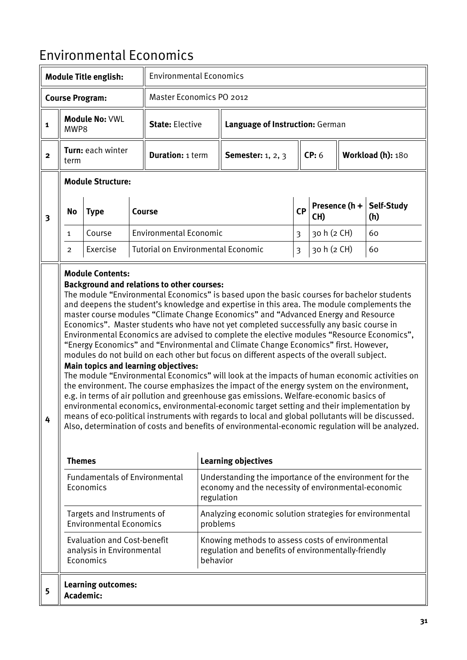## <span id="page-30-0"></span>Environmental Economics

| <b>Module Title english:</b>          |                  |                                                                              |  | <b>Environmental Economics</b>                                                                   |                          |                                                                                                                                                                                                                                                                                                                                                                                                                                                                                                                                                                                                                                                                                                                                                                                                                                                                                                                                                                                                                                                                                                                                                                                                                                                                                            |                         |             |               |                   |  |
|---------------------------------------|------------------|------------------------------------------------------------------------------|--|--------------------------------------------------------------------------------------------------|--------------------------|--------------------------------------------------------------------------------------------------------------------------------------------------------------------------------------------------------------------------------------------------------------------------------------------------------------------------------------------------------------------------------------------------------------------------------------------------------------------------------------------------------------------------------------------------------------------------------------------------------------------------------------------------------------------------------------------------------------------------------------------------------------------------------------------------------------------------------------------------------------------------------------------------------------------------------------------------------------------------------------------------------------------------------------------------------------------------------------------------------------------------------------------------------------------------------------------------------------------------------------------------------------------------------------------|-------------------------|-------------|---------------|-------------------|--|
| <b>Course Program:</b>                |                  |                                                                              |  |                                                                                                  | Master Economics PO 2012 |                                                                                                                                                                                                                                                                                                                                                                                                                                                                                                                                                                                                                                                                                                                                                                                                                                                                                                                                                                                                                                                                                                                                                                                                                                                                                            |                         |             |               |                   |  |
| Module No: VWL<br>$\mathbf 1$<br>MWP8 |                  |                                                                              |  | <b>State: Elective</b>                                                                           |                          | Language of Instruction: German                                                                                                                                                                                                                                                                                                                                                                                                                                                                                                                                                                                                                                                                                                                                                                                                                                                                                                                                                                                                                                                                                                                                                                                                                                                            |                         |             |               |                   |  |
| $\mathbf{2}$                          | term             | Turn: each winter                                                            |  | <b>Duration: 1 term</b>                                                                          |                          | <b>Semester:</b> 1, 2, 3                                                                                                                                                                                                                                                                                                                                                                                                                                                                                                                                                                                                                                                                                                                                                                                                                                                                                                                                                                                                                                                                                                                                                                                                                                                                   |                         | CP: 6       |               | Workload (h): 180 |  |
|                                       |                  | <b>Module Structure:</b>                                                     |  |                                                                                                  |                          |                                                                                                                                                                                                                                                                                                                                                                                                                                                                                                                                                                                                                                                                                                                                                                                                                                                                                                                                                                                                                                                                                                                                                                                                                                                                                            |                         |             |               |                   |  |
| $\overline{\mathbf{3}}$               | No               | <b>Type</b>                                                                  |  | <b>Course</b>                                                                                    |                          |                                                                                                                                                                                                                                                                                                                                                                                                                                                                                                                                                                                                                                                                                                                                                                                                                                                                                                                                                                                                                                                                                                                                                                                                                                                                                            | <b>CP</b>               | CH)         | Presence (h + | Self-Study<br>(h) |  |
|                                       | 1                | Course                                                                       |  | <b>Environmental Economic</b>                                                                    |                          |                                                                                                                                                                                                                                                                                                                                                                                                                                                                                                                                                                                                                                                                                                                                                                                                                                                                                                                                                                                                                                                                                                                                                                                                                                                                                            | 3                       | 30 h (2 CH) |               | 60                |  |
|                                       | 2                | Exercise                                                                     |  | <b>Tutorial on Environmental Economic</b>                                                        |                          |                                                                                                                                                                                                                                                                                                                                                                                                                                                                                                                                                                                                                                                                                                                                                                                                                                                                                                                                                                                                                                                                                                                                                                                                                                                                                            | $\overline{\mathbf{3}}$ | 30 h (2 CH) |               | 60                |  |
| 4                                     | <b>Themes</b>    | <b>Module Contents:</b>                                                      |  | <b>Background and relations to other courses:</b><br><b>Main topics and learning objectives:</b> |                          | The module "Environmental Economics" is based upon the basic courses for bachelor students<br>and deepens the student's knowledge and expertise in this area. The module complements the<br>master course modules "Climate Change Economics" and "Advanced Energy and Resource<br>Economics". Master students who have not yet completed successfully any basic course in<br>Environmental Economics are advised to complete the elective modules "Resource Economics",<br>"Energy Economics" and "Environmental and Climate Change Economics" first. However,<br>modules do not build on each other but focus on different aspects of the overall subject.<br>The module "Environmental Economics" will look at the impacts of human economic activities on<br>the environment. The course emphasizes the impact of the energy system on the environment,<br>e.g. in terms of air pollution and greenhouse gas emissions. Welfare-economic basics of<br>environmental economics, environmental-economic target setting and their implementation by<br>means of eco-political instruments with regards to local and global pollutants will be discussed.<br>Also, determination of costs and benefits of environmental-economic regulation will be analyzed.<br><b>Learning objectives</b> |                         |             |               |                   |  |
|                                       |                  | <b>Fundamentals of Environmental</b>                                         |  |                                                                                                  |                          | Understanding the importance of the environment for the                                                                                                                                                                                                                                                                                                                                                                                                                                                                                                                                                                                                                                                                                                                                                                                                                                                                                                                                                                                                                                                                                                                                                                                                                                    |                         |             |               |                   |  |
|                                       |                  | Economics                                                                    |  |                                                                                                  | regulation               | economy and the necessity of environmental-economic                                                                                                                                                                                                                                                                                                                                                                                                                                                                                                                                                                                                                                                                                                                                                                                                                                                                                                                                                                                                                                                                                                                                                                                                                                        |                         |             |               |                   |  |
|                                       |                  | Targets and Instruments of<br><b>Environmental Economics</b>                 |  |                                                                                                  | problems                 | Analyzing economic solution strategies for environmental                                                                                                                                                                                                                                                                                                                                                                                                                                                                                                                                                                                                                                                                                                                                                                                                                                                                                                                                                                                                                                                                                                                                                                                                                                   |                         |             |               |                   |  |
|                                       |                  | <b>Evaluation and Cost-benefit</b><br>analysis in Environmental<br>Economics |  |                                                                                                  | behavior                 | Knowing methods to assess costs of environmental<br>regulation and benefits of environmentally-friendly                                                                                                                                                                                                                                                                                                                                                                                                                                                                                                                                                                                                                                                                                                                                                                                                                                                                                                                                                                                                                                                                                                                                                                                    |                         |             |               |                   |  |
| 5                                     | <b>Academic:</b> | <b>Learning outcomes:</b>                                                    |  |                                                                                                  |                          |                                                                                                                                                                                                                                                                                                                                                                                                                                                                                                                                                                                                                                                                                                                                                                                                                                                                                                                                                                                                                                                                                                                                                                                                                                                                                            |                         |             |               |                   |  |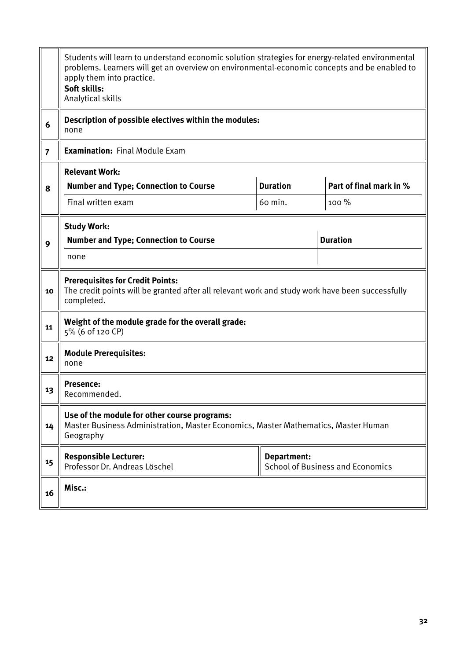|                | Students will learn to understand economic solution strategies for energy-related environmental<br>problems. Learners will get an overview on environmental-economic concepts and be enabled to<br>apply them into practice.<br>Soft skills:<br>Analytical skills |                 |                                         |  |  |  |  |  |
|----------------|-------------------------------------------------------------------------------------------------------------------------------------------------------------------------------------------------------------------------------------------------------------------|-----------------|-----------------------------------------|--|--|--|--|--|
| 6              | Description of possible electives within the modules:<br>none                                                                                                                                                                                                     |                 |                                         |  |  |  |  |  |
| $\overline{7}$ | <b>Examination: Final Module Exam</b>                                                                                                                                                                                                                             |                 |                                         |  |  |  |  |  |
|                | <b>Relevant Work:</b>                                                                                                                                                                                                                                             |                 |                                         |  |  |  |  |  |
| 8              | <b>Number and Type; Connection to Course</b>                                                                                                                                                                                                                      | <b>Duration</b> | Part of final mark in %                 |  |  |  |  |  |
|                | Final written exam<br>60 min.<br>100 %                                                                                                                                                                                                                            |                 |                                         |  |  |  |  |  |
|                | <b>Study Work:</b>                                                                                                                                                                                                                                                |                 |                                         |  |  |  |  |  |
| 9              | <b>Duration</b><br><b>Number and Type; Connection to Course</b>                                                                                                                                                                                                   |                 |                                         |  |  |  |  |  |
|                | none                                                                                                                                                                                                                                                              |                 |                                         |  |  |  |  |  |
| 10             | <b>Prerequisites for Credit Points:</b><br>The credit points will be granted after all relevant work and study work have been successfully<br>completed.                                                                                                          |                 |                                         |  |  |  |  |  |
| 11             | Weight of the module grade for the overall grade:<br>5% (6 of 120 CP)                                                                                                                                                                                             |                 |                                         |  |  |  |  |  |
| 12             | <b>Module Prerequisites:</b><br>none                                                                                                                                                                                                                              |                 |                                         |  |  |  |  |  |
| 13             | Presence:<br>Recommended.                                                                                                                                                                                                                                         |                 |                                         |  |  |  |  |  |
| 14             | Use of the module for other course programs:<br>Master Business Administration, Master Economics, Master Mathematics, Master Human<br>Geography                                                                                                                   |                 |                                         |  |  |  |  |  |
| 15             | <b>Responsible Lecturer:</b><br>Professor Dr. Andreas Löschel                                                                                                                                                                                                     | Department:     | <b>School of Business and Economics</b> |  |  |  |  |  |
| 16             | Misc.:                                                                                                                                                                                                                                                            |                 |                                         |  |  |  |  |  |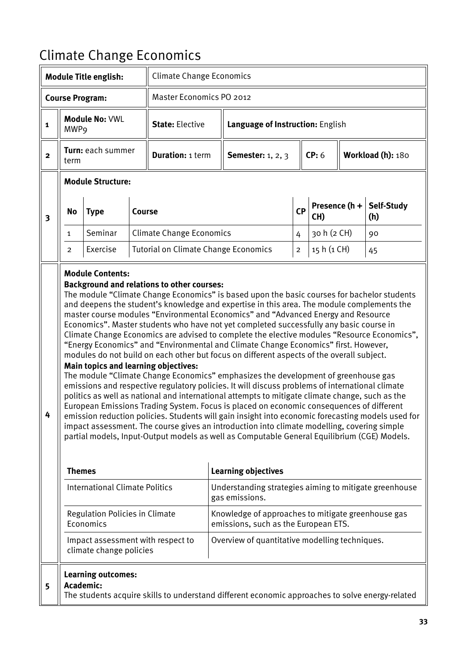## <span id="page-32-0"></span>Climate Change Economics

| <b>Module Title english:</b> |                                                                                                                                                                                                                                                                                                                                                                                                                                                                                                                                                                                                                                                                                                                                                                                                                                                                                                                                                                                                                                                                                                                                                                                                                                                                                                                                                                                                                                                                                        |                                        |        | <b>Climate Change Economics</b>             |                          |                                                                                                 |                |                      |  |                   |  |
|------------------------------|----------------------------------------------------------------------------------------------------------------------------------------------------------------------------------------------------------------------------------------------------------------------------------------------------------------------------------------------------------------------------------------------------------------------------------------------------------------------------------------------------------------------------------------------------------------------------------------------------------------------------------------------------------------------------------------------------------------------------------------------------------------------------------------------------------------------------------------------------------------------------------------------------------------------------------------------------------------------------------------------------------------------------------------------------------------------------------------------------------------------------------------------------------------------------------------------------------------------------------------------------------------------------------------------------------------------------------------------------------------------------------------------------------------------------------------------------------------------------------------|----------------------------------------|--------|---------------------------------------------|--------------------------|-------------------------------------------------------------------------------------------------|----------------|----------------------|--|-------------------|--|
|                              |                                                                                                                                                                                                                                                                                                                                                                                                                                                                                                                                                                                                                                                                                                                                                                                                                                                                                                                                                                                                                                                                                                                                                                                                                                                                                                                                                                                                                                                                                        | <b>Course Program:</b>                 |        |                                             | Master Economics PO 2012 |                                                                                                 |                |                      |  |                   |  |
| $\mathbf{1}$                 | MWP9                                                                                                                                                                                                                                                                                                                                                                                                                                                                                                                                                                                                                                                                                                                                                                                                                                                                                                                                                                                                                                                                                                                                                                                                                                                                                                                                                                                                                                                                                   | <b>Module No: VWL</b>                  |        | <b>State: Elective</b>                      |                          | Language of Instruction: English                                                                |                |                      |  |                   |  |
| $\mathbf{2}$                 | Turn: each summer<br>term                                                                                                                                                                                                                                                                                                                                                                                                                                                                                                                                                                                                                                                                                                                                                                                                                                                                                                                                                                                                                                                                                                                                                                                                                                                                                                                                                                                                                                                              |                                        |        | <b>Duration: 1 term</b>                     |                          | <b>Semester:</b> 1, 2, 3                                                                        |                | CP: 6                |  | Workload (h): 180 |  |
|                              |                                                                                                                                                                                                                                                                                                                                                                                                                                                                                                                                                                                                                                                                                                                                                                                                                                                                                                                                                                                                                                                                                                                                                                                                                                                                                                                                                                                                                                                                                        | <b>Module Structure:</b>               |        |                                             |                          |                                                                                                 |                |                      |  |                   |  |
| $\overline{\mathbf{3}}$      | No                                                                                                                                                                                                                                                                                                                                                                                                                                                                                                                                                                                                                                                                                                                                                                                                                                                                                                                                                                                                                                                                                                                                                                                                                                                                                                                                                                                                                                                                                     | <b>Type</b>                            | Course |                                             |                          |                                                                                                 | <b>CP</b>      | Presence (h +<br>CH) |  | Self-Study<br>(h) |  |
|                              | $\mathbf{1}$                                                                                                                                                                                                                                                                                                                                                                                                                                                                                                                                                                                                                                                                                                                                                                                                                                                                                                                                                                                                                                                                                                                                                                                                                                                                                                                                                                                                                                                                           | Seminar                                |        | <b>Climate Change Economics</b>             |                          |                                                                                                 | 4              | 30 h (2 CH)          |  | 90                |  |
|                              | $\overline{2}$                                                                                                                                                                                                                                                                                                                                                                                                                                                                                                                                                                                                                                                                                                                                                                                                                                                                                                                                                                                                                                                                                                                                                                                                                                                                                                                                                                                                                                                                         | Exercise                               |        | <b>Tutorial on Climate Change Economics</b> |                          |                                                                                                 | $\overline{c}$ | 15 h (1 CH)          |  | 45                |  |
|                              | <b>Module Contents:</b><br><b>Background and relations to other courses:</b><br>The module "Climate Change Economics" is based upon the basic courses for bachelor students<br>and deepens the student's knowledge and expertise in this area. The module complements the<br>master course modules "Environmental Economics" and "Advanced Energy and Resource<br>Economics". Master students who have not yet completed successfully any basic course in<br>Climate Change Economics are advised to complete the elective modules "Resource Economics",<br>"Energy Economics" and "Environmental and Climate Change Economics" first. However,<br>modules do not build on each other but focus on different aspects of the overall subject.<br><b>Main topics and learning objectives:</b><br>The module "Climate Change Economics" emphasizes the development of greenhouse gas<br>emissions and respective regulatory policies. It will discuss problems of international climate<br>politics as well as national and international attempts to mitigate climate change, such as the<br>European Emissions Trading System. Focus is placed on economic consequences of different<br>emission reduction policies. Students will gain insight into economic forecasting models used for<br>impact assessment. The course gives an introduction into climate modelling, covering simple<br>partial models, Input-Output models as well as Computable General Equilibrium (CGE) Models. |                                        |        |                                             |                          |                                                                                                 |                |                      |  |                   |  |
|                              | <b>Themes</b>                                                                                                                                                                                                                                                                                                                                                                                                                                                                                                                                                                                                                                                                                                                                                                                                                                                                                                                                                                                                                                                                                                                                                                                                                                                                                                                                                                                                                                                                          |                                        |        |                                             |                          | <b>Learning objectives</b>                                                                      |                |                      |  |                   |  |
|                              |                                                                                                                                                                                                                                                                                                                                                                                                                                                                                                                                                                                                                                                                                                                                                                                                                                                                                                                                                                                                                                                                                                                                                                                                                                                                                                                                                                                                                                                                                        | <b>International Climate Politics</b>  |        |                                             |                          | Understanding strategies aiming to mitigate greenhouse<br>gas emissions.                        |                |                      |  |                   |  |
|                              | <b>Regulation Policies in Climate</b><br>Knowledge of approaches to mitigate greenhouse gas<br>Economics<br>emissions, such as the European ETS.                                                                                                                                                                                                                                                                                                                                                                                                                                                                                                                                                                                                                                                                                                                                                                                                                                                                                                                                                                                                                                                                                                                                                                                                                                                                                                                                       |                                        |        |                                             |                          |                                                                                                 |                |                      |  |                   |  |
|                              | Impact assessment with respect to<br>Overview of quantitative modelling techniques.<br>climate change policies                                                                                                                                                                                                                                                                                                                                                                                                                                                                                                                                                                                                                                                                                                                                                                                                                                                                                                                                                                                                                                                                                                                                                                                                                                                                                                                                                                         |                                        |        |                                             |                          |                                                                                                 |                |                      |  |                   |  |
| 5                            |                                                                                                                                                                                                                                                                                                                                                                                                                                                                                                                                                                                                                                                                                                                                                                                                                                                                                                                                                                                                                                                                                                                                                                                                                                                                                                                                                                                                                                                                                        | <b>Learning outcomes:</b><br>Academic: |        |                                             |                          | The students acquire skills to understand different economic approaches to solve energy-related |                |                      |  |                   |  |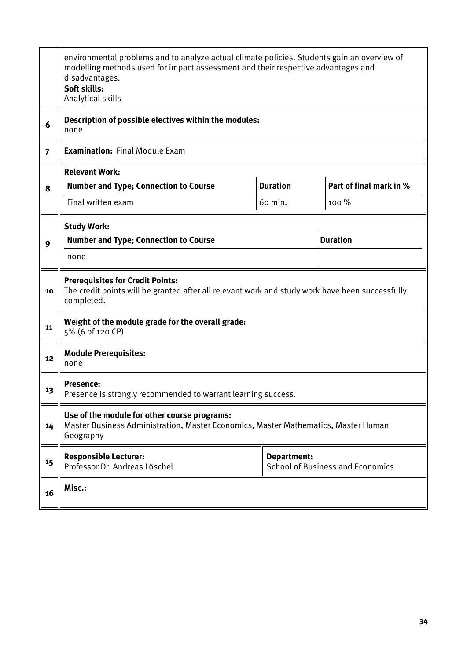|                | environmental problems and to analyze actual climate policies. Students gain an overview of<br>modelling methods used for impact assessment and their respective advantages and<br>disadvantages.<br>Soft skills:<br>Analytical skills |             |                                         |  |  |  |  |  |
|----------------|----------------------------------------------------------------------------------------------------------------------------------------------------------------------------------------------------------------------------------------|-------------|-----------------------------------------|--|--|--|--|--|
| 6              | Description of possible electives within the modules:<br>none                                                                                                                                                                          |             |                                         |  |  |  |  |  |
| $\overline{7}$ | <b>Examination: Final Module Exam</b>                                                                                                                                                                                                  |             |                                         |  |  |  |  |  |
|                | <b>Relevant Work:</b>                                                                                                                                                                                                                  |             |                                         |  |  |  |  |  |
| 8              | <b>Duration</b><br>Part of final mark in %<br><b>Number and Type; Connection to Course</b>                                                                                                                                             |             |                                         |  |  |  |  |  |
|                | Final written exam<br>60 min.<br>100 %                                                                                                                                                                                                 |             |                                         |  |  |  |  |  |
| 9              | <b>Study Work:</b><br><b>Duration</b><br><b>Number and Type; Connection to Course</b>                                                                                                                                                  |             |                                         |  |  |  |  |  |
|                | none                                                                                                                                                                                                                                   |             |                                         |  |  |  |  |  |
| 10             | <b>Prerequisites for Credit Points:</b><br>The credit points will be granted after all relevant work and study work have been successfully<br>completed.                                                                               |             |                                         |  |  |  |  |  |
| 11             | Weight of the module grade for the overall grade:<br>5% (6 of 120 CP)                                                                                                                                                                  |             |                                         |  |  |  |  |  |
| 12             | <b>Module Prerequisites:</b><br>none                                                                                                                                                                                                   |             |                                         |  |  |  |  |  |
| 13             | <b>Presence:</b><br>Presence is strongly recommended to warrant learning success.                                                                                                                                                      |             |                                         |  |  |  |  |  |
| 14             | Use of the module for other course programs:<br>Master Business Administration, Master Economics, Master Mathematics, Master Human<br>Geography                                                                                        |             |                                         |  |  |  |  |  |
| 15             | <b>Responsible Lecturer:</b><br>Professor Dr. Andreas Löschel                                                                                                                                                                          | Department: | <b>School of Business and Economics</b> |  |  |  |  |  |
| 16             | Misc.:                                                                                                                                                                                                                                 |             |                                         |  |  |  |  |  |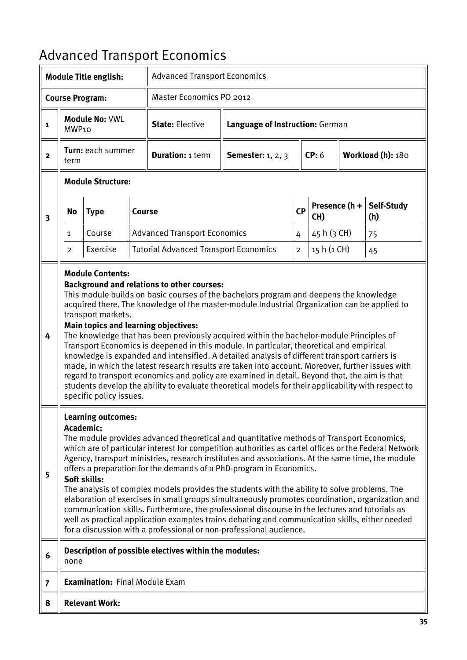# <span id="page-34-0"></span>Advanced Transport Economics

| <b>Module Title english:</b> |                                                                                                                                                                                                                                                                                                                                                                                                                                                                                                                                                                                                                                                                                                                                                                                                                                                                                                                      |                                                                          |        | <b>Advanced Transport Economics</b>                                                                                                                                                                                                                                                                                                                                                                                                                                                                                                                                                                                                                                                                                                                                                                                                                                                             |                                 |                                 |                            |               |                   |  |
|------------------------------|----------------------------------------------------------------------------------------------------------------------------------------------------------------------------------------------------------------------------------------------------------------------------------------------------------------------------------------------------------------------------------------------------------------------------------------------------------------------------------------------------------------------------------------------------------------------------------------------------------------------------------------------------------------------------------------------------------------------------------------------------------------------------------------------------------------------------------------------------------------------------------------------------------------------|--------------------------------------------------------------------------|--------|-------------------------------------------------------------------------------------------------------------------------------------------------------------------------------------------------------------------------------------------------------------------------------------------------------------------------------------------------------------------------------------------------------------------------------------------------------------------------------------------------------------------------------------------------------------------------------------------------------------------------------------------------------------------------------------------------------------------------------------------------------------------------------------------------------------------------------------------------------------------------------------------------|---------------------------------|---------------------------------|----------------------------|---------------|-------------------|--|
| <b>Course Program:</b>       |                                                                                                                                                                                                                                                                                                                                                                                                                                                                                                                                                                                                                                                                                                                                                                                                                                                                                                                      |                                                                          |        |                                                                                                                                                                                                                                                                                                                                                                                                                                                                                                                                                                                                                                                                                                                                                                                                                                                                                                 | <b>Master Economics PO 2012</b> |                                 |                            |               |                   |  |
| $\mathbf{1}$                 | MWP <sub>10</sub>                                                                                                                                                                                                                                                                                                                                                                                                                                                                                                                                                                                                                                                                                                                                                                                                                                                                                                    | Module No: VWL                                                           |        | <b>State: Elective</b>                                                                                                                                                                                                                                                                                                                                                                                                                                                                                                                                                                                                                                                                                                                                                                                                                                                                          |                                 | Language of Instruction: German |                            |               |                   |  |
| $\mathbf{2}$                 | term                                                                                                                                                                                                                                                                                                                                                                                                                                                                                                                                                                                                                                                                                                                                                                                                                                                                                                                 | Turn: each summer                                                        |        | <b>Duration: 1 term</b>                                                                                                                                                                                                                                                                                                                                                                                                                                                                                                                                                                                                                                                                                                                                                                                                                                                                         | <b>Semester:</b> 1, 2, 3        |                                 | CP: 6<br>Workload (h): 180 |               |                   |  |
|                              |                                                                                                                                                                                                                                                                                                                                                                                                                                                                                                                                                                                                                                                                                                                                                                                                                                                                                                                      | <b>Module Structure:</b>                                                 |        |                                                                                                                                                                                                                                                                                                                                                                                                                                                                                                                                                                                                                                                                                                                                                                                                                                                                                                 |                                 |                                 |                            |               |                   |  |
| $\overline{\mathbf{3}}$      | No                                                                                                                                                                                                                                                                                                                                                                                                                                                                                                                                                                                                                                                                                                                                                                                                                                                                                                                   | <b>Type</b>                                                              | Course |                                                                                                                                                                                                                                                                                                                                                                                                                                                                                                                                                                                                                                                                                                                                                                                                                                                                                                 |                                 | <b>CP</b>                       | CH)                        | Presence (h + | Self-Study<br>(h) |  |
|                              | $\mathbf{1}$                                                                                                                                                                                                                                                                                                                                                                                                                                                                                                                                                                                                                                                                                                                                                                                                                                                                                                         | Course                                                                   |        | <b>Advanced Transport Economics</b>                                                                                                                                                                                                                                                                                                                                                                                                                                                                                                                                                                                                                                                                                                                                                                                                                                                             |                                 | 4                               | 45 h (3 CH)                |               | 75                |  |
|                              | $\overline{2}$                                                                                                                                                                                                                                                                                                                                                                                                                                                                                                                                                                                                                                                                                                                                                                                                                                                                                                       | Exercise                                                                 |        | <b>Tutorial Advanced Transport Economics</b>                                                                                                                                                                                                                                                                                                                                                                                                                                                                                                                                                                                                                                                                                                                                                                                                                                                    |                                 | $\mathbf 2$                     | 15 h (1 CH)                |               | 45                |  |
| 4                            |                                                                                                                                                                                                                                                                                                                                                                                                                                                                                                                                                                                                                                                                                                                                                                                                                                                                                                                      | <b>Module Contents:</b><br>transport markets.<br>specific policy issues. |        | <b>Background and relations to other courses:</b><br>This module builds on basic courses of the bachelors program and deepens the knowledge<br>acquired there. The knowledge of the master-module Industrial Organization can be applied to<br><b>Main topics and learning objectives:</b><br>The knowledge that has been previously acquired within the bachelor-module Principles of<br>Transport Economics is deepened in this module. In particular, theoretical and empirical<br>knowledge is expanded and intensified. A detailed analysis of different transport carriers is<br>made, in which the latest research results are taken into account. Moreover, further issues with<br>regard to transport economics and policy are examined in detail. Beyond that, the aim is that<br>students develop the ability to evaluate theoretical models for their applicability with respect to |                                 |                                 |                            |               |                   |  |
| 5                            | <b>Learning outcomes:</b><br>Academic:<br>The module provides advanced theoretical and quantitative methods of Transport Economics,<br>which are of particular interest for competition authorities as cartel offices or the Federal Network<br>Agency, transport ministries, research institutes and associations. At the same time, the module<br>offers a preparation for the demands of a PhD-program in Economics.<br>Soft skills:<br>The analysis of complex models provides the students with the ability to solve problems. The<br>elaboration of exercises in small groups simultaneously promotes coordination, organization and<br>communication skills. Furthermore, the professional discourse in the lectures and tutorials as<br>well as practical application examples trains debating and communication skills, either needed<br>for a discussion with a professional or non-professional audience. |                                                                          |        |                                                                                                                                                                                                                                                                                                                                                                                                                                                                                                                                                                                                                                                                                                                                                                                                                                                                                                 |                                 |                                 |                            |               |                   |  |
| 6                            | none                                                                                                                                                                                                                                                                                                                                                                                                                                                                                                                                                                                                                                                                                                                                                                                                                                                                                                                 |                                                                          |        | Description of possible electives within the modules:                                                                                                                                                                                                                                                                                                                                                                                                                                                                                                                                                                                                                                                                                                                                                                                                                                           |                                 |                                 |                            |               |                   |  |
| $\overline{7}$               |                                                                                                                                                                                                                                                                                                                                                                                                                                                                                                                                                                                                                                                                                                                                                                                                                                                                                                                      | <b>Examination: Final Module Exam</b>                                    |        |                                                                                                                                                                                                                                                                                                                                                                                                                                                                                                                                                                                                                                                                                                                                                                                                                                                                                                 |                                 |                                 |                            |               |                   |  |
| 8                            |                                                                                                                                                                                                                                                                                                                                                                                                                                                                                                                                                                                                                                                                                                                                                                                                                                                                                                                      | <b>Relevant Work:</b>                                                    |        |                                                                                                                                                                                                                                                                                                                                                                                                                                                                                                                                                                                                                                                                                                                                                                                                                                                                                                 |                                 |                                 |                            |               |                   |  |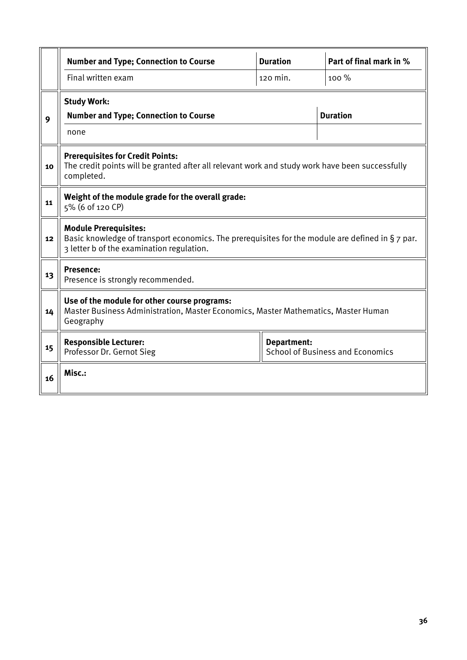|    | <b>Number and Type; Connection to Course</b>                                                                                                                                  | <b>Duration</b>    | Part of final mark in %                 |  |  |  |  |  |  |
|----|-------------------------------------------------------------------------------------------------------------------------------------------------------------------------------|--------------------|-----------------------------------------|--|--|--|--|--|--|
|    | Final written exam                                                                                                                                                            | 120 min.           | 100 %                                   |  |  |  |  |  |  |
| 9  | <b>Study Work:</b><br><b>Number and Type; Connection to Course</b><br>none                                                                                                    |                    | <b>Duration</b>                         |  |  |  |  |  |  |
| 10 | <b>Prerequisites for Credit Points:</b><br>The credit points will be granted after all relevant work and study work have been successfully<br>completed.                      |                    |                                         |  |  |  |  |  |  |
| 11 | Weight of the module grade for the overall grade:<br>5% (6 of 120 CP)                                                                                                         |                    |                                         |  |  |  |  |  |  |
| 12 | <b>Module Prerequisites:</b><br>Basic knowledge of transport economics. The prerequisites for the module are defined in § 7 par.<br>3 letter b of the examination regulation. |                    |                                         |  |  |  |  |  |  |
| 13 | Presence:<br>Presence is strongly recommended.                                                                                                                                |                    |                                         |  |  |  |  |  |  |
| 14 | Use of the module for other course programs:<br>Master Business Administration, Master Economics, Master Mathematics, Master Human<br>Geography                               |                    |                                         |  |  |  |  |  |  |
| 15 | <b>Responsible Lecturer:</b><br>Professor Dr. Gernot Sieg                                                                                                                     | <b>Department:</b> | <b>School of Business and Economics</b> |  |  |  |  |  |  |
| 16 | Misc.:                                                                                                                                                                        |                    |                                         |  |  |  |  |  |  |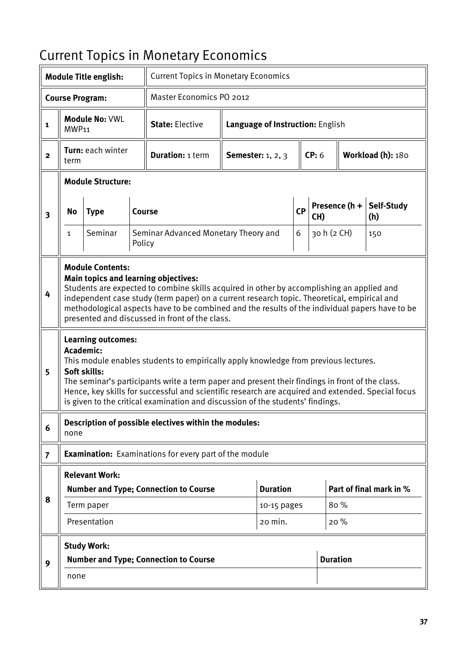# Current Topics in Monetary Economics

|                         |                                                                                                                                                                                                                                                                                                                                                                                                                 | <b>Module Title english:</b>              |        | <b>Current Topics in Monetary Economics</b>                                                                                                                                                                                                                                                                                                                                   |                                  |                 |           |             |                   |               |                         |  |
|-------------------------|-----------------------------------------------------------------------------------------------------------------------------------------------------------------------------------------------------------------------------------------------------------------------------------------------------------------------------------------------------------------------------------------------------------------|-------------------------------------------|--------|-------------------------------------------------------------------------------------------------------------------------------------------------------------------------------------------------------------------------------------------------------------------------------------------------------------------------------------------------------------------------------|----------------------------------|-----------------|-----------|-------------|-------------------|---------------|-------------------------|--|
|                         | <b>Course Program:</b>                                                                                                                                                                                                                                                                                                                                                                                          |                                           |        | Master Economics PO 2012                                                                                                                                                                                                                                                                                                                                                      |                                  |                 |           |             |                   |               |                         |  |
| $\mathbf{1}$            | MWP <sub>11</sub>                                                                                                                                                                                                                                                                                                                                                                                               | <b>Module No: VWL</b>                     |        | <b>State: Elective</b>                                                                                                                                                                                                                                                                                                                                                        | Language of Instruction: English |                 |           |             |                   |               |                         |  |
| $\mathbf{2}$            | term                                                                                                                                                                                                                                                                                                                                                                                                            | Turn: each winter                         |        | <b>Duration: 1 term</b>                                                                                                                                                                                                                                                                                                                                                       | Semester: $1, 2, 3$              | CP: 6           |           |             | Workload (h): 180 |               |                         |  |
|                         |                                                                                                                                                                                                                                                                                                                                                                                                                 | <b>Module Structure:</b>                  |        |                                                                                                                                                                                                                                                                                                                                                                               |                                  |                 |           |             |                   |               |                         |  |
| $\overline{\mathbf{3}}$ | <b>Type</b><br>Course<br>No                                                                                                                                                                                                                                                                                                                                                                                     |                                           |        |                                                                                                                                                                                                                                                                                                                                                                               |                                  |                 | <b>CP</b> | CH)         |                   | Presence (h + | Self-Study<br>(h)       |  |
|                         | $\mathbf{1}$                                                                                                                                                                                                                                                                                                                                                                                                    | Seminar                                   | Policy | Seminar Advanced Monetary Theory and                                                                                                                                                                                                                                                                                                                                          |                                  |                 | 6         | 30 h (2 CH) |                   |               | 150                     |  |
| 4                       | <b>Module Contents:</b><br>Main topics and learning objectives:<br>Students are expected to combine skills acquired in other by accomplishing an applied and<br>independent case study (term paper) on a current research topic. Theoretical, empirical and<br>methodological aspects have to be combined and the results of the individual papers have to be<br>presented and discussed in front of the class. |                                           |        |                                                                                                                                                                                                                                                                                                                                                                               |                                  |                 |           |             |                   |               |                         |  |
| 5                       | Academic:                                                                                                                                                                                                                                                                                                                                                                                                       | <b>Learning outcomes:</b><br>Soft skills: |        | This module enables students to empirically apply knowledge from previous lectures.<br>The seminar's participants write a term paper and present their findings in front of the class.<br>Hence, key skills for successful and scientific research are acquired and extended. Special focus<br>is given to the critical examination and discussion of the students' findings. |                                  |                 |           |             |                   |               |                         |  |
| 6                       | none                                                                                                                                                                                                                                                                                                                                                                                                            |                                           |        | Description of possible electives within the modules:                                                                                                                                                                                                                                                                                                                         |                                  |                 |           |             |                   |               |                         |  |
| $\overline{7}$          |                                                                                                                                                                                                                                                                                                                                                                                                                 |                                           |        | <b>Examination:</b> Examinations for every part of the module                                                                                                                                                                                                                                                                                                                 |                                  |                 |           |             |                   |               |                         |  |
|                         |                                                                                                                                                                                                                                                                                                                                                                                                                 | <b>Relevant Work:</b>                     |        |                                                                                                                                                                                                                                                                                                                                                                               |                                  |                 |           |             |                   |               |                         |  |
| 8                       |                                                                                                                                                                                                                                                                                                                                                                                                                 |                                           |        | <b>Number and Type; Connection to Course</b>                                                                                                                                                                                                                                                                                                                                  |                                  | <b>Duration</b> |           |             |                   |               | Part of final mark in % |  |
|                         |                                                                                                                                                                                                                                                                                                                                                                                                                 | Term paper                                |        |                                                                                                                                                                                                                                                                                                                                                                               |                                  | 10-15 pages     |           |             | 80 %              |               |                         |  |
|                         |                                                                                                                                                                                                                                                                                                                                                                                                                 | Presentation                              |        |                                                                                                                                                                                                                                                                                                                                                                               |                                  | 20 min.         |           |             | 20%               |               |                         |  |
|                         |                                                                                                                                                                                                                                                                                                                                                                                                                 | <b>Study Work:</b>                        |        |                                                                                                                                                                                                                                                                                                                                                                               |                                  |                 |           |             |                   |               |                         |  |
| 9                       |                                                                                                                                                                                                                                                                                                                                                                                                                 |                                           |        | <b>Number and Type; Connection to Course</b>                                                                                                                                                                                                                                                                                                                                  |                                  |                 |           |             | <b>Duration</b>   |               |                         |  |
|                         | none                                                                                                                                                                                                                                                                                                                                                                                                            |                                           |        |                                                                                                                                                                                                                                                                                                                                                                               |                                  |                 |           |             |                   |               |                         |  |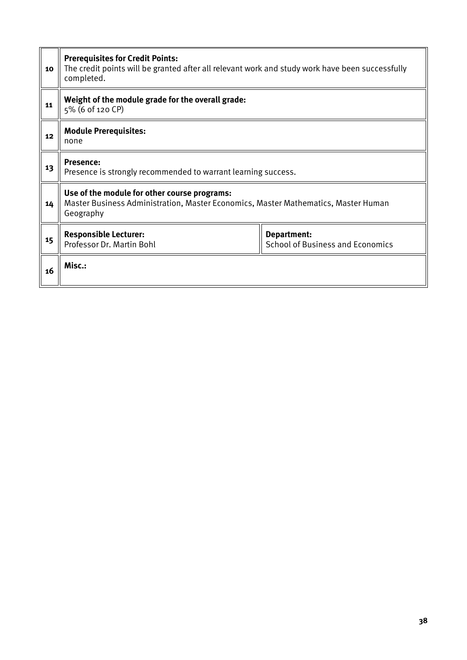| 10 | <b>Prerequisites for Credit Points:</b><br>The credit points will be granted after all relevant work and study work have been successfully<br>completed. |                                                        |  |  |  |  |  |
|----|----------------------------------------------------------------------------------------------------------------------------------------------------------|--------------------------------------------------------|--|--|--|--|--|
| 11 | Weight of the module grade for the overall grade:<br>5% (6 of 120 CP)                                                                                    |                                                        |  |  |  |  |  |
| 12 | <b>Module Prerequisites:</b><br>none                                                                                                                     |                                                        |  |  |  |  |  |
| 13 | <b>Presence:</b><br>Presence is strongly recommended to warrant learning success.                                                                        |                                                        |  |  |  |  |  |
| 14 | Use of the module for other course programs:<br>Master Business Administration, Master Economics, Master Mathematics, Master Human<br>Geography          |                                                        |  |  |  |  |  |
| 15 | <b>Responsible Lecturer:</b><br>Professor Dr. Martin Bohl                                                                                                | Department:<br><b>School of Business and Economics</b> |  |  |  |  |  |
| 16 | Misc.:                                                                                                                                                   |                                                        |  |  |  |  |  |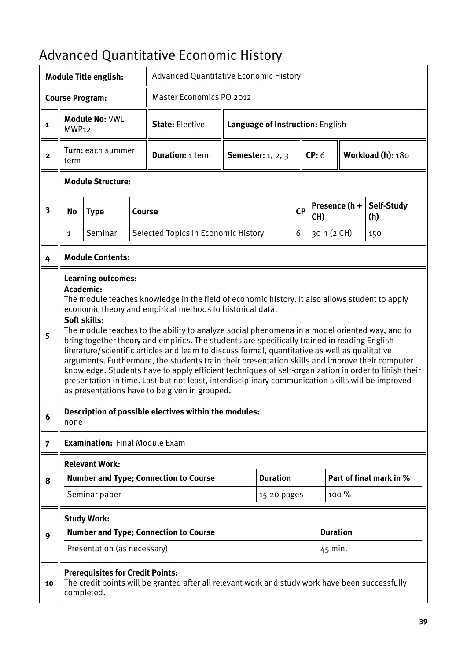# Advanced Quantitative Economic History

|                         |                   | <b>Module Title english:</b>                          |               | <b>Advanced Quantitative Economic History</b>                                                                                                                                                                                                                                                                                                                                                                                                                                                                                                                                                                                                                                                                                                                                                                                                                                             |                                  |                          |           |                      |                            |                         |  |
|-------------------------|-------------------|-------------------------------------------------------|---------------|-------------------------------------------------------------------------------------------------------------------------------------------------------------------------------------------------------------------------------------------------------------------------------------------------------------------------------------------------------------------------------------------------------------------------------------------------------------------------------------------------------------------------------------------------------------------------------------------------------------------------------------------------------------------------------------------------------------------------------------------------------------------------------------------------------------------------------------------------------------------------------------------|----------------------------------|--------------------------|-----------|----------------------|----------------------------|-------------------------|--|
|                         |                   | <b>Course Program:</b>                                |               | Master Economics PO 2012                                                                                                                                                                                                                                                                                                                                                                                                                                                                                                                                                                                                                                                                                                                                                                                                                                                                  |                                  |                          |           |                      |                            |                         |  |
| $\mathbf{1}$            | MWP <sub>12</sub> | Module No: VWL                                        |               | <b>State: Elective</b>                                                                                                                                                                                                                                                                                                                                                                                                                                                                                                                                                                                                                                                                                                                                                                                                                                                                    | Language of Instruction: English |                          |           |                      |                            |                         |  |
| $\overline{2}$          | term              | Turn: each summer                                     |               | <b>Duration: 1 term</b>                                                                                                                                                                                                                                                                                                                                                                                                                                                                                                                                                                                                                                                                                                                                                                                                                                                                   |                                  | <b>Semester:</b> 1, 2, 3 |           | CP: 6                |                            | Workload (h): 180       |  |
|                         |                   | <b>Module Structure:</b>                              |               |                                                                                                                                                                                                                                                                                                                                                                                                                                                                                                                                                                                                                                                                                                                                                                                                                                                                                           |                                  |                          |           |                      |                            |                         |  |
| $\overline{\mathbf{3}}$ | No                | <b>Type</b>                                           | <b>Course</b> |                                                                                                                                                                                                                                                                                                                                                                                                                                                                                                                                                                                                                                                                                                                                                                                                                                                                                           |                                  |                          | <b>CP</b> | Presence (h +<br>CH) |                            | Self-Study<br>(h)       |  |
|                         | 1                 | Seminar                                               |               | Selected Topics In Economic History                                                                                                                                                                                                                                                                                                                                                                                                                                                                                                                                                                                                                                                                                                                                                                                                                                                       |                                  |                          | 6         | 30 h (2 CH)          |                            | 150                     |  |
| 4                       |                   | <b>Module Contents:</b>                               |               |                                                                                                                                                                                                                                                                                                                                                                                                                                                                                                                                                                                                                                                                                                                                                                                                                                                                                           |                                  |                          |           |                      |                            |                         |  |
| 5<br>6                  | Academic:<br>none | <b>Learning outcomes:</b><br>Soft skills:             |               | The module teaches knowledge in the field of economic history. It also allows student to apply<br>economic theory and empirical methods to historical data.<br>The module teaches to the ability to analyze social phenomena in a model oriented way, and to<br>bring together theory and empirics. The students are specifically trained in reading English<br>literature/scientific articles and learn to discuss formal, quantitative as well as qualitative<br>arguments. Furthermore, the students train their presentation skills and improve their computer<br>knowledge. Students have to apply efficient techniques of self-organization in order to finish their<br>presentation in time. Last but not least, interdisciplinary communication skills will be improved<br>as presentations have to be given in grouped.<br>Description of possible electives within the modules: |                                  |                          |           |                      |                            |                         |  |
| $\overline{7}$          |                   | <b>Examination: Final Module Exam</b>                 |               |                                                                                                                                                                                                                                                                                                                                                                                                                                                                                                                                                                                                                                                                                                                                                                                                                                                                                           |                                  |                          |           |                      |                            |                         |  |
|                         |                   | <b>Relevant Work:</b>                                 |               |                                                                                                                                                                                                                                                                                                                                                                                                                                                                                                                                                                                                                                                                                                                                                                                                                                                                                           |                                  |                          |           |                      |                            |                         |  |
| 8                       |                   |                                                       |               | <b>Number and Type; Connection to Course</b>                                                                                                                                                                                                                                                                                                                                                                                                                                                                                                                                                                                                                                                                                                                                                                                                                                              |                                  | <b>Duration</b>          |           |                      |                            | Part of final mark in % |  |
|                         |                   | Seminar paper                                         |               |                                                                                                                                                                                                                                                                                                                                                                                                                                                                                                                                                                                                                                                                                                                                                                                                                                                                                           |                                  | 15-20 pages              |           |                      | 100 %                      |                         |  |
| 9                       |                   | <b>Study Work:</b><br>Presentation (as necessary)     |               | <b>Number and Type; Connection to Course</b>                                                                                                                                                                                                                                                                                                                                                                                                                                                                                                                                                                                                                                                                                                                                                                                                                                              |                                  |                          |           |                      | <b>Duration</b><br>45 min. |                         |  |
| 10                      |                   | <b>Prerequisites for Credit Points:</b><br>completed. |               | The credit points will be granted after all relevant work and study work have been successfully                                                                                                                                                                                                                                                                                                                                                                                                                                                                                                                                                                                                                                                                                                                                                                                           |                                  |                          |           |                      |                            |                         |  |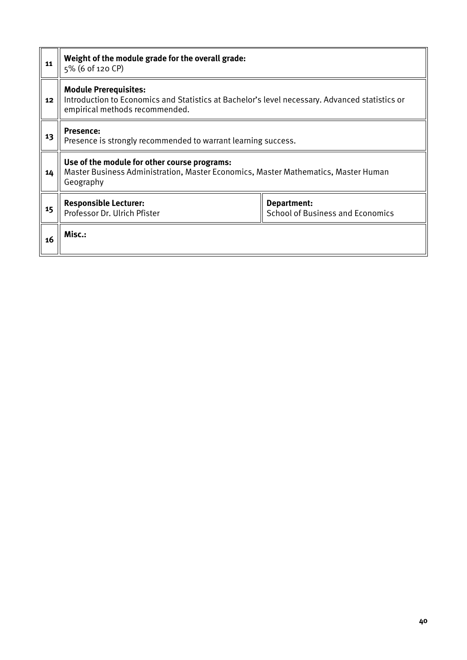| 11 | Weight of the module grade for the overall grade:<br>5% (6 of 120 CP)                                                                                            |                                                        |  |  |  |  |
|----|------------------------------------------------------------------------------------------------------------------------------------------------------------------|--------------------------------------------------------|--|--|--|--|
| 12 | <b>Module Prerequisites:</b><br>Introduction to Economics and Statistics at Bachelor's level necessary. Advanced statistics or<br>empirical methods recommended. |                                                        |  |  |  |  |
| 13 | <b>Presence:</b><br>Presence is strongly recommended to warrant learning success.                                                                                |                                                        |  |  |  |  |
| 14 | Use of the module for other course programs:<br>Master Business Administration, Master Economics, Master Mathematics, Master Human<br>Geography                  |                                                        |  |  |  |  |
| 15 | <b>Responsible Lecturer:</b><br>Professor Dr. Ulrich Pfister                                                                                                     | Department:<br><b>School of Business and Economics</b> |  |  |  |  |
| 16 | Misc.:                                                                                                                                                           |                                                        |  |  |  |  |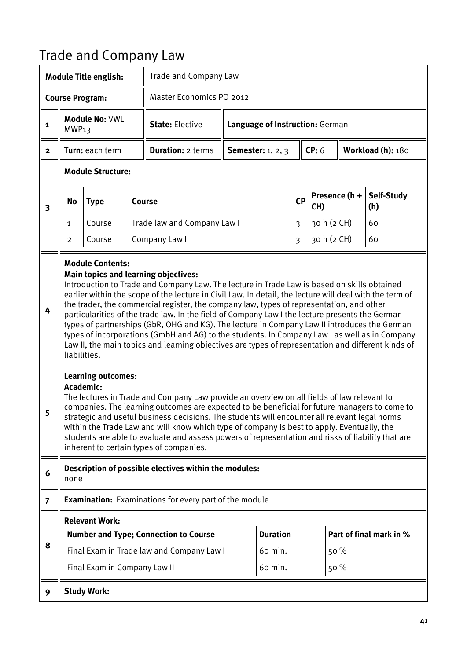### Trade and Company Law

|                         |                                                                                                                                                                                                                                                                                                                                                                                                                                                                                                                                                                                                                                                                                                                                                                                                        | <b>Module Title english:</b>                          |  | <b>Trade and Company Law</b>                                                                                                                                                                                                                                                                                                                                                                                                                                                                                                               |  |                                       |                |                      |                   |                         |
|-------------------------|--------------------------------------------------------------------------------------------------------------------------------------------------------------------------------------------------------------------------------------------------------------------------------------------------------------------------------------------------------------------------------------------------------------------------------------------------------------------------------------------------------------------------------------------------------------------------------------------------------------------------------------------------------------------------------------------------------------------------------------------------------------------------------------------------------|-------------------------------------------------------|--|--------------------------------------------------------------------------------------------------------------------------------------------------------------------------------------------------------------------------------------------------------------------------------------------------------------------------------------------------------------------------------------------------------------------------------------------------------------------------------------------------------------------------------------------|--|---------------------------------------|----------------|----------------------|-------------------|-------------------------|
|                         |                                                                                                                                                                                                                                                                                                                                                                                                                                                                                                                                                                                                                                                                                                                                                                                                        | <b>Course Program:</b>                                |  | Master Economics PO 2012                                                                                                                                                                                                                                                                                                                                                                                                                                                                                                                   |  |                                       |                |                      |                   |                         |
| 1                       | MWP <sub>13</sub>                                                                                                                                                                                                                                                                                                                                                                                                                                                                                                                                                                                                                                                                                                                                                                                      | <b>Module No: VWL</b>                                 |  | <b>State: Elective</b>                                                                                                                                                                                                                                                                                                                                                                                                                                                                                                                     |  | Language of Instruction: German       |                |                      |                   |                         |
| $\overline{2}$          |                                                                                                                                                                                                                                                                                                                                                                                                                                                                                                                                                                                                                                                                                                                                                                                                        | Turn: each term                                       |  | <b>Duration: 2 terms</b>                                                                                                                                                                                                                                                                                                                                                                                                                                                                                                                   |  | <b>Semester:</b> 1, 2, 3              | CP: 6          |                      | Workload (h): 180 |                         |
|                         |                                                                                                                                                                                                                                                                                                                                                                                                                                                                                                                                                                                                                                                                                                                                                                                                        | <b>Module Structure:</b>                              |  |                                                                                                                                                                                                                                                                                                                                                                                                                                                                                                                                            |  |                                       |                |                      |                   |                         |
| $\overline{\mathbf{3}}$ | No                                                                                                                                                                                                                                                                                                                                                                                                                                                                                                                                                                                                                                                                                                                                                                                                     | <b>Type</b>                                           |  | <b>Course</b>                                                                                                                                                                                                                                                                                                                                                                                                                                                                                                                              |  |                                       | <b>CP</b>      | Presence (h +<br>CH) |                   | Self-Study<br>(h)       |
|                         | $\mathbf{1}$                                                                                                                                                                                                                                                                                                                                                                                                                                                                                                                                                                                                                                                                                                                                                                                           | Course                                                |  | Trade law and Company Law I                                                                                                                                                                                                                                                                                                                                                                                                                                                                                                                |  |                                       | $\overline{3}$ | 30 h (2 CH)          |                   | 60                      |
|                         | 2                                                                                                                                                                                                                                                                                                                                                                                                                                                                                                                                                                                                                                                                                                                                                                                                      | Course                                                |  | Company Law II                                                                                                                                                                                                                                                                                                                                                                                                                                                                                                                             |  |                                       | $\mathfrak{Z}$ | 30 h (2 CH)          |                   | 60                      |
| 4                       | <b>Module Contents:</b><br><b>Main topics and learning objectives:</b><br>Introduction to Trade and Company Law. The lecture in Trade Law is based on skills obtained<br>earlier within the scope of the lecture in Civil Law. In detail, the lecture will deal with the term of<br>the trader, the commercial register, the company law, types of representation, and other<br>particularities of the trade law. In the field of Company Law I the lecture presents the German<br>types of partnerships (GbR, OHG and KG). The lecture in Company Law II introduces the German<br>types of incorporations (GmbH and AG) to the students. In Company Law I as well as in Company<br>Law II, the main topics and learning objectives are types of representation and different kinds of<br>liabilities. |                                                       |  |                                                                                                                                                                                                                                                                                                                                                                                                                                                                                                                                            |  |                                       |                |                      |                   |                         |
| К                       | Academic:                                                                                                                                                                                                                                                                                                                                                                                                                                                                                                                                                                                                                                                                                                                                                                                              | <b>Learning outcomes:</b>                             |  | The lectures in Trade and Company Law provide an overview on all fields of law relevant to<br>companies. The learning outcomes are expected to be beneficial for future managers to come to<br>strategic and useful business decisions. The students will encounter all relevant legal norms<br>within the Trade Law and will know which type of company is best to apply. Eventually, the<br>students are able to evaluate and assess powers of representation and risks of liability that are<br>inherent to certain types of companies. |  |                                       |                |                      |                   |                         |
| 6                       | none                                                                                                                                                                                                                                                                                                                                                                                                                                                                                                                                                                                                                                                                                                                                                                                                   |                                                       |  | Description of possible electives within the modules:                                                                                                                                                                                                                                                                                                                                                                                                                                                                                      |  |                                       |                |                      |                   |                         |
| $\overline{7}$          |                                                                                                                                                                                                                                                                                                                                                                                                                                                                                                                                                                                                                                                                                                                                                                                                        |                                                       |  | <b>Examination:</b> Examinations for every part of the module                                                                                                                                                                                                                                                                                                                                                                                                                                                                              |  |                                       |                |                      |                   |                         |
| 8                       |                                                                                                                                                                                                                                                                                                                                                                                                                                                                                                                                                                                                                                                                                                                                                                                                        | <b>Relevant Work:</b><br>Final Exam in Company Law II |  | <b>Number and Type; Connection to Course</b><br>Final Exam in Trade law and Company Law I                                                                                                                                                                                                                                                                                                                                                                                                                                                  |  | <b>Duration</b><br>60 min.<br>60 min. |                | 50 %<br>50%          |                   | Part of final mark in % |
| 9                       |                                                                                                                                                                                                                                                                                                                                                                                                                                                                                                                                                                                                                                                                                                                                                                                                        | <b>Study Work:</b>                                    |  |                                                                                                                                                                                                                                                                                                                                                                                                                                                                                                                                            |  |                                       |                |                      |                   |                         |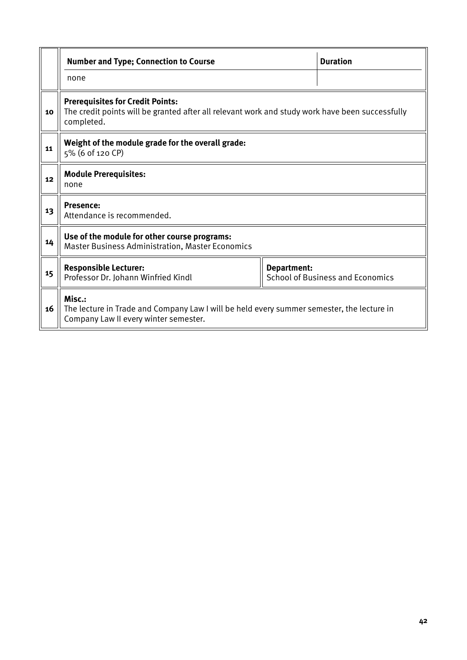|    | <b>Number and Type; Connection to Course</b>                                                                                                             |             | <b>Duration</b>                         |  |  |  |  |
|----|----------------------------------------------------------------------------------------------------------------------------------------------------------|-------------|-----------------------------------------|--|--|--|--|
|    | none                                                                                                                                                     |             |                                         |  |  |  |  |
| 10 | <b>Prerequisites for Credit Points:</b><br>The credit points will be granted after all relevant work and study work have been successfully<br>completed. |             |                                         |  |  |  |  |
| 11 | Weight of the module grade for the overall grade:<br>5% (6 of 120 CP)                                                                                    |             |                                         |  |  |  |  |
| 12 | <b>Module Prerequisites:</b><br>none                                                                                                                     |             |                                         |  |  |  |  |
| 13 | <b>Presence:</b><br>Attendance is recommended.                                                                                                           |             |                                         |  |  |  |  |
| 14 | Use of the module for other course programs:<br><b>Master Business Administration, Master Economics</b>                                                  |             |                                         |  |  |  |  |
| 15 | <b>Responsible Lecturer:</b><br>Professor Dr. Johann Winfried Kindl                                                                                      | Department: | <b>School of Business and Economics</b> |  |  |  |  |
| 16 | Misc.:<br>The lecture in Trade and Company Law I will be held every summer semester, the lecture in<br>Company Law II every winter semester.             |             |                                         |  |  |  |  |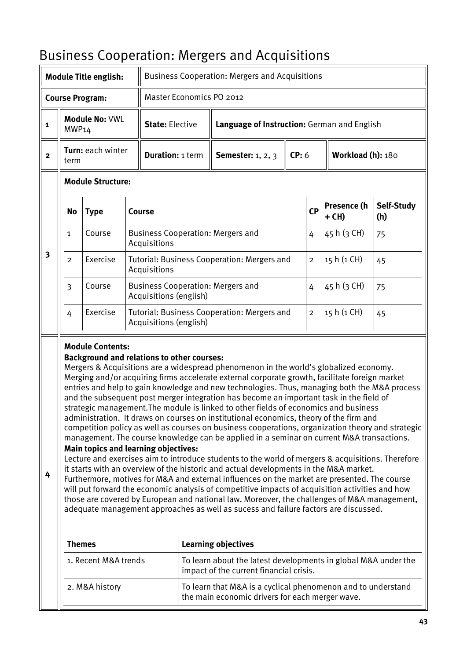#### Business Cooperation: Mergers and Acquisitions

|                         |                                                                                                                                                                                                                                                                                                                                                                                                                                                                                                                                                                                                                                                                                                                                                                                                                                                                                                                                                                                                                                                                                                                                                                                                                                                                                                                                                                                                                                                                                              | <b>Module Title english:</b> |  | <b>Business Cooperation: Mergers and Acquisitions</b>              |  |                                                                                                                 |       |                |                        |                   |  |
|-------------------------|----------------------------------------------------------------------------------------------------------------------------------------------------------------------------------------------------------------------------------------------------------------------------------------------------------------------------------------------------------------------------------------------------------------------------------------------------------------------------------------------------------------------------------------------------------------------------------------------------------------------------------------------------------------------------------------------------------------------------------------------------------------------------------------------------------------------------------------------------------------------------------------------------------------------------------------------------------------------------------------------------------------------------------------------------------------------------------------------------------------------------------------------------------------------------------------------------------------------------------------------------------------------------------------------------------------------------------------------------------------------------------------------------------------------------------------------------------------------------------------------|------------------------------|--|--------------------------------------------------------------------|--|-----------------------------------------------------------------------------------------------------------------|-------|----------------|------------------------|-------------------|--|
|                         |                                                                                                                                                                                                                                                                                                                                                                                                                                                                                                                                                                                                                                                                                                                                                                                                                                                                                                                                                                                                                                                                                                                                                                                                                                                                                                                                                                                                                                                                                              | <b>Course Program:</b>       |  | Master Economics PO 2012                                           |  |                                                                                                                 |       |                |                        |                   |  |
| $\mathbf{1}$            | MWP14                                                                                                                                                                                                                                                                                                                                                                                                                                                                                                                                                                                                                                                                                                                                                                                                                                                                                                                                                                                                                                                                                                                                                                                                                                                                                                                                                                                                                                                                                        | Module No: VWL               |  | <b>State: Elective</b>                                             |  | Language of Instruction: German and English                                                                     |       |                |                        |                   |  |
| $\overline{\mathbf{2}}$ | term                                                                                                                                                                                                                                                                                                                                                                                                                                                                                                                                                                                                                                                                                                                                                                                                                                                                                                                                                                                                                                                                                                                                                                                                                                                                                                                                                                                                                                                                                         | Turn: each winter            |  | <b>Duration: 1 term</b>                                            |  | <b>Semester:</b> 1, 2, 3                                                                                        | CP: 6 |                |                        | Workload (h): 180 |  |
|                         |                                                                                                                                                                                                                                                                                                                                                                                                                                                                                                                                                                                                                                                                                                                                                                                                                                                                                                                                                                                                                                                                                                                                                                                                                                                                                                                                                                                                                                                                                              | <b>Module Structure:</b>     |  |                                                                    |  |                                                                                                                 |       |                |                        |                   |  |
|                         | No                                                                                                                                                                                                                                                                                                                                                                                                                                                                                                                                                                                                                                                                                                                                                                                                                                                                                                                                                                                                                                                                                                                                                                                                                                                                                                                                                                                                                                                                                           | <b>Type</b>                  |  | Course                                                             |  |                                                                                                                 |       |                | Presence (h<br>$+$ CH) | Self-Study<br>(h) |  |
|                         | $\mathbf{1}$                                                                                                                                                                                                                                                                                                                                                                                                                                                                                                                                                                                                                                                                                                                                                                                                                                                                                                                                                                                                                                                                                                                                                                                                                                                                                                                                                                                                                                                                                 | Course                       |  | <b>Business Cooperation: Mergers and</b><br>Acquisitions           |  |                                                                                                                 |       | 4              | 45 h (3 CH)            | 75                |  |
| 3                       | $\overline{2}$                                                                                                                                                                                                                                                                                                                                                                                                                                                                                                                                                                                                                                                                                                                                                                                                                                                                                                                                                                                                                                                                                                                                                                                                                                                                                                                                                                                                                                                                               | Exercise                     |  | Tutorial: Business Cooperation: Mergers and<br>Acquisitions        |  |                                                                                                                 |       | $\overline{2}$ | 15 h (1 CH)            | 45                |  |
|                         | 3                                                                                                                                                                                                                                                                                                                                                                                                                                                                                                                                                                                                                                                                                                                                                                                                                                                                                                                                                                                                                                                                                                                                                                                                                                                                                                                                                                                                                                                                                            | Course                       |  | <b>Business Cooperation: Mergers and</b><br>Acquisitions (english) |  |                                                                                                                 |       | 4              | 45 h (3 CH)            | 75                |  |
|                         | Exercise<br>Tutorial: Business Cooperation: Mergers and<br>4<br>Acquisitions (english)                                                                                                                                                                                                                                                                                                                                                                                                                                                                                                                                                                                                                                                                                                                                                                                                                                                                                                                                                                                                                                                                                                                                                                                                                                                                                                                                                                                                       |                              |  |                                                                    |  |                                                                                                                 |       | $\overline{2}$ | 15 h (1 CH)            | 45                |  |
| 4                       | <b>Module Contents:</b><br><b>Background and relations to other courses:</b><br>Mergers & Acquisitions are a widespread phenomenon in the world's globalized economy.<br>Merging and/or acquiring firms accelerate external corporate growth, facilitate foreign market<br>entries and help to gain knowledge and new technologies. Thus, managing both the M&A process<br>and the subsequent post merger integration has become an important task in the field of<br>strategic management. The module is linked to other fields of economics and business<br>administration. It draws on courses on institutional economics, theory of the firm and<br>competition policy as well as courses on business cooperations, organization theory and strategic<br>management. The course knowledge can be applied in a seminar on current M&A transactions.<br><b>Main topics and learning objectives:</b><br>Lecture and exercises aim to introduce students to the world of mergers & acquisitions. Therefore<br>it starts with an overview of the historic and actual developments in the M&A market.<br>Furthermore, motives for M&A and external influences on the market are presented. The course<br>will put forward the economic analysis of competitive impacts of acquisition activities and how<br>those are covered by European and national law. Moreover, the challenges of M&A management,<br>adequate management approaches as well as sucess and failure factors are discussed. |                              |  |                                                                    |  |                                                                                                                 |       |                |                        |                   |  |
|                         |                                                                                                                                                                                                                                                                                                                                                                                                                                                                                                                                                                                                                                                                                                                                                                                                                                                                                                                                                                                                                                                                                                                                                                                                                                                                                                                                                                                                                                                                                              | <b>Themes</b>                |  |                                                                    |  | <b>Learning objectives</b>                                                                                      |       |                |                        |                   |  |
|                         |                                                                                                                                                                                                                                                                                                                                                                                                                                                                                                                                                                                                                                                                                                                                                                                                                                                                                                                                                                                                                                                                                                                                                                                                                                                                                                                                                                                                                                                                                              | 1. Recent M&A trends         |  |                                                                    |  | To learn about the latest developments in global M&A under the<br>impact of the current financial crisis.       |       |                |                        |                   |  |
|                         |                                                                                                                                                                                                                                                                                                                                                                                                                                                                                                                                                                                                                                                                                                                                                                                                                                                                                                                                                                                                                                                                                                                                                                                                                                                                                                                                                                                                                                                                                              | 2. M&A history               |  |                                                                    |  | To learn that M&A is a cyclical phenomenon and to understand<br>the main economic drivers for each merger wave. |       |                |                        |                   |  |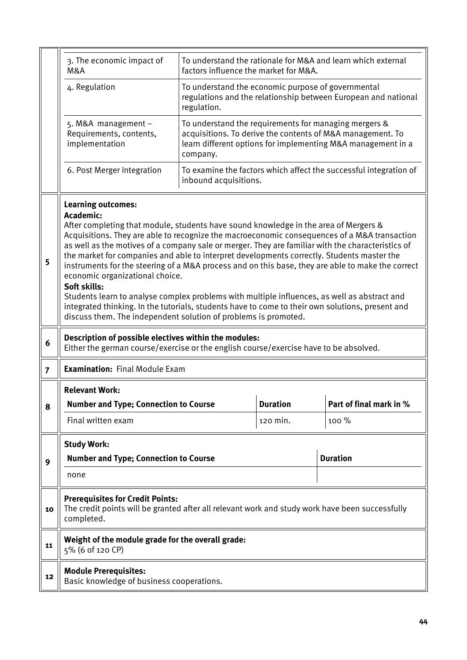|                | 3. The economic impact of<br>M&A                                                                                                                                                                                                                                                                                                                                                                                                                                                                                                                                                                                                                                                                                                                                                                                                                                 | factors influence the market for M&A.                             |                 | To understand the rationale for M&A and learn which external                                                               |  |  |  |  |
|----------------|------------------------------------------------------------------------------------------------------------------------------------------------------------------------------------------------------------------------------------------------------------------------------------------------------------------------------------------------------------------------------------------------------------------------------------------------------------------------------------------------------------------------------------------------------------------------------------------------------------------------------------------------------------------------------------------------------------------------------------------------------------------------------------------------------------------------------------------------------------------|-------------------------------------------------------------------|-----------------|----------------------------------------------------------------------------------------------------------------------------|--|--|--|--|
|                | 4. Regulation                                                                                                                                                                                                                                                                                                                                                                                                                                                                                                                                                                                                                                                                                                                                                                                                                                                    | To understand the economic purpose of governmental<br>regulation. |                 | regulations and the relationship between European and national                                                             |  |  |  |  |
|                | 5. M&A management $-$<br>Requirements, contents,<br>implementation                                                                                                                                                                                                                                                                                                                                                                                                                                                                                                                                                                                                                                                                                                                                                                                               | To understand the requirements for managing mergers &<br>company. |                 | acquisitions. To derive the contents of M&A management. To<br>learn different options for implementing M&A management in a |  |  |  |  |
|                | 6. Post Merger Integration                                                                                                                                                                                                                                                                                                                                                                                                                                                                                                                                                                                                                                                                                                                                                                                                                                       | inbound acquisitions.                                             |                 | To examine the factors which affect the successful integration of                                                          |  |  |  |  |
| 5              | <b>Learning outcomes:</b><br>Academic:<br>After completing that module, students have sound knowledge in the area of Mergers &<br>Acquisitions. They are able to recognize the macroeconomic consequences of a M&A transaction<br>as well as the motives of a company sale or merger. They are familiar with the characteristics of<br>the market for companies and able to interpret developments correctly. Students master the<br>instruments for the steering of a M&A process and on this base, they are able to make the correct<br>economic organizational choice.<br>Soft skills:<br>Students learn to analyse complex problems with multiple influences, as well as abstract and<br>integrated thinking. In the tutorials, students have to come to their own solutions, present and<br>discuss them. The independent solution of problems is promoted. |                                                                   |                 |                                                                                                                            |  |  |  |  |
| 6              | Description of possible electives within the modules:<br>Either the german course/exercise or the english course/exercise have to be absolved.                                                                                                                                                                                                                                                                                                                                                                                                                                                                                                                                                                                                                                                                                                                   |                                                                   |                 |                                                                                                                            |  |  |  |  |
|                | <b>Examination: Final Module Exam</b>                                                                                                                                                                                                                                                                                                                                                                                                                                                                                                                                                                                                                                                                                                                                                                                                                            |                                                                   |                 |                                                                                                                            |  |  |  |  |
| $\overline{7}$ |                                                                                                                                                                                                                                                                                                                                                                                                                                                                                                                                                                                                                                                                                                                                                                                                                                                                  |                                                                   |                 |                                                                                                                            |  |  |  |  |
|                | <b>Relevant Work:</b>                                                                                                                                                                                                                                                                                                                                                                                                                                                                                                                                                                                                                                                                                                                                                                                                                                            |                                                                   |                 |                                                                                                                            |  |  |  |  |
| 8              | <b>Number and Type; Connection to Course</b>                                                                                                                                                                                                                                                                                                                                                                                                                                                                                                                                                                                                                                                                                                                                                                                                                     |                                                                   | <b>Duration</b> | Part of final mark in %                                                                                                    |  |  |  |  |
|                | Final written exam                                                                                                                                                                                                                                                                                                                                                                                                                                                                                                                                                                                                                                                                                                                                                                                                                                               |                                                                   | 120 min.        | 100 %                                                                                                                      |  |  |  |  |
|                | <b>Study Work:</b>                                                                                                                                                                                                                                                                                                                                                                                                                                                                                                                                                                                                                                                                                                                                                                                                                                               |                                                                   |                 |                                                                                                                            |  |  |  |  |
| 9              | <b>Number and Type; Connection to Course</b><br>none                                                                                                                                                                                                                                                                                                                                                                                                                                                                                                                                                                                                                                                                                                                                                                                                             |                                                                   |                 | <b>Duration</b>                                                                                                            |  |  |  |  |
| 10             | <b>Prerequisites for Credit Points:</b><br>The credit points will be granted after all relevant work and study work have been successfully<br>completed.                                                                                                                                                                                                                                                                                                                                                                                                                                                                                                                                                                                                                                                                                                         |                                                                   |                 |                                                                                                                            |  |  |  |  |
| 11             | Weight of the module grade for the overall grade:<br>5% (6 of 120 CP)                                                                                                                                                                                                                                                                                                                                                                                                                                                                                                                                                                                                                                                                                                                                                                                            |                                                                   |                 |                                                                                                                            |  |  |  |  |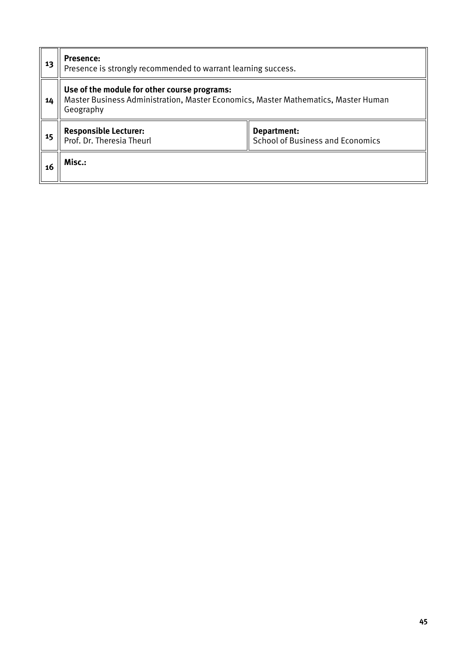| 13 | Presence:<br>Presence is strongly recommended to warrant learning success.                                                                      |                                                        |  |  |  |  |  |
|----|-------------------------------------------------------------------------------------------------------------------------------------------------|--------------------------------------------------------|--|--|--|--|--|
| 14 | Use of the module for other course programs:<br>Master Business Administration, Master Economics, Master Mathematics, Master Human<br>Geography |                                                        |  |  |  |  |  |
| 15 | <b>Responsible Lecturer:</b><br>Prof. Dr. Theresia Theurl                                                                                       | Department:<br><b>School of Business and Economics</b> |  |  |  |  |  |
| 16 | Misc.:                                                                                                                                          |                                                        |  |  |  |  |  |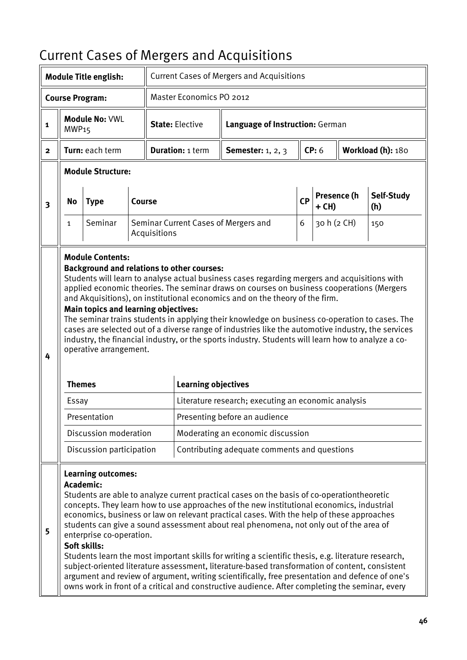# Current Cases of Mergers and Acquisitions

|                         |                        | <b>Module Title english:</b>                                                                                                              |        |              |                                                                                                                                                                                                                                                                                                                                                                                                                                                                                                                                                                                                                                                                                                                                                                                               | <b>Current Cases of Mergers and Acquisitions</b>                                                                                                                                                                                                                                                                                                                                                                                                                                                                                                                                                                                                                                                                     |           |             |             |                   |
|-------------------------|------------------------|-------------------------------------------------------------------------------------------------------------------------------------------|--------|--------------|-----------------------------------------------------------------------------------------------------------------------------------------------------------------------------------------------------------------------------------------------------------------------------------------------------------------------------------------------------------------------------------------------------------------------------------------------------------------------------------------------------------------------------------------------------------------------------------------------------------------------------------------------------------------------------------------------------------------------------------------------------------------------------------------------|----------------------------------------------------------------------------------------------------------------------------------------------------------------------------------------------------------------------------------------------------------------------------------------------------------------------------------------------------------------------------------------------------------------------------------------------------------------------------------------------------------------------------------------------------------------------------------------------------------------------------------------------------------------------------------------------------------------------|-----------|-------------|-------------|-------------------|
|                         |                        | <b>Course Program:</b>                                                                                                                    |        |              | Master Economics PO 2012                                                                                                                                                                                                                                                                                                                                                                                                                                                                                                                                                                                                                                                                                                                                                                      |                                                                                                                                                                                                                                                                                                                                                                                                                                                                                                                                                                                                                                                                                                                      |           |             |             |                   |
| 1                       | MWP15                  | <b>Module No: VWL</b>                                                                                                                     |        |              | <b>State: Elective</b>                                                                                                                                                                                                                                                                                                                                                                                                                                                                                                                                                                                                                                                                                                                                                                        | Language of Instruction: German                                                                                                                                                                                                                                                                                                                                                                                                                                                                                                                                                                                                                                                                                      |           |             |             |                   |
| $\mathbf{2}$            |                        | Turn: each term                                                                                                                           |        |              | <b>Duration: 1 term</b>                                                                                                                                                                                                                                                                                                                                                                                                                                                                                                                                                                                                                                                                                                                                                                       | <b>Semester:</b> 1, 2, 3                                                                                                                                                                                                                                                                                                                                                                                                                                                                                                                                                                                                                                                                                             |           | CP: 6       |             | Workload (h): 180 |
|                         |                        | <b>Module Structure:</b>                                                                                                                  |        |              |                                                                                                                                                                                                                                                                                                                                                                                                                                                                                                                                                                                                                                                                                                                                                                                               |                                                                                                                                                                                                                                                                                                                                                                                                                                                                                                                                                                                                                                                                                                                      |           |             |             |                   |
| $\overline{\mathbf{3}}$ | <b>No</b>              | <b>Type</b>                                                                                                                               | Course |              |                                                                                                                                                                                                                                                                                                                                                                                                                                                                                                                                                                                                                                                                                                                                                                                               |                                                                                                                                                                                                                                                                                                                                                                                                                                                                                                                                                                                                                                                                                                                      | <b>CP</b> | + CH)       | Presence (h | Self-Study<br>(h) |
|                         | 1                      | Seminar                                                                                                                                   |        | Acquisitions |                                                                                                                                                                                                                                                                                                                                                                                                                                                                                                                                                                                                                                                                                                                                                                                               | Seminar Current Cases of Mergers and                                                                                                                                                                                                                                                                                                                                                                                                                                                                                                                                                                                                                                                                                 | 6         | 30 h (2 CH) |             | 150               |
| 4                       | <b>Themes</b><br>Essay | <b>Module Contents:</b><br><b>Main topics and learning objectives:</b><br>operative arrangement.<br>Presentation<br>Discussion moderation |        |              | <b>Background and relations to other courses:</b><br><b>Learning objectives</b>                                                                                                                                                                                                                                                                                                                                                                                                                                                                                                                                                                                                                                                                                                               | Students will learn to analyse actual business cases regarding mergers and acquisitions with<br>applied economic theories. The seminar draws on courses on business cooperations (Mergers<br>and Akquisitions), on institutional economics and on the theory of the firm.<br>The seminar trains students in applying their knowledge on business co-operation to cases. The<br>cases are selected out of a diverse range of industries like the automotive industry, the services<br>industry, the financial industry, or the sports industry. Students will learn how to analyze a co-<br>Literature research; executing an economic analysis<br>Presenting before an audience<br>Moderating an economic discussion |           |             |             |                   |
|                         |                        | Discussion participation                                                                                                                  |        |              |                                                                                                                                                                                                                                                                                                                                                                                                                                                                                                                                                                                                                                                                                                                                                                                               | Contributing adequate comments and questions                                                                                                                                                                                                                                                                                                                                                                                                                                                                                                                                                                                                                                                                         |           |             |             |                   |
| 5                       |                        | <b>Learning outcomes:</b><br>Academic:<br>enterprise co-operation.<br>Soft skills:                                                        |        |              | Students are able to analyze current practical cases on the basis of co-operationtheoretic<br>concepts. They learn how to use approaches of the new institutional economics, industrial<br>economics, business or law on relevant practical cases. With the help of these approaches<br>students can give a sound assessment about real phenomena, not only out of the area of<br>Students learn the most important skills for writing a scientific thesis, e.g. literature research,<br>subject-oriented literature assessment, literature-based transformation of content, consistent<br>argument and review of argument, writing scientifically, free presentation and defence of one's<br>owns work in front of a critical and constructive audience. After completing the seminar, every |                                                                                                                                                                                                                                                                                                                                                                                                                                                                                                                                                                                                                                                                                                                      |           |             |             |                   |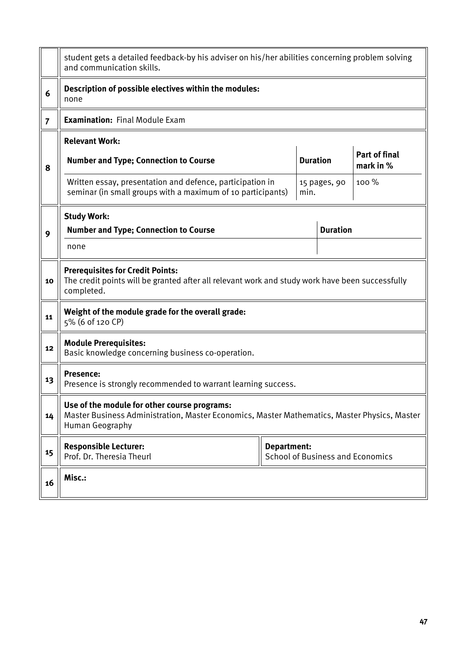|                | student gets a detailed feedback-by his adviser on his/her abilities concerning problem solving<br>and communication skills.                                    |                                                               |                 |                                   |  |  |  |  |  |
|----------------|-----------------------------------------------------------------------------------------------------------------------------------------------------------------|---------------------------------------------------------------|-----------------|-----------------------------------|--|--|--|--|--|
| 6              | Description of possible electives within the modules:<br>none                                                                                                   |                                                               |                 |                                   |  |  |  |  |  |
| $\overline{7}$ | <b>Examination: Final Module Exam</b>                                                                                                                           |                                                               |                 |                                   |  |  |  |  |  |
|                | <b>Relevant Work:</b>                                                                                                                                           |                                                               |                 |                                   |  |  |  |  |  |
| 8              | <b>Number and Type; Connection to Course</b>                                                                                                                    | <b>Duration</b>                                               |                 | <b>Part of final</b><br>mark in % |  |  |  |  |  |
|                | Written essay, presentation and defence, participation in<br>seminar (in small groups with a maximum of 10 participants)                                        | min.                                                          | 15 pages, 90    | 100 %                             |  |  |  |  |  |
|                | <b>Study Work:</b>                                                                                                                                              |                                                               |                 |                                   |  |  |  |  |  |
| 9              | <b>Number and Type; Connection to Course</b>                                                                                                                    |                                                               | <b>Duration</b> |                                   |  |  |  |  |  |
|                | none                                                                                                                                                            |                                                               |                 |                                   |  |  |  |  |  |
| 10             | <b>Prerequisites for Credit Points:</b><br>The credit points will be granted after all relevant work and study work have been successfully<br>completed.        |                                                               |                 |                                   |  |  |  |  |  |
| 11             | Weight of the module grade for the overall grade:<br>5% (6 of 120 CP)                                                                                           |                                                               |                 |                                   |  |  |  |  |  |
| 12             | <b>Module Prerequisites:</b><br>Basic knowledge concerning business co-operation.                                                                               |                                                               |                 |                                   |  |  |  |  |  |
| 13             | <b>Presence:</b><br>Presence is strongly recommended to warrant learning success.                                                                               |                                                               |                 |                                   |  |  |  |  |  |
| 14             | Use of the module for other course programs:<br>Master Business Administration, Master Economics, Master Mathematics, Master Physics, Master<br>Human Geography |                                                               |                 |                                   |  |  |  |  |  |
| 15             | <b>Responsible Lecturer:</b><br>Prof. Dr. Theresia Theurl                                                                                                       | <b>Department:</b><br><b>School of Business and Economics</b> |                 |                                   |  |  |  |  |  |
| 16             | Misc.:                                                                                                                                                          |                                                               |                 |                                   |  |  |  |  |  |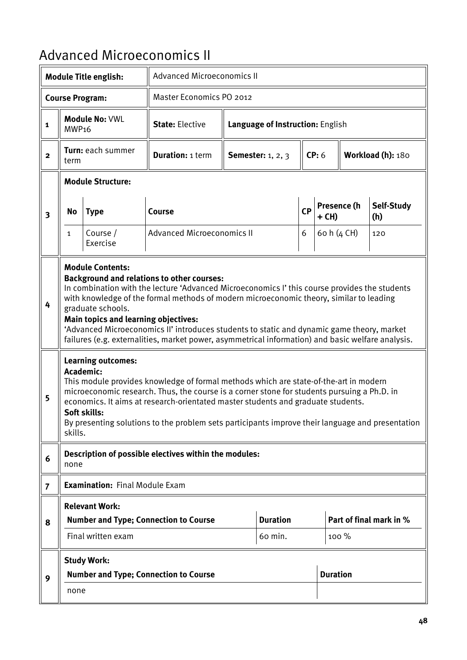### Advanced Microeconomics II

|                         |                                                                                                                                                                                                                                                                                                                                                                                                                                                                                                                                                 | <b>Module Title english:</b>                           |                                                                                                                                                                                                                                                                                                                                                                              | <b>Advanced Microeconomics II</b> |                                  |   |             |                 |                         |  |
|-------------------------|-------------------------------------------------------------------------------------------------------------------------------------------------------------------------------------------------------------------------------------------------------------------------------------------------------------------------------------------------------------------------------------------------------------------------------------------------------------------------------------------------------------------------------------------------|--------------------------------------------------------|------------------------------------------------------------------------------------------------------------------------------------------------------------------------------------------------------------------------------------------------------------------------------------------------------------------------------------------------------------------------------|-----------------------------------|----------------------------------|---|-------------|-----------------|-------------------------|--|
|                         |                                                                                                                                                                                                                                                                                                                                                                                                                                                                                                                                                 | <b>Course Program:</b>                                 | <b>Master Economics PO 2012</b>                                                                                                                                                                                                                                                                                                                                              |                                   |                                  |   |             |                 |                         |  |
| $\mathbf{1}$            | MWP <sub>16</sub>                                                                                                                                                                                                                                                                                                                                                                                                                                                                                                                               | <b>Module No: VWL</b>                                  | <b>State: Elective</b>                                                                                                                                                                                                                                                                                                                                                       |                                   | Language of Instruction: English |   |             |                 |                         |  |
| $\overline{2}$          | term                                                                                                                                                                                                                                                                                                                                                                                                                                                                                                                                            | Turn: each summer                                      | <b>Duration: 1 term</b>                                                                                                                                                                                                                                                                                                                                                      |                                   | <b>Semester:</b> 1, 2, 3         |   | CP: 6       |                 | Workload (h): 180       |  |
|                         |                                                                                                                                                                                                                                                                                                                                                                                                                                                                                                                                                 | <b>Module Structure:</b>                               |                                                                                                                                                                                                                                                                                                                                                                              |                                   |                                  |   |             |                 |                         |  |
| $\overline{\mathbf{3}}$ | No                                                                                                                                                                                                                                                                                                                                                                                                                                                                                                                                              | <b>Type</b>                                            | Course                                                                                                                                                                                                                                                                                                                                                                       |                                   |                                  |   | + CH)       | Presence (h     | Self-Study<br>(h)       |  |
|                         | $\mathbf{1}$                                                                                                                                                                                                                                                                                                                                                                                                                                                                                                                                    | Course /<br>Exercise                                   | <b>Advanced Microeconomics II</b>                                                                                                                                                                                                                                                                                                                                            |                                   |                                  | 6 | 60 h (4 CH) |                 | 120                     |  |
| 4                       | <b>Module Contents:</b><br><b>Background and relations to other courses:</b><br>In combination with the lecture 'Advanced Microeconomics I' this course provides the students<br>with knowledge of the formal methods of modern microeconomic theory, similar to leading<br>graduate schools.<br><b>Main topics and learning objectives:</b><br>'Advanced Microeconomics II' introduces students to static and dynamic game theory, market<br>failures (e.g. externalities, market power, asymmetrical information) and basic welfare analysis. |                                                        |                                                                                                                                                                                                                                                                                                                                                                              |                                   |                                  |   |             |                 |                         |  |
| 5                       | skills.                                                                                                                                                                                                                                                                                                                                                                                                                                                                                                                                         | <b>Learning outcomes:</b><br>Academic:<br>Soft skills: | This module provides knowledge of formal methods which are state-of-the-art in modern<br>microeconomic research. Thus, the course is a corner stone for students pursuing a Ph.D. in<br>economics. It aims at research-orientated master students and graduate students.<br>By presenting solutions to the problem sets participants improve their language and presentation |                                   |                                  |   |             |                 |                         |  |
| 6                       | none                                                                                                                                                                                                                                                                                                                                                                                                                                                                                                                                            |                                                        | Description of possible electives within the modules:                                                                                                                                                                                                                                                                                                                        |                                   |                                  |   |             |                 |                         |  |
| $\overline{7}$          |                                                                                                                                                                                                                                                                                                                                                                                                                                                                                                                                                 | <b>Examination: Final Module Exam</b>                  |                                                                                                                                                                                                                                                                                                                                                                              |                                   |                                  |   |             |                 |                         |  |
|                         |                                                                                                                                                                                                                                                                                                                                                                                                                                                                                                                                                 | <b>Relevant Work:</b>                                  |                                                                                                                                                                                                                                                                                                                                                                              |                                   |                                  |   |             |                 |                         |  |
| 8                       |                                                                                                                                                                                                                                                                                                                                                                                                                                                                                                                                                 | Final written exam                                     | <b>Number and Type; Connection to Course</b>                                                                                                                                                                                                                                                                                                                                 |                                   | <b>Duration</b><br>60 min.       |   |             | 100 %           | Part of final mark in % |  |
|                         |                                                                                                                                                                                                                                                                                                                                                                                                                                                                                                                                                 |                                                        |                                                                                                                                                                                                                                                                                                                                                                              |                                   |                                  |   |             |                 |                         |  |
| 9                       |                                                                                                                                                                                                                                                                                                                                                                                                                                                                                                                                                 | <b>Study Work:</b>                                     | <b>Number and Type; Connection to Course</b>                                                                                                                                                                                                                                                                                                                                 |                                   |                                  |   |             | <b>Duration</b> |                         |  |
|                         | none                                                                                                                                                                                                                                                                                                                                                                                                                                                                                                                                            |                                                        |                                                                                                                                                                                                                                                                                                                                                                              |                                   |                                  |   |             |                 |                         |  |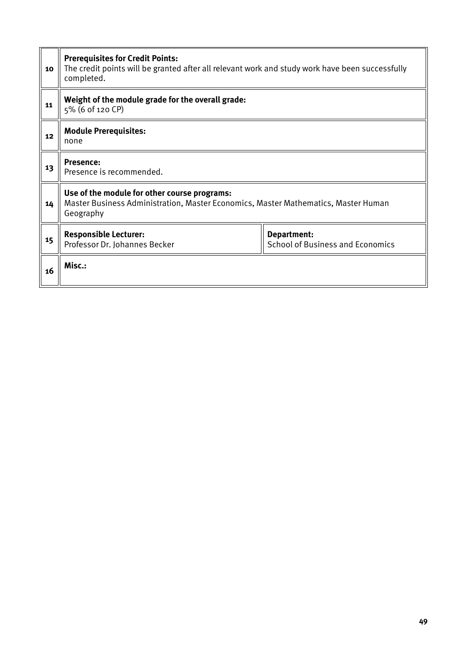| 10 | <b>Prerequisites for Credit Points:</b><br>The credit points will be granted after all relevant work and study work have been successfully<br>completed. |                                                        |  |  |  |  |  |  |  |
|----|----------------------------------------------------------------------------------------------------------------------------------------------------------|--------------------------------------------------------|--|--|--|--|--|--|--|
| 11 | Weight of the module grade for the overall grade:<br>5% (6 of 120 CP)                                                                                    |                                                        |  |  |  |  |  |  |  |
| 12 | <b>Module Prerequisites:</b><br>none                                                                                                                     |                                                        |  |  |  |  |  |  |  |
| 13 | <b>Presence:</b><br>Presence is recommended.                                                                                                             |                                                        |  |  |  |  |  |  |  |
| 14 | Use of the module for other course programs:<br>Master Business Administration, Master Economics, Master Mathematics, Master Human<br>Geography          |                                                        |  |  |  |  |  |  |  |
| 15 | <b>Responsible Lecturer:</b><br>Professor Dr. Johannes Becker                                                                                            | Department:<br><b>School of Business and Economics</b> |  |  |  |  |  |  |  |
| 16 | Misc.:                                                                                                                                                   |                                                        |  |  |  |  |  |  |  |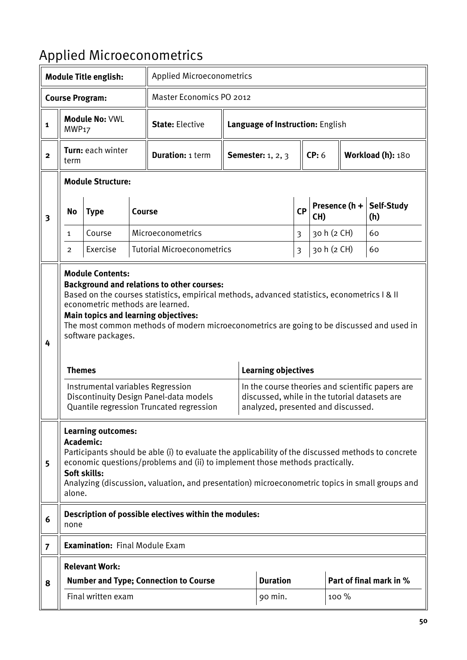# Applied Microeconometrics

|                         |                     | <b>Module Title english:</b>                                                      |               |                                                                                                                                                                                                                                                                                                                                                                                                                   | <b>Applied Microeconometrics</b>    |                                                                                                                   |   |             |                   |                                                  |
|-------------------------|---------------------|-----------------------------------------------------------------------------------|---------------|-------------------------------------------------------------------------------------------------------------------------------------------------------------------------------------------------------------------------------------------------------------------------------------------------------------------------------------------------------------------------------------------------------------------|-------------------------------------|-------------------------------------------------------------------------------------------------------------------|---|-------------|-------------------|--------------------------------------------------|
|                         |                     | <b>Course Program:</b>                                                            |               | Master Economics PO 2012                                                                                                                                                                                                                                                                                                                                                                                          |                                     |                                                                                                                   |   |             |                   |                                                  |
| 1                       | MWP <sub>17</sub>   | <b>Module No: VWL</b>                                                             |               | <b>State: Elective</b>                                                                                                                                                                                                                                                                                                                                                                                            |                                     | Language of Instruction: English                                                                                  |   |             |                   |                                                  |
| $\overline{\mathbf{2}}$ | term                | Turn: each winter                                                                 |               | <b>Duration: 1 term</b>                                                                                                                                                                                                                                                                                                                                                                                           |                                     | <b>Semester:</b> 1, 2, 3                                                                                          |   | CP: 6       | Workload (h): 180 |                                                  |
|                         |                     | <b>Module Structure:</b>                                                          |               |                                                                                                                                                                                                                                                                                                                                                                                                                   |                                     |                                                                                                                   |   |             |                   |                                                  |
| $\overline{\mathbf{3}}$ | <b>No</b>           | <b>Type</b>                                                                       | <b>Course</b> |                                                                                                                                                                                                                                                                                                                                                                                                                   | Presence $(h +$<br>CP<br>CH)<br>(h) |                                                                                                                   |   | Self-Study  |                   |                                                  |
|                         | $\mathbf{1}$        | Course                                                                            |               | Microeconometrics                                                                                                                                                                                                                                                                                                                                                                                                 |                                     |                                                                                                                   |   |             | 30 h (2 CH)       | 60                                               |
|                         | 2                   | Exercise                                                                          |               | <b>Tutorial Microeconometrics</b>                                                                                                                                                                                                                                                                                                                                                                                 |                                     |                                                                                                                   | 3 | 30 h (2 CH) |                   | 60                                               |
| 4                       | <b>Themes</b>       | <b>Module Contents:</b><br>econometric methods are learned.<br>software packages. |               | <b>Background and relations to other courses:</b><br>Based on the courses statistics, empirical methods, advanced statistics, econometrics   &   <br>Main topics and learning objectives:<br>The most common methods of modern microeconometrics are going to be discussed and used in<br>Instrumental variables Regression<br>Discontinuity Design Panel-data models<br>Quantile regression Truncated regression |                                     | <b>Learning objectives</b><br>discussed, while in the tutorial datasets are<br>analyzed, presented and discussed. |   |             |                   | In the course theories and scientific papers are |
| 5                       | Academic:<br>alone. | <b>Learning outcomes:</b><br>Soft skills:                                         |               | Participants should be able (i) to evaluate the applicability of the discussed methods to concrete<br>economic questions/problems and (ii) to implement those methods practically.<br>Analyzing (discussion, valuation, and presentation) microeconometric topics in small groups and                                                                                                                             |                                     |                                                                                                                   |   |             |                   |                                                  |
| 6                       | none                |                                                                                   |               | Description of possible electives within the modules:                                                                                                                                                                                                                                                                                                                                                             |                                     |                                                                                                                   |   |             |                   |                                                  |
| $\overline{7}$          |                     | <b>Examination: Final Module Exam</b>                                             |               |                                                                                                                                                                                                                                                                                                                                                                                                                   |                                     |                                                                                                                   |   |             |                   |                                                  |
|                         |                     | <b>Relevant Work:</b>                                                             |               |                                                                                                                                                                                                                                                                                                                                                                                                                   |                                     |                                                                                                                   |   |             |                   |                                                  |
| 8                       |                     |                                                                                   |               | <b>Number and Type; Connection to Course</b>                                                                                                                                                                                                                                                                                                                                                                      |                                     | <b>Duration</b>                                                                                                   |   |             |                   | Part of final mark in %                          |
|                         |                     | Final written exam                                                                |               |                                                                                                                                                                                                                                                                                                                                                                                                                   |                                     | 90 min.                                                                                                           |   |             | 100 %             |                                                  |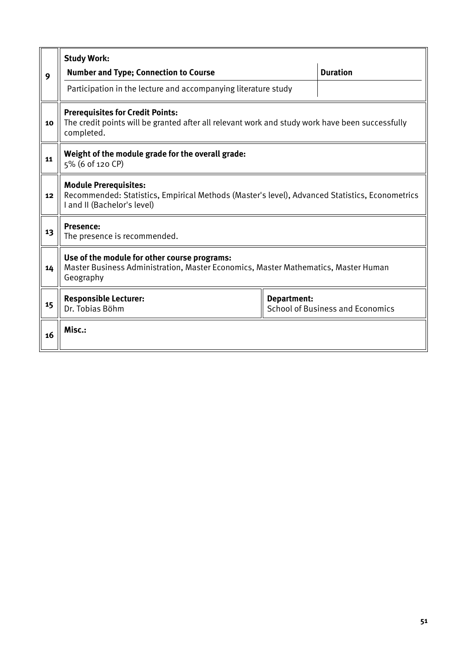|    | <b>Study Work:</b>                                                                                                                                            |  |                 |  |  |  |  |  |  |
|----|---------------------------------------------------------------------------------------------------------------------------------------------------------------|--|-----------------|--|--|--|--|--|--|
| 9  | <b>Number and Type; Connection to Course</b>                                                                                                                  |  | <b>Duration</b> |  |  |  |  |  |  |
|    | Participation in the lecture and accompanying literature study                                                                                                |  |                 |  |  |  |  |  |  |
| 10 | <b>Prerequisites for Credit Points:</b><br>The credit points will be granted after all relevant work and study work have been successfully<br>completed.      |  |                 |  |  |  |  |  |  |
| 11 | Weight of the module grade for the overall grade:<br>5% (6 of 120 CP)                                                                                         |  |                 |  |  |  |  |  |  |
| 12 | <b>Module Prerequisites:</b><br>Recommended: Statistics, Empirical Methods (Master's level), Advanced Statistics, Econometrics<br>I and II (Bachelor's level) |  |                 |  |  |  |  |  |  |
| 13 | <b>Presence:</b><br>The presence is recommended.                                                                                                              |  |                 |  |  |  |  |  |  |
| 14 | Use of the module for other course programs:<br>Master Business Administration, Master Economics, Master Mathematics, Master Human<br>Geography               |  |                 |  |  |  |  |  |  |
| 15 | <b>Responsible Lecturer:</b><br>Department:<br>Dr. Tobias Böhm<br><b>School of Business and Economics</b>                                                     |  |                 |  |  |  |  |  |  |
| 16 | Misc.:                                                                                                                                                        |  |                 |  |  |  |  |  |  |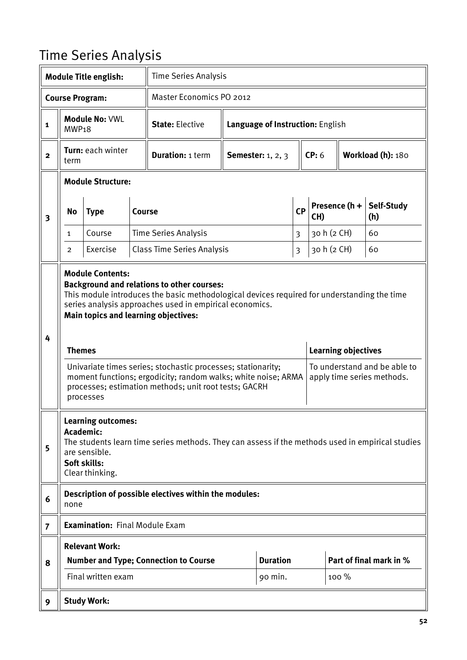# Time Series Analysis

|                         |                                                                                                                                                                                                                                                                                                                                                                                                                                                                                                                                                                                                    | <b>Module Title english:</b>                                                               |               | <b>Time Series Analysis</b>                                                                      |                |                                  |       |             |                                    |                         |
|-------------------------|----------------------------------------------------------------------------------------------------------------------------------------------------------------------------------------------------------------------------------------------------------------------------------------------------------------------------------------------------------------------------------------------------------------------------------------------------------------------------------------------------------------------------------------------------------------------------------------------------|--------------------------------------------------------------------------------------------|---------------|--------------------------------------------------------------------------------------------------|----------------|----------------------------------|-------|-------------|------------------------------------|-------------------------|
|                         |                                                                                                                                                                                                                                                                                                                                                                                                                                                                                                                                                                                                    | <b>Course Program:</b>                                                                     |               | Master Economics PO 2012                                                                         |                |                                  |       |             |                                    |                         |
| $\mathbf{1}$            | MWP <sub>18</sub>                                                                                                                                                                                                                                                                                                                                                                                                                                                                                                                                                                                  | <b>Module No: VWL</b>                                                                      |               | <b>State: Elective</b>                                                                           |                | Language of Instruction: English |       |             |                                    |                         |
| $\mathbf{2}$            | term                                                                                                                                                                                                                                                                                                                                                                                                                                                                                                                                                                                               | <b>Turn: each winter</b>                                                                   |               | <b>Duration: 1 term</b>                                                                          |                | <b>Semester:</b> 1, 2, 3         | CP: 6 |             |                                    | Workload (h): 180       |
|                         |                                                                                                                                                                                                                                                                                                                                                                                                                                                                                                                                                                                                    | <b>Module Structure:</b>                                                                   |               |                                                                                                  |                |                                  |       |             |                                    |                         |
| $\overline{\mathbf{3}}$ | No                                                                                                                                                                                                                                                                                                                                                                                                                                                                                                                                                                                                 | <b>Type</b>                                                                                | <b>Course</b> |                                                                                                  | CP             |                                  |       | CH)         | Presence (h +<br>Self-Study<br>(h) |                         |
|                         | 1                                                                                                                                                                                                                                                                                                                                                                                                                                                                                                                                                                                                  | Course                                                                                     |               | <b>Time Series Analysis</b>                                                                      | $\overline{3}$ |                                  |       |             | 30 h (2 CH)                        | 60                      |
|                         | 2                                                                                                                                                                                                                                                                                                                                                                                                                                                                                                                                                                                                  | Exercise                                                                                   |               | <b>Class Time Series Analysis</b>                                                                |                |                                  | 3     | 30 h (2 CH) |                                    | 60                      |
| 4                       | <b>Module Contents:</b><br><b>Background and relations to other courses:</b><br>This module introduces the basic methodological devices required for understanding the time<br>series analysis approaches used in empirical economics.<br>Main topics and learning objectives:<br><b>Learning objectives</b><br><b>Themes</b><br>To understand and be able to<br>Univariate times series; stochastic processes; stationarity;<br>moment functions; ergodicity; random walks; white noise; ARMA<br>apply time series methods.<br>processes; estimation methods; unit root tests; GACRH<br>processes |                                                                                            |               |                                                                                                  |                |                                  |       |             |                                    |                         |
| 5                       |                                                                                                                                                                                                                                                                                                                                                                                                                                                                                                                                                                                                    | <b>Learning outcomes:</b><br>Academic:<br>are sensible.<br>Soft skills:<br>Clear thinking. |               | The students learn time series methods. They can assess if the methods used in empirical studies |                |                                  |       |             |                                    |                         |
| 6                       | none                                                                                                                                                                                                                                                                                                                                                                                                                                                                                                                                                                                               |                                                                                            |               | Description of possible electives within the modules:                                            |                |                                  |       |             |                                    |                         |
| $\overline{7}$          |                                                                                                                                                                                                                                                                                                                                                                                                                                                                                                                                                                                                    | <b>Examination: Final Module Exam</b>                                                      |               |                                                                                                  |                |                                  |       |             |                                    |                         |
|                         |                                                                                                                                                                                                                                                                                                                                                                                                                                                                                                                                                                                                    | <b>Relevant Work:</b>                                                                      |               |                                                                                                  |                |                                  |       |             |                                    |                         |
| 8                       |                                                                                                                                                                                                                                                                                                                                                                                                                                                                                                                                                                                                    |                                                                                            |               | <b>Number and Type; Connection to Course</b>                                                     |                | <b>Duration</b>                  |       |             |                                    | Part of final mark in % |
|                         |                                                                                                                                                                                                                                                                                                                                                                                                                                                                                                                                                                                                    | Final written exam                                                                         |               |                                                                                                  |                | 90 min.                          |       |             | 100 %                              |                         |
| 9                       |                                                                                                                                                                                                                                                                                                                                                                                                                                                                                                                                                                                                    | <b>Study Work:</b>                                                                         |               |                                                                                                  |                |                                  |       |             |                                    |                         |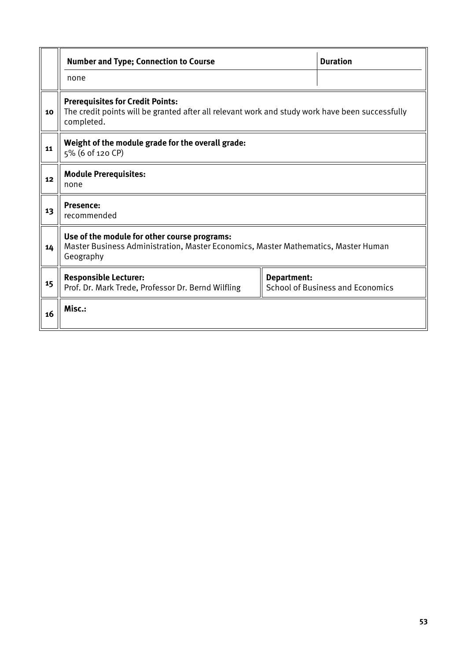|    | <b>Number and Type; Connection to Course</b>                                                                                                             |  | <b>Duration</b> |  |  |  |  |  |
|----|----------------------------------------------------------------------------------------------------------------------------------------------------------|--|-----------------|--|--|--|--|--|
|    | none                                                                                                                                                     |  |                 |  |  |  |  |  |
| 10 | <b>Prerequisites for Credit Points:</b><br>The credit points will be granted after all relevant work and study work have been successfully<br>completed. |  |                 |  |  |  |  |  |
| 11 | Weight of the module grade for the overall grade:<br>5% (6 of 120 CP)                                                                                    |  |                 |  |  |  |  |  |
| 12 | <b>Module Prerequisites:</b><br>none                                                                                                                     |  |                 |  |  |  |  |  |
| 13 | <b>Presence:</b><br>recommended                                                                                                                          |  |                 |  |  |  |  |  |
| 14 | Use of the module for other course programs:<br>Master Business Administration, Master Economics, Master Mathematics, Master Human<br>Geography          |  |                 |  |  |  |  |  |
| 15 | <b>Responsible Lecturer:</b><br>Department:<br><b>School of Business and Economics</b><br>Prof. Dr. Mark Trede, Professor Dr. Bernd Wilfling             |  |                 |  |  |  |  |  |
| 16 | Misc.:                                                                                                                                                   |  |                 |  |  |  |  |  |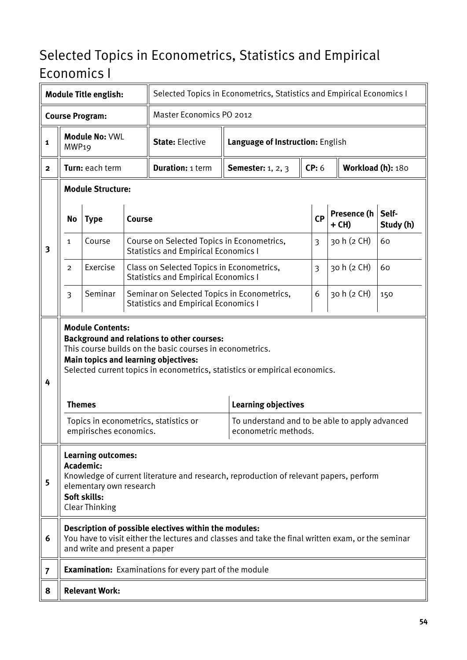#### Selected Topics in Econometrics, Statistics and Empirical Economics I

|                |                   | <b>Module Title english:</b>                                                                                                                                                                                                                                           |               | Selected Topics in Econometrics, Statistics and Empirical Economics I                                                 |                                                                                                   |       |  |                      |                    |  |  |
|----------------|-------------------|------------------------------------------------------------------------------------------------------------------------------------------------------------------------------------------------------------------------------------------------------------------------|---------------|-----------------------------------------------------------------------------------------------------------------------|---------------------------------------------------------------------------------------------------|-------|--|----------------------|--------------------|--|--|
|                |                   | <b>Course Program:</b>                                                                                                                                                                                                                                                 |               | Master Economics PO 2012                                                                                              |                                                                                                   |       |  |                      |                    |  |  |
| 1              | MWP <sub>19</sub> | Module No: VWL                                                                                                                                                                                                                                                         |               | <b>State: Elective</b>                                                                                                | Language of Instruction: English                                                                  |       |  |                      |                    |  |  |
| $\mathbf{2}$   |                   | Turn: each term                                                                                                                                                                                                                                                        |               | <b>Duration: 1 term</b>                                                                                               | <b>Semester:</b> 1, 2, 3                                                                          | CP: 6 |  | Workload (h): 180    |                    |  |  |
|                |                   | <b>Module Structure:</b>                                                                                                                                                                                                                                               |               |                                                                                                                       |                                                                                                   |       |  |                      |                    |  |  |
|                | <b>No</b>         | <b>Type</b>                                                                                                                                                                                                                                                            | <b>Course</b> |                                                                                                                       |                                                                                                   | CP    |  | Presence (h<br>+ CH) | Self-<br>Study (h) |  |  |
| 3              | 1                 | Course                                                                                                                                                                                                                                                                 |               | Course on Selected Topics in Econometrics,<br><b>Statistics and Empirical Economics I</b>                             |                                                                                                   | 3     |  | 30 h (2 CH)          | 60                 |  |  |
|                | $\overline{2}$    | Exercise                                                                                                                                                                                                                                                               |               | Class on Selected Topics in Econometrics,<br><b>Statistics and Empirical Economics I</b>                              |                                                                                                   | 3     |  | 30 h (2 CH)          | 60                 |  |  |
|                | $\overline{3}$    | Seminar                                                                                                                                                                                                                                                                |               | Seminar on Selected Topics in Econometrics,<br>6<br>30 h (2 CH)<br>150<br><b>Statistics and Empirical Economics I</b> |                                                                                                   |       |  |                      |                    |  |  |
| 4              |                   | <b>Module Contents:</b><br><b>Background and relations to other courses:</b><br>This course builds on the basic courses in econometrics.<br><b>Main topics and learning objectives:</b><br>Selected current topics in econometrics, statistics or empirical economics. |               |                                                                                                                       |                                                                                                   |       |  |                      |                    |  |  |
|                |                   | <b>Themes</b>                                                                                                                                                                                                                                                          |               |                                                                                                                       | <b>Learning objectives</b>                                                                        |       |  |                      |                    |  |  |
|                |                   | empirisches economics.                                                                                                                                                                                                                                                 |               | Topics in econometrics, statistics or                                                                                 | To understand and to be able to apply advanced<br>econometric methods.                            |       |  |                      |                    |  |  |
| 5              |                   | <b>Learning outcomes:</b><br>Academic:<br>elementary own research<br>Soft skills:<br><b>Clear Thinking</b>                                                                                                                                                             |               |                                                                                                                       | Knowledge of current literature and research, reproduction of relevant papers, perform            |       |  |                      |                    |  |  |
| 6              |                   | and write and present a paper                                                                                                                                                                                                                                          |               | Description of possible electives within the modules:                                                                 | You have to visit either the lectures and classes and take the final written exam, or the seminar |       |  |                      |                    |  |  |
| $\overline{7}$ |                   |                                                                                                                                                                                                                                                                        |               | <b>Examination:</b> Examinations for every part of the module                                                         |                                                                                                   |       |  |                      |                    |  |  |
| 8              |                   | <b>Relevant Work:</b>                                                                                                                                                                                                                                                  |               |                                                                                                                       |                                                                                                   |       |  |                      |                    |  |  |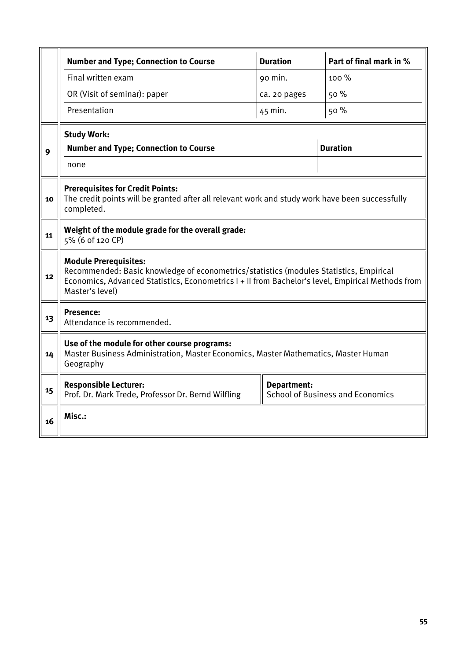|    | <b>Number and Type; Connection to Course</b>                                                                                                                                                                                                   | <b>Duration</b>    | Part of final mark in %                 |  |  |  |  |  |  |
|----|------------------------------------------------------------------------------------------------------------------------------------------------------------------------------------------------------------------------------------------------|--------------------|-----------------------------------------|--|--|--|--|--|--|
|    | Final written exam                                                                                                                                                                                                                             | 90 min.            | 100 %                                   |  |  |  |  |  |  |
|    | OR (Visit of seminar): paper                                                                                                                                                                                                                   | ca. 20 pages       | 50 %                                    |  |  |  |  |  |  |
|    | Presentation                                                                                                                                                                                                                                   | 45 min.            | 50 %                                    |  |  |  |  |  |  |
|    | <b>Study Work:</b>                                                                                                                                                                                                                             |                    |                                         |  |  |  |  |  |  |
| 9  | <b>Number and Type; Connection to Course</b>                                                                                                                                                                                                   |                    | <b>Duration</b>                         |  |  |  |  |  |  |
|    | none                                                                                                                                                                                                                                           |                    |                                         |  |  |  |  |  |  |
| 10 | <b>Prerequisites for Credit Points:</b><br>The credit points will be granted after all relevant work and study work have been successfully<br>completed.                                                                                       |                    |                                         |  |  |  |  |  |  |
| 11 | Weight of the module grade for the overall grade:<br>5% (6 of 120 CP)                                                                                                                                                                          |                    |                                         |  |  |  |  |  |  |
| 12 | <b>Module Prerequisites:</b><br>Recommended: Basic knowledge of econometrics/statistics (modules Statistics, Empirical<br>Economics, Advanced Statistics, Econometrics I + II from Bachelor's level, Empirical Methods from<br>Master's level) |                    |                                         |  |  |  |  |  |  |
| 13 | <b>Presence:</b><br>Attendance is recommended.                                                                                                                                                                                                 |                    |                                         |  |  |  |  |  |  |
| 14 | Use of the module for other course programs:<br>Master Business Administration, Master Economics, Master Mathematics, Master Human<br>Geography                                                                                                |                    |                                         |  |  |  |  |  |  |
| 15 | <b>Responsible Lecturer:</b><br>Prof. Dr. Mark Trede, Professor Dr. Bernd Wilfling                                                                                                                                                             | <b>Department:</b> | <b>School of Business and Economics</b> |  |  |  |  |  |  |
| 16 | Misc.:                                                                                                                                                                                                                                         |                    |                                         |  |  |  |  |  |  |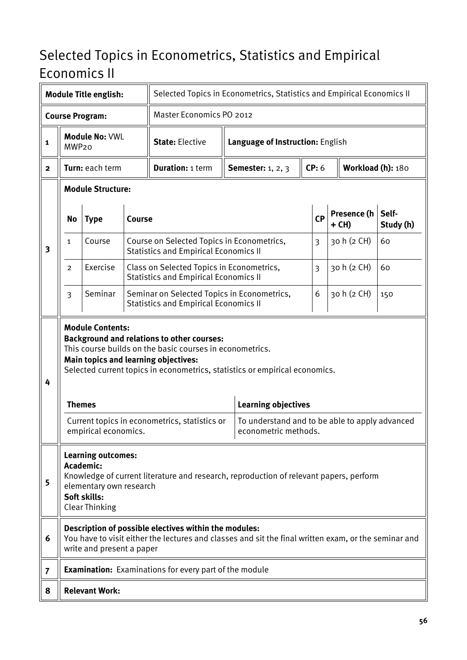#### Selected Topics in Econometrics, Statistics and Empirical Economics II

|                |                                                                                                                                                                                                                                                                                                                       | <b>Module Title english:</b>                                                                               |                                                                                                                        |                                                                                                                                                               | Selected Topics in Econometrics, Statistics and Empirical Economics II |                                                                        |                |                   |                        |                    |  |
|----------------|-----------------------------------------------------------------------------------------------------------------------------------------------------------------------------------------------------------------------------------------------------------------------------------------------------------------------|------------------------------------------------------------------------------------------------------------|------------------------------------------------------------------------------------------------------------------------|---------------------------------------------------------------------------------------------------------------------------------------------------------------|------------------------------------------------------------------------|------------------------------------------------------------------------|----------------|-------------------|------------------------|--------------------|--|
|                |                                                                                                                                                                                                                                                                                                                       | <b>Course Program:</b>                                                                                     |                                                                                                                        | Master Economics PO 2012                                                                                                                                      |                                                                        |                                                                        |                |                   |                        |                    |  |
| 1              | MWP <sub>20</sub>                                                                                                                                                                                                                                                                                                     | Module No: VWL                                                                                             |                                                                                                                        | <b>State: Elective</b>                                                                                                                                        |                                                                        | Language of Instruction: English                                       |                |                   |                        |                    |  |
| 2              |                                                                                                                                                                                                                                                                                                                       | Turn: each term                                                                                            |                                                                                                                        | <b>Duration: 1 term</b>                                                                                                                                       |                                                                        | <b>Semester:</b> 1, 2, 3                                               | CP: 6          | Workload (h): 180 |                        |                    |  |
|                |                                                                                                                                                                                                                                                                                                                       | <b>Module Structure:</b>                                                                                   |                                                                                                                        |                                                                                                                                                               |                                                                        |                                                                        |                |                   |                        |                    |  |
|                | <b>No</b>                                                                                                                                                                                                                                                                                                             | <b>Type</b>                                                                                                | <b>Course</b>                                                                                                          |                                                                                                                                                               |                                                                        |                                                                        | CP             |                   | Presence (h<br>$+$ CH) | Self-<br>Study (h) |  |
| 3              | 1                                                                                                                                                                                                                                                                                                                     | Course                                                                                                     |                                                                                                                        | Course on Selected Topics in Econometrics,<br><b>Statistics and Empirical Economics II</b>                                                                    |                                                                        |                                                                        | 3              |                   | 30 h (2 CH)            | 60                 |  |
|                | $\overline{2}$                                                                                                                                                                                                                                                                                                        | Exercise                                                                                                   |                                                                                                                        | Class on Selected Topics in Econometrics,<br><b>Statistics and Empirical Economics II</b>                                                                     |                                                                        |                                                                        | $\overline{3}$ |                   | 30 h (2 CH)            | 60                 |  |
|                | $\overline{3}$                                                                                                                                                                                                                                                                                                        | Seminar                                                                                                    | Seminar on Selected Topics in Econometrics,<br>30 h (2 CH)<br>6<br>150<br><b>Statistics and Empirical Economics II</b> |                                                                                                                                                               |                                                                        |                                                                        |                |                   |                        |                    |  |
| 4              | <b>Module Contents:</b><br><b>Background and relations to other courses:</b><br>This course builds on the basic courses in econometrics.<br><b>Main topics and learning objectives:</b><br>Selected current topics in econometrics, statistics or empirical economics.<br><b>Learning objectives</b><br><b>Themes</b> |                                                                                                            |                                                                                                                        |                                                                                                                                                               |                                                                        |                                                                        |                |                   |                        |                    |  |
|                |                                                                                                                                                                                                                                                                                                                       | empirical economics.                                                                                       |                                                                                                                        | Current topics in econometrics, statistics or                                                                                                                 |                                                                        | To understand and to be able to apply advanced<br>econometric methods. |                |                   |                        |                    |  |
| 5              |                                                                                                                                                                                                                                                                                                                       | <b>Learning outcomes:</b><br>Academic:<br>elementary own research<br>Soft skills:<br><b>Clear Thinking</b> |                                                                                                                        | Knowledge of current literature and research, reproduction of relevant papers, perform                                                                        |                                                                        |                                                                        |                |                   |                        |                    |  |
| 6              |                                                                                                                                                                                                                                                                                                                       | write and present a paper                                                                                  |                                                                                                                        | Description of possible electives within the modules:<br>You have to visit either the lectures and classes and sit the final written exam, or the seminar and |                                                                        |                                                                        |                |                   |                        |                    |  |
| $\overline{7}$ |                                                                                                                                                                                                                                                                                                                       |                                                                                                            |                                                                                                                        | <b>Examination:</b> Examinations for every part of the module                                                                                                 |                                                                        |                                                                        |                |                   |                        |                    |  |
| 8              |                                                                                                                                                                                                                                                                                                                       | <b>Relevant Work:</b>                                                                                      |                                                                                                                        |                                                                                                                                                               |                                                                        |                                                                        |                |                   |                        |                    |  |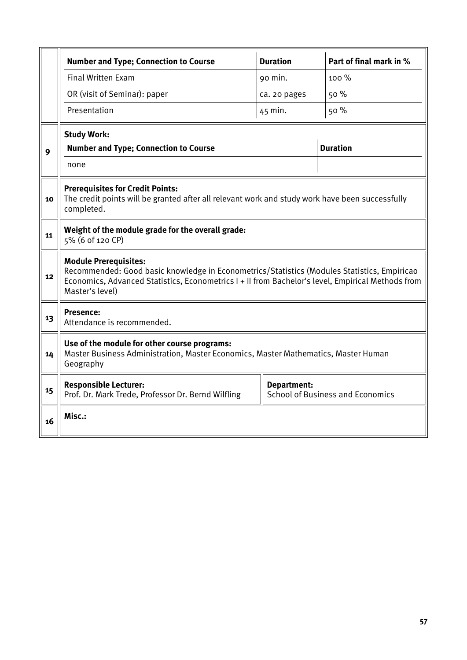|    | <b>Number and Type; Connection to Course</b>                                                                                                                                                                                                        | <b>Duration</b>    | Part of final mark in %                 |  |  |  |  |  |  |
|----|-----------------------------------------------------------------------------------------------------------------------------------------------------------------------------------------------------------------------------------------------------|--------------------|-----------------------------------------|--|--|--|--|--|--|
|    | <b>Final Written Exam</b>                                                                                                                                                                                                                           | 90 min.            | 100 %                                   |  |  |  |  |  |  |
|    | OR (visit of Seminar): paper                                                                                                                                                                                                                        | ca. 20 pages       | 50 %                                    |  |  |  |  |  |  |
|    | Presentation                                                                                                                                                                                                                                        | 45 min.            | 50%                                     |  |  |  |  |  |  |
|    | <b>Study Work:</b>                                                                                                                                                                                                                                  |                    |                                         |  |  |  |  |  |  |
| 9  | <b>Number and Type; Connection to Course</b>                                                                                                                                                                                                        |                    | <b>Duration</b>                         |  |  |  |  |  |  |
|    | none                                                                                                                                                                                                                                                |                    |                                         |  |  |  |  |  |  |
| 10 | <b>Prerequisites for Credit Points:</b><br>The credit points will be granted after all relevant work and study work have been successfully<br>completed.                                                                                            |                    |                                         |  |  |  |  |  |  |
| 11 | Weight of the module grade for the overall grade:<br>5% (6 of 120 CP)                                                                                                                                                                               |                    |                                         |  |  |  |  |  |  |
| 12 | <b>Module Prerequisites:</b><br>Recommended: Good basic knowledge in Econometrics/Statistics (Modules Statistics, Empiricao<br>Economics, Advanced Statistics, Econometrics I + II from Bachelor's level, Empirical Methods from<br>Master's level) |                    |                                         |  |  |  |  |  |  |
| 13 | <b>Presence:</b><br>Attendance is recommended.                                                                                                                                                                                                      |                    |                                         |  |  |  |  |  |  |
| 14 | Use of the module for other course programs:<br>Master Business Administration, Master Economics, Master Mathematics, Master Human<br>Geography                                                                                                     |                    |                                         |  |  |  |  |  |  |
| 15 | <b>Responsible Lecturer:</b><br>Prof. Dr. Mark Trede, Professor Dr. Bernd Wilfling                                                                                                                                                                  | <b>Department:</b> | <b>School of Business and Economics</b> |  |  |  |  |  |  |
| 16 | Misc.:                                                                                                                                                                                                                                              |                    |                                         |  |  |  |  |  |  |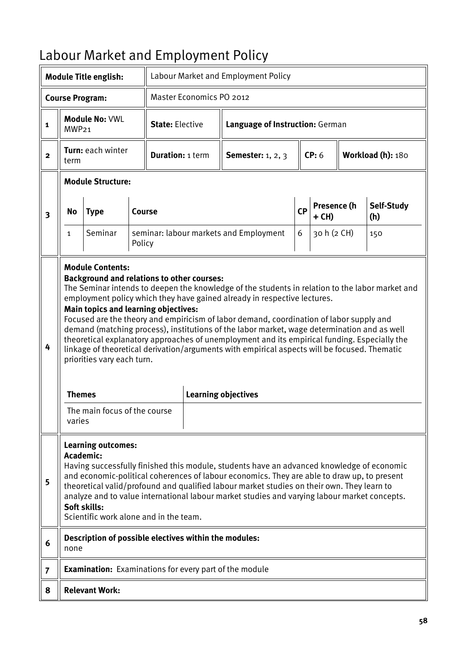# Labour Market and Employment Policy

|                         |                                                                                                                                                                                                                                                                                                                                                                                                                                                                                                   | <b>Module Title english:</b>                                                                                                                                                       |  |                         |                                 | Labour Market and Employment Policy                                                                                                                                                                                                                                                                                                                                                                                                                                                                                                                                                                 |           |                      |                   |
|-------------------------|---------------------------------------------------------------------------------------------------------------------------------------------------------------------------------------------------------------------------------------------------------------------------------------------------------------------------------------------------------------------------------------------------------------------------------------------------------------------------------------------------|------------------------------------------------------------------------------------------------------------------------------------------------------------------------------------|--|-------------------------|---------------------------------|-----------------------------------------------------------------------------------------------------------------------------------------------------------------------------------------------------------------------------------------------------------------------------------------------------------------------------------------------------------------------------------------------------------------------------------------------------------------------------------------------------------------------------------------------------------------------------------------------------|-----------|----------------------|-------------------|
|                         |                                                                                                                                                                                                                                                                                                                                                                                                                                                                                                   | <b>Course Program:</b>                                                                                                                                                             |  |                         | <b>Master Economics PO 2012</b> |                                                                                                                                                                                                                                                                                                                                                                                                                                                                                                                                                                                                     |           |                      |                   |
| $\mathbf{1}$            | MWP <sub>21</sub>                                                                                                                                                                                                                                                                                                                                                                                                                                                                                 | <b>Module No: VWL</b>                                                                                                                                                              |  | <b>State: Elective</b>  |                                 | Language of Instruction: German                                                                                                                                                                                                                                                                                                                                                                                                                                                                                                                                                                     |           |                      |                   |
| $\overline{2}$          | term                                                                                                                                                                                                                                                                                                                                                                                                                                                                                              | Turn: each winter                                                                                                                                                                  |  | <b>Duration: 1 term</b> |                                 | <b>Semester:</b> 1, 2, 3                                                                                                                                                                                                                                                                                                                                                                                                                                                                                                                                                                            |           | CP: 6                | Workload (h): 180 |
|                         |                                                                                                                                                                                                                                                                                                                                                                                                                                                                                                   | <b>Module Structure:</b>                                                                                                                                                           |  |                         |                                 |                                                                                                                                                                                                                                                                                                                                                                                                                                                                                                                                                                                                     |           |                      |                   |
| $\overline{\mathbf{3}}$ | Course<br>No<br><b>Type</b>                                                                                                                                                                                                                                                                                                                                                                                                                                                                       |                                                                                                                                                                                    |  |                         |                                 |                                                                                                                                                                                                                                                                                                                                                                                                                                                                                                                                                                                                     | <b>CP</b> | Presence (h<br>+ CH) | Self-Study<br>(h) |
|                         | $\mathbf{1}$                                                                                                                                                                                                                                                                                                                                                                                                                                                                                      | Seminar<br>seminar: labour markets and Employment<br>Policy                                                                                                                        |  |                         |                                 |                                                                                                                                                                                                                                                                                                                                                                                                                                                                                                                                                                                                     |           | 30 h (2 CH)          | 150               |
| 4                       | <b>Themes</b><br>varies                                                                                                                                                                                                                                                                                                                                                                                                                                                                           | <b>Module Contents:</b><br><b>Background and relations to other courses:</b><br>Main topics and learning objectives:<br>priorities vary each turn.<br>The main focus of the course |  |                         |                                 | The Seminar intends to deepen the knowledge of the students in relation to the labor market and<br>employment policy which they have gained already in respective lectures.<br>Focused are the theory and empiricism of labor demand, coordination of labor supply and<br>demand (matching process), institutions of the labor market, wage determination and as well<br>theoretical explanatory approaches of unemployment and its empirical funding. Especially the<br>linkage of theoretical derivation/arguments with empirical aspects will be focused. Thematic<br><b>Learning objectives</b> |           |                      |                   |
| 5                       | <b>Learning outcomes:</b><br><b>Academic:</b><br>Having successfully finished this module, students have an advanced knowledge of economic<br>and economic-political coherences of labour economics. They are able to draw up, to present<br>theoretical valid/profound and qualified labour market studies on their own. They learn to<br>analyze and to value international labour market studies and varying labour market concepts.<br>Soft skills:<br>Scientific work alone and in the team. |                                                                                                                                                                                    |  |                         |                                 |                                                                                                                                                                                                                                                                                                                                                                                                                                                                                                                                                                                                     |           |                      |                   |
| 6                       | none                                                                                                                                                                                                                                                                                                                                                                                                                                                                                              | Description of possible electives within the modules:                                                                                                                              |  |                         |                                 |                                                                                                                                                                                                                                                                                                                                                                                                                                                                                                                                                                                                     |           |                      |                   |
| $\overline{7}$          |                                                                                                                                                                                                                                                                                                                                                                                                                                                                                                   |                                                                                                                                                                                    |  |                         |                                 | <b>Examination:</b> Examinations for every part of the module                                                                                                                                                                                                                                                                                                                                                                                                                                                                                                                                       |           |                      |                   |
| 8                       |                                                                                                                                                                                                                                                                                                                                                                                                                                                                                                   | <b>Relevant Work:</b>                                                                                                                                                              |  |                         |                                 |                                                                                                                                                                                                                                                                                                                                                                                                                                                                                                                                                                                                     |           |                      |                   |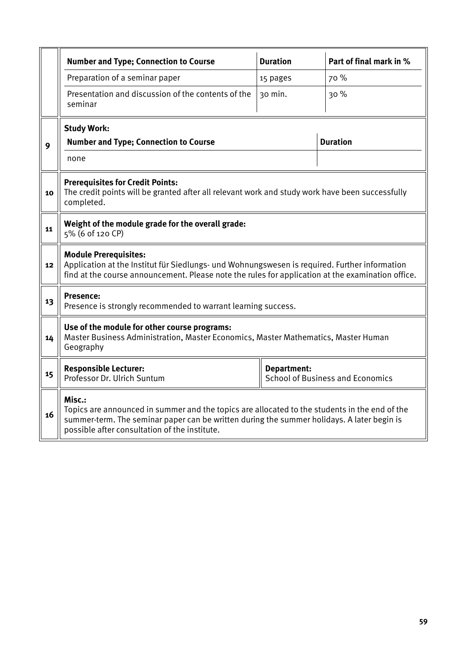|    | <b>Number and Type; Connection to Course</b>                                                                                                                                                                                                           | <b>Duration</b>                                        | Part of final mark in % |  |  |  |  |  |  |
|----|--------------------------------------------------------------------------------------------------------------------------------------------------------------------------------------------------------------------------------------------------------|--------------------------------------------------------|-------------------------|--|--|--|--|--|--|
|    | Preparation of a seminar paper                                                                                                                                                                                                                         | 15 pages                                               | 70 %                    |  |  |  |  |  |  |
|    | Presentation and discussion of the contents of the<br>seminar                                                                                                                                                                                          | 30 min.                                                | 30%                     |  |  |  |  |  |  |
|    | <b>Study Work:</b>                                                                                                                                                                                                                                     |                                                        |                         |  |  |  |  |  |  |
| 9  | <b>Number and Type; Connection to Course</b>                                                                                                                                                                                                           |                                                        | <b>Duration</b>         |  |  |  |  |  |  |
|    | none                                                                                                                                                                                                                                                   |                                                        |                         |  |  |  |  |  |  |
| 10 | <b>Prerequisites for Credit Points:</b><br>The credit points will be granted after all relevant work and study work have been successfully<br>completed.                                                                                               |                                                        |                         |  |  |  |  |  |  |
| 11 | Weight of the module grade for the overall grade:<br>5% (6 of 120 CP)                                                                                                                                                                                  |                                                        |                         |  |  |  |  |  |  |
| 12 | <b>Module Prerequisites:</b><br>Application at the Institut für Siedlungs- und Wohnungswesen is required. Further information<br>find at the course announcement. Please note the rules for application at the examination office.                     |                                                        |                         |  |  |  |  |  |  |
| 13 | Presence:<br>Presence is strongly recommended to warrant learning success.                                                                                                                                                                             |                                                        |                         |  |  |  |  |  |  |
| 14 | Use of the module for other course programs:<br>Master Business Administration, Master Economics, Master Mathematics, Master Human<br>Geography                                                                                                        |                                                        |                         |  |  |  |  |  |  |
| 15 | <b>Responsible Lecturer:</b><br>Professor Dr. Ulrich Suntum                                                                                                                                                                                            | Department:<br><b>School of Business and Economics</b> |                         |  |  |  |  |  |  |
| 16 | Misc.:<br>Topics are announced in summer and the topics are allocated to the students in the end of the<br>summer-term. The seminar paper can be written during the summer holidays. A later begin is<br>possible after consultation of the institute. |                                                        |                         |  |  |  |  |  |  |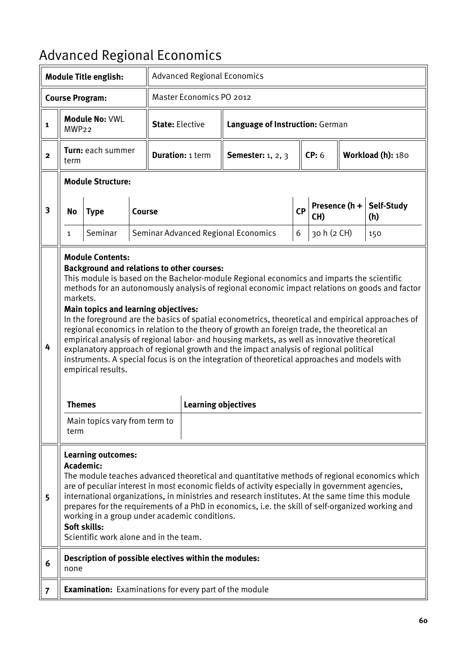# Advanced Regional Economics

|                |                                                                                                                                                                                                                                                                                                                                                                                                                                                                                                                                                               | <b>Module Title english:</b>                                                                                                                                                       |        |                        |                            | <b>Advanced Regional Economics</b>                                                                                                                                                                                                                                                                                                                                                                                                                                                                                                                                                                                                                                                       |           |             |               |                          |  |
|----------------|---------------------------------------------------------------------------------------------------------------------------------------------------------------------------------------------------------------------------------------------------------------------------------------------------------------------------------------------------------------------------------------------------------------------------------------------------------------------------------------------------------------------------------------------------------------|------------------------------------------------------------------------------------------------------------------------------------------------------------------------------------|--------|------------------------|----------------------------|------------------------------------------------------------------------------------------------------------------------------------------------------------------------------------------------------------------------------------------------------------------------------------------------------------------------------------------------------------------------------------------------------------------------------------------------------------------------------------------------------------------------------------------------------------------------------------------------------------------------------------------------------------------------------------------|-----------|-------------|---------------|--------------------------|--|
|                |                                                                                                                                                                                                                                                                                                                                                                                                                                                                                                                                                               | <b>Course Program:</b>                                                                                                                                                             |        |                        | Master Economics PO 2012   |                                                                                                                                                                                                                                                                                                                                                                                                                                                                                                                                                                                                                                                                                          |           |             |               |                          |  |
| $\mathbf{1}$   | MWP <sub>22</sub>                                                                                                                                                                                                                                                                                                                                                                                                                                                                                                                                             | <b>Module No: VWL</b>                                                                                                                                                              |        | <b>State: Elective</b> |                            | Language of Instruction: German                                                                                                                                                                                                                                                                                                                                                                                                                                                                                                                                                                                                                                                          |           |             |               |                          |  |
| $\mathbf{2}$   | term                                                                                                                                                                                                                                                                                                                                                                                                                                                                                                                                                          | Turn: each summer                                                                                                                                                                  |        |                        | <b>Duration: 1 term</b>    | <b>Semester:</b> 1, 2, 3                                                                                                                                                                                                                                                                                                                                                                                                                                                                                                                                                                                                                                                                 |           | CP: 6       |               | Workload (h): 180        |  |
|                |                                                                                                                                                                                                                                                                                                                                                                                                                                                                                                                                                               | <b>Module Structure:</b>                                                                                                                                                           |        |                        |                            |                                                                                                                                                                                                                                                                                                                                                                                                                                                                                                                                                                                                                                                                                          |           |             |               |                          |  |
| 3              | <b>No</b>                                                                                                                                                                                                                                                                                                                                                                                                                                                                                                                                                     | <b>Type</b>                                                                                                                                                                        | Course |                        |                            |                                                                                                                                                                                                                                                                                                                                                                                                                                                                                                                                                                                                                                                                                          | <b>CP</b> | CH)         | Presence (h + | <b>Self-Study</b><br>(h) |  |
|                | 1                                                                                                                                                                                                                                                                                                                                                                                                                                                                                                                                                             | Seminar                                                                                                                                                                            |        |                        |                            | Seminar Advanced Regional Economics                                                                                                                                                                                                                                                                                                                                                                                                                                                                                                                                                                                                                                                      | 6         | 30 h (2 CH) |               | 150                      |  |
| 4              | markets.<br><b>Themes</b><br>term                                                                                                                                                                                                                                                                                                                                                                                                                                                                                                                             | <b>Module Contents:</b><br><b>Background and relations to other courses:</b><br><b>Main topics and learning objectives:</b><br>empirical results.<br>Main topics vary from term to |        |                        | <b>Learning objectives</b> | This module is based on the Bachelor-module Regional economics and imparts the scientific<br>methods for an autonomously analysis of regional economic impact relations on goods and factor<br>In the foreground are the basics of spatial econometrics, theoretical and empirical approaches of<br>regional economics in relation to the theory of growth an foreign trade, the theoretical an<br>empirical analysis of regional labor- and housing markets, as well as innovative theoretical<br>explanatory approach of regional growth and the impact analysis of regional political<br>instruments. A special focus is on the integration of theoretical approaches and models with |           |             |               |                          |  |
| 5              | <b>Learning outcomes:</b><br>Academic:<br>The module teaches advanced theoretical and quantitative methods of regional economics which<br>are of peculiar interest in most economic fields of activity especially in government agencies,<br>international organizations, in ministries and research institutes. At the same time this module<br>prepares for the requirements of a PhD in economics, i.e. the skill of self-organized working and<br>working in a group under academic conditions.<br>Soft skills:<br>Scientific work alone and in the team. |                                                                                                                                                                                    |        |                        |                            |                                                                                                                                                                                                                                                                                                                                                                                                                                                                                                                                                                                                                                                                                          |           |             |               |                          |  |
| 6              | none                                                                                                                                                                                                                                                                                                                                                                                                                                                                                                                                                          | Description of possible electives within the modules:                                                                                                                              |        |                        |                            |                                                                                                                                                                                                                                                                                                                                                                                                                                                                                                                                                                                                                                                                                          |           |             |               |                          |  |
| $\overline{7}$ |                                                                                                                                                                                                                                                                                                                                                                                                                                                                                                                                                               |                                                                                                                                                                                    |        |                        |                            | <b>Examination:</b> Examinations for every part of the module                                                                                                                                                                                                                                                                                                                                                                                                                                                                                                                                                                                                                            |           |             |               |                          |  |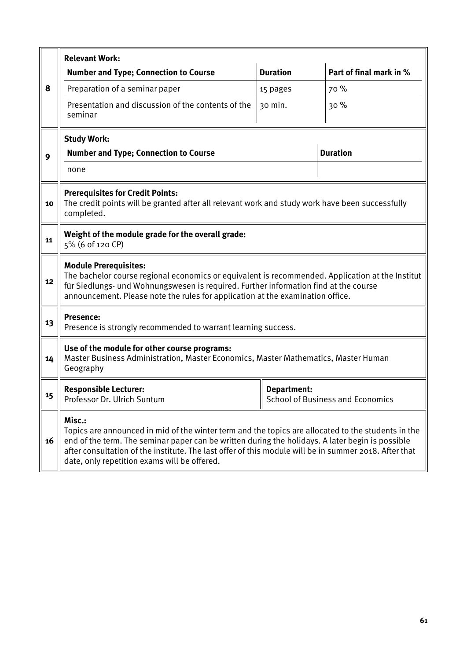|    | <b>Relevant Work:</b>                                                                                                                                                                                                                                                                                                                                                     |                 |                                         |  |  |  |  |  |  |  |
|----|---------------------------------------------------------------------------------------------------------------------------------------------------------------------------------------------------------------------------------------------------------------------------------------------------------------------------------------------------------------------------|-----------------|-----------------------------------------|--|--|--|--|--|--|--|
|    | <b>Number and Type; Connection to Course</b>                                                                                                                                                                                                                                                                                                                              | <b>Duration</b> | Part of final mark in %                 |  |  |  |  |  |  |  |
| 8  | Preparation of a seminar paper                                                                                                                                                                                                                                                                                                                                            | 15 pages        | 70 %                                    |  |  |  |  |  |  |  |
|    | Presentation and discussion of the contents of the<br>seminar                                                                                                                                                                                                                                                                                                             | 30 min.         | 30%                                     |  |  |  |  |  |  |  |
|    | <b>Study Work:</b>                                                                                                                                                                                                                                                                                                                                                        |                 |                                         |  |  |  |  |  |  |  |
| 9  | <b>Number and Type; Connection to Course</b>                                                                                                                                                                                                                                                                                                                              |                 | <b>Duration</b>                         |  |  |  |  |  |  |  |
|    | none                                                                                                                                                                                                                                                                                                                                                                      |                 |                                         |  |  |  |  |  |  |  |
| 10 | <b>Prerequisites for Credit Points:</b><br>The credit points will be granted after all relevant work and study work have been successfully<br>completed.                                                                                                                                                                                                                  |                 |                                         |  |  |  |  |  |  |  |
| 11 | Weight of the module grade for the overall grade:<br>5% (6 of 120 CP)                                                                                                                                                                                                                                                                                                     |                 |                                         |  |  |  |  |  |  |  |
| 12 | <b>Module Prerequisites:</b><br>The bachelor course regional economics or equivalent is recommended. Application at the Institut<br>für Siedlungs- und Wohnungswesen is required. Further information find at the course<br>announcement. Please note the rules for application at the examination office.                                                                |                 |                                         |  |  |  |  |  |  |  |
| 13 | <b>Presence:</b><br>Presence is strongly recommended to warrant learning success.                                                                                                                                                                                                                                                                                         |                 |                                         |  |  |  |  |  |  |  |
| 14 | Use of the module for other course programs:<br>Master Business Administration, Master Economics, Master Mathematics, Master Human<br>Geography                                                                                                                                                                                                                           |                 |                                         |  |  |  |  |  |  |  |
| 15 | <b>Responsible Lecturer:</b><br>Professor Dr. Ulrich Suntum                                                                                                                                                                                                                                                                                                               | Department:     | <b>School of Business and Economics</b> |  |  |  |  |  |  |  |
| 16 | Misc.:<br>Topics are announced in mid of the winter term and the topics are allocated to the students in the<br>end of the term. The seminar paper can be written during the holidays. A later begin is possible<br>after consultation of the institute. The last offer of this module will be in summer 2018. After that<br>date, only repetition exams will be offered. |                 |                                         |  |  |  |  |  |  |  |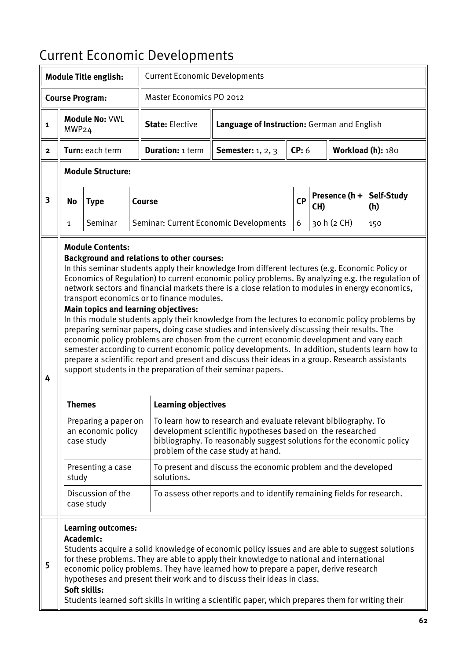# Current Economic Developments

|                | <b>Module Title english:</b>                                                                                                                                                                                                                                                                                                                                                                                                                                                                                                                                                                                                                                                                                                                                                                                                                                                                                                                                                                                                                                                                                                                                                                                                                                                                                                                                                                                                                                                                              |                                 |  | <b>Current Economic Developments</b> |                                                                        |             |     |                   |                          |
|----------------|-----------------------------------------------------------------------------------------------------------------------------------------------------------------------------------------------------------------------------------------------------------------------------------------------------------------------------------------------------------------------------------------------------------------------------------------------------------------------------------------------------------------------------------------------------------------------------------------------------------------------------------------------------------------------------------------------------------------------------------------------------------------------------------------------------------------------------------------------------------------------------------------------------------------------------------------------------------------------------------------------------------------------------------------------------------------------------------------------------------------------------------------------------------------------------------------------------------------------------------------------------------------------------------------------------------------------------------------------------------------------------------------------------------------------------------------------------------------------------------------------------------|---------------------------------|--|--------------------------------------|------------------------------------------------------------------------|-------------|-----|-------------------|--------------------------|
|                | <b>Course Program:</b>                                                                                                                                                                                                                                                                                                                                                                                                                                                                                                                                                                                                                                                                                                                                                                                                                                                                                                                                                                                                                                                                                                                                                                                                                                                                                                                                                                                                                                                                                    |                                 |  | Master Economics PO 2012             |                                                                        |             |     |                   |                          |
| 1              | MWP24                                                                                                                                                                                                                                                                                                                                                                                                                                                                                                                                                                                                                                                                                                                                                                                                                                                                                                                                                                                                                                                                                                                                                                                                                                                                                                                                                                                                                                                                                                     | <b>Module No: VWL</b>           |  | <b>State: Elective</b>               | Language of Instruction: German and English                            |             |     |                   |                          |
| $\overline{2}$ |                                                                                                                                                                                                                                                                                                                                                                                                                                                                                                                                                                                                                                                                                                                                                                                                                                                                                                                                                                                                                                                                                                                                                                                                                                                                                                                                                                                                                                                                                                           | Turn: each term                 |  | <b>Duration: 1 term</b>              | <b>Semester:</b> 1, 2, 3                                               | CP: 6       |     | Workload (h): 180 |                          |
|                |                                                                                                                                                                                                                                                                                                                                                                                                                                                                                                                                                                                                                                                                                                                                                                                                                                                                                                                                                                                                                                                                                                                                                                                                                                                                                                                                                                                                                                                                                                           | <b>Module Structure:</b>        |  |                                      |                                                                        |             |     |                   |                          |
| 3              | No                                                                                                                                                                                                                                                                                                                                                                                                                                                                                                                                                                                                                                                                                                                                                                                                                                                                                                                                                                                                                                                                                                                                                                                                                                                                                                                                                                                                                                                                                                        | <b>Type</b>                     |  | Course                               |                                                                        | <b>CP</b>   | CH) | Presence (h +     | <b>Self-Study</b><br>(h) |
|                | Seminar<br>Seminar: Current Economic Developments<br>1                                                                                                                                                                                                                                                                                                                                                                                                                                                                                                                                                                                                                                                                                                                                                                                                                                                                                                                                                                                                                                                                                                                                                                                                                                                                                                                                                                                                                                                    |                                 |  |                                      |                                                                        | 30 h (2 CH) | 150 |                   |                          |
| 4              | 6<br><b>Module Contents:</b><br><b>Background and relations to other courses:</b><br>In this seminar students apply their knowledge from different lectures (e.g. Economic Policy or<br>Economics of Regulation) to current economic policy problems. By analyzing e.g. the regulation of<br>network sectors and financial markets there is a close relation to modules in energy economics,<br>transport economics or to finance modules.<br><b>Main topics and learning objectives:</b><br>In this module students apply their knowledge from the lectures to economic policy problems by<br>preparing seminar papers, doing case studies and intensively discussing their results. The<br>economic policy problems are chosen from the current economic development and vary each<br>semester according to current economic policy developments. In addition, students learn how to<br>prepare a scientific report and present and discuss their ideas in a group. Research assistants<br>support students in the preparation of their seminar papers.<br><b>Learning objectives</b><br><b>Themes</b><br>Preparing a paper on<br>To learn how to research and evaluate relevant bibliography. To<br>an economic policy<br>development scientific hypotheses based on the researched<br>case study<br>bibliography. To reasonably suggest solutions for the economic policy<br>problem of the case study at hand.<br>To present and discuss the economic problem and the developed<br>Presenting a case |                                 |  |                                      |                                                                        |             |     |                   |                          |
|                |                                                                                                                                                                                                                                                                                                                                                                                                                                                                                                                                                                                                                                                                                                                                                                                                                                                                                                                                                                                                                                                                                                                                                                                                                                                                                                                                                                                                                                                                                                           | Discussion of the<br>case study |  |                                      | To assess other reports and to identify remaining fields for research. |             |     |                   |                          |
| 5              | <b>Learning outcomes:</b><br>Academic:<br>Students acquire a solid knowledge of economic policy issues and are able to suggest solutions<br>for these problems. They are able to apply their knowledge to national and international<br>economic policy problems. They have learned how to prepare a paper, derive research<br>hypotheses and present their work and to discuss their ideas in class.<br>Soft skills:<br>Students learned soft skills in writing a scientific paper, which prepares them for writing their                                                                                                                                                                                                                                                                                                                                                                                                                                                                                                                                                                                                                                                                                                                                                                                                                                                                                                                                                                                |                                 |  |                                      |                                                                        |             |     |                   |                          |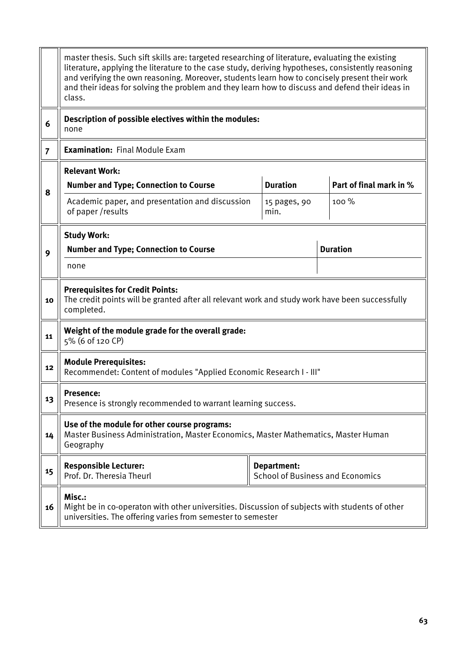|                | master thesis. Such sift skills are: targeted researching of literature, evaluating the existing<br>literature, applying the literature to the case study, deriving hypotheses, consistently reasoning<br>and verifying the own reasoning. Moreover, students learn how to concisely present their work<br>and their ideas for solving the problem and they learn how to discuss and defend their ideas in<br>class. |                                                               |                         |  |  |  |  |  |
|----------------|----------------------------------------------------------------------------------------------------------------------------------------------------------------------------------------------------------------------------------------------------------------------------------------------------------------------------------------------------------------------------------------------------------------------|---------------------------------------------------------------|-------------------------|--|--|--|--|--|
| 6              | Description of possible electives within the modules:<br>none                                                                                                                                                                                                                                                                                                                                                        |                                                               |                         |  |  |  |  |  |
| $\overline{7}$ | <b>Examination: Final Module Exam</b>                                                                                                                                                                                                                                                                                                                                                                                |                                                               |                         |  |  |  |  |  |
|                | <b>Relevant Work:</b>                                                                                                                                                                                                                                                                                                                                                                                                |                                                               |                         |  |  |  |  |  |
| 8              | <b>Number and Type; Connection to Course</b>                                                                                                                                                                                                                                                                                                                                                                         | <b>Duration</b>                                               | Part of final mark in % |  |  |  |  |  |
|                | Academic paper, and presentation and discussion<br>of paper / results                                                                                                                                                                                                                                                                                                                                                | 15 pages, 90<br>min.                                          | 100 %                   |  |  |  |  |  |
|                | <b>Study Work:</b>                                                                                                                                                                                                                                                                                                                                                                                                   |                                                               |                         |  |  |  |  |  |
| 9              | <b>Number and Type; Connection to Course</b>                                                                                                                                                                                                                                                                                                                                                                         | <b>Duration</b>                                               |                         |  |  |  |  |  |
|                | none                                                                                                                                                                                                                                                                                                                                                                                                                 |                                                               |                         |  |  |  |  |  |
| 10             | <b>Prerequisites for Credit Points:</b><br>The credit points will be granted after all relevant work and study work have been successfully<br>completed.                                                                                                                                                                                                                                                             |                                                               |                         |  |  |  |  |  |
| 11             | Weight of the module grade for the overall grade:<br>5% (6 of 120 CP)                                                                                                                                                                                                                                                                                                                                                |                                                               |                         |  |  |  |  |  |
| 12             | <b>Module Prerequisites:</b><br>Recommendet: Content of modules "Applied Economic Research I - III"                                                                                                                                                                                                                                                                                                                  |                                                               |                         |  |  |  |  |  |
| 13             | Presence:<br>Presence is strongly recommended to warrant learning success.                                                                                                                                                                                                                                                                                                                                           |                                                               |                         |  |  |  |  |  |
| 14             | Use of the module for other course programs:<br>Master Business Administration, Master Economics, Master Mathematics, Master Human<br>Geography                                                                                                                                                                                                                                                                      |                                                               |                         |  |  |  |  |  |
| 15             | <b>Responsible Lecturer:</b><br>Prof. Dr. Theresia Theurl                                                                                                                                                                                                                                                                                                                                                            | <b>Department:</b><br><b>School of Business and Economics</b> |                         |  |  |  |  |  |
| 16             | Misc.:<br>Might be in co-operaton with other universities. Discussion of subjects with students of other<br>universities. The offering varies from semester to semester                                                                                                                                                                                                                                              |                                                               |                         |  |  |  |  |  |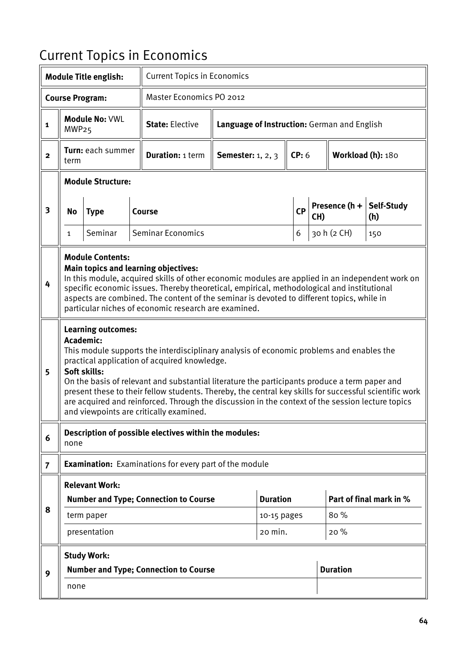# Current Topics in Economics

|                         |                                                                                                                                                                                                                                                                                                                                                                                                                              | <b>Module Title english:</b>              |                          | <b>Current Topics in Economics</b>                                                                                                                                                                                                                                                                                                                                                                                                                                                                 |                                              |                                             |             |                 |                   |                         |  |  |
|-------------------------|------------------------------------------------------------------------------------------------------------------------------------------------------------------------------------------------------------------------------------------------------------------------------------------------------------------------------------------------------------------------------------------------------------------------------|-------------------------------------------|--------------------------|----------------------------------------------------------------------------------------------------------------------------------------------------------------------------------------------------------------------------------------------------------------------------------------------------------------------------------------------------------------------------------------------------------------------------------------------------------------------------------------------------|----------------------------------------------|---------------------------------------------|-------------|-----------------|-------------------|-------------------------|--|--|
|                         |                                                                                                                                                                                                                                                                                                                                                                                                                              | <b>Course Program:</b>                    |                          | Master Economics PO 2012                                                                                                                                                                                                                                                                                                                                                                                                                                                                           |                                              |                                             |             |                 |                   |                         |  |  |
| $\mathbf{1}$            | MWP <sub>25</sub>                                                                                                                                                                                                                                                                                                                                                                                                            | Module No: VWL                            |                          | <b>State: Elective</b>                                                                                                                                                                                                                                                                                                                                                                                                                                                                             |                                              | Language of Instruction: German and English |             |                 |                   |                         |  |  |
| $\mathbf{2}$            | term                                                                                                                                                                                                                                                                                                                                                                                                                         | Turn: each summer                         |                          | <b>Duration: 1 term</b>                                                                                                                                                                                                                                                                                                                                                                                                                                                                            | <b>Semester:</b> 1, 2, 3                     |                                             | CP: 6       |                 | Workload (h): 180 |                         |  |  |
|                         |                                                                                                                                                                                                                                                                                                                                                                                                                              | <b>Module Structure:</b>                  |                          |                                                                                                                                                                                                                                                                                                                                                                                                                                                                                                    |                                              |                                             |             |                 |                   |                         |  |  |
| $\overline{\mathbf{3}}$ | No                                                                                                                                                                                                                                                                                                                                                                                                                           | <b>Type</b>                               |                          | Course                                                                                                                                                                                                                                                                                                                                                                                                                                                                                             | <b>CP</b>                                    |                                             |             | CH)             | Presence (h +     | Self-Study<br>(h)       |  |  |
|                         | 1                                                                                                                                                                                                                                                                                                                                                                                                                            | Seminar                                   | <b>Seminar Economics</b> |                                                                                                                                                                                                                                                                                                                                                                                                                                                                                                    |                                              |                                             | 6           |                 | 30 h (2 CH)       | 150                     |  |  |
| 4                       | <b>Module Contents:</b><br><b>Main topics and learning objectives:</b><br>In this module, acquired skills of other economic modules are applied in an independent work on<br>specific economic issues. Thereby theoretical, empirical, methodological and institutional<br>aspects are combined. The content of the seminar is devoted to different topics, while in<br>particular niches of economic research are examined. |                                           |                          |                                                                                                                                                                                                                                                                                                                                                                                                                                                                                                    |                                              |                                             |             |                 |                   |                         |  |  |
| 5                       | <b>Academic:</b>                                                                                                                                                                                                                                                                                                                                                                                                             | <b>Learning outcomes:</b><br>Soft skills: |                          | This module supports the interdisciplinary analysis of economic problems and enables the<br>practical application of acquired knowledge.<br>On the basis of relevant and substantial literature the participants produce a term paper and<br>present these to their fellow students. Thereby, the central key skills for successful scientific work<br>are acquired and reinforced. Through the discussion in the context of the session lecture topics<br>and viewpoints are critically examined. |                                              |                                             |             |                 |                   |                         |  |  |
| 6                       | none                                                                                                                                                                                                                                                                                                                                                                                                                         |                                           |                          | Description of possible electives within the modules:                                                                                                                                                                                                                                                                                                                                                                                                                                              |                                              |                                             |             |                 |                   |                         |  |  |
| $\overline{7}$          |                                                                                                                                                                                                                                                                                                                                                                                                                              |                                           |                          | <b>Examination:</b> Examinations for every part of the module                                                                                                                                                                                                                                                                                                                                                                                                                                      |                                              |                                             |             |                 |                   |                         |  |  |
|                         |                                                                                                                                                                                                                                                                                                                                                                                                                              | <b>Relevant Work:</b>                     |                          |                                                                                                                                                                                                                                                                                                                                                                                                                                                                                                    |                                              |                                             |             |                 |                   |                         |  |  |
| 8                       |                                                                                                                                                                                                                                                                                                                                                                                                                              |                                           |                          | <b>Number and Type; Connection to Course</b>                                                                                                                                                                                                                                                                                                                                                                                                                                                       |                                              | <b>Duration</b>                             |             |                 |                   | Part of final mark in % |  |  |
|                         |                                                                                                                                                                                                                                                                                                                                                                                                                              | term paper<br>presentation                |                          |                                                                                                                                                                                                                                                                                                                                                                                                                                                                                                    |                                              | 20 min.                                     | 10-15 pages |                 | 80%<br>20%        |                         |  |  |
|                         |                                                                                                                                                                                                                                                                                                                                                                                                                              | <b>Study Work:</b>                        |                          |                                                                                                                                                                                                                                                                                                                                                                                                                                                                                                    |                                              |                                             |             |                 |                   |                         |  |  |
| 9                       |                                                                                                                                                                                                                                                                                                                                                                                                                              |                                           |                          |                                                                                                                                                                                                                                                                                                                                                                                                                                                                                                    | <b>Number and Type; Connection to Course</b> |                                             |             | <b>Duration</b> |                   |                         |  |  |
|                         | none                                                                                                                                                                                                                                                                                                                                                                                                                         |                                           |                          |                                                                                                                                                                                                                                                                                                                                                                                                                                                                                                    |                                              |                                             |             |                 |                   |                         |  |  |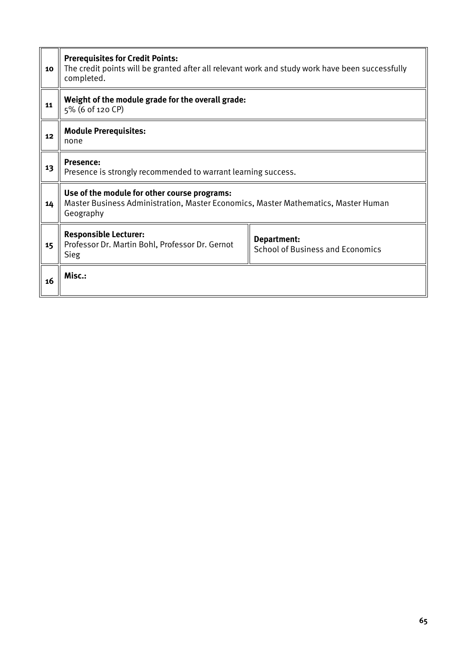| 10 | <b>Prerequisites for Credit Points:</b><br>The credit points will be granted after all relevant work and study work have been successfully<br>completed. |                                                        |  |  |  |  |  |  |
|----|----------------------------------------------------------------------------------------------------------------------------------------------------------|--------------------------------------------------------|--|--|--|--|--|--|
| 11 | Weight of the module grade for the overall grade:<br>5% (6 of 120 CP)                                                                                    |                                                        |  |  |  |  |  |  |
| 12 | <b>Module Prerequisites:</b><br>none                                                                                                                     |                                                        |  |  |  |  |  |  |
| 13 | Presence:<br>Presence is strongly recommended to warrant learning success.                                                                               |                                                        |  |  |  |  |  |  |
| 14 | Use of the module for other course programs:<br>Master Business Administration, Master Economics, Master Mathematics, Master Human<br>Geography          |                                                        |  |  |  |  |  |  |
| 15 | <b>Responsible Lecturer:</b><br>Professor Dr. Martin Bohl, Professor Dr. Gernot<br><b>Sieg</b>                                                           | Department:<br><b>School of Business and Economics</b> |  |  |  |  |  |  |
| 16 | Misc.:                                                                                                                                                   |                                                        |  |  |  |  |  |  |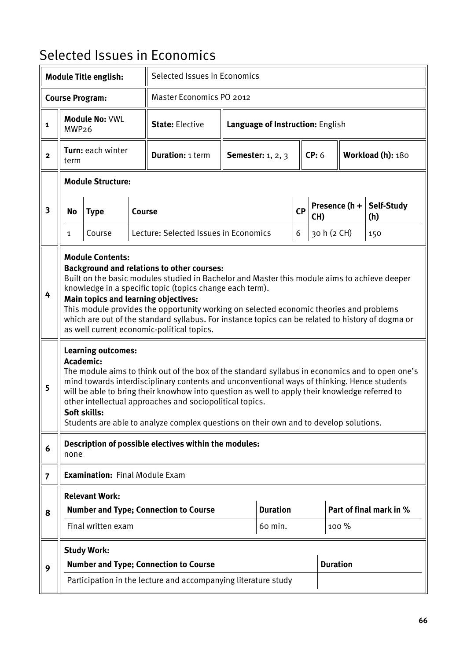### Selected Issues in Economics

|                |                                                                                                                                                                                                                                                                                                                                                                                                                                                                                                                                | <b>Module Title english:</b>              |                                              | Selected Issues in Economics                                                                                                                                                                                                                                                                                                                                                                                                                          |                                  |                                   |           |             |                         |                   |  |
|----------------|--------------------------------------------------------------------------------------------------------------------------------------------------------------------------------------------------------------------------------------------------------------------------------------------------------------------------------------------------------------------------------------------------------------------------------------------------------------------------------------------------------------------------------|-------------------------------------------|----------------------------------------------|-------------------------------------------------------------------------------------------------------------------------------------------------------------------------------------------------------------------------------------------------------------------------------------------------------------------------------------------------------------------------------------------------------------------------------------------------------|----------------------------------|-----------------------------------|-----------|-------------|-------------------------|-------------------|--|
|                |                                                                                                                                                                                                                                                                                                                                                                                                                                                                                                                                | <b>Course Program:</b>                    |                                              | Master Economics PO 2012                                                                                                                                                                                                                                                                                                                                                                                                                              |                                  |                                   |           |             |                         |                   |  |
| 1              | MWP <sub>26</sub>                                                                                                                                                                                                                                                                                                                                                                                                                                                                                                              | Module No: VWL                            |                                              | <b>State: Elective</b>                                                                                                                                                                                                                                                                                                                                                                                                                                | Language of Instruction: English |                                   |           |             |                         |                   |  |
| $\mathbf{2}$   | term                                                                                                                                                                                                                                                                                                                                                                                                                                                                                                                           | Turn: each winter                         |                                              | <b>Duration: 1 term</b>                                                                                                                                                                                                                                                                                                                                                                                                                               |                                  | CP: 6<br><b>Semester:</b> 1, 2, 3 |           |             |                         | Workload (h): 180 |  |
|                |                                                                                                                                                                                                                                                                                                                                                                                                                                                                                                                                | <b>Module Structure:</b>                  |                                              |                                                                                                                                                                                                                                                                                                                                                                                                                                                       |                                  |                                   |           |             |                         |                   |  |
| 3              | <b>No</b>                                                                                                                                                                                                                                                                                                                                                                                                                                                                                                                      | <b>Type</b>                               | <b>Course</b>                                |                                                                                                                                                                                                                                                                                                                                                                                                                                                       |                                  |                                   | <b>CP</b> | CH)         | Presence (h +           | Self-Study<br>(h) |  |
|                | 1                                                                                                                                                                                                                                                                                                                                                                                                                                                                                                                              | Course                                    |                                              | Lecture: Selected Issues in Economics                                                                                                                                                                                                                                                                                                                                                                                                                 |                                  |                                   | 6         | 30 h (2 CH) |                         | 150               |  |
| 4              | <b>Module Contents:</b><br><b>Background and relations to other courses:</b><br>Built on the basic modules studied in Bachelor and Master this module aims to achieve deeper<br>knowledge in a specific topic (topics change each term).<br>Main topics and learning objectives:<br>This module provides the opportunity working on selected economic theories and problems<br>which are out of the standard syllabus. For instance topics can be related to history of dogma or<br>as well current economic-political topics. |                                           |                                              |                                                                                                                                                                                                                                                                                                                                                                                                                                                       |                                  |                                   |           |             |                         |                   |  |
| 5              | Academic:                                                                                                                                                                                                                                                                                                                                                                                                                                                                                                                      | <b>Learning outcomes:</b><br>Soft skills: |                                              | The module aims to think out of the box of the standard syllabus in economics and to open one's<br>mind towards interdisciplinary contents and unconventional ways of thinking. Hence students<br>will be able to bring their knowhow into question as well to apply their knowledge referred to<br>other intellectual approaches and sociopolitical topics.<br>Students are able to analyze complex questions on their own and to develop solutions. |                                  |                                   |           |             |                         |                   |  |
| 6              | none                                                                                                                                                                                                                                                                                                                                                                                                                                                                                                                           |                                           |                                              | Description of possible electives within the modules:                                                                                                                                                                                                                                                                                                                                                                                                 |                                  |                                   |           |             |                         |                   |  |
| $\overline{7}$ |                                                                                                                                                                                                                                                                                                                                                                                                                                                                                                                                | <b>Examination: Final Module Exam</b>     |                                              |                                                                                                                                                                                                                                                                                                                                                                                                                                                       |                                  |                                   |           |             |                         |                   |  |
|                |                                                                                                                                                                                                                                                                                                                                                                                                                                                                                                                                | <b>Relevant Work:</b>                     |                                              |                                                                                                                                                                                                                                                                                                                                                                                                                                                       |                                  |                                   |           |             |                         |                   |  |
| 8              |                                                                                                                                                                                                                                                                                                                                                                                                                                                                                                                                | Final written exam                        | <b>Number and Type; Connection to Course</b> |                                                                                                                                                                                                                                                                                                                                                                                                                                                       | <b>Duration</b><br>60 min.       |                                   |           | 100 %       | Part of final mark in % |                   |  |
|                |                                                                                                                                                                                                                                                                                                                                                                                                                                                                                                                                | <b>Study Work:</b>                        |                                              |                                                                                                                                                                                                                                                                                                                                                                                                                                                       |                                  |                                   |           |             |                         |                   |  |
| 9              | <b>Number and Type; Connection to Course</b>                                                                                                                                                                                                                                                                                                                                                                                                                                                                                   |                                           |                                              |                                                                                                                                                                                                                                                                                                                                                                                                                                                       |                                  |                                   |           |             | <b>Duration</b>         |                   |  |
|                |                                                                                                                                                                                                                                                                                                                                                                                                                                                                                                                                |                                           |                                              | Participation in the lecture and accompanying literature study                                                                                                                                                                                                                                                                                                                                                                                        |                                  |                                   |           |             |                         |                   |  |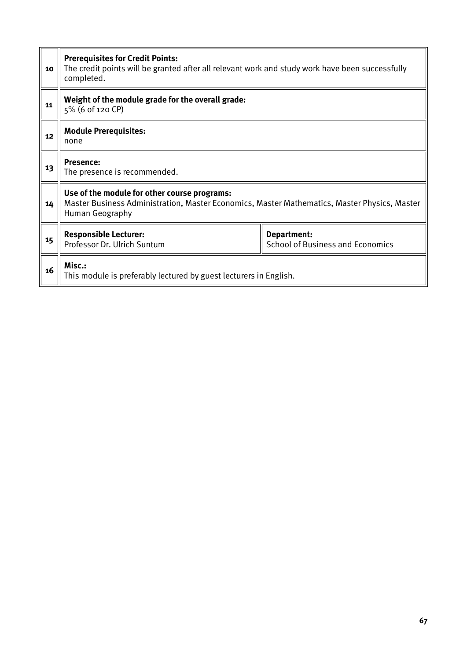| 10 | <b>Prerequisites for Credit Points:</b><br>The credit points will be granted after all relevant work and study work have been successfully<br>completed.        |                                                        |  |  |  |  |  |  |  |
|----|-----------------------------------------------------------------------------------------------------------------------------------------------------------------|--------------------------------------------------------|--|--|--|--|--|--|--|
| 11 | Weight of the module grade for the overall grade:<br>5% (6 of 120 CP)                                                                                           |                                                        |  |  |  |  |  |  |  |
| 12 | <b>Module Prerequisites:</b><br>none                                                                                                                            |                                                        |  |  |  |  |  |  |  |
| 13 | <b>Presence:</b><br>The presence is recommended.                                                                                                                |                                                        |  |  |  |  |  |  |  |
| 14 | Use of the module for other course programs:<br>Master Business Administration, Master Economics, Master Mathematics, Master Physics, Master<br>Human Geography |                                                        |  |  |  |  |  |  |  |
| 15 | <b>Responsible Lecturer:</b><br>Professor Dr. Ulrich Suntum                                                                                                     | Department:<br><b>School of Business and Economics</b> |  |  |  |  |  |  |  |
| 16 | Misc.:<br>This module is preferably lectured by guest lecturers in English.                                                                                     |                                                        |  |  |  |  |  |  |  |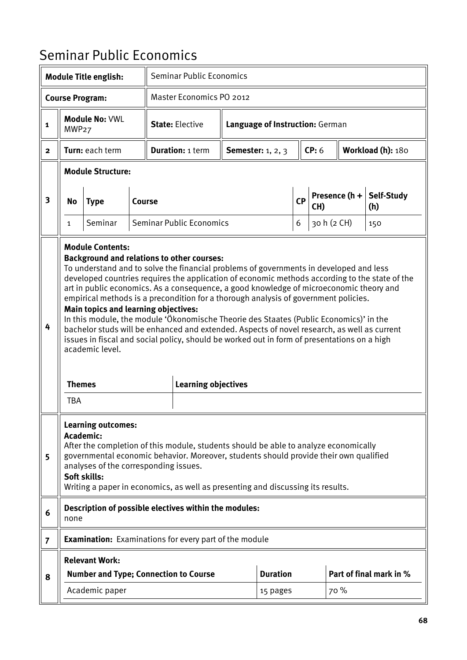# Seminar Public Economics

|                         |                                                                                                                                                                                                                                                                                                                                                                                                                                                                                                                                                                                                                                                                                                                                                                                                                                                                     | <b>Module Title english:</b>                                                                    |               | <b>Seminar Public Economics</b>                                                                                                                                                                                                                                  |  |                                 |           |             |                 |                         |
|-------------------------|---------------------------------------------------------------------------------------------------------------------------------------------------------------------------------------------------------------------------------------------------------------------------------------------------------------------------------------------------------------------------------------------------------------------------------------------------------------------------------------------------------------------------------------------------------------------------------------------------------------------------------------------------------------------------------------------------------------------------------------------------------------------------------------------------------------------------------------------------------------------|-------------------------------------------------------------------------------------------------|---------------|------------------------------------------------------------------------------------------------------------------------------------------------------------------------------------------------------------------------------------------------------------------|--|---------------------------------|-----------|-------------|-----------------|-------------------------|
|                         |                                                                                                                                                                                                                                                                                                                                                                                                                                                                                                                                                                                                                                                                                                                                                                                                                                                                     | <b>Course Program:</b>                                                                          |               | <b>Master Economics PO 2012</b>                                                                                                                                                                                                                                  |  |                                 |           |             |                 |                         |
| $\mathbf{1}$            | MWP <sub>27</sub>                                                                                                                                                                                                                                                                                                                                                                                                                                                                                                                                                                                                                                                                                                                                                                                                                                                   | Module No: VWL                                                                                  |               | <b>State: Elective</b>                                                                                                                                                                                                                                           |  | Language of Instruction: German |           |             |                 |                         |
| $\mathbf{2}$            |                                                                                                                                                                                                                                                                                                                                                                                                                                                                                                                                                                                                                                                                                                                                                                                                                                                                     | Turn: each term                                                                                 |               | <b>Duration: 1 term</b>                                                                                                                                                                                                                                          |  | <b>Semester:</b> 1, 2, 3        |           | CP: 6       |                 | Workload (h): 180       |
|                         |                                                                                                                                                                                                                                                                                                                                                                                                                                                                                                                                                                                                                                                                                                                                                                                                                                                                     | <b>Module Structure:</b>                                                                        |               |                                                                                                                                                                                                                                                                  |  |                                 |           |             |                 |                         |
| $\overline{\mathbf{3}}$ | No                                                                                                                                                                                                                                                                                                                                                                                                                                                                                                                                                                                                                                                                                                                                                                                                                                                                  | <b>Type</b>                                                                                     | <b>Course</b> |                                                                                                                                                                                                                                                                  |  |                                 | CP<br>CH) |             | Presence $(h +$ | Self-Study<br>(h)       |
|                         | 1                                                                                                                                                                                                                                                                                                                                                                                                                                                                                                                                                                                                                                                                                                                                                                                                                                                                   | Seminar                                                                                         |               | <b>Seminar Public Economics</b>                                                                                                                                                                                                                                  |  |                                 | 6         | 30 h (2 CH) |                 | 150                     |
| 4                       | <b>Module Contents:</b><br><b>Background and relations to other courses:</b><br>To understand and to solve the financial problems of governments in developed and less<br>developed countries requires the application of economic methods according to the state of the<br>art in public economics. As a consequence, a good knowledge of microeconomic theory and<br>empirical methods is a precondition for a thorough analysis of government policies.<br><b>Main topics and learning objectives:</b><br>In this module, the module 'Ökonomische Theorie des Staates (Public Economics)' in the<br>bachelor studs will be enhanced and extended. Aspects of novel research, as well as current<br>issues in fiscal and social policy, should be worked out in form of presentations on a high<br>academic level.<br><b>Themes</b><br><b>Learning objectives</b> |                                                                                                 |               |                                                                                                                                                                                                                                                                  |  |                                 |           |             |                 |                         |
| 5                       |                                                                                                                                                                                                                                                                                                                                                                                                                                                                                                                                                                                                                                                                                                                                                                                                                                                                     | <b>Learning outcomes:</b><br>Academic:<br>analyses of the corresponding issues.<br>Soft skills: |               | After the completion of this module, students should be able to analyze economically<br>governmental economic behavior. Moreover, students should provide their own qualified<br>Writing a paper in economics, as well as presenting and discussing its results. |  |                                 |           |             |                 |                         |
| 6                       | none                                                                                                                                                                                                                                                                                                                                                                                                                                                                                                                                                                                                                                                                                                                                                                                                                                                                |                                                                                                 |               | Description of possible electives within the modules:                                                                                                                                                                                                            |  |                                 |           |             |                 |                         |
| $\overline{7}$          |                                                                                                                                                                                                                                                                                                                                                                                                                                                                                                                                                                                                                                                                                                                                                                                                                                                                     |                                                                                                 |               | <b>Examination:</b> Examinations for every part of the module                                                                                                                                                                                                    |  |                                 |           |             |                 |                         |
|                         |                                                                                                                                                                                                                                                                                                                                                                                                                                                                                                                                                                                                                                                                                                                                                                                                                                                                     | <b>Relevant Work:</b>                                                                           |               |                                                                                                                                                                                                                                                                  |  |                                 |           |             |                 |                         |
| 8                       |                                                                                                                                                                                                                                                                                                                                                                                                                                                                                                                                                                                                                                                                                                                                                                                                                                                                     | <b>Number and Type; Connection to Course</b>                                                    |               |                                                                                                                                                                                                                                                                  |  | <b>Duration</b>                 |           |             |                 | Part of final mark in % |
|                         |                                                                                                                                                                                                                                                                                                                                                                                                                                                                                                                                                                                                                                                                                                                                                                                                                                                                     | Academic paper                                                                                  |               |                                                                                                                                                                                                                                                                  |  | 15 pages                        |           |             | 70 %            |                         |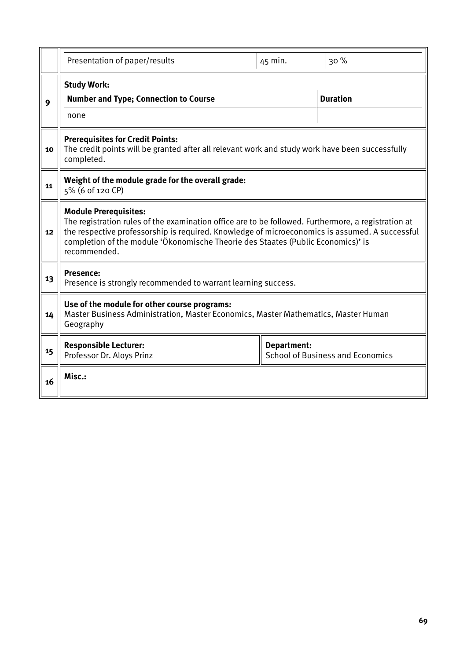|    | Presentation of paper/results                                                                                                                                                                                                                                                                                                             | 45 min.            | 30%                                     |  |  |  |  |  |  |
|----|-------------------------------------------------------------------------------------------------------------------------------------------------------------------------------------------------------------------------------------------------------------------------------------------------------------------------------------------|--------------------|-----------------------------------------|--|--|--|--|--|--|
| 9  | <b>Study Work:</b><br><b>Number and Type; Connection to Course</b><br>none                                                                                                                                                                                                                                                                |                    | <b>Duration</b>                         |  |  |  |  |  |  |
| 10 | <b>Prerequisites for Credit Points:</b><br>The credit points will be granted after all relevant work and study work have been successfully<br>completed.                                                                                                                                                                                  |                    |                                         |  |  |  |  |  |  |
| 11 | Weight of the module grade for the overall grade:<br>5% (6 of 120 CP)                                                                                                                                                                                                                                                                     |                    |                                         |  |  |  |  |  |  |
| 12 | <b>Module Prerequisites:</b><br>The registration rules of the examination office are to be followed. Furthermore, a registration at<br>the respective professorship is required. Knowledge of microeconomics is assumed. A successful<br>completion of the module 'Ökonomische Theorie des Staates (Public Economics)' is<br>recommended. |                    |                                         |  |  |  |  |  |  |
| 13 | <b>Presence:</b><br>Presence is strongly recommended to warrant learning success.                                                                                                                                                                                                                                                         |                    |                                         |  |  |  |  |  |  |
| 14 | Use of the module for other course programs:<br>Master Business Administration, Master Economics, Master Mathematics, Master Human<br>Geography                                                                                                                                                                                           |                    |                                         |  |  |  |  |  |  |
| 15 | <b>Responsible Lecturer:</b><br>Professor Dr. Aloys Prinz                                                                                                                                                                                                                                                                                 | <b>Department:</b> | <b>School of Business and Economics</b> |  |  |  |  |  |  |
| 16 | Misc.:                                                                                                                                                                                                                                                                                                                                    |                    |                                         |  |  |  |  |  |  |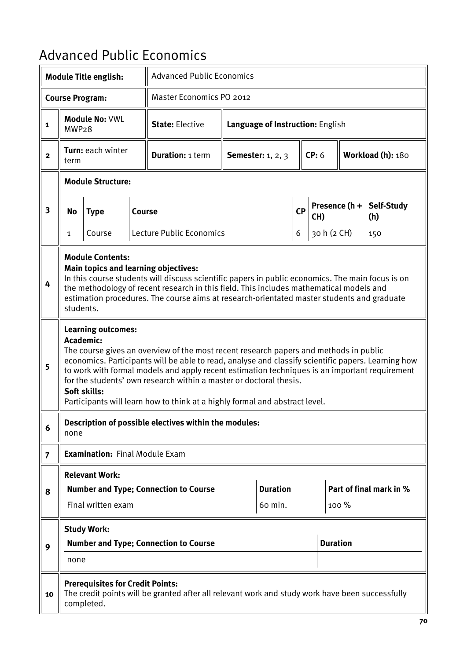### Advanced Public Economics

|                |                                                                                                                                                                                                                                                                                                                                                                           | <b>Module Title english:</b>                           |        | <b>Advanced Public Economics</b>                                                                                                                                                                                                                                                                                                                                                                                                                  |                     |                                  |   |                      |                 |                         |  |
|----------------|---------------------------------------------------------------------------------------------------------------------------------------------------------------------------------------------------------------------------------------------------------------------------------------------------------------------------------------------------------------------------|--------------------------------------------------------|--------|---------------------------------------------------------------------------------------------------------------------------------------------------------------------------------------------------------------------------------------------------------------------------------------------------------------------------------------------------------------------------------------------------------------------------------------------------|---------------------|----------------------------------|---|----------------------|-----------------|-------------------------|--|
|                |                                                                                                                                                                                                                                                                                                                                                                           | <b>Course Program:</b>                                 |        | <b>Master Economics PO 2012</b>                                                                                                                                                                                                                                                                                                                                                                                                                   |                     |                                  |   |                      |                 |                         |  |
| $\mathbf{1}$   | MWP <sub>28</sub>                                                                                                                                                                                                                                                                                                                                                         | <b>Module No: VWL</b>                                  |        | <b>State: Elective</b>                                                                                                                                                                                                                                                                                                                                                                                                                            |                     | Language of Instruction: English |   |                      |                 |                         |  |
| $\mathbf{2}$   | term                                                                                                                                                                                                                                                                                                                                                                      | Turn: each winter                                      |        | <b>Duration: 1 term</b>                                                                                                                                                                                                                                                                                                                                                                                                                           | Semester: $1, 2, 3$ |                                  |   | CP: 6                |                 | Workload (h): 180       |  |
|                |                                                                                                                                                                                                                                                                                                                                                                           | <b>Module Structure:</b>                               |        |                                                                                                                                                                                                                                                                                                                                                                                                                                                   |                     |                                  |   |                      |                 |                         |  |
| 3              | <b>No</b>                                                                                                                                                                                                                                                                                                                                                                 | <b>Type</b>                                            | Course |                                                                                                                                                                                                                                                                                                                                                                                                                                                   | <b>CP</b>           |                                  |   | Presence (h +<br>CH) |                 | Self-Study<br>(h)       |  |
|                | 1                                                                                                                                                                                                                                                                                                                                                                         | Course                                                 |        | Lecture Public Economics                                                                                                                                                                                                                                                                                                                                                                                                                          |                     |                                  | 6 | 30 h (2 CH)          |                 | 150                     |  |
| 4              | <b>Module Contents:</b><br>Main topics and learning objectives:<br>In this course students will discuss scientific papers in public economics. The main focus is on<br>the methodology of recent research in this field. This includes mathematical models and<br>estimation procedures. The course aims at research-orientated master students and graduate<br>students. |                                                        |        |                                                                                                                                                                                                                                                                                                                                                                                                                                                   |                     |                                  |   |                      |                 |                         |  |
| 5              |                                                                                                                                                                                                                                                                                                                                                                           | <b>Learning outcomes:</b><br>Academic:<br>Soft skills: |        | The course gives an overview of the most recent research papers and methods in public<br>economics. Participants will be able to read, analyse and classify scientific papers. Learning how<br>to work with formal models and apply recent estimation techniques is an important requirement<br>for the students' own research within a master or doctoral thesis.<br>Participants will learn how to think at a highly formal and abstract level. |                     |                                  |   |                      |                 |                         |  |
| 6              | none                                                                                                                                                                                                                                                                                                                                                                      |                                                        |        | Description of possible electives within the modules:                                                                                                                                                                                                                                                                                                                                                                                             |                     |                                  |   |                      |                 |                         |  |
| $\overline{7}$ |                                                                                                                                                                                                                                                                                                                                                                           | <b>Examination: Final Module Exam</b>                  |        |                                                                                                                                                                                                                                                                                                                                                                                                                                                   |                     |                                  |   |                      |                 |                         |  |
|                |                                                                                                                                                                                                                                                                                                                                                                           | <b>Relevant Work:</b>                                  |        |                                                                                                                                                                                                                                                                                                                                                                                                                                                   |                     |                                  |   |                      |                 |                         |  |
| 8              |                                                                                                                                                                                                                                                                                                                                                                           | Final written exam                                     |        | <b>Number and Type; Connection to Course</b>                                                                                                                                                                                                                                                                                                                                                                                                      |                     | <b>Duration</b><br>60 min.       |   |                      | 100 %           | Part of final mark in % |  |
|                |                                                                                                                                                                                                                                                                                                                                                                           |                                                        |        |                                                                                                                                                                                                                                                                                                                                                                                                                                                   |                     |                                  |   |                      |                 |                         |  |
| 9              | <b>Study Work:</b><br><b>Number and Type; Connection to Course</b><br>none                                                                                                                                                                                                                                                                                                |                                                        |        |                                                                                                                                                                                                                                                                                                                                                                                                                                                   |                     |                                  |   |                      | <b>Duration</b> |                         |  |
| 10             |                                                                                                                                                                                                                                                                                                                                                                           | <b>Prerequisites for Credit Points:</b><br>completed.  |        | The credit points will be granted after all relevant work and study work have been successfully                                                                                                                                                                                                                                                                                                                                                   |                     |                                  |   |                      |                 |                         |  |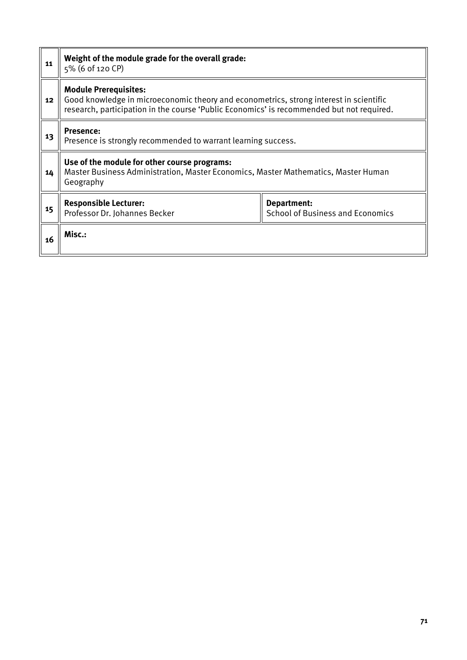| 11 | Weight of the module grade for the overall grade:<br>5% (6 of 120 CP)                                                                                                                                               |                                                        |  |  |  |  |  |
|----|---------------------------------------------------------------------------------------------------------------------------------------------------------------------------------------------------------------------|--------------------------------------------------------|--|--|--|--|--|
| 12 | <b>Module Prerequisites:</b><br>Good knowledge in microeconomic theory and econometrics, strong interest in scientific<br>research, participation in the course 'Public Economics' is recommended but not required. |                                                        |  |  |  |  |  |
| 13 | <b>Presence:</b><br>Presence is strongly recommended to warrant learning success.                                                                                                                                   |                                                        |  |  |  |  |  |
| 14 | Use of the module for other course programs:<br>Master Business Administration, Master Economics, Master Mathematics, Master Human<br>Geography                                                                     |                                                        |  |  |  |  |  |
| 15 | <b>Responsible Lecturer:</b><br>Professor Dr. Johannes Becker                                                                                                                                                       | Department:<br><b>School of Business and Economics</b> |  |  |  |  |  |
| 16 | Misc.:                                                                                                                                                                                                              |                                                        |  |  |  |  |  |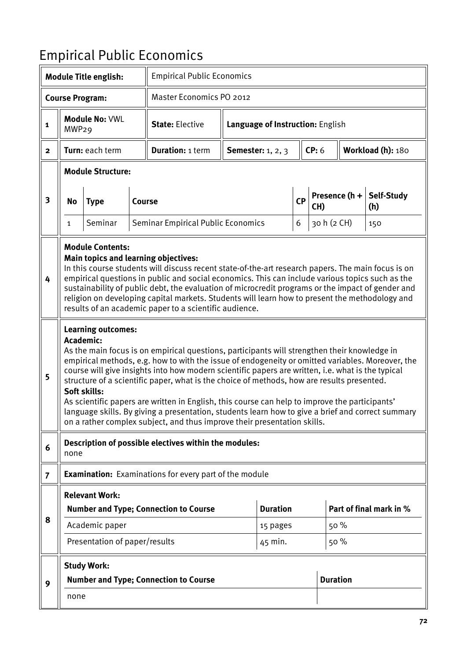# Empirical Public Economics

|                         |                                                                                                                                                                                                                                                                                                                                                                                                                                                                                                                                           | <b>Module Title english:</b>                                             |               | <b>Empirical Public Economics</b>                                                                                                                                                                                                                                                                                                                                                                                                                                                                                                                                                                                                                                                      |  |                                  |   |                      |                 |                          |  |
|-------------------------|-------------------------------------------------------------------------------------------------------------------------------------------------------------------------------------------------------------------------------------------------------------------------------------------------------------------------------------------------------------------------------------------------------------------------------------------------------------------------------------------------------------------------------------------|--------------------------------------------------------------------------|---------------|----------------------------------------------------------------------------------------------------------------------------------------------------------------------------------------------------------------------------------------------------------------------------------------------------------------------------------------------------------------------------------------------------------------------------------------------------------------------------------------------------------------------------------------------------------------------------------------------------------------------------------------------------------------------------------------|--|----------------------------------|---|----------------------|-----------------|--------------------------|--|
|                         |                                                                                                                                                                                                                                                                                                                                                                                                                                                                                                                                           | <b>Course Program:</b>                                                   |               | Master Economics PO 2012                                                                                                                                                                                                                                                                                                                                                                                                                                                                                                                                                                                                                                                               |  |                                  |   |                      |                 |                          |  |
| 1                       | MWP <sub>29</sub>                                                                                                                                                                                                                                                                                                                                                                                                                                                                                                                         | <b>Module No: VWL</b>                                                    |               | <b>State: Elective</b>                                                                                                                                                                                                                                                                                                                                                                                                                                                                                                                                                                                                                                                                 |  | Language of Instruction: English |   |                      |                 |                          |  |
| $\overline{2}$          |                                                                                                                                                                                                                                                                                                                                                                                                                                                                                                                                           | Turn: each term                                                          |               | <b>Duration: 1 term</b>                                                                                                                                                                                                                                                                                                                                                                                                                                                                                                                                                                                                                                                                |  | <b>Semester:</b> 1, 2, 3         |   | CP: 6                |                 | Workload (h): 180        |  |
|                         |                                                                                                                                                                                                                                                                                                                                                                                                                                                                                                                                           | <b>Module Structure:</b>                                                 |               |                                                                                                                                                                                                                                                                                                                                                                                                                                                                                                                                                                                                                                                                                        |  |                                  |   |                      |                 |                          |  |
| $\overline{\mathbf{3}}$ | No                                                                                                                                                                                                                                                                                                                                                                                                                                                                                                                                        | <b>Type</b>                                                              | <b>Course</b> | CP                                                                                                                                                                                                                                                                                                                                                                                                                                                                                                                                                                                                                                                                                     |  |                                  |   | Presence (h +<br>CH) |                 | <b>Self-Study</b><br>(h) |  |
|                         | 1                                                                                                                                                                                                                                                                                                                                                                                                                                                                                                                                         | Seminar                                                                  |               | <b>Seminar Empirical Public Economics</b>                                                                                                                                                                                                                                                                                                                                                                                                                                                                                                                                                                                                                                              |  |                                  | 6 | 30 h (2 CH)          |                 | 150                      |  |
| 4                       | <b>Module Contents:</b><br>Main topics and learning objectives:<br>In this course students will discuss recent state-of-the-art research papers. The main focus is on<br>empirical questions in public and social economics. This can include various topics such as the<br>sustainability of public debt, the evaluation of microcredit programs or the impact of gender and<br>religion on developing capital markets. Students will learn how to present the methodology and<br>results of an academic paper to a scientific audience. |                                                                          |               |                                                                                                                                                                                                                                                                                                                                                                                                                                                                                                                                                                                                                                                                                        |  |                                  |   |                      |                 |                          |  |
| 5                       |                                                                                                                                                                                                                                                                                                                                                                                                                                                                                                                                           | <b>Learning outcomes:</b><br>Academic:<br>Soft skills:                   |               | As the main focus is on empirical questions, participants will strengthen their knowledge in<br>empirical methods, e.g. how to with the issue of endogeneity or omitted variables. Moreover, the<br>course will give insights into how modern scientific papers are written, i.e. what is the typical<br>structure of a scientific paper, what is the choice of methods, how are results presented.<br>As scientific papers are written in English, this course can help to improve the participants'<br>language skills. By giving a presentation, students learn how to give a brief and correct summary<br>on a rather complex subject, and thus improve their presentation skills. |  |                                  |   |                      |                 |                          |  |
| 6                       | none                                                                                                                                                                                                                                                                                                                                                                                                                                                                                                                                      |                                                                          |               | Description of possible electives within the modules:                                                                                                                                                                                                                                                                                                                                                                                                                                                                                                                                                                                                                                  |  |                                  |   |                      |                 |                          |  |
| $\overline{7}$          |                                                                                                                                                                                                                                                                                                                                                                                                                                                                                                                                           |                                                                          |               | <b>Examination:</b> Examinations for every part of the module                                                                                                                                                                                                                                                                                                                                                                                                                                                                                                                                                                                                                          |  |                                  |   |                      |                 |                          |  |
| 8                       |                                                                                                                                                                                                                                                                                                                                                                                                                                                                                                                                           | <b>Relevant Work:</b><br>Academic paper<br>Presentation of paper/results |               | <b>Number and Type; Connection to Course</b>                                                                                                                                                                                                                                                                                                                                                                                                                                                                                                                                                                                                                                           |  | <b>Duration</b><br>15 pages      |   | 50 %                 |                 | Part of final mark in %  |  |
|                         |                                                                                                                                                                                                                                                                                                                                                                                                                                                                                                                                           |                                                                          |               |                                                                                                                                                                                                                                                                                                                                                                                                                                                                                                                                                                                                                                                                                        |  | 45 min.                          |   |                      | 50 %            |                          |  |
| 9                       | none                                                                                                                                                                                                                                                                                                                                                                                                                                                                                                                                      | <b>Study Work:</b>                                                       |               | <b>Number and Type; Connection to Course</b>                                                                                                                                                                                                                                                                                                                                                                                                                                                                                                                                                                                                                                           |  |                                  |   |                      | <b>Duration</b> |                          |  |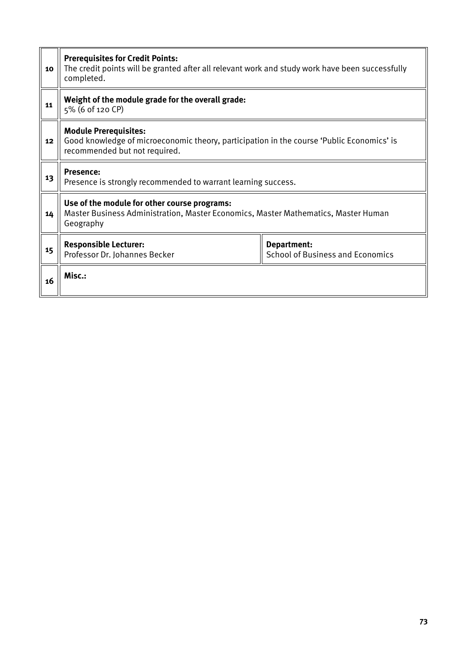| 10 | <b>Prerequisites for Credit Points:</b><br>The credit points will be granted after all relevant work and study work have been successfully<br>completed.   |  |  |  |  |  |  |
|----|------------------------------------------------------------------------------------------------------------------------------------------------------------|--|--|--|--|--|--|
| 11 | Weight of the module grade for the overall grade:<br>5% (6 of 120 CP)                                                                                      |  |  |  |  |  |  |
| 12 | <b>Module Prerequisites:</b><br>Good knowledge of microeconomic theory, participation in the course 'Public Economics' is<br>recommended but not required. |  |  |  |  |  |  |
| 13 | <b>Presence:</b><br>Presence is strongly recommended to warrant learning success.                                                                          |  |  |  |  |  |  |
| 14 | Use of the module for other course programs:<br>Master Business Administration, Master Economics, Master Mathematics, Master Human<br>Geography            |  |  |  |  |  |  |
| 15 | <b>Responsible Lecturer:</b><br>Department:<br>Professor Dr. Johannes Becker<br><b>School of Business and Economics</b>                                    |  |  |  |  |  |  |
| 16 | Misc.:                                                                                                                                                     |  |  |  |  |  |  |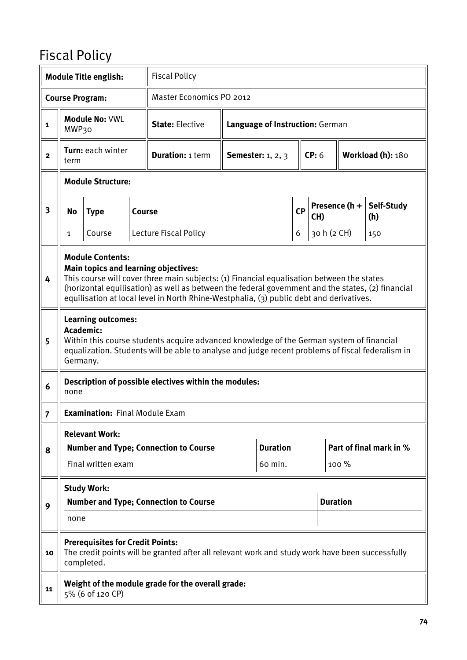## Fiscal Policy

|                                                                                                    |                                                                                                                                                                                                                                                                                                                                                              | <b>Module Title english:</b>                                            |  | <b>Fiscal Policy</b>                                                                            |                          |                            |   |                                 |       |                         |  |
|----------------------------------------------------------------------------------------------------|--------------------------------------------------------------------------------------------------------------------------------------------------------------------------------------------------------------------------------------------------------------------------------------------------------------------------------------------------------------|-------------------------------------------------------------------------|--|-------------------------------------------------------------------------------------------------|--------------------------|----------------------------|---|---------------------------------|-------|-------------------------|--|
|                                                                                                    |                                                                                                                                                                                                                                                                                                                                                              | <b>Course Program:</b>                                                  |  | <b>Master Economics PO 2012</b>                                                                 |                          |                            |   |                                 |       |                         |  |
| 1                                                                                                  | MWP30                                                                                                                                                                                                                                                                                                                                                        | <b>Module No: VWL</b>                                                   |  | <b>State: Elective</b>                                                                          |                          |                            |   | Language of Instruction: German |       |                         |  |
| $\mathbf{2}$                                                                                       | term                                                                                                                                                                                                                                                                                                                                                         | Turn: each winter                                                       |  | <b>Duration: 1 term</b>                                                                         | <b>Semester:</b> 1, 2, 3 |                            |   | CP: 6                           |       | Workload (h): 180       |  |
|                                                                                                    | <b>Module Structure:</b>                                                                                                                                                                                                                                                                                                                                     |                                                                         |  |                                                                                                 |                          |                            |   |                                 |       |                         |  |
| Presence (h +<br>$\overline{\mathbf{3}}$<br><b>CP</b><br><b>Type</b><br>No<br><b>Course</b><br>CH) |                                                                                                                                                                                                                                                                                                                                                              |                                                                         |  |                                                                                                 |                          | Self-Study<br>(h)          |   |                                 |       |                         |  |
|                                                                                                    | 1                                                                                                                                                                                                                                                                                                                                                            | Course                                                                  |  | Lecture Fiscal Policy                                                                           |                          |                            | 6 | 30 h (2 CH)                     |       | 150                     |  |
| 4                                                                                                  | <b>Module Contents:</b><br>Main topics and learning objectives:<br>This course will cover three main subjects: (1) Financial equalisation between the states<br>(horizontal equilisation) as well as between the federal government and the states, (2) financial<br>equilisation at local level in North Rhine-Westphalia, (3) public debt and derivatives. |                                                                         |  |                                                                                                 |                          |                            |   |                                 |       |                         |  |
| 5                                                                                                  | <b>Learning outcomes:</b><br>Academic:<br>Within this course students acquire advanced knowledge of the German system of financial<br>equalization. Students will be able to analyse and judge recent problems of fiscal federalism in<br>Germany.                                                                                                           |                                                                         |  |                                                                                                 |                          |                            |   |                                 |       |                         |  |
| 6                                                                                                  | none                                                                                                                                                                                                                                                                                                                                                         |                                                                         |  | Description of possible electives within the modules:                                           |                          |                            |   |                                 |       |                         |  |
| $\overline{7}$                                                                                     |                                                                                                                                                                                                                                                                                                                                                              | <b>Examination:</b> Final Module Exam                                   |  |                                                                                                 |                          |                            |   |                                 |       |                         |  |
| 8                                                                                                  |                                                                                                                                                                                                                                                                                                                                                              | <b>Relevant Work:</b><br>Final written exam                             |  | <b>Number and Type; Connection to Course</b>                                                    |                          | <b>Duration</b><br>60 min. |   |                                 | 100 % | Part of final mark in % |  |
|                                                                                                    |                                                                                                                                                                                                                                                                                                                                                              | <b>Study Work:</b>                                                      |  |                                                                                                 |                          |                            |   |                                 |       |                         |  |
| 9                                                                                                  |                                                                                                                                                                                                                                                                                                                                                              | <b>Duration</b><br><b>Number and Type; Connection to Course</b><br>none |  |                                                                                                 |                          |                            |   |                                 |       |                         |  |
| 10                                                                                                 |                                                                                                                                                                                                                                                                                                                                                              | <b>Prerequisites for Credit Points:</b><br>completed.                   |  | The credit points will be granted after all relevant work and study work have been successfully |                          |                            |   |                                 |       |                         |  |
| 11                                                                                                 |                                                                                                                                                                                                                                                                                                                                                              | 5% (6 of 120 CP)                                                        |  | Weight of the module grade for the overall grade:                                               |                          |                            |   |                                 |       |                         |  |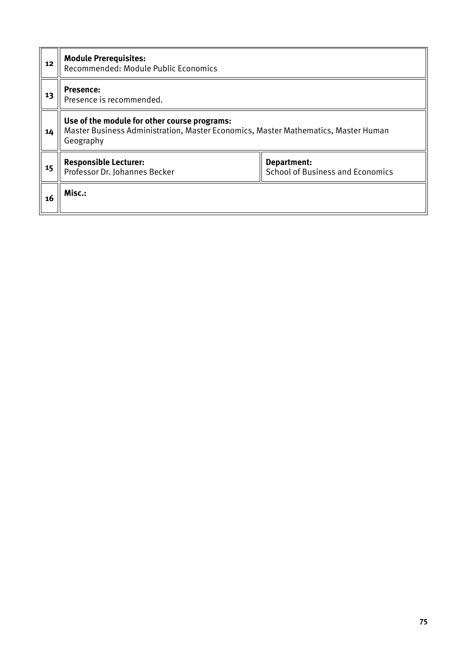| 12 | <b>Module Prerequisites:</b><br>Recommended: Module Public Economics                                                                            |                                                        |  |  |  |  |  |  |
|----|-------------------------------------------------------------------------------------------------------------------------------------------------|--------------------------------------------------------|--|--|--|--|--|--|
| 13 | <b>Presence:</b><br>Presence is recommended.                                                                                                    |                                                        |  |  |  |  |  |  |
| 14 | Use of the module for other course programs:<br>Master Business Administration, Master Economics, Master Mathematics, Master Human<br>Geography |                                                        |  |  |  |  |  |  |
| 15 | <b>Responsible Lecturer:</b><br>Professor Dr. Johannes Becker                                                                                   | Department:<br><b>School of Business and Economics</b> |  |  |  |  |  |  |
| 16 | Misc.:                                                                                                                                          |                                                        |  |  |  |  |  |  |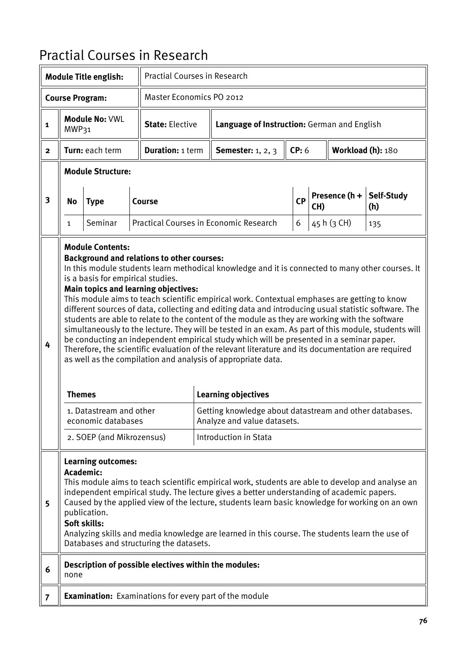## Practial Courses in Research

|                |                                                                                                                                                                                                                                                                                                                                                                                                                                                                                                                                | <b>Module Title english:</b>                                                                                                               |  | <b>Practial Courses in Research</b>                                                              |  |                                                                                                                                                                                                                                                                                                                                                                                                                                                                                                                                                                                                                                                                                                                                                                                                                                                                                                                                       |       |                        |                   |                   |  |  |
|----------------|--------------------------------------------------------------------------------------------------------------------------------------------------------------------------------------------------------------------------------------------------------------------------------------------------------------------------------------------------------------------------------------------------------------------------------------------------------------------------------------------------------------------------------|--------------------------------------------------------------------------------------------------------------------------------------------|--|--------------------------------------------------------------------------------------------------|--|---------------------------------------------------------------------------------------------------------------------------------------------------------------------------------------------------------------------------------------------------------------------------------------------------------------------------------------------------------------------------------------------------------------------------------------------------------------------------------------------------------------------------------------------------------------------------------------------------------------------------------------------------------------------------------------------------------------------------------------------------------------------------------------------------------------------------------------------------------------------------------------------------------------------------------------|-------|------------------------|-------------------|-------------------|--|--|
|                |                                                                                                                                                                                                                                                                                                                                                                                                                                                                                                                                | <b>Course Program:</b>                                                                                                                     |  | Master Economics PO 2012                                                                         |  |                                                                                                                                                                                                                                                                                                                                                                                                                                                                                                                                                                                                                                                                                                                                                                                                                                                                                                                                       |       |                        |                   |                   |  |  |
| 1              | MWP31                                                                                                                                                                                                                                                                                                                                                                                                                                                                                                                          | <b>Module No: VWL</b>                                                                                                                      |  | <b>State: Elective</b>                                                                           |  | Language of Instruction: German and English                                                                                                                                                                                                                                                                                                                                                                                                                                                                                                                                                                                                                                                                                                                                                                                                                                                                                           |       |                        |                   |                   |  |  |
| $\mathbf{2}$   |                                                                                                                                                                                                                                                                                                                                                                                                                                                                                                                                | Turn: each term                                                                                                                            |  | <b>Duration: 1 term</b>                                                                          |  | <b>Semester:</b> 1, 2, 3                                                                                                                                                                                                                                                                                                                                                                                                                                                                                                                                                                                                                                                                                                                                                                                                                                                                                                              | CP: 6 |                        | Workload (h): 180 |                   |  |  |
|                |                                                                                                                                                                                                                                                                                                                                                                                                                                                                                                                                | <b>Module Structure:</b>                                                                                                                   |  |                                                                                                  |  |                                                                                                                                                                                                                                                                                                                                                                                                                                                                                                                                                                                                                                                                                                                                                                                                                                                                                                                                       |       |                        |                   |                   |  |  |
| 3              | No                                                                                                                                                                                                                                                                                                                                                                                                                                                                                                                             | <b>Type</b>                                                                                                                                |  | <b>Course</b>                                                                                    |  |                                                                                                                                                                                                                                                                                                                                                                                                                                                                                                                                                                                                                                                                                                                                                                                                                                                                                                                                       | CP    | Presence $(h +$<br>CH) |                   | Self-Study<br>(h) |  |  |
|                | $\mathbf{1}$                                                                                                                                                                                                                                                                                                                                                                                                                                                                                                                   | Seminar                                                                                                                                    |  |                                                                                                  |  | <b>Practical Courses in Economic Research</b>                                                                                                                                                                                                                                                                                                                                                                                                                                                                                                                                                                                                                                                                                                                                                                                                                                                                                         | 6     |                        | 45 h (3 CH)       | 135               |  |  |
| 4              | <b>Themes</b>                                                                                                                                                                                                                                                                                                                                                                                                                                                                                                                  | <b>Module Contents:</b><br>is a basis for empirical studies.<br>1. Datastream and other<br>economic databases<br>2. SOEP (and Mikrozensus) |  | <b>Background and relations to other courses:</b><br><b>Main topics and learning objectives:</b> |  | In this module students learn methodical knowledge and it is connected to many other courses. It<br>This module aims to teach scientific empirical work. Contextual emphases are getting to know<br>different sources of data, collecting and editing data and introducing usual statistic software. The<br>students are able to relate to the content of the module as they are working with the software<br>simultaneously to the lecture. They will be tested in an exam. As part of this module, students will<br>be conducting an independent empirical study which will be presented in a seminar paper.<br>Therefore, the scientific evaluation of the relevant literature and its documentation are required<br>as well as the compilation and analysis of appropriate data.<br><b>Learning objectives</b><br>Getting knowledge about datastream and other databases.<br>Analyze and value datasets.<br>Introduction in Stata |       |                        |                   |                   |  |  |
| 5              | <b>Learning outcomes:</b><br><b>Academic:</b><br>This module aims to teach scientific empirical work, students are able to develop and analyse an<br>independent empirical study. The lecture gives a better understanding of academic papers.<br>Caused by the applied view of the lecture, students learn basic knowledge for working on an own<br>publication.<br>Soft skills:<br>Analyzing skills and media knowledge are learned in this course. The students learn the use of<br>Databases and structuring the datasets. |                                                                                                                                            |  |                                                                                                  |  |                                                                                                                                                                                                                                                                                                                                                                                                                                                                                                                                                                                                                                                                                                                                                                                                                                                                                                                                       |       |                        |                   |                   |  |  |
| 6              | none                                                                                                                                                                                                                                                                                                                                                                                                                                                                                                                           |                                                                                                                                            |  | Description of possible electives within the modules:                                            |  |                                                                                                                                                                                                                                                                                                                                                                                                                                                                                                                                                                                                                                                                                                                                                                                                                                                                                                                                       |       |                        |                   |                   |  |  |
| $\overline{7}$ |                                                                                                                                                                                                                                                                                                                                                                                                                                                                                                                                |                                                                                                                                            |  |                                                                                                  |  | <b>Examination:</b> Examinations for every part of the module                                                                                                                                                                                                                                                                                                                                                                                                                                                                                                                                                                                                                                                                                                                                                                                                                                                                         |       |                        |                   |                   |  |  |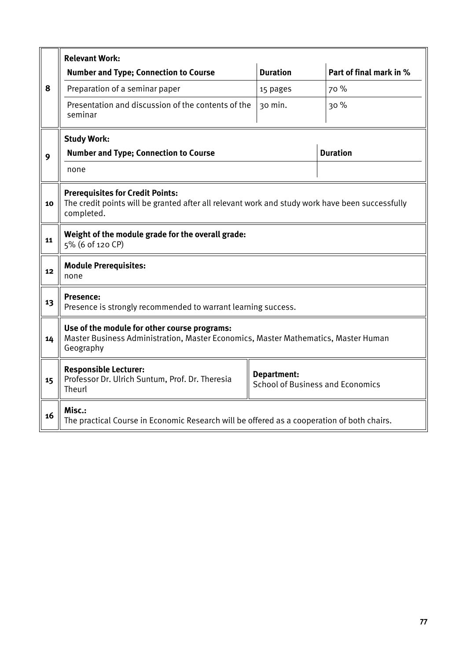|    | <b>Relevant Work:</b>                                                                                                                                      |                 |                         |  |  |  |  |  |  |  |
|----|------------------------------------------------------------------------------------------------------------------------------------------------------------|-----------------|-------------------------|--|--|--|--|--|--|--|
|    | <b>Number and Type; Connection to Course</b>                                                                                                               | <b>Duration</b> | Part of final mark in % |  |  |  |  |  |  |  |
| 8  | Preparation of a seminar paper                                                                                                                             | 15 pages        | 70 %                    |  |  |  |  |  |  |  |
|    | Presentation and discussion of the contents of the<br>seminar                                                                                              | 30 min.         | 30%                     |  |  |  |  |  |  |  |
|    | <b>Study Work:</b>                                                                                                                                         |                 |                         |  |  |  |  |  |  |  |
| 9  | <b>Number and Type; Connection to Course</b>                                                                                                               |                 | <b>Duration</b>         |  |  |  |  |  |  |  |
|    | none                                                                                                                                                       |                 |                         |  |  |  |  |  |  |  |
| 10 | <b>Prerequisites for Credit Points:</b><br>The credit points will be granted after all relevant work and study work have been successfully<br>completed.   |                 |                         |  |  |  |  |  |  |  |
| 11 | Weight of the module grade for the overall grade:<br>5% (6 of 120 CP)                                                                                      |                 |                         |  |  |  |  |  |  |  |
| 12 | <b>Module Prerequisites:</b><br>none                                                                                                                       |                 |                         |  |  |  |  |  |  |  |
| 13 | <b>Presence:</b><br>Presence is strongly recommended to warrant learning success.                                                                          |                 |                         |  |  |  |  |  |  |  |
| 14 | Use of the module for other course programs:<br>Master Business Administration, Master Economics, Master Mathematics, Master Human<br>Geography            |                 |                         |  |  |  |  |  |  |  |
| 15 | <b>Responsible Lecturer:</b><br><b>Department:</b><br>Professor Dr. Ulrich Suntum, Prof. Dr. Theresia<br><b>School of Business and Economics</b><br>Theurl |                 |                         |  |  |  |  |  |  |  |
| 16 | Misc.:<br>The practical Course in Economic Research will be offered as a cooperation of both chairs.                                                       |                 |                         |  |  |  |  |  |  |  |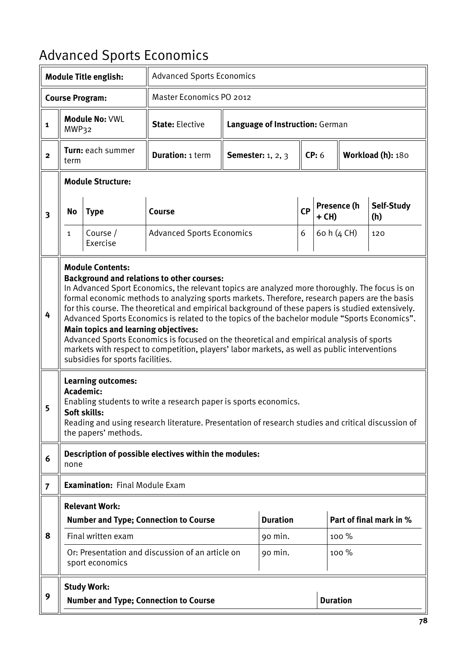# Advanced Sports Economics

|                         |                                                                                                                                                                                                                                                                                                                                                                                                                                                                                                                                                                                                                                                                                                                                                                      | <b>Module Title english:</b>                                                   |                                                                                                                                                                        | <b>Advanced Sports Economics</b>      |                                   |  |                 |                    |                         |  |  |
|-------------------------|----------------------------------------------------------------------------------------------------------------------------------------------------------------------------------------------------------------------------------------------------------------------------------------------------------------------------------------------------------------------------------------------------------------------------------------------------------------------------------------------------------------------------------------------------------------------------------------------------------------------------------------------------------------------------------------------------------------------------------------------------------------------|--------------------------------------------------------------------------------|------------------------------------------------------------------------------------------------------------------------------------------------------------------------|---------------------------------------|-----------------------------------|--|-----------------|--------------------|-------------------------|--|--|
|                         |                                                                                                                                                                                                                                                                                                                                                                                                                                                                                                                                                                                                                                                                                                                                                                      | <b>Course Program:</b>                                                         | Master Economics PO 2012                                                                                                                                               |                                       |                                   |  |                 |                    |                         |  |  |
| $\mathbf{1}$            | MWP32                                                                                                                                                                                                                                                                                                                                                                                                                                                                                                                                                                                                                                                                                                                                                                | <b>Module No: VWL</b>                                                          | <b>State: Elective</b>                                                                                                                                                 | Language of Instruction: German       |                                   |  |                 |                    |                         |  |  |
| $\mathbf{2}$            | term                                                                                                                                                                                                                                                                                                                                                                                                                                                                                                                                                                                                                                                                                                                                                                 | Turn: each summer                                                              | <b>Duration: 1 term</b>                                                                                                                                                |                                       | CP: 6<br><b>Semester:</b> 1, 2, 3 |  |                 | Workload (h): 180  |                         |  |  |
|                         |                                                                                                                                                                                                                                                                                                                                                                                                                                                                                                                                                                                                                                                                                                                                                                      | <b>Module Structure:</b>                                                       |                                                                                                                                                                        |                                       |                                   |  |                 |                    |                         |  |  |
| $\overline{\mathbf{3}}$ | No                                                                                                                                                                                                                                                                                                                                                                                                                                                                                                                                                                                                                                                                                                                                                                   | <b>Type</b>                                                                    | Course                                                                                                                                                                 |                                       |                                   |  | + CH)           | Presence (h        | Self-Study<br>(h)       |  |  |
|                         | $\mathbf{1}$                                                                                                                                                                                                                                                                                                                                                                                                                                                                                                                                                                                                                                                                                                                                                         | Course /<br>Exercise                                                           |                                                                                                                                                                        | <b>Advanced Sports Economics</b><br>6 |                                   |  |                 | 60 h (4 CH)<br>120 |                         |  |  |
| 4                       | <b>Module Contents:</b><br><b>Background and relations to other courses:</b><br>In Advanced Sport Economics, the relevant topics are analyzed more thoroughly. The focus is on<br>formal economic methods to analyzing sports markets. Therefore, research papers are the basis<br>for this course. The theoretical and empirical background of these papers is studied extensively.<br>Advanced Sports Economics is related to the topics of the bachelor module "Sports Economics".<br><b>Main topics and learning objectives:</b><br>Advanced Sports Economics is focused on the theoretical and empirical analysis of sports<br>markets with respect to competition, players' labor markets, as well as public interventions<br>subsidies for sports facilities. |                                                                                |                                                                                                                                                                        |                                       |                                   |  |                 |                    |                         |  |  |
| 5                       |                                                                                                                                                                                                                                                                                                                                                                                                                                                                                                                                                                                                                                                                                                                                                                      | <b>Learning outcomes:</b><br>Academic:<br>Soft skills:<br>the papers' methods. | Enabling students to write a research paper is sports economics.<br>Reading and using research literature. Presentation of research studies and critical discussion of |                                       |                                   |  |                 |                    |                         |  |  |
| 6                       | none                                                                                                                                                                                                                                                                                                                                                                                                                                                                                                                                                                                                                                                                                                                                                                 |                                                                                | Description of possible electives within the modules:                                                                                                                  |                                       |                                   |  |                 |                    |                         |  |  |
| $\overline{7}$          |                                                                                                                                                                                                                                                                                                                                                                                                                                                                                                                                                                                                                                                                                                                                                                      | <b>Examination: Final Module Exam</b>                                          |                                                                                                                                                                        |                                       |                                   |  |                 |                    |                         |  |  |
| 8                       |                                                                                                                                                                                                                                                                                                                                                                                                                                                                                                                                                                                                                                                                                                                                                                      | <b>Relevant Work:</b><br>Final written exam                                    | <b>Number and Type; Connection to Course</b>                                                                                                                           |                                       | <b>Duration</b><br>90 min.        |  |                 | $100\%$            | Part of final mark in % |  |  |
|                         |                                                                                                                                                                                                                                                                                                                                                                                                                                                                                                                                                                                                                                                                                                                                                                      | sport economics                                                                | Or: Presentation and discussion of an article on                                                                                                                       |                                       | 90 min.                           |  |                 | $100\%$            |                         |  |  |
| 9                       |                                                                                                                                                                                                                                                                                                                                                                                                                                                                                                                                                                                                                                                                                                                                                                      | <b>Study Work:</b>                                                             | <b>Number and Type; Connection to Course</b>                                                                                                                           |                                       |                                   |  | <b>Duration</b> |                    |                         |  |  |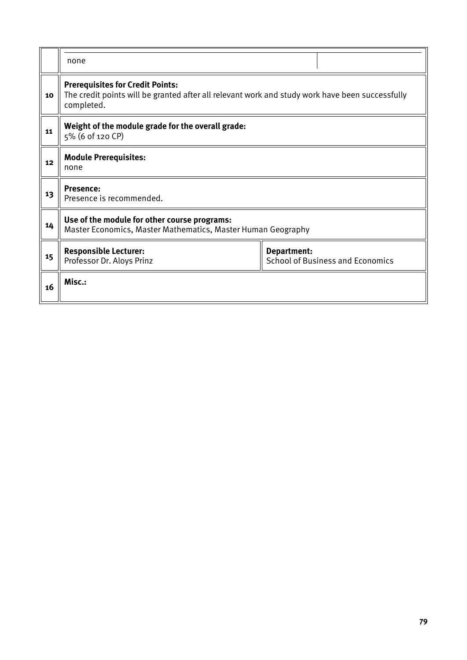|    | none                                                                                                                                                     |  |  |  |  |  |  |  |
|----|----------------------------------------------------------------------------------------------------------------------------------------------------------|--|--|--|--|--|--|--|
| 10 | <b>Prerequisites for Credit Points:</b><br>The credit points will be granted after all relevant work and study work have been successfully<br>completed. |  |  |  |  |  |  |  |
| 11 | Weight of the module grade for the overall grade:<br>5% (6 of 120 CP)                                                                                    |  |  |  |  |  |  |  |
| 12 | <b>Module Prerequisites:</b><br>none                                                                                                                     |  |  |  |  |  |  |  |
| 13 | Presence:<br>Presence is recommended.                                                                                                                    |  |  |  |  |  |  |  |
| 14 | Use of the module for other course programs:<br>Master Economics, Master Mathematics, Master Human Geography                                             |  |  |  |  |  |  |  |
| 15 | <b>Responsible Lecturer:</b><br>Department:<br><b>School of Business and Economics</b><br>Professor Dr. Aloys Prinz                                      |  |  |  |  |  |  |  |
| 16 | Misc.:                                                                                                                                                   |  |  |  |  |  |  |  |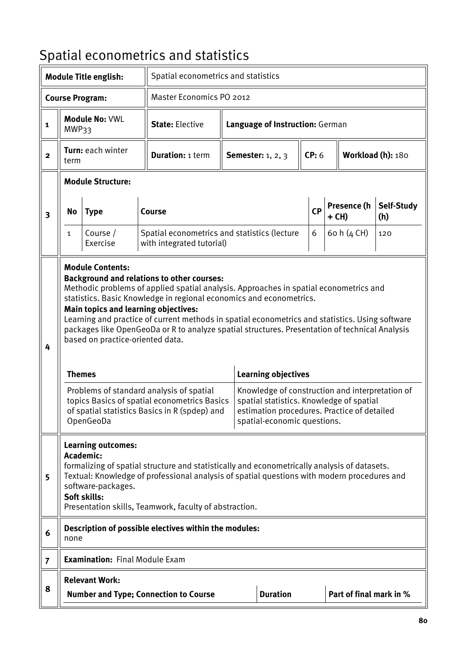# Spatial econometrics and statistics

|                |               | <b>Module Title english:</b>                                                                                            | Spatial econometrics and statistics                                                                                                                                                                                                                                                                                                                                                                                                                                                                                                                                 |                                 |                                                                                                                                                                                                         |  |           |  |                         |                   |
|----------------|---------------|-------------------------------------------------------------------------------------------------------------------------|---------------------------------------------------------------------------------------------------------------------------------------------------------------------------------------------------------------------------------------------------------------------------------------------------------------------------------------------------------------------------------------------------------------------------------------------------------------------------------------------------------------------------------------------------------------------|---------------------------------|---------------------------------------------------------------------------------------------------------------------------------------------------------------------------------------------------------|--|-----------|--|-------------------------|-------------------|
|                |               | <b>Course Program:</b>                                                                                                  | Master Economics PO 2012                                                                                                                                                                                                                                                                                                                                                                                                                                                                                                                                            |                                 |                                                                                                                                                                                                         |  |           |  |                         |                   |
| 1              | MWP33         | <b>Module No: VWL</b>                                                                                                   | <b>State: Elective</b>                                                                                                                                                                                                                                                                                                                                                                                                                                                                                                                                              | Language of Instruction: German |                                                                                                                                                                                                         |  |           |  |                         |                   |
| $\overline{2}$ | term          | Turn: each winter                                                                                                       | <b>Duration: 1 term</b>                                                                                                                                                                                                                                                                                                                                                                                                                                                                                                                                             |                                 | <b>Semester:</b> 1, 2, 3                                                                                                                                                                                |  | CP: 6     |  |                         | Workload (h): 180 |
|                |               | <b>Module Structure:</b>                                                                                                |                                                                                                                                                                                                                                                                                                                                                                                                                                                                                                                                                                     |                                 |                                                                                                                                                                                                         |  |           |  |                         |                   |
| 3              | No            | <b>Type</b>                                                                                                             | <b>Course</b>                                                                                                                                                                                                                                                                                                                                                                                                                                                                                                                                                       |                                 |                                                                                                                                                                                                         |  | <b>CP</b> |  | Presence (h<br>+ CH)    | Self-Study<br>(h) |
|                | $\mathbf{1}$  | Course /<br>Exercise                                                                                                    | Spatial econometrics and statistics (lecture<br>with integrated tutorial)                                                                                                                                                                                                                                                                                                                                                                                                                                                                                           |                                 |                                                                                                                                                                                                         |  | 6         |  | 60 h (4 CH)             | 120               |
| 4              | <b>Themes</b> | <b>Module Contents:</b><br><b>Main topics and learning objectives:</b><br>based on practice-oriented data.<br>OpenGeoDa | <b>Background and relations to other courses:</b><br>Methodic problems of applied spatial analysis. Approaches in spatial econometrics and<br>statistics. Basic Knowledge in regional economics and econometrics.<br>Learning and practice of current methods in spatial econometrics and statistics. Using software<br>packages like OpenGeoDa or R to analyze spatial structures. Presentation of technical Analysis<br>Problems of standard analysis of spatial<br>topics Basics of spatial econometrics Basics<br>of spatial statistics Basics in R (spdep) and |                                 | <b>Learning objectives</b><br>Knowledge of construction and interpretation of<br>spatial statistics. Knowledge of spatial<br>estimation procedures. Practice of detailed<br>spatial-economic questions. |  |           |  |                         |                   |
| 5              |               | <b>Learning outcomes:</b><br><b>Academic:</b><br>software-packages.<br>Soft skills:                                     | formalizing of spatial structure and statistically and econometrically analysis of datasets.<br>Textual: Knowledge of professional analysis of spatial questions with modern procedures and<br>Presentation skills, Teamwork, faculty of abstraction.                                                                                                                                                                                                                                                                                                               |                                 |                                                                                                                                                                                                         |  |           |  |                         |                   |
| 6              | none          |                                                                                                                         | Description of possible electives within the modules:                                                                                                                                                                                                                                                                                                                                                                                                                                                                                                               |                                 |                                                                                                                                                                                                         |  |           |  |                         |                   |
| $\overline{7}$ |               | <b>Examination: Final Module Exam</b>                                                                                   |                                                                                                                                                                                                                                                                                                                                                                                                                                                                                                                                                                     |                                 |                                                                                                                                                                                                         |  |           |  |                         |                   |
| 8              |               | <b>Relevant Work:</b>                                                                                                   | <b>Number and Type; Connection to Course</b>                                                                                                                                                                                                                                                                                                                                                                                                                                                                                                                        |                                 | <b>Duration</b>                                                                                                                                                                                         |  |           |  | Part of final mark in % |                   |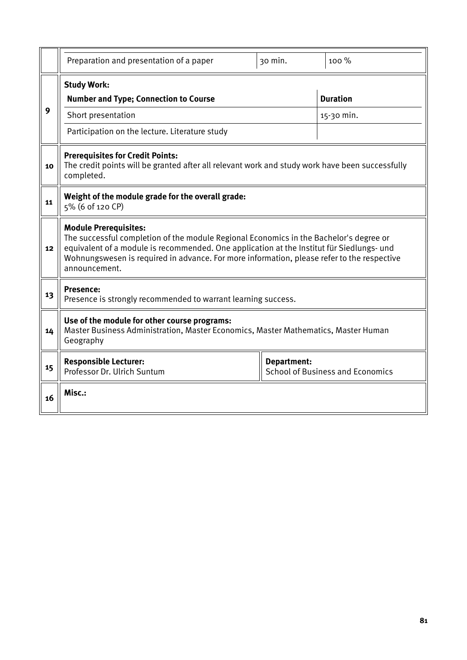|    | Preparation and presentation of a paper                                                                                                                                                                                                                                                                                            | 30 min.            | 100 %                                   |  |  |  |  |  |
|----|------------------------------------------------------------------------------------------------------------------------------------------------------------------------------------------------------------------------------------------------------------------------------------------------------------------------------------|--------------------|-----------------------------------------|--|--|--|--|--|
| 9  | <b>Study Work:</b><br><b>Number and Type; Connection to Course</b><br>Short presentation<br>Participation on the lecture. Literature study                                                                                                                                                                                         |                    | <b>Duration</b><br>15-30 min.           |  |  |  |  |  |
| 10 | <b>Prerequisites for Credit Points:</b><br>The credit points will be granted after all relevant work and study work have been successfully<br>completed.                                                                                                                                                                           |                    |                                         |  |  |  |  |  |
| 11 | Weight of the module grade for the overall grade:<br>5% (6 of 120 CP)                                                                                                                                                                                                                                                              |                    |                                         |  |  |  |  |  |
| 12 | <b>Module Prerequisites:</b><br>The successful completion of the module Regional Economics in the Bachelor's degree or<br>equivalent of a module is recommended. One application at the Institut für Siedlungs- und<br>Wohnungswesen is required in advance. For more information, please refer to the respective<br>announcement. |                    |                                         |  |  |  |  |  |
| 13 | <b>Presence:</b><br>Presence is strongly recommended to warrant learning success.                                                                                                                                                                                                                                                  |                    |                                         |  |  |  |  |  |
| 14 | Use of the module for other course programs:<br>Master Business Administration, Master Economics, Master Mathematics, Master Human<br>Geography                                                                                                                                                                                    |                    |                                         |  |  |  |  |  |
| 15 | <b>Responsible Lecturer:</b><br>Professor Dr. Ulrich Suntum                                                                                                                                                                                                                                                                        | <b>Department:</b> | <b>School of Business and Economics</b> |  |  |  |  |  |
| 16 | Misc.:                                                                                                                                                                                                                                                                                                                             |                    |                                         |  |  |  |  |  |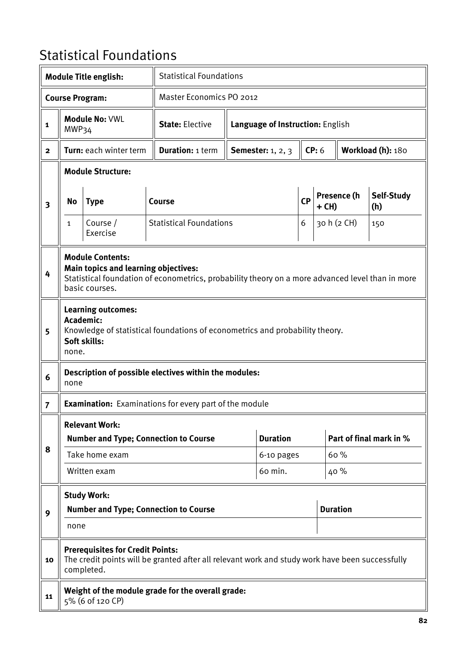## Statistical Foundations

|                         |                                                                                                                                                                                              | <b>Module Title english:</b>                          |                                                                                                 | <b>Statistical Foundations</b> |                                  |                      |       |                 |                         |  |
|-------------------------|----------------------------------------------------------------------------------------------------------------------------------------------------------------------------------------------|-------------------------------------------------------|-------------------------------------------------------------------------------------------------|--------------------------------|----------------------------------|----------------------|-------|-----------------|-------------------------|--|
|                         |                                                                                                                                                                                              | <b>Course Program:</b>                                | <b>Master Economics PO 2012</b>                                                                 |                                |                                  |                      |       |                 |                         |  |
| $\mathbf{1}$            | MWP34                                                                                                                                                                                        | <b>Module No: VWL</b>                                 | <b>State: Elective</b>                                                                          |                                | Language of Instruction: English |                      |       |                 |                         |  |
| $\mathbf{2}$            |                                                                                                                                                                                              | Turn: each winter term                                | <b>Duration: 1 term</b>                                                                         |                                | <b>Semester:</b> 1, 2, 3         |                      | CP: 6 |                 | Workload (h): 180       |  |
|                         |                                                                                                                                                                                              | <b>Module Structure:</b>                              |                                                                                                 |                                |                                  |                      |       |                 |                         |  |
| $\overline{\mathbf{3}}$ | No                                                                                                                                                                                           | <b>Type</b>                                           | Course                                                                                          |                                |                                  | <b>CP</b><br>$+$ CH) |       | Presence (h     | Self-Study<br>(h)       |  |
|                         | $\mathbf{1}$                                                                                                                                                                                 | Course /<br>Exercise                                  | <b>Statistical Foundations</b>                                                                  |                                |                                  | 6                    |       | 30 h (2 CH)     | 150                     |  |
| 4                       | <b>Module Contents:</b><br><b>Main topics and learning objectives:</b><br>Statistical foundation of econometrics, probability theory on a more advanced level than in more<br>basic courses. |                                                       |                                                                                                 |                                |                                  |                      |       |                 |                         |  |
| 5                       | <b>Learning outcomes:</b><br><b>Academic:</b><br>Knowledge of statistical foundations of econometrics and probability theory.<br>Soft skills:<br>none.                                       |                                                       |                                                                                                 |                                |                                  |                      |       |                 |                         |  |
| 6                       | none                                                                                                                                                                                         |                                                       | Description of possible electives within the modules:                                           |                                |                                  |                      |       |                 |                         |  |
| $\overline{7}$          |                                                                                                                                                                                              |                                                       | <b>Examination:</b> Examinations for every part of the module                                   |                                |                                  |                      |       |                 |                         |  |
|                         |                                                                                                                                                                                              | <b>Relevant Work:</b>                                 |                                                                                                 |                                |                                  |                      |       |                 |                         |  |
| 8                       |                                                                                                                                                                                              |                                                       | <b>Number and Type; Connection to Course</b>                                                    |                                | <b>Duration</b>                  |                      |       |                 | Part of final mark in % |  |
|                         |                                                                                                                                                                                              | Take home exam                                        |                                                                                                 |                                | 6-10 pages                       |                      |       | 60%             |                         |  |
|                         |                                                                                                                                                                                              | Written exam                                          |                                                                                                 |                                | 60 min.                          |                      |       | 40 %            |                         |  |
|                         |                                                                                                                                                                                              | <b>Study Work:</b>                                    |                                                                                                 |                                |                                  |                      |       |                 |                         |  |
| 9                       |                                                                                                                                                                                              |                                                       | <b>Number and Type; Connection to Course</b>                                                    |                                |                                  |                      |       | <b>Duration</b> |                         |  |
|                         | none                                                                                                                                                                                         |                                                       |                                                                                                 |                                |                                  |                      |       |                 |                         |  |
| 10                      |                                                                                                                                                                                              | <b>Prerequisites for Credit Points:</b><br>completed. | The credit points will be granted after all relevant work and study work have been successfully |                                |                                  |                      |       |                 |                         |  |
| 11                      |                                                                                                                                                                                              | 5% (6 of 120 CP)                                      | Weight of the module grade for the overall grade:                                               |                                |                                  |                      |       |                 |                         |  |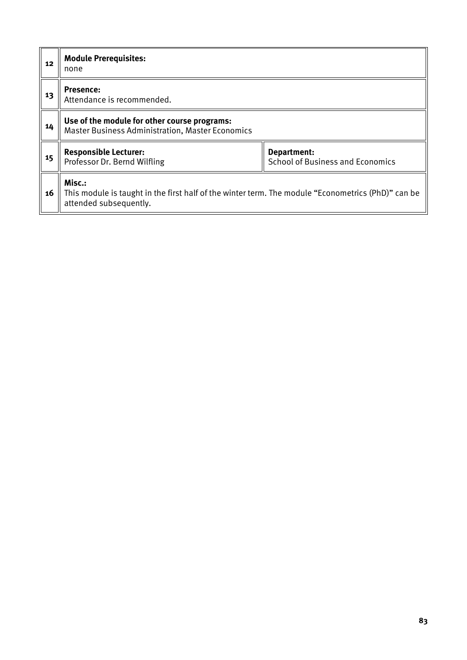| 12 | <b>Module Prerequisites:</b><br>none                                                                                                   |                                                        |  |  |  |  |  |
|----|----------------------------------------------------------------------------------------------------------------------------------------|--------------------------------------------------------|--|--|--|--|--|
| 13 | <b>Presence:</b><br>Attendance is recommended.                                                                                         |                                                        |  |  |  |  |  |
| 14 | Use of the module for other course programs:<br><b>Master Business Administration, Master Economics</b>                                |                                                        |  |  |  |  |  |
| 15 | <b>Responsible Lecturer:</b><br>Professor Dr. Bernd Wilfling                                                                           | Department:<br><b>School of Business and Economics</b> |  |  |  |  |  |
| 16 | Misc.:<br>This module is taught in the first half of the winter term. The module "Econometrics (PhD)" can be<br>attended subsequently. |                                                        |  |  |  |  |  |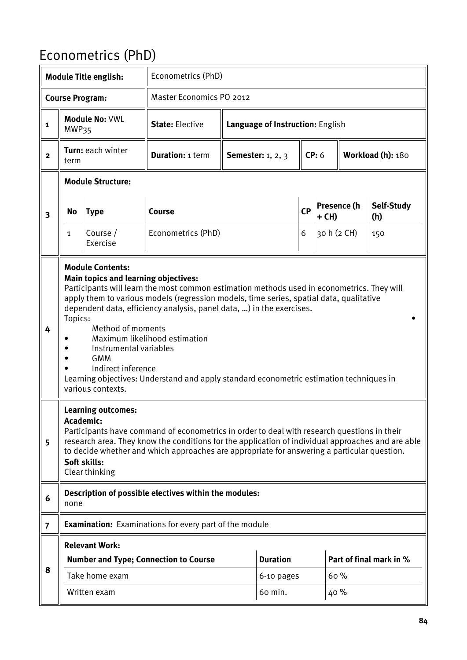## Econometrics (PhD)

|                         |              | <b>Module Title english:</b>                                                                                                                                                   | Econometrics (PhD)                                                                                                                                                                                                                                                                                                                                                                        |                          |                                  |  |         |             |                         |
|-------------------------|--------------|--------------------------------------------------------------------------------------------------------------------------------------------------------------------------------|-------------------------------------------------------------------------------------------------------------------------------------------------------------------------------------------------------------------------------------------------------------------------------------------------------------------------------------------------------------------------------------------|--------------------------|----------------------------------|--|---------|-------------|-------------------------|
|                         |              | <b>Course Program:</b>                                                                                                                                                         | <b>Master Economics PO 2012</b>                                                                                                                                                                                                                                                                                                                                                           |                          |                                  |  |         |             |                         |
| $\mathbf{1}$            | MWP35        | <b>Module No: VWL</b>                                                                                                                                                          | <b>State: Elective</b>                                                                                                                                                                                                                                                                                                                                                                    |                          | Language of Instruction: English |  |         |             |                         |
| $\overline{2}$          | term         | Turn: each winter                                                                                                                                                              | <b>Duration: 1 term</b>                                                                                                                                                                                                                                                                                                                                                                   | <b>Semester:</b> 1, 2, 3 |                                  |  | CP: 6   |             | Workload (h): 180       |
|                         |              | <b>Module Structure:</b>                                                                                                                                                       |                                                                                                                                                                                                                                                                                                                                                                                           |                          |                                  |  |         |             |                         |
| $\overline{\mathbf{3}}$ | No           | <b>Type</b>                                                                                                                                                                    | Course                                                                                                                                                                                                                                                                                                                                                                                    | <b>CP</b>                |                                  |  | $+$ CH) | Presence (h | Self-Study<br>(h)       |
|                         | $\mathbf{1}$ | Course /<br>Exercise                                                                                                                                                           | Econometrics (PhD)                                                                                                                                                                                                                                                                                                                                                                        |                          |                                  |  |         | 30 h (2 CH) | 150                     |
| 4                       | Topics:      | <b>Module Contents:</b><br><b>Main topics and learning objectives:</b><br>Method of moments<br>Instrumental variables<br><b>GMM</b><br>Indirect inference<br>various contexts. | Participants will learn the most common estimation methods used in econometrics. They will<br>apply them to various models (regression models, time series, spatial data, qualitative<br>dependent data, efficiency analysis, panel data, ) in the exercises.<br>Maximum likelihood estimation<br>Learning objectives: Understand and apply standard econometric estimation techniques in |                          |                                  |  |         |             |                         |
| 5                       |              | <b>Learning outcomes:</b><br><b>Academic:</b><br>Soft skills:<br>Clear thinking                                                                                                | Participants have command of econometrics in order to deal with research questions in their<br>research area. They know the conditions for the application of individual approaches and are able<br>to decide whether and which approaches are appropriate for answering a particular question.                                                                                           |                          |                                  |  |         |             |                         |
| 6                       | none         |                                                                                                                                                                                | Description of possible electives within the modules:                                                                                                                                                                                                                                                                                                                                     |                          |                                  |  |         |             |                         |
| $\overline{7}$          |              |                                                                                                                                                                                | <b>Examination:</b> Examinations for every part of the module                                                                                                                                                                                                                                                                                                                             |                          |                                  |  |         |             |                         |
|                         |              | <b>Relevant Work:</b>                                                                                                                                                          |                                                                                                                                                                                                                                                                                                                                                                                           |                          |                                  |  |         |             |                         |
| 8                       |              |                                                                                                                                                                                | <b>Number and Type; Connection to Course</b>                                                                                                                                                                                                                                                                                                                                              |                          | <b>Duration</b>                  |  |         |             | Part of final mark in % |
|                         |              | Take home exam                                                                                                                                                                 |                                                                                                                                                                                                                                                                                                                                                                                           |                          | 6-10 pages                       |  | 60%     |             |                         |
|                         |              | Written exam                                                                                                                                                                   |                                                                                                                                                                                                                                                                                                                                                                                           |                          | 60 min.                          |  | 40%     |             |                         |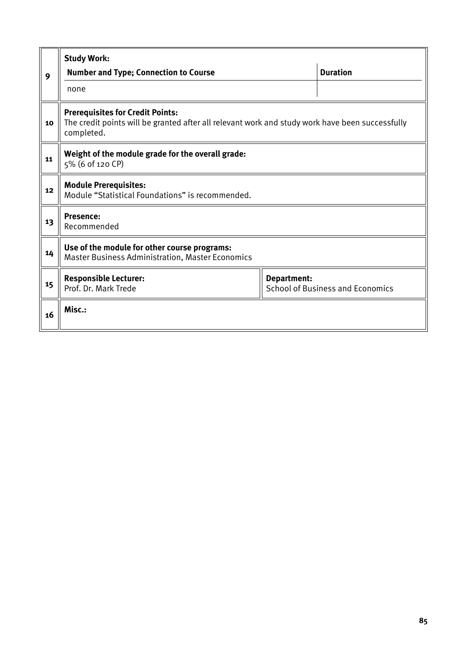|    | <b>Study Work:</b>                                                                                                                                       |  |                 |  |  |  |  |  |
|----|----------------------------------------------------------------------------------------------------------------------------------------------------------|--|-----------------|--|--|--|--|--|
| 9  | <b>Number and Type; Connection to Course</b>                                                                                                             |  | <b>Duration</b> |  |  |  |  |  |
|    | none                                                                                                                                                     |  |                 |  |  |  |  |  |
| 10 | <b>Prerequisites for Credit Points:</b><br>The credit points will be granted after all relevant work and study work have been successfully<br>completed. |  |                 |  |  |  |  |  |
| 11 | Weight of the module grade for the overall grade:<br>5% (6 of 120 CP)                                                                                    |  |                 |  |  |  |  |  |
| 12 | <b>Module Prerequisites:</b><br>Module "Statistical Foundations" is recommended.                                                                         |  |                 |  |  |  |  |  |
| 13 | <b>Presence:</b><br>Recommended                                                                                                                          |  |                 |  |  |  |  |  |
| 14 | Use of the module for other course programs:<br><b>Master Business Administration, Master Economics</b>                                                  |  |                 |  |  |  |  |  |
| 15 | <b>Responsible Lecturer:</b><br>Department:<br>Prof. Dr. Mark Trede<br><b>School of Business and Economics</b>                                           |  |                 |  |  |  |  |  |
| 16 | Misc.:                                                                                                                                                   |  |                 |  |  |  |  |  |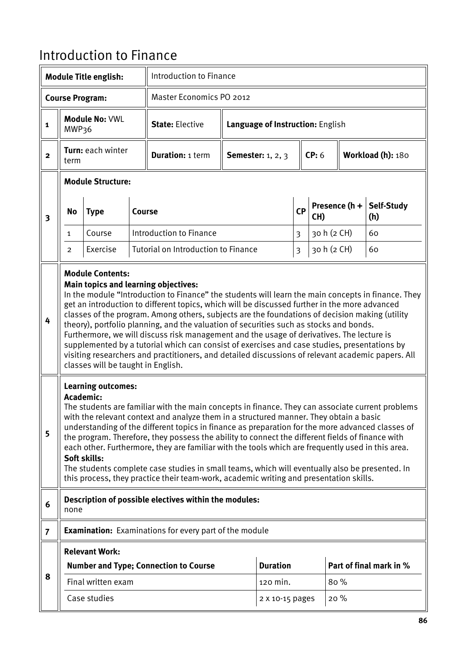## Introduction to Finance

|                         |                                                                                                                                                                                                                                                                                                                                                                                                                                                                                                                                                                                                                                                                                                                                                                                                                   | <b>Module Title english:</b>              |        |                                                                                                                                                                                                                                                                                                                                                                                                                                                                                                                                                                                                                                                                                                     | Introduction to Finance |                                  |                         |             |               |                         |
|-------------------------|-------------------------------------------------------------------------------------------------------------------------------------------------------------------------------------------------------------------------------------------------------------------------------------------------------------------------------------------------------------------------------------------------------------------------------------------------------------------------------------------------------------------------------------------------------------------------------------------------------------------------------------------------------------------------------------------------------------------------------------------------------------------------------------------------------------------|-------------------------------------------|--------|-----------------------------------------------------------------------------------------------------------------------------------------------------------------------------------------------------------------------------------------------------------------------------------------------------------------------------------------------------------------------------------------------------------------------------------------------------------------------------------------------------------------------------------------------------------------------------------------------------------------------------------------------------------------------------------------------------|-------------------------|----------------------------------|-------------------------|-------------|---------------|-------------------------|
|                         |                                                                                                                                                                                                                                                                                                                                                                                                                                                                                                                                                                                                                                                                                                                                                                                                                   | <b>Course Program:</b>                    |        | Master Economics PO 2012                                                                                                                                                                                                                                                                                                                                                                                                                                                                                                                                                                                                                                                                            |                         |                                  |                         |             |               |                         |
| $\mathbf{1}$            | MWP36                                                                                                                                                                                                                                                                                                                                                                                                                                                                                                                                                                                                                                                                                                                                                                                                             | Module No: VWL                            |        | <b>State: Elective</b>                                                                                                                                                                                                                                                                                                                                                                                                                                                                                                                                                                                                                                                                              |                         | Language of Instruction: English |                         |             |               |                         |
| $\mathbf{2}$            | term                                                                                                                                                                                                                                                                                                                                                                                                                                                                                                                                                                                                                                                                                                                                                                                                              | Turn: each winter                         |        | <b>Duration: 1 term</b>                                                                                                                                                                                                                                                                                                                                                                                                                                                                                                                                                                                                                                                                             |                         | <b>Semester:</b> 1, 2, 3         |                         | CP: 6       |               | Workload (h): 180       |
|                         |                                                                                                                                                                                                                                                                                                                                                                                                                                                                                                                                                                                                                                                                                                                                                                                                                   | <b>Module Structure:</b>                  |        |                                                                                                                                                                                                                                                                                                                                                                                                                                                                                                                                                                                                                                                                                                     |                         |                                  |                         |             |               |                         |
| $\overline{\mathbf{3}}$ | No                                                                                                                                                                                                                                                                                                                                                                                                                                                                                                                                                                                                                                                                                                                                                                                                                | <b>Type</b>                               | Course |                                                                                                                                                                                                                                                                                                                                                                                                                                                                                                                                                                                                                                                                                                     |                         |                                  | <b>CP</b>               | CH)         | Presence (h + | Self-Study<br>(h)       |
|                         | $\mathbf{1}$                                                                                                                                                                                                                                                                                                                                                                                                                                                                                                                                                                                                                                                                                                                                                                                                      | Course                                    |        | Introduction to Finance                                                                                                                                                                                                                                                                                                                                                                                                                                                                                                                                                                                                                                                                             |                         |                                  | $\overline{\mathbf{3}}$ | 30 h (2 CH) |               | 60                      |
|                         | <b>Tutorial on Introduction to Finance</b><br>Exercise<br>$\overline{2}$                                                                                                                                                                                                                                                                                                                                                                                                                                                                                                                                                                                                                                                                                                                                          |                                           |        |                                                                                                                                                                                                                                                                                                                                                                                                                                                                                                                                                                                                                                                                                                     |                         |                                  | $\overline{3}$          | 30 h (2 CH) |               | 60                      |
| 4                       | <b>Module Contents:</b><br><b>Main topics and learning objectives:</b><br>In the module "Introduction to Finance" the students will learn the main concepts in finance. They<br>get an introduction to different topics, which will be discussed further in the more advanced<br>classes of the program. Among others, subjects are the foundations of decision making (utility<br>theory), portfolio planning, and the valuation of securities such as stocks and bonds.<br>Furthermore, we will discuss risk management and the usage of derivatives. The lecture is<br>supplemented by a tutorial which can consist of exercises and case studies, presentations by<br>visiting researchers and practitioners, and detailed discussions of relevant academic papers. All<br>classes will be taught in English. |                                           |        |                                                                                                                                                                                                                                                                                                                                                                                                                                                                                                                                                                                                                                                                                                     |                         |                                  |                         |             |               |                         |
| 5                       | Academic:                                                                                                                                                                                                                                                                                                                                                                                                                                                                                                                                                                                                                                                                                                                                                                                                         | <b>Learning outcomes:</b><br>Soft skills: |        | The students are familiar with the main concepts in finance. They can associate current problems<br>with the relevant context and analyze them in a structured manner. They obtain a basic<br>understanding of the different topics in finance as preparation for the more advanced classes of<br>the program. Therefore, they possess the ability to connect the different fields of finance with<br>each other. Furthermore, they are familiar with the tools which are frequently used in this area.<br>The students complete case studies in small teams, which will eventually also be presented. In<br>this process, they practice their team-work, academic writing and presentation skills. |                         |                                  |                         |             |               |                         |
| 6                       | none                                                                                                                                                                                                                                                                                                                                                                                                                                                                                                                                                                                                                                                                                                                                                                                                              |                                           |        | Description of possible electives within the modules:                                                                                                                                                                                                                                                                                                                                                                                                                                                                                                                                                                                                                                               |                         |                                  |                         |             |               |                         |
| $\overline{7}$          |                                                                                                                                                                                                                                                                                                                                                                                                                                                                                                                                                                                                                                                                                                                                                                                                                   |                                           |        | <b>Examination:</b> Examinations for every part of the module                                                                                                                                                                                                                                                                                                                                                                                                                                                                                                                                                                                                                                       |                         |                                  |                         |             |               |                         |
|                         |                                                                                                                                                                                                                                                                                                                                                                                                                                                                                                                                                                                                                                                                                                                                                                                                                   | <b>Relevant Work:</b>                     |        |                                                                                                                                                                                                                                                                                                                                                                                                                                                                                                                                                                                                                                                                                                     |                         |                                  |                         |             |               |                         |
| 8                       |                                                                                                                                                                                                                                                                                                                                                                                                                                                                                                                                                                                                                                                                                                                                                                                                                   |                                           |        | <b>Number and Type; Connection to Course</b>                                                                                                                                                                                                                                                                                                                                                                                                                                                                                                                                                                                                                                                        |                         | <b>Duration</b>                  |                         |             |               | Part of final mark in % |
|                         |                                                                                                                                                                                                                                                                                                                                                                                                                                                                                                                                                                                                                                                                                                                                                                                                                   | Final written exam                        |        |                                                                                                                                                                                                                                                                                                                                                                                                                                                                                                                                                                                                                                                                                                     |                         | 120 min.                         |                         | 80 %        |               |                         |
|                         |                                                                                                                                                                                                                                                                                                                                                                                                                                                                                                                                                                                                                                                                                                                                                                                                                   | Case studies                              |        |                                                                                                                                                                                                                                                                                                                                                                                                                                                                                                                                                                                                                                                                                                     |                         | 2 X 10-15 pages                  |                         | 20%         |               |                         |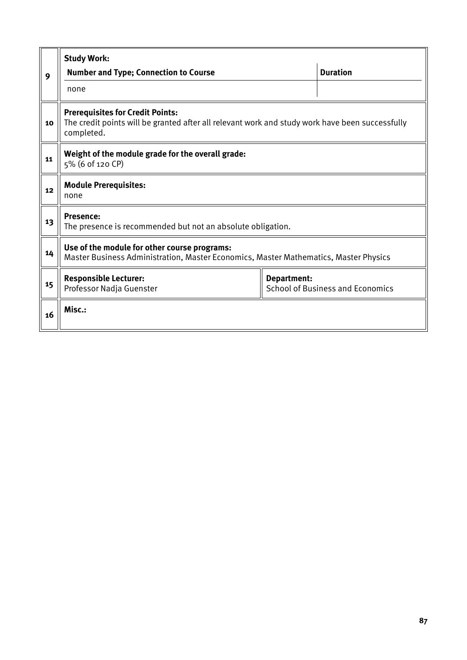|    | <b>Study Work:</b>                                                                                                                                       |  |                 |  |  |  |  |  |
|----|----------------------------------------------------------------------------------------------------------------------------------------------------------|--|-----------------|--|--|--|--|--|
| 9  | <b>Number and Type; Connection to Course</b>                                                                                                             |  | <b>Duration</b> |  |  |  |  |  |
|    | none                                                                                                                                                     |  |                 |  |  |  |  |  |
| 10 | <b>Prerequisites for Credit Points:</b><br>The credit points will be granted after all relevant work and study work have been successfully<br>completed. |  |                 |  |  |  |  |  |
| 11 | Weight of the module grade for the overall grade:<br>5% (6 of 120 CP)                                                                                    |  |                 |  |  |  |  |  |
| 12 | <b>Module Prerequisites:</b><br>none                                                                                                                     |  |                 |  |  |  |  |  |
| 13 | <b>Presence:</b><br>The presence is recommended but not an absolute obligation.                                                                          |  |                 |  |  |  |  |  |
| 14 | Use of the module for other course programs:<br>Master Business Administration, Master Economics, Master Mathematics, Master Physics                     |  |                 |  |  |  |  |  |
| 15 | <b>Responsible Lecturer:</b><br>Department:<br><b>School of Business and Economics</b><br>Professor Nadja Guenster                                       |  |                 |  |  |  |  |  |
| 16 | Misc.:                                                                                                                                                   |  |                 |  |  |  |  |  |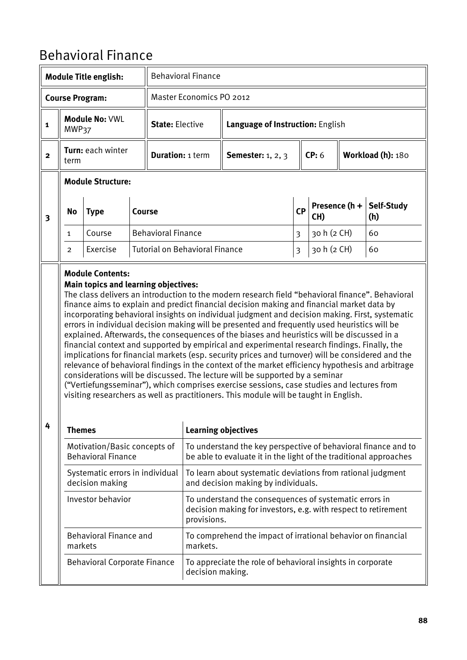## Behavioral Finance

|                         |                          | <b>Module Title english:</b>                              |        |                           | <b>Behavioral Finance</b>             |                                                                                                                                                                                                                                                                                                                                                                                                                                                                                                                                                                                                                                                                                                                                                                                                                                                                                                                                                                                                                                                                                    |                                  |                      |  |                   |  |
|-------------------------|--------------------------|-----------------------------------------------------------|--------|---------------------------|---------------------------------------|------------------------------------------------------------------------------------------------------------------------------------------------------------------------------------------------------------------------------------------------------------------------------------------------------------------------------------------------------------------------------------------------------------------------------------------------------------------------------------------------------------------------------------------------------------------------------------------------------------------------------------------------------------------------------------------------------------------------------------------------------------------------------------------------------------------------------------------------------------------------------------------------------------------------------------------------------------------------------------------------------------------------------------------------------------------------------------|----------------------------------|----------------------|--|-------------------|--|
|                         |                          | <b>Course Program:</b>                                    |        |                           | Master Economics PO 2012              |                                                                                                                                                                                                                                                                                                                                                                                                                                                                                                                                                                                                                                                                                                                                                                                                                                                                                                                                                                                                                                                                                    |                                  |                      |  |                   |  |
| $\mathbf{1}$            | MWP37                    | <b>Module No: VWL</b>                                     |        | <b>State: Elective</b>    |                                       |                                                                                                                                                                                                                                                                                                                                                                                                                                                                                                                                                                                                                                                                                                                                                                                                                                                                                                                                                                                                                                                                                    | Language of Instruction: English |                      |  |                   |  |
| $\overline{2}$          | term                     | Turn: each winter                                         |        | <b>Duration: 1 term</b>   |                                       | <b>Semester:</b> 1, 2, 3                                                                                                                                                                                                                                                                                                                                                                                                                                                                                                                                                                                                                                                                                                                                                                                                                                                                                                                                                                                                                                                           |                                  | CP: 6                |  | Workload (h): 180 |  |
|                         | <b>Module Structure:</b> |                                                           |        |                           |                                       |                                                                                                                                                                                                                                                                                                                                                                                                                                                                                                                                                                                                                                                                                                                                                                                                                                                                                                                                                                                                                                                                                    |                                  |                      |  |                   |  |
| $\overline{\mathbf{3}}$ | No                       | <b>Type</b>                                               | Course |                           |                                       |                                                                                                                                                                                                                                                                                                                                                                                                                                                                                                                                                                                                                                                                                                                                                                                                                                                                                                                                                                                                                                                                                    | <b>CP</b>                        | Presence (h +<br>CH) |  | Self-Study<br>(h) |  |
|                         | $\mathbf{1}$             | Course                                                    |        | <b>Behavioral Finance</b> |                                       |                                                                                                                                                                                                                                                                                                                                                                                                                                                                                                                                                                                                                                                                                                                                                                                                                                                                                                                                                                                                                                                                                    | 3                                | 30 h (2 CH)          |  | 60                |  |
|                         | $\overline{2}$           | Exercise                                                  |        |                           | <b>Tutorial on Behavioral Finance</b> |                                                                                                                                                                                                                                                                                                                                                                                                                                                                                                                                                                                                                                                                                                                                                                                                                                                                                                                                                                                                                                                                                    | $\overline{\mathbf{3}}$          | 30 h (2 CH)          |  | 60                |  |
| 4                       |                          | <b>Main topics and learning objectives:</b>               |        |                           |                                       | The class delivers an introduction to the modern research field "behavioral finance". Behavioral<br>finance aims to explain and predict financial decision making and financial market data by<br>incorporating behavioral insights on individual judgment and decision making. First, systematic<br>errors in individual decision making will be presented and frequently used heuristics will be<br>explained. Afterwards, the consequences of the biases and heuristics will be discussed in a<br>financial context and supported by empirical and experimental research findings. Finally, the<br>implications for financial markets (esp. security prices and turnover) will be considered and the<br>relevance of behavioral findings in the context of the market efficiency hypothesis and arbitrage<br>considerations will be discussed. The lecture will be supported by a seminar<br>("Vertiefungsseminar"), which comprises exercise sessions, case studies and lectures from<br>visiting researchers as well as practitioners. This module will be taught in English. |                                  |                      |  |                   |  |
|                         | <b>Themes</b>            |                                                           |        |                           | <b>Learning objectives</b>            |                                                                                                                                                                                                                                                                                                                                                                                                                                                                                                                                                                                                                                                                                                                                                                                                                                                                                                                                                                                                                                                                                    |                                  |                      |  |                   |  |
|                         |                          | Motivation/Basic concepts of<br><b>Behavioral Finance</b> |        |                           |                                       | To understand the key perspective of behavioral finance and to<br>be able to evaluate it in the light of the traditional approaches                                                                                                                                                                                                                                                                                                                                                                                                                                                                                                                                                                                                                                                                                                                                                                                                                                                                                                                                                |                                  |                      |  |                   |  |
|                         |                          | Systematic errors in individual<br>decision making        |        |                           |                                       | To learn about systematic deviations from rational judgment<br>and decision making by individuals.                                                                                                                                                                                                                                                                                                                                                                                                                                                                                                                                                                                                                                                                                                                                                                                                                                                                                                                                                                                 |                                  |                      |  |                   |  |
|                         |                          | Investor behavior                                         |        |                           | provisions.                           | To understand the consequences of systematic errors in<br>decision making for investors, e.g. with respect to retirement                                                                                                                                                                                                                                                                                                                                                                                                                                                                                                                                                                                                                                                                                                                                                                                                                                                                                                                                                           |                                  |                      |  |                   |  |
|                         | markets                  | <b>Behavioral Finance and</b>                             |        |                           | markets.                              | To comprehend the impact of irrational behavior on financial                                                                                                                                                                                                                                                                                                                                                                                                                                                                                                                                                                                                                                                                                                                                                                                                                                                                                                                                                                                                                       |                                  |                      |  |                   |  |
|                         |                          | <b>Behavioral Corporate Finance</b>                       |        |                           | decision making.                      | To appreciate the role of behavioral insights in corporate                                                                                                                                                                                                                                                                                                                                                                                                                                                                                                                                                                                                                                                                                                                                                                                                                                                                                                                                                                                                                         |                                  |                      |  |                   |  |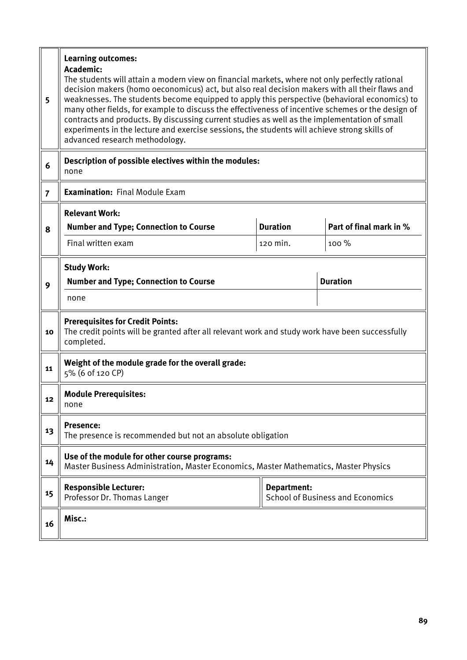| 5              | <b>Learning outcomes:</b><br>Academic:<br>The students will attain a modern view on financial markets, where not only perfectly rational<br>decision makers (homo oeconomicus) act, but also real decision makers with all their flaws and<br>weaknesses. The students become equipped to apply this perspective (behavioral economics) to<br>many other fields, for example to discuss the effectiveness of incentive schemes or the design of<br>contracts and products. By discussing current studies as well as the implementation of small<br>experiments in the lecture and exercise sessions, the students will achieve strong skills of<br>advanced research methodology. |                 |                                         |  |  |  |  |  |  |
|----------------|-----------------------------------------------------------------------------------------------------------------------------------------------------------------------------------------------------------------------------------------------------------------------------------------------------------------------------------------------------------------------------------------------------------------------------------------------------------------------------------------------------------------------------------------------------------------------------------------------------------------------------------------------------------------------------------|-----------------|-----------------------------------------|--|--|--|--|--|--|
| 6              | Description of possible electives within the modules:<br>none                                                                                                                                                                                                                                                                                                                                                                                                                                                                                                                                                                                                                     |                 |                                         |  |  |  |  |  |  |
| $\overline{7}$ | <b>Examination: Final Module Exam</b>                                                                                                                                                                                                                                                                                                                                                                                                                                                                                                                                                                                                                                             |                 |                                         |  |  |  |  |  |  |
|                | <b>Relevant Work:</b>                                                                                                                                                                                                                                                                                                                                                                                                                                                                                                                                                                                                                                                             |                 |                                         |  |  |  |  |  |  |
| 8              | <b>Number and Type; Connection to Course</b>                                                                                                                                                                                                                                                                                                                                                                                                                                                                                                                                                                                                                                      | <b>Duration</b> | Part of final mark in %                 |  |  |  |  |  |  |
|                | Final written exam                                                                                                                                                                                                                                                                                                                                                                                                                                                                                                                                                                                                                                                                | 100 %           |                                         |  |  |  |  |  |  |
|                | <b>Study Work:</b>                                                                                                                                                                                                                                                                                                                                                                                                                                                                                                                                                                                                                                                                |                 |                                         |  |  |  |  |  |  |
| 9              | <b>Number and Type; Connection to Course</b>                                                                                                                                                                                                                                                                                                                                                                                                                                                                                                                                                                                                                                      |                 | <b>Duration</b>                         |  |  |  |  |  |  |
|                | none                                                                                                                                                                                                                                                                                                                                                                                                                                                                                                                                                                                                                                                                              |                 |                                         |  |  |  |  |  |  |
| 10             | <b>Prerequisites for Credit Points:</b><br>The credit points will be granted after all relevant work and study work have been successfully<br>completed.                                                                                                                                                                                                                                                                                                                                                                                                                                                                                                                          |                 |                                         |  |  |  |  |  |  |
| 11             | Weight of the module grade for the overall grade:<br>5% (6 of 120 CP)                                                                                                                                                                                                                                                                                                                                                                                                                                                                                                                                                                                                             |                 |                                         |  |  |  |  |  |  |
| 12             | <b>Module Prerequisites:</b><br>none                                                                                                                                                                                                                                                                                                                                                                                                                                                                                                                                                                                                                                              |                 |                                         |  |  |  |  |  |  |
| 13             | <b>Presence:</b><br>The presence is recommended but not an absolute obligation                                                                                                                                                                                                                                                                                                                                                                                                                                                                                                                                                                                                    |                 |                                         |  |  |  |  |  |  |
| 14             | Use of the module for other course programs:<br>Master Business Administration, Master Economics, Master Mathematics, Master Physics                                                                                                                                                                                                                                                                                                                                                                                                                                                                                                                                              |                 |                                         |  |  |  |  |  |  |
| 15             | <b>Responsible Lecturer:</b><br>Professor Dr. Thomas Langer                                                                                                                                                                                                                                                                                                                                                                                                                                                                                                                                                                                                                       | Department:     | <b>School of Business and Economics</b> |  |  |  |  |  |  |
| 16             | Misc.:                                                                                                                                                                                                                                                                                                                                                                                                                                                                                                                                                                                                                                                                            |                 |                                         |  |  |  |  |  |  |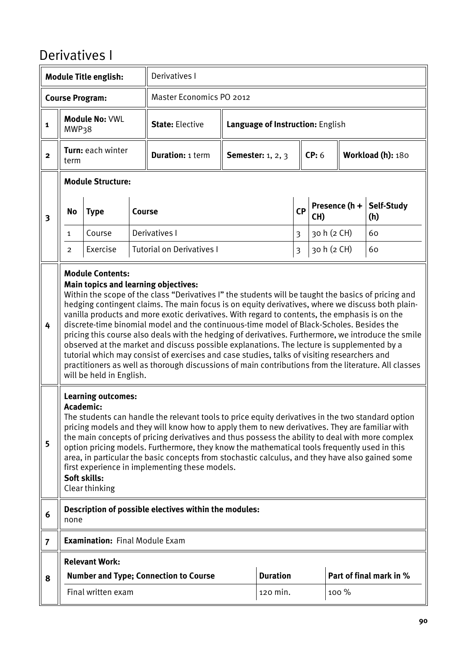#### Derivatives I

|                         |                                                                                                                                                                                                                                                                                                                                                                                                                                                                                                                                                                                                                                                                                                                                                                                                                                                                                                                        | <b>Module Title english:</b>          |        | Derivatives I                                         |                                  |                 |                |                      |             |                         |
|-------------------------|------------------------------------------------------------------------------------------------------------------------------------------------------------------------------------------------------------------------------------------------------------------------------------------------------------------------------------------------------------------------------------------------------------------------------------------------------------------------------------------------------------------------------------------------------------------------------------------------------------------------------------------------------------------------------------------------------------------------------------------------------------------------------------------------------------------------------------------------------------------------------------------------------------------------|---------------------------------------|--------|-------------------------------------------------------|----------------------------------|-----------------|----------------|----------------------|-------------|-------------------------|
|                         |                                                                                                                                                                                                                                                                                                                                                                                                                                                                                                                                                                                                                                                                                                                                                                                                                                                                                                                        | <b>Course Program:</b>                |        | Master Economics PO 2012                              |                                  |                 |                |                      |             |                         |
| $\mathbf{1}$            | MWP38                                                                                                                                                                                                                                                                                                                                                                                                                                                                                                                                                                                                                                                                                                                                                                                                                                                                                                                  | <b>Module No: VWL</b>                 |        | <b>State: Elective</b>                                | Language of Instruction: English |                 |                |                      |             |                         |
| $\overline{2}$          | term                                                                                                                                                                                                                                                                                                                                                                                                                                                                                                                                                                                                                                                                                                                                                                                                                                                                                                                   | Turn: each winter                     |        | <b>Duration: 1 term</b>                               | <b>Semester:</b> 1, 2, 3         |                 |                | CP: 6                |             | Workload (h): 180       |
|                         |                                                                                                                                                                                                                                                                                                                                                                                                                                                                                                                                                                                                                                                                                                                                                                                                                                                                                                                        | <b>Module Structure:</b>              |        |                                                       |                                  |                 |                |                      |             |                         |
| $\overline{\mathbf{3}}$ | No                                                                                                                                                                                                                                                                                                                                                                                                                                                                                                                                                                                                                                                                                                                                                                                                                                                                                                                     | <b>Type</b>                           | Course |                                                       |                                  | <b>CP</b>       |                | Presence (h +<br>CH) |             | Self-Study<br>(h)       |
|                         | $\mathbf{1}$                                                                                                                                                                                                                                                                                                                                                                                                                                                                                                                                                                                                                                                                                                                                                                                                                                                                                                           | Course                                |        | Derivatives I                                         |                                  |                 |                |                      | 30 h (2 CH) | 60                      |
|                         | 2                                                                                                                                                                                                                                                                                                                                                                                                                                                                                                                                                                                                                                                                                                                                                                                                                                                                                                                      | Exercise                              |        | <b>Tutorial on Derivatives I</b>                      |                                  |                 | $\overline{3}$ | 30 h (2 CH)          |             | 60                      |
| 4                       | <b>Module Contents:</b><br><b>Main topics and learning objectives:</b><br>Within the scope of the class "Derivatives I" the students will be taught the basics of pricing and<br>hedging contingent claims. The main focus is on equity derivatives, where we discuss both plain-<br>vanilla products and more exotic derivatives. With regard to contents, the emphasis is on the<br>discrete-time binomial model and the continuous-time model of Black-Scholes. Besides the<br>pricing this course also deals with the hedging of derivatives. Furthermore, we introduce the smile<br>observed at the market and discuss possible explanations. The lecture is supplemented by a<br>tutorial which may consist of exercises and case studies, talks of visiting researchers and<br>practitioners as well as thorough discussions of main contributions from the literature. All classes<br>will be held in English. |                                       |        |                                                       |                                  |                 |                |                      |             |                         |
| 5                       | <b>Learning outcomes:</b><br>Academic:<br>The students can handle the relevant tools to price equity derivatives in the two standard option<br>pricing models and they will know how to apply them to new derivatives. They are familiar with<br>the main concepts of pricing derivatives and thus possess the ability to deal with more complex<br>option pricing models. Furthermore, they know the mathematical tools frequently used in this<br>area, in particular the basic concepts from stochastic calculus, and they have also gained some<br>first experience in implementing these models.<br>Soft skills:<br>Clear thinking                                                                                                                                                                                                                                                                                |                                       |        |                                                       |                                  |                 |                |                      |             |                         |
| 6                       | none                                                                                                                                                                                                                                                                                                                                                                                                                                                                                                                                                                                                                                                                                                                                                                                                                                                                                                                   |                                       |        | Description of possible electives within the modules: |                                  |                 |                |                      |             |                         |
| $\overline{7}$          |                                                                                                                                                                                                                                                                                                                                                                                                                                                                                                                                                                                                                                                                                                                                                                                                                                                                                                                        | <b>Examination: Final Module Exam</b> |        |                                                       |                                  |                 |                |                      |             |                         |
|                         |                                                                                                                                                                                                                                                                                                                                                                                                                                                                                                                                                                                                                                                                                                                                                                                                                                                                                                                        | <b>Relevant Work:</b>                 |        |                                                       |                                  |                 |                |                      |             |                         |
| 8                       |                                                                                                                                                                                                                                                                                                                                                                                                                                                                                                                                                                                                                                                                                                                                                                                                                                                                                                                        |                                       |        | <b>Number and Type; Connection to Course</b>          |                                  | <b>Duration</b> |                |                      |             | Part of final mark in % |
|                         |                                                                                                                                                                                                                                                                                                                                                                                                                                                                                                                                                                                                                                                                                                                                                                                                                                                                                                                        | Final written exam                    |        |                                                       |                                  | 120 min.        |                |                      | 100 %       |                         |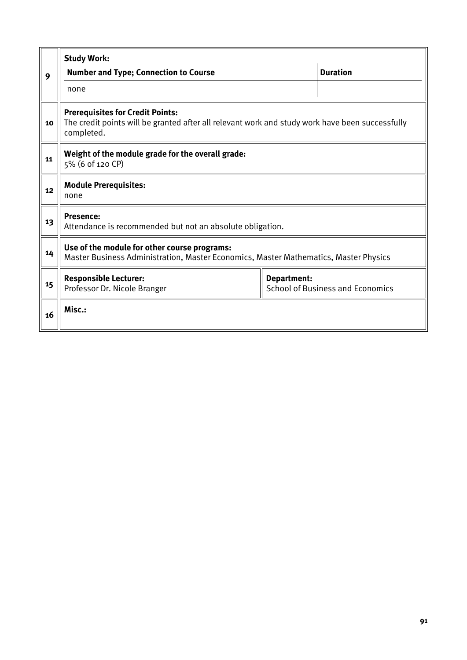|    | <b>Study Work:</b>                                                                                                                                       |  |                 |  |  |  |  |  |
|----|----------------------------------------------------------------------------------------------------------------------------------------------------------|--|-----------------|--|--|--|--|--|
| 9  | <b>Number and Type; Connection to Course</b>                                                                                                             |  | <b>Duration</b> |  |  |  |  |  |
|    | none                                                                                                                                                     |  |                 |  |  |  |  |  |
| 10 | <b>Prerequisites for Credit Points:</b><br>The credit points will be granted after all relevant work and study work have been successfully<br>completed. |  |                 |  |  |  |  |  |
| 11 | Weight of the module grade for the overall grade:<br>5% (6 of 120 CP)                                                                                    |  |                 |  |  |  |  |  |
| 12 | <b>Module Prerequisites:</b><br>none                                                                                                                     |  |                 |  |  |  |  |  |
| 13 | <b>Presence:</b><br>Attendance is recommended but not an absolute obligation.                                                                            |  |                 |  |  |  |  |  |
| 14 | Use of the module for other course programs:<br>Master Business Administration, Master Economics, Master Mathematics, Master Physics                     |  |                 |  |  |  |  |  |
| 15 | <b>Responsible Lecturer:</b><br>Department:<br><b>School of Business and Economics</b><br>Professor Dr. Nicole Branger                                   |  |                 |  |  |  |  |  |
| 16 | Misc.:                                                                                                                                                   |  |                 |  |  |  |  |  |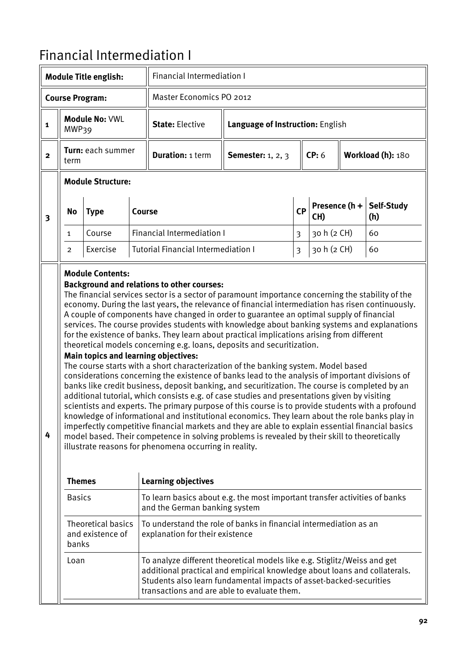## Financial Intermediation I

|                                                                                                                                                                                                                                                                                                                                                                                                                                                                                                                                                                                                                                                                                                                                                                                                                                                                                                                                                                                                                                                                                                                                                                                                                                                                                                                                                                                                                                                                                                                                                                            |                           | <b>Module Title english:</b>                  |        | <b>Financial Intermediation I</b>                                                                                                                                                                                                                                          |                                  |           |                      |  |                   |
|----------------------------------------------------------------------------------------------------------------------------------------------------------------------------------------------------------------------------------------------------------------------------------------------------------------------------------------------------------------------------------------------------------------------------------------------------------------------------------------------------------------------------------------------------------------------------------------------------------------------------------------------------------------------------------------------------------------------------------------------------------------------------------------------------------------------------------------------------------------------------------------------------------------------------------------------------------------------------------------------------------------------------------------------------------------------------------------------------------------------------------------------------------------------------------------------------------------------------------------------------------------------------------------------------------------------------------------------------------------------------------------------------------------------------------------------------------------------------------------------------------------------------------------------------------------------------|---------------------------|-----------------------------------------------|--------|----------------------------------------------------------------------------------------------------------------------------------------------------------------------------------------------------------------------------------------------------------------------------|----------------------------------|-----------|----------------------|--|-------------------|
|                                                                                                                                                                                                                                                                                                                                                                                                                                                                                                                                                                                                                                                                                                                                                                                                                                                                                                                                                                                                                                                                                                                                                                                                                                                                                                                                                                                                                                                                                                                                                                            |                           | <b>Course Program:</b>                        |        | Master Economics PO 2012                                                                                                                                                                                                                                                   |                                  |           |                      |  |                   |
| $\mathbf{1}$                                                                                                                                                                                                                                                                                                                                                                                                                                                                                                                                                                                                                                                                                                                                                                                                                                                                                                                                                                                                                                                                                                                                                                                                                                                                                                                                                                                                                                                                                                                                                               | MWP39                     | Module No: VWL                                |        | <b>State: Elective</b>                                                                                                                                                                                                                                                     | Language of Instruction: English |           |                      |  |                   |
| $\mathbf{2}$                                                                                                                                                                                                                                                                                                                                                                                                                                                                                                                                                                                                                                                                                                                                                                                                                                                                                                                                                                                                                                                                                                                                                                                                                                                                                                                                                                                                                                                                                                                                                               | Turn: each summer<br>term |                                               |        | <b>Duration: 1 term</b>                                                                                                                                                                                                                                                    | <b>Semester:</b> 1, 2, 3         |           | CP: 6                |  | Workload (h): 180 |
|                                                                                                                                                                                                                                                                                                                                                                                                                                                                                                                                                                                                                                                                                                                                                                                                                                                                                                                                                                                                                                                                                                                                                                                                                                                                                                                                                                                                                                                                                                                                                                            |                           | <b>Module Structure:</b>                      |        |                                                                                                                                                                                                                                                                            |                                  |           |                      |  |                   |
| 3                                                                                                                                                                                                                                                                                                                                                                                                                                                                                                                                                                                                                                                                                                                                                                                                                                                                                                                                                                                                                                                                                                                                                                                                                                                                                                                                                                                                                                                                                                                                                                          | <b>No</b>                 | <b>Type</b>                                   | Course |                                                                                                                                                                                                                                                                            |                                  | <b>CP</b> | Presence (h +<br>CH) |  | Self-Study<br>(h) |
|                                                                                                                                                                                                                                                                                                                                                                                                                                                                                                                                                                                                                                                                                                                                                                                                                                                                                                                                                                                                                                                                                                                                                                                                                                                                                                                                                                                                                                                                                                                                                                            | 1                         | Course                                        |        | <b>Financial Intermediation I</b>                                                                                                                                                                                                                                          |                                  | 3         | 30 h (2 CH)          |  | 60                |
|                                                                                                                                                                                                                                                                                                                                                                                                                                                                                                                                                                                                                                                                                                                                                                                                                                                                                                                                                                                                                                                                                                                                                                                                                                                                                                                                                                                                                                                                                                                                                                            | $\overline{2}$            | Exercise                                      |        | <b>Tutorial Financial Intermediation I</b>                                                                                                                                                                                                                                 |                                  | 3         | 30 h (2 CH)          |  | 60                |
| <b>Module Contents:</b><br><b>Background and relations to other courses:</b><br>The financial services sector is a sector of paramount importance concerning the stability of the<br>economy. During the last years, the relevance of financial intermediation has risen continuously.<br>A couple of components have changed in order to guarantee an optimal supply of financial<br>services. The course provides students with knowledge about banking systems and explanations<br>for the existence of banks. They learn about practical implications arising from different<br>theoretical models concerning e.g. loans, deposits and securitization.<br>Main topics and learning objectives:<br>The course starts with a short characterization of the banking system. Model based<br>considerations concerning the existence of banks lead to the analysis of important divisions of<br>banks like credit business, deposit banking, and securitization. The course is completed by an<br>additional tutorial, which consists e.g. of case studies and presentations given by visiting<br>scientists and experts. The primary purpose of this course is to provide students with a profound<br>knowledge of informational and institutional economics. They learn about the role banks play in<br>imperfectly competitive financial markets and they are able to explain essential financial basics<br>4<br>model based. Their competence in solving problems is revealed by their skill to theoretically<br>illustrate reasons for phenomena occurring in reality. |                           |                                               |        |                                                                                                                                                                                                                                                                            |                                  |           |                      |  |                   |
|                                                                                                                                                                                                                                                                                                                                                                                                                                                                                                                                                                                                                                                                                                                                                                                                                                                                                                                                                                                                                                                                                                                                                                                                                                                                                                                                                                                                                                                                                                                                                                            | <b>Themes</b>             |                                               |        | <b>Learning objectives</b>                                                                                                                                                                                                                                                 |                                  |           |                      |  |                   |
|                                                                                                                                                                                                                                                                                                                                                                                                                                                                                                                                                                                                                                                                                                                                                                                                                                                                                                                                                                                                                                                                                                                                                                                                                                                                                                                                                                                                                                                                                                                                                                            | <b>Basics</b>             |                                               |        | To learn basics about e.g. the most important transfer activities of banks<br>and the German banking system                                                                                                                                                                |                                  |           |                      |  |                   |
|                                                                                                                                                                                                                                                                                                                                                                                                                                                                                                                                                                                                                                                                                                                                                                                                                                                                                                                                                                                                                                                                                                                                                                                                                                                                                                                                                                                                                                                                                                                                                                            | banks                     | <b>Theoretical basics</b><br>and existence of |        | To understand the role of banks in financial intermediation as an<br>explanation for their existence                                                                                                                                                                       |                                  |           |                      |  |                   |
|                                                                                                                                                                                                                                                                                                                                                                                                                                                                                                                                                                                                                                                                                                                                                                                                                                                                                                                                                                                                                                                                                                                                                                                                                                                                                                                                                                                                                                                                                                                                                                            | Loan                      |                                               |        | To analyze different theoretical models like e.g. Stiglitz/Weiss and get<br>additional practical and empirical knowledge about loans and collaterals.<br>Students also learn fundamental impacts of asset-backed-securities<br>transactions and are able to evaluate them. |                                  |           |                      |  |                   |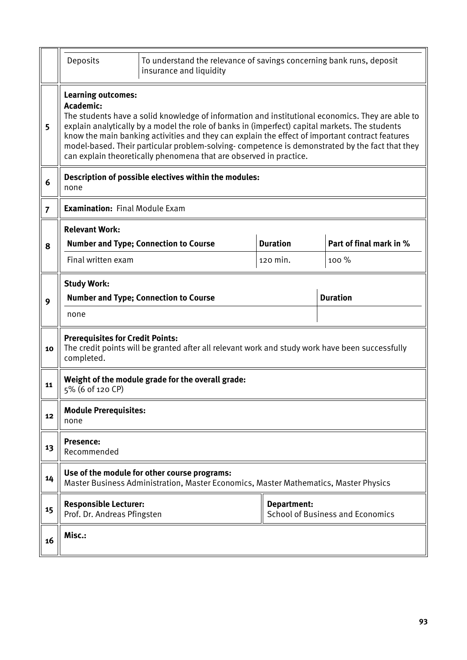|                | Deposits                                                                              | To understand the relevance of savings concerning bank runs, deposit<br>insurance and liquidity                                                                                                                                                                                                                                                                                                                                                                               |                    |                                         |  |  |  |  |  |  |
|----------------|---------------------------------------------------------------------------------------|-------------------------------------------------------------------------------------------------------------------------------------------------------------------------------------------------------------------------------------------------------------------------------------------------------------------------------------------------------------------------------------------------------------------------------------------------------------------------------|--------------------|-----------------------------------------|--|--|--|--|--|--|
| 5              | <b>Learning outcomes:</b><br>Academic:                                                | The students have a solid knowledge of information and institutional economics. They are able to<br>explain analytically by a model the role of banks in (imperfect) capital markets. The students<br>know the main banking activities and they can explain the effect of important contract features<br>model-based. Their particular problem-solving-competence is demonstrated by the fact that they<br>can explain theoretically phenomena that are observed in practice. |                    |                                         |  |  |  |  |  |  |
| 6              | Description of possible electives within the modules:<br>none                         |                                                                                                                                                                                                                                                                                                                                                                                                                                                                               |                    |                                         |  |  |  |  |  |  |
| $\overline{7}$ | <b>Examination: Final Module Exam</b>                                                 |                                                                                                                                                                                                                                                                                                                                                                                                                                                                               |                    |                                         |  |  |  |  |  |  |
| 8              | <b>Relevant Work:</b>                                                                 | <b>Number and Type; Connection to Course</b>                                                                                                                                                                                                                                                                                                                                                                                                                                  | <b>Duration</b>    | Part of final mark in %                 |  |  |  |  |  |  |
|                | Final written exam                                                                    |                                                                                                                                                                                                                                                                                                                                                                                                                                                                               | 120 min.           | 100 %                                   |  |  |  |  |  |  |
| 9              | <b>Study Work:</b><br><b>Duration</b><br><b>Number and Type; Connection to Course</b> |                                                                                                                                                                                                                                                                                                                                                                                                                                                                               |                    |                                         |  |  |  |  |  |  |
|                | none                                                                                  |                                                                                                                                                                                                                                                                                                                                                                                                                                                                               |                    |                                         |  |  |  |  |  |  |
| 10             | <b>Prerequisites for Credit Points:</b><br>completed.                                 | The credit points will be granted after all relevant work and study work have been successfully                                                                                                                                                                                                                                                                                                                                                                               |                    |                                         |  |  |  |  |  |  |
| 11             | 5% (6 of 120 CP)                                                                      | Weight of the module grade for the overall grade:                                                                                                                                                                                                                                                                                                                                                                                                                             |                    |                                         |  |  |  |  |  |  |
| 12             | <b>Module Prerequisites:</b><br>none                                                  |                                                                                                                                                                                                                                                                                                                                                                                                                                                                               |                    |                                         |  |  |  |  |  |  |
| 13             | <b>Presence:</b><br>Recommended                                                       |                                                                                                                                                                                                                                                                                                                                                                                                                                                                               |                    |                                         |  |  |  |  |  |  |
| 14             |                                                                                       | Use of the module for other course programs:<br>Master Business Administration, Master Economics, Master Mathematics, Master Physics                                                                                                                                                                                                                                                                                                                                          |                    |                                         |  |  |  |  |  |  |
| 15             | <b>Responsible Lecturer:</b><br>Prof. Dr. Andreas Pfingsten                           |                                                                                                                                                                                                                                                                                                                                                                                                                                                                               | <b>Department:</b> | <b>School of Business and Economics</b> |  |  |  |  |  |  |
| 16             | Misc.:                                                                                |                                                                                                                                                                                                                                                                                                                                                                                                                                                                               |                    |                                         |  |  |  |  |  |  |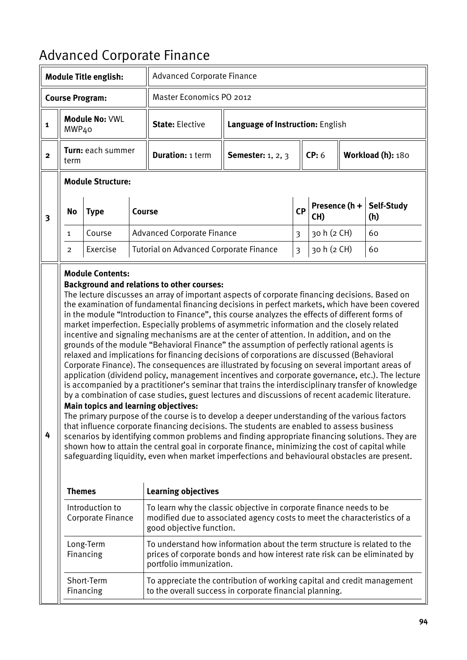# Advanced Corporate Finance

|                         |                                                                                                                                                                                                                                                                                                                                                                                                                                                                                                                                                                                                                                                                                                                                                                                                                                                                                                                                                                                                                                                                                                                                                                                                                                                                                                                                                                                                                                                                                                                                                                                                                                                                                                                                              | <b>Module Title english:</b> |        | <b>Advanced Corporate Finance</b>                                                                                                                                                |                                  |                |                      |  |                   |
|-------------------------|----------------------------------------------------------------------------------------------------------------------------------------------------------------------------------------------------------------------------------------------------------------------------------------------------------------------------------------------------------------------------------------------------------------------------------------------------------------------------------------------------------------------------------------------------------------------------------------------------------------------------------------------------------------------------------------------------------------------------------------------------------------------------------------------------------------------------------------------------------------------------------------------------------------------------------------------------------------------------------------------------------------------------------------------------------------------------------------------------------------------------------------------------------------------------------------------------------------------------------------------------------------------------------------------------------------------------------------------------------------------------------------------------------------------------------------------------------------------------------------------------------------------------------------------------------------------------------------------------------------------------------------------------------------------------------------------------------------------------------------------|------------------------------|--------|----------------------------------------------------------------------------------------------------------------------------------------------------------------------------------|----------------------------------|----------------|----------------------|--|-------------------|
|                         |                                                                                                                                                                                                                                                                                                                                                                                                                                                                                                                                                                                                                                                                                                                                                                                                                                                                                                                                                                                                                                                                                                                                                                                                                                                                                                                                                                                                                                                                                                                                                                                                                                                                                                                                              | <b>Course Program:</b>       |        | Master Economics PO 2012                                                                                                                                                         |                                  |                |                      |  |                   |
| $\mathbf{1}$            | MWP40                                                                                                                                                                                                                                                                                                                                                                                                                                                                                                                                                                                                                                                                                                                                                                                                                                                                                                                                                                                                                                                                                                                                                                                                                                                                                                                                                                                                                                                                                                                                                                                                                                                                                                                                        | Module No: VWL               |        | <b>State: Elective</b>                                                                                                                                                           | Language of Instruction: English |                |                      |  |                   |
| $\overline{2}$          | Turn: each summer<br>term                                                                                                                                                                                                                                                                                                                                                                                                                                                                                                                                                                                                                                                                                                                                                                                                                                                                                                                                                                                                                                                                                                                                                                                                                                                                                                                                                                                                                                                                                                                                                                                                                                                                                                                    |                              |        | <b>Duration: 1 term</b>                                                                                                                                                          | <b>Semester:</b> 1, 2, 3         |                | CP: 6                |  | Workload (h): 180 |
|                         |                                                                                                                                                                                                                                                                                                                                                                                                                                                                                                                                                                                                                                                                                                                                                                                                                                                                                                                                                                                                                                                                                                                                                                                                                                                                                                                                                                                                                                                                                                                                                                                                                                                                                                                                              | <b>Module Structure:</b>     |        |                                                                                                                                                                                  |                                  |                |                      |  |                   |
| $\overline{\mathbf{3}}$ | <b>No</b>                                                                                                                                                                                                                                                                                                                                                                                                                                                                                                                                                                                                                                                                                                                                                                                                                                                                                                                                                                                                                                                                                                                                                                                                                                                                                                                                                                                                                                                                                                                                                                                                                                                                                                                                    | <b>Type</b>                  | Course |                                                                                                                                                                                  |                                  | <b>CP</b>      | Presence (h +<br>CH) |  | Self-Study<br>(h) |
|                         | $\mathbf{1}$                                                                                                                                                                                                                                                                                                                                                                                                                                                                                                                                                                                                                                                                                                                                                                                                                                                                                                                                                                                                                                                                                                                                                                                                                                                                                                                                                                                                                                                                                                                                                                                                                                                                                                                                 | Course                       |        | <b>Advanced Corporate Finance</b>                                                                                                                                                |                                  | $\overline{3}$ | 30 h (2 CH)          |  | 60                |
|                         | 2                                                                                                                                                                                                                                                                                                                                                                                                                                                                                                                                                                                                                                                                                                                                                                                                                                                                                                                                                                                                                                                                                                                                                                                                                                                                                                                                                                                                                                                                                                                                                                                                                                                                                                                                            | Exercise                     |        | <b>Tutorial on Advanced Corporate Finance</b>                                                                                                                                    |                                  | $\overline{3}$ | 30 h (2 CH)          |  | 60                |
| 4                       | <b>Module Contents:</b><br><b>Background and relations to other courses:</b><br>The lecture discusses an array of important aspects of corporate financing decisions. Based on<br>the examination of fundamental financing decisions in perfect markets, which have been covered<br>in the module "Introduction to Finance", this course analyzes the effects of different forms of<br>market imperfection. Especially problems of asymmetric information and the closely related<br>incentive and signaling mechanisms are at the center of attention. In addition, and on the<br>grounds of the module "Behavioral Finance" the assumption of perfectly rational agents is<br>relaxed and implications for financing decisions of corporations are discussed (Behavioral<br>Corporate Finance). The consequences are illustrated by focusing on several important areas of<br>application (dividend policy, management incentives and corporate governance, etc.). The lecture<br>is accompanied by a practitioner's seminar that trains the interdisciplinary transfer of knowledge<br>by a combination of case studies, guest lectures and discussions of recent academic literature.<br><b>Main topics and learning objectives:</b><br>The primary purpose of the course is to develop a deeper understanding of the various factors<br>that influence corporate financing decisions. The students are enabled to assess business<br>scenarios by identifying common problems and finding appropriate financing solutions. They are<br>shown how to attain the central goal in corporate finance, minimizing the cost of capital while<br>safeguarding liquidity, even when market imperfections and behavioural obstacles are present. |                              |        |                                                                                                                                                                                  |                                  |                |                      |  |                   |
|                         | <b>Themes</b>                                                                                                                                                                                                                                                                                                                                                                                                                                                                                                                                                                                                                                                                                                                                                                                                                                                                                                                                                                                                                                                                                                                                                                                                                                                                                                                                                                                                                                                                                                                                                                                                                                                                                                                                | Introduction to              |        | <b>Learning objectives</b><br>To learn why the classic objective in corporate finance needs to be                                                                                |                                  |                |                      |  |                   |
|                         |                                                                                                                                                                                                                                                                                                                                                                                                                                                                                                                                                                                                                                                                                                                                                                                                                                                                                                                                                                                                                                                                                                                                                                                                                                                                                                                                                                                                                                                                                                                                                                                                                                                                                                                                              | Corporate Finance            |        | modified due to associated agency costs to meet the characteristics of a<br>good objective function.                                                                             |                                  |                |                      |  |                   |
|                         |                                                                                                                                                                                                                                                                                                                                                                                                                                                                                                                                                                                                                                                                                                                                                                                                                                                                                                                                                                                                                                                                                                                                                                                                                                                                                                                                                                                                                                                                                                                                                                                                                                                                                                                                              | Long-Term<br>Financing       |        | To understand how information about the term structure is related to the<br>prices of corporate bonds and how interest rate risk can be eliminated by<br>portfolio immunization. |                                  |                |                      |  |                   |
|                         |                                                                                                                                                                                                                                                                                                                                                                                                                                                                                                                                                                                                                                                                                                                                                                                                                                                                                                                                                                                                                                                                                                                                                                                                                                                                                                                                                                                                                                                                                                                                                                                                                                                                                                                                              | Short-Term<br>Financing      |        | To appreciate the contribution of working capital and credit management<br>to the overall success in corporate financial planning.                                               |                                  |                |                      |  |                   |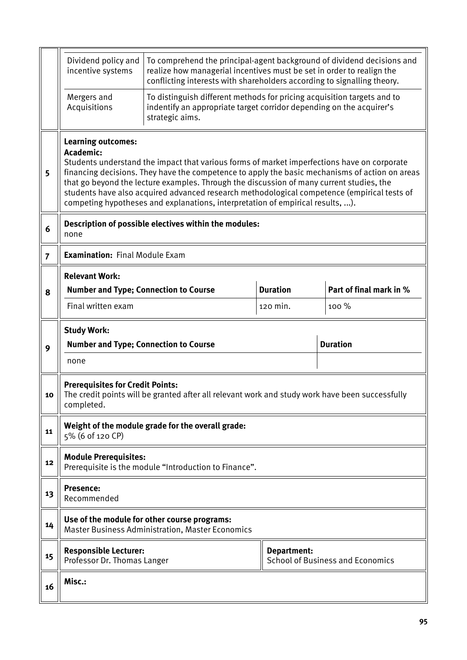|                | Dividend policy and<br>incentive systems                                                                                     | To comprehend the principal-agent background of dividend decisions and<br>realize how managerial incentives must be set in order to realign the                                                                                                                                                                                                                                                                                                                            |                 |                         |  |  |  |  |  |
|----------------|------------------------------------------------------------------------------------------------------------------------------|----------------------------------------------------------------------------------------------------------------------------------------------------------------------------------------------------------------------------------------------------------------------------------------------------------------------------------------------------------------------------------------------------------------------------------------------------------------------------|-----------------|-------------------------|--|--|--|--|--|
|                | Mergers and<br>Acquisitions                                                                                                  | conflicting interests with shareholders according to signalling theory.<br>To distinguish different methods for pricing acquisition targets and to<br>indentify an appropriate target corridor depending on the acquirer's                                                                                                                                                                                                                                                 |                 |                         |  |  |  |  |  |
|                |                                                                                                                              | strategic aims.                                                                                                                                                                                                                                                                                                                                                                                                                                                            |                 |                         |  |  |  |  |  |
| 5              | <b>Learning outcomes:</b><br>Academic:                                                                                       | Students understand the impact that various forms of market imperfections have on corporate<br>financing decisions. They have the competence to apply the basic mechanisms of action on areas<br>that go beyond the lecture examples. Through the discussion of many current studies, the<br>students have also acquired advanced research methodological competence (empirical tests of<br>competing hypotheses and explanations, interpretation of empirical results, ). |                 |                         |  |  |  |  |  |
| 6              | none                                                                                                                         | Description of possible electives within the modules:                                                                                                                                                                                                                                                                                                                                                                                                                      |                 |                         |  |  |  |  |  |
| $\overline{7}$ | <b>Examination: Final Module Exam</b>                                                                                        |                                                                                                                                                                                                                                                                                                                                                                                                                                                                            |                 |                         |  |  |  |  |  |
|                | <b>Relevant Work:</b>                                                                                                        |                                                                                                                                                                                                                                                                                                                                                                                                                                                                            |                 |                         |  |  |  |  |  |
| 8              | <b>Number and Type; Connection to Course</b>                                                                                 |                                                                                                                                                                                                                                                                                                                                                                                                                                                                            | <b>Duration</b> | Part of final mark in % |  |  |  |  |  |
|                | Final written exam                                                                                                           |                                                                                                                                                                                                                                                                                                                                                                                                                                                                            | 120 min.        | 100 %                   |  |  |  |  |  |
|                | <b>Study Work:</b>                                                                                                           |                                                                                                                                                                                                                                                                                                                                                                                                                                                                            |                 |                         |  |  |  |  |  |
| 9              | <b>Number and Type; Connection to Course</b>                                                                                 | <b>Duration</b>                                                                                                                                                                                                                                                                                                                                                                                                                                                            |                 |                         |  |  |  |  |  |
|                | none                                                                                                                         |                                                                                                                                                                                                                                                                                                                                                                                                                                                                            |                 |                         |  |  |  |  |  |
| 10             | <b>Prerequisites for Credit Points:</b><br>completed.                                                                        | The credit points will be granted after all relevant work and study work have been successfully                                                                                                                                                                                                                                                                                                                                                                            |                 |                         |  |  |  |  |  |
| 11             | 5% (6 of 120 CP)                                                                                                             | Weight of the module grade for the overall grade:                                                                                                                                                                                                                                                                                                                                                                                                                          |                 |                         |  |  |  |  |  |
| 12             | <b>Module Prerequisites:</b>                                                                                                 | Prerequisite is the module "Introduction to Finance".                                                                                                                                                                                                                                                                                                                                                                                                                      |                 |                         |  |  |  |  |  |
| 13             | Presence:<br>Recommended                                                                                                     |                                                                                                                                                                                                                                                                                                                                                                                                                                                                            |                 |                         |  |  |  |  |  |
| 14             |                                                                                                                              | Use of the module for other course programs:<br><b>Master Business Administration, Master Economics</b>                                                                                                                                                                                                                                                                                                                                                                    |                 |                         |  |  |  |  |  |
|                | <b>Responsible Lecturer:</b><br><b>Department:</b><br><b>School of Business and Economics</b><br>Professor Dr. Thomas Langer |                                                                                                                                                                                                                                                                                                                                                                                                                                                                            |                 |                         |  |  |  |  |  |
| 15             |                                                                                                                              |                                                                                                                                                                                                                                                                                                                                                                                                                                                                            |                 |                         |  |  |  |  |  |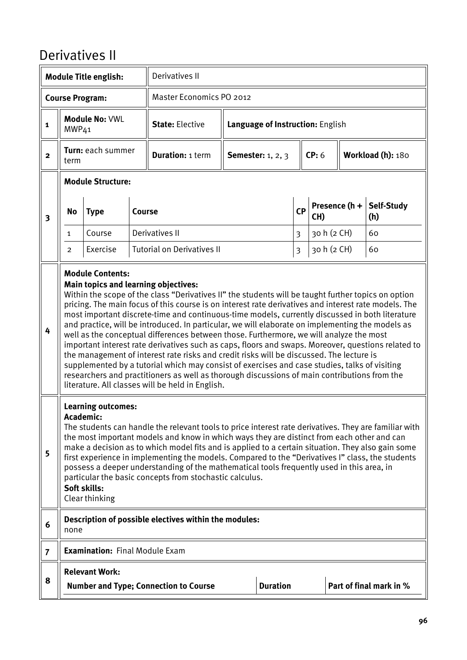#### Derivatives II

|                         |                                                                                                                                                                                                                                                                                                                                                                                                                                                                                                                                                                                                                                                                                                                                                                                                                                                                                                                                                                                                                                                | <b>Module Title english:</b>          |        | <b>Derivatives II</b>                                 |                                  |              |                      |  |                         |
|-------------------------|------------------------------------------------------------------------------------------------------------------------------------------------------------------------------------------------------------------------------------------------------------------------------------------------------------------------------------------------------------------------------------------------------------------------------------------------------------------------------------------------------------------------------------------------------------------------------------------------------------------------------------------------------------------------------------------------------------------------------------------------------------------------------------------------------------------------------------------------------------------------------------------------------------------------------------------------------------------------------------------------------------------------------------------------|---------------------------------------|--------|-------------------------------------------------------|----------------------------------|--------------|----------------------|--|-------------------------|
|                         |                                                                                                                                                                                                                                                                                                                                                                                                                                                                                                                                                                                                                                                                                                                                                                                                                                                                                                                                                                                                                                                | <b>Course Program:</b>                |        | Master Economics PO 2012                              |                                  |              |                      |  |                         |
| $\mathbf{1}$            | MWP41                                                                                                                                                                                                                                                                                                                                                                                                                                                                                                                                                                                                                                                                                                                                                                                                                                                                                                                                                                                                                                          | <b>Module No: VWL</b>                 |        | <b>State: Elective</b>                                | Language of Instruction: English |              |                      |  |                         |
| $\mathbf{2}$            | term                                                                                                                                                                                                                                                                                                                                                                                                                                                                                                                                                                                                                                                                                                                                                                                                                                                                                                                                                                                                                                           | Turn: each summer                     |        | <b>Duration: 1 term</b>                               | <b>Semester:</b> 1, 2, 3         | CP: 6        |                      |  | Workload (h): 180       |
|                         |                                                                                                                                                                                                                                                                                                                                                                                                                                                                                                                                                                                                                                                                                                                                                                                                                                                                                                                                                                                                                                                | <b>Module Structure:</b>              |        |                                                       |                                  |              |                      |  |                         |
| $\overline{\mathbf{3}}$ | No                                                                                                                                                                                                                                                                                                                                                                                                                                                                                                                                                                                                                                                                                                                                                                                                                                                                                                                                                                                                                                             | <b>Type</b>                           | Course |                                                       |                                  | CP           | Presence (h +<br>CH) |  | Self-Study<br>(h)       |
|                         | $\mathbf{1}$                                                                                                                                                                                                                                                                                                                                                                                                                                                                                                                                                                                                                                                                                                                                                                                                                                                                                                                                                                                                                                   | Course                                |        | Derivatives II                                        |                                  |              |                      |  | 60                      |
|                         | 2                                                                                                                                                                                                                                                                                                                                                                                                                                                                                                                                                                                                                                                                                                                                                                                                                                                                                                                                                                                                                                              | Exercise                              |        | <b>Tutorial on Derivatives II</b>                     |                                  | $\mathbf{3}$ | 30 h (2 CH)          |  | 60                      |
| 4                       | <b>Module Contents:</b><br><b>Main topics and learning objectives:</b><br>Within the scope of the class "Derivatives II" the students will be taught further topics on option<br>pricing. The main focus of this course is on interest rate derivatives and interest rate models. The<br>most important discrete-time and continuous-time models, currently discussed in both literature<br>and practice, will be introduced. In particular, we will elaborate on implementing the models as<br>well as the conceptual differences between those. Furthermore, we will analyze the most<br>important interest rate derivatives such as caps, floors and swaps. Moreover, questions related to<br>the management of interest rate risks and credit risks will be discussed. The lecture is<br>supplemented by a tutorial which may consist of exercises and case studies, talks of visiting<br>researchers and practitioners as well as thorough discussions of main contributions from the<br>literature. All classes will be held in English. |                                       |        |                                                       |                                  |              |                      |  |                         |
| 5                       | <b>Learning outcomes:</b><br>Academic:<br>The students can handle the relevant tools to price interest rate derivatives. They are familiar with<br>the most important models and know in which ways they are distinct from each other and can<br>make a decision as to which model fits and is applied to a certain situation. They also gain some<br>first experience in implementing the models. Compared to the "Derivatives I" class, the students<br>possess a deeper understanding of the mathematical tools frequently used in this area, in<br>particular the basic concepts from stochastic calculus.<br>Soft skills:<br>Clear thinking                                                                                                                                                                                                                                                                                                                                                                                               |                                       |        |                                                       |                                  |              |                      |  |                         |
| 6                       | none                                                                                                                                                                                                                                                                                                                                                                                                                                                                                                                                                                                                                                                                                                                                                                                                                                                                                                                                                                                                                                           |                                       |        | Description of possible electives within the modules: |                                  |              |                      |  |                         |
| $\overline{7}$          |                                                                                                                                                                                                                                                                                                                                                                                                                                                                                                                                                                                                                                                                                                                                                                                                                                                                                                                                                                                                                                                | <b>Examination: Final Module Exam</b> |        |                                                       |                                  |              |                      |  |                         |
| 8                       |                                                                                                                                                                                                                                                                                                                                                                                                                                                                                                                                                                                                                                                                                                                                                                                                                                                                                                                                                                                                                                                | <b>Relevant Work:</b>                 |        | <b>Number and Type; Connection to Course</b>          | <b>Duration</b>                  |              |                      |  | Part of final mark in % |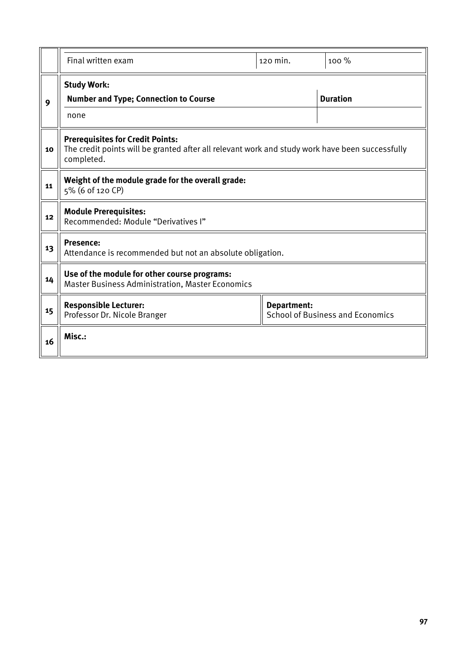|    | Final written exam                                                                                                     | 120 min. | 100 %           |  |  |  |  |  |  |
|----|------------------------------------------------------------------------------------------------------------------------|----------|-----------------|--|--|--|--|--|--|
| 9  | <b>Study Work:</b><br><b>Number and Type; Connection to Course</b>                                                     |          | <b>Duration</b> |  |  |  |  |  |  |
|    | none<br><b>Prerequisites for Credit Points:</b>                                                                        |          |                 |  |  |  |  |  |  |
| 10 | The credit points will be granted after all relevant work and study work have been successfully<br>completed.          |          |                 |  |  |  |  |  |  |
| 11 | Weight of the module grade for the overall grade:<br>5% (6 of 120 CP)                                                  |          |                 |  |  |  |  |  |  |
| 12 | <b>Module Prerequisites:</b><br>Recommended: Module "Derivatives I"                                                    |          |                 |  |  |  |  |  |  |
| 13 | <b>Presence:</b><br>Attendance is recommended but not an absolute obligation.                                          |          |                 |  |  |  |  |  |  |
| 14 | Use of the module for other course programs:<br><b>Master Business Administration, Master Economics</b>                |          |                 |  |  |  |  |  |  |
| 15 | <b>Responsible Lecturer:</b><br>Department:<br><b>School of Business and Economics</b><br>Professor Dr. Nicole Branger |          |                 |  |  |  |  |  |  |
| 16 | Misc.:                                                                                                                 |          |                 |  |  |  |  |  |  |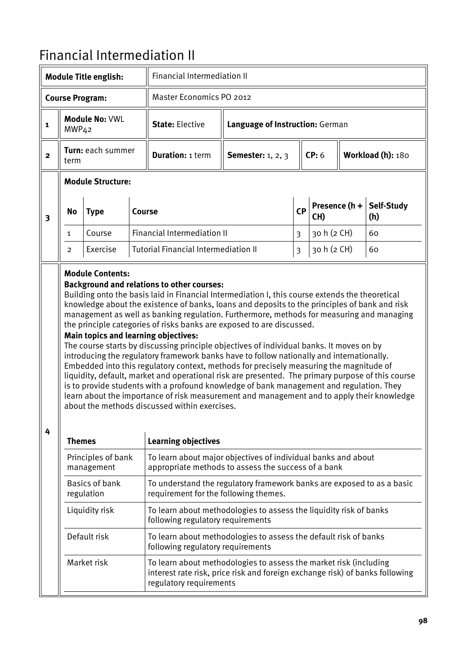## Financial Intermediation II

|                          |                   | <b>Module Title english:</b>        |               | <b>Financial Intermediation II</b>                                                                                                                                                                                                                                                                                                                                                                                                                                                                                                                                                                                                                                                                                                                                                                                                                                                                                                                                                                                                                                                                      |                                 |              |                      |                   |  |
|--------------------------|-------------------|-------------------------------------|---------------|---------------------------------------------------------------------------------------------------------------------------------------------------------------------------------------------------------------------------------------------------------------------------------------------------------------------------------------------------------------------------------------------------------------------------------------------------------------------------------------------------------------------------------------------------------------------------------------------------------------------------------------------------------------------------------------------------------------------------------------------------------------------------------------------------------------------------------------------------------------------------------------------------------------------------------------------------------------------------------------------------------------------------------------------------------------------------------------------------------|---------------------------------|--------------|----------------------|-------------------|--|
|                          |                   | <b>Course Program:</b>              |               | <b>Master Economics PO 2012</b>                                                                                                                                                                                                                                                                                                                                                                                                                                                                                                                                                                                                                                                                                                                                                                                                                                                                                                                                                                                                                                                                         |                                 |              |                      |                   |  |
| $\mathbf{1}$             | MWP <sub>42</sub> | <b>Module No: VWL</b>               |               | <b>State: Elective</b>                                                                                                                                                                                                                                                                                                                                                                                                                                                                                                                                                                                                                                                                                                                                                                                                                                                                                                                                                                                                                                                                                  | Language of Instruction: German |              |                      |                   |  |
| $\mathbf{2}$             | term              | Turn: each summer                   |               | <b>Duration: 1 term</b>                                                                                                                                                                                                                                                                                                                                                                                                                                                                                                                                                                                                                                                                                                                                                                                                                                                                                                                                                                                                                                                                                 | <b>Semester:</b> 1, 2, 3        |              | CP: 6                | Workload (h): 180 |  |
| <b>Module Structure:</b> |                   |                                     |               |                                                                                                                                                                                                                                                                                                                                                                                                                                                                                                                                                                                                                                                                                                                                                                                                                                                                                                                                                                                                                                                                                                         |                                 |              |                      |                   |  |
| $\overline{\mathbf{3}}$  | <b>No</b>         | <b>Type</b>                         | <b>Course</b> |                                                                                                                                                                                                                                                                                                                                                                                                                                                                                                                                                                                                                                                                                                                                                                                                                                                                                                                                                                                                                                                                                                         |                                 | <b>CP</b>    | Presence (h +<br>CH) | Self-Study<br>(h) |  |
|                          | 1                 | Course                              |               | <b>Financial Intermediation II</b>                                                                                                                                                                                                                                                                                                                                                                                                                                                                                                                                                                                                                                                                                                                                                                                                                                                                                                                                                                                                                                                                      | 3                               | 30 h (2 CH)  | 60                   |                   |  |
|                          | 2                 | Exercise                            |               | <b>Tutorial Financial Intermediation II</b>                                                                                                                                                                                                                                                                                                                                                                                                                                                                                                                                                                                                                                                                                                                                                                                                                                                                                                                                                                                                                                                             |                                 | $\mathbf{3}$ | 30 h (2 CH)          | 60                |  |
| 4                        |                   |                                     |               | <b>Background and relations to other courses:</b><br>Building onto the basis laid in Financial Intermediation I, this course extends the theoretical<br>knowledge about the existence of banks, loans and deposits to the principles of bank and risk<br>management as well as banking regulation. Furthermore, methods for measuring and managing<br>the principle categories of risks banks are exposed to are discussed.<br>Main topics and learning objectives:<br>The course starts by discussing principle objectives of individual banks. It moves on by<br>introducing the regulatory framework banks have to follow nationally and internationally.<br>Embedded into this regulatory context, methods for precisely measuring the magnitude of<br>liquidity, default, market and operational risk are presented. The primary purpose of this course<br>is to provide students with a profound knowledge of bank management and regulation. They<br>learn about the importance of risk measurement and management and to apply their knowledge<br>about the methods discussed within exercises. |                                 |              |                      |                   |  |
|                          | <b>Themes</b>     |                                     |               | <b>Learning objectives</b>                                                                                                                                                                                                                                                                                                                                                                                                                                                                                                                                                                                                                                                                                                                                                                                                                                                                                                                                                                                                                                                                              |                                 |              |                      |                   |  |
|                          |                   | Principles of bank<br>management    |               | To learn about major objectives of individual banks and about<br>appropriate methods to assess the success of a bank                                                                                                                                                                                                                                                                                                                                                                                                                                                                                                                                                                                                                                                                                                                                                                                                                                                                                                                                                                                    |                                 |              |                      |                   |  |
|                          |                   | <b>Basics of bank</b><br>regulation |               | To understand the regulatory framework banks are exposed to as a basic<br>requirement for the following themes.                                                                                                                                                                                                                                                                                                                                                                                                                                                                                                                                                                                                                                                                                                                                                                                                                                                                                                                                                                                         |                                 |              |                      |                   |  |
|                          |                   | Liquidity risk                      |               | To learn about methodologies to assess the liquidity risk of banks<br>following regulatory requirements                                                                                                                                                                                                                                                                                                                                                                                                                                                                                                                                                                                                                                                                                                                                                                                                                                                                                                                                                                                                 |                                 |              |                      |                   |  |
|                          |                   | Default risk                        |               | To learn about methodologies to assess the default risk of banks<br>following regulatory requirements                                                                                                                                                                                                                                                                                                                                                                                                                                                                                                                                                                                                                                                                                                                                                                                                                                                                                                                                                                                                   |                                 |              |                      |                   |  |
|                          |                   | Market risk                         |               | To learn about methodologies to assess the market risk (including<br>interest rate risk, price risk and foreign exchange risk) of banks following<br>regulatory requirements                                                                                                                                                                                                                                                                                                                                                                                                                                                                                                                                                                                                                                                                                                                                                                                                                                                                                                                            |                                 |              |                      |                   |  |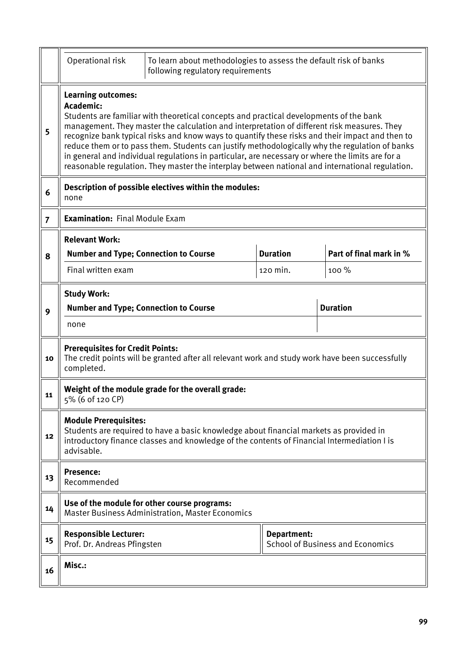|                | Operational risk                                                                            | To learn about methodologies to assess the default risk of banks<br>following regulatory requirements                                                                                                                                                                                                                                                                                                                                                                                                                                                                                             |                             |                                         |  |  |  |  |  |  |
|----------------|---------------------------------------------------------------------------------------------|---------------------------------------------------------------------------------------------------------------------------------------------------------------------------------------------------------------------------------------------------------------------------------------------------------------------------------------------------------------------------------------------------------------------------------------------------------------------------------------------------------------------------------------------------------------------------------------------------|-----------------------------|-----------------------------------------|--|--|--|--|--|--|
| 5              | <b>Learning outcomes:</b><br>Academic:                                                      | Students are familiar with theoretical concepts and practical developments of the bank<br>management. They master the calculation and interpretation of different risk measures. They<br>recognize bank typical risks and know ways to quantify these risks and their impact and then to<br>reduce them or to pass them. Students can justify methodologically why the regulation of banks<br>in general and individual regulations in particular, are necessary or where the limits are for a<br>reasonable regulation. They master the interplay between national and international regulation. |                             |                                         |  |  |  |  |  |  |
| 6              | Description of possible electives within the modules:<br>none                               |                                                                                                                                                                                                                                                                                                                                                                                                                                                                                                                                                                                                   |                             |                                         |  |  |  |  |  |  |
| $\overline{7}$ | <b>Examination: Final Module Exam</b>                                                       |                                                                                                                                                                                                                                                                                                                                                                                                                                                                                                                                                                                                   |                             |                                         |  |  |  |  |  |  |
| 8              | <b>Relevant Work:</b><br><b>Number and Type; Connection to Course</b><br>Final written exam |                                                                                                                                                                                                                                                                                                                                                                                                                                                                                                                                                                                                   | <b>Duration</b><br>120 min. | Part of final mark in %<br>100 %        |  |  |  |  |  |  |
|                | <b>Study Work:</b>                                                                          |                                                                                                                                                                                                                                                                                                                                                                                                                                                                                                                                                                                                   |                             |                                         |  |  |  |  |  |  |
| 9              | <b>Number and Type; Connection to Course</b>                                                |                                                                                                                                                                                                                                                                                                                                                                                                                                                                                                                                                                                                   |                             | <b>Duration</b>                         |  |  |  |  |  |  |
|                | none                                                                                        |                                                                                                                                                                                                                                                                                                                                                                                                                                                                                                                                                                                                   |                             |                                         |  |  |  |  |  |  |
| 10             | <b>Prerequisites for Credit Points:</b><br>completed.                                       | The credit points will be granted after all relevant work and study work have been successfully                                                                                                                                                                                                                                                                                                                                                                                                                                                                                                   |                             |                                         |  |  |  |  |  |  |
| 11             | 5% (6 of 120 CP)                                                                            | Weight of the module grade for the overall grade:                                                                                                                                                                                                                                                                                                                                                                                                                                                                                                                                                 |                             |                                         |  |  |  |  |  |  |
| 12             | <b>Module Prerequisites:</b><br>advisable.                                                  | Students are required to have a basic knowledge about financial markets as provided in<br>introductory finance classes and knowledge of the contents of Financial Intermediation I is                                                                                                                                                                                                                                                                                                                                                                                                             |                             |                                         |  |  |  |  |  |  |
| 13             | <b>Presence:</b><br>Recommended                                                             |                                                                                                                                                                                                                                                                                                                                                                                                                                                                                                                                                                                                   |                             |                                         |  |  |  |  |  |  |
| 14             |                                                                                             | Use of the module for other course programs:<br><b>Master Business Administration, Master Economics</b>                                                                                                                                                                                                                                                                                                                                                                                                                                                                                           |                             |                                         |  |  |  |  |  |  |
| 15             | <b>Responsible Lecturer:</b><br>Prof. Dr. Andreas Pfingsten                                 |                                                                                                                                                                                                                                                                                                                                                                                                                                                                                                                                                                                                   | Department:                 | <b>School of Business and Economics</b> |  |  |  |  |  |  |
| 16             | Misc.:                                                                                      |                                                                                                                                                                                                                                                                                                                                                                                                                                                                                                                                                                                                   |                             |                                         |  |  |  |  |  |  |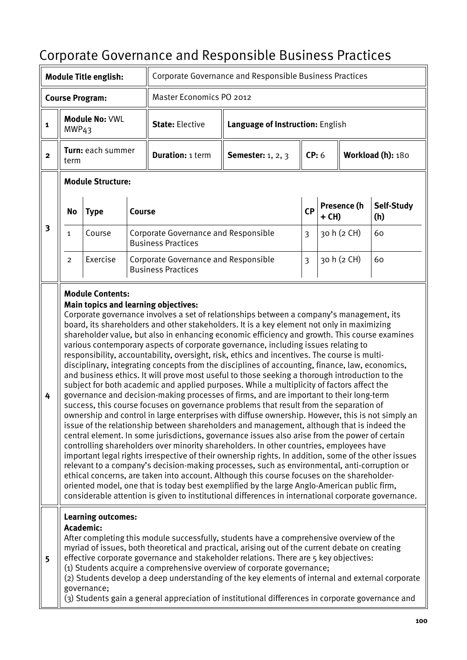# Corporate Governance and Responsible Business Practices

|                         |                                    | <b>Module Title english:</b>                          |  | Corporate Governance and Responsible Business Practices                  |                                                                                                                                                                                                                                                                                                                                                                                                                                                                                                                                                                                                                                                                                                                                                                                                                                                                                                                                                                                                                                                                                                                                                                                                                                                                                                                                                                                                                                                                                                                                                                                                                                                                                                                                                                                                                                                                                   |                                  |       |             |                   |
|-------------------------|------------------------------------|-------------------------------------------------------|--|--------------------------------------------------------------------------|-----------------------------------------------------------------------------------------------------------------------------------------------------------------------------------------------------------------------------------------------------------------------------------------------------------------------------------------------------------------------------------------------------------------------------------------------------------------------------------------------------------------------------------------------------------------------------------------------------------------------------------------------------------------------------------------------------------------------------------------------------------------------------------------------------------------------------------------------------------------------------------------------------------------------------------------------------------------------------------------------------------------------------------------------------------------------------------------------------------------------------------------------------------------------------------------------------------------------------------------------------------------------------------------------------------------------------------------------------------------------------------------------------------------------------------------------------------------------------------------------------------------------------------------------------------------------------------------------------------------------------------------------------------------------------------------------------------------------------------------------------------------------------------------------------------------------------------------------------------------------------------|----------------------------------|-------|-------------|-------------------|
|                         |                                    | <b>Course Program:</b>                                |  | Master Economics PO 2012                                                 |                                                                                                                                                                                                                                                                                                                                                                                                                                                                                                                                                                                                                                                                                                                                                                                                                                                                                                                                                                                                                                                                                                                                                                                                                                                                                                                                                                                                                                                                                                                                                                                                                                                                                                                                                                                                                                                                                   |                                  |       |             |                   |
| $\mathbf 1$             | MWP <sub>43</sub>                  | <b>Module No: VWL</b>                                 |  | <b>State: Elective</b>                                                   |                                                                                                                                                                                                                                                                                                                                                                                                                                                                                                                                                                                                                                                                                                                                                                                                                                                                                                                                                                                                                                                                                                                                                                                                                                                                                                                                                                                                                                                                                                                                                                                                                                                                                                                                                                                                                                                                                   | Language of Instruction: English |       |             |                   |
| $\overline{\mathbf{2}}$ | Turn: each summer<br>term          |                                                       |  | <b>Duration: 1 term</b>                                                  | <b>Semester:</b> 1, 2, 3                                                                                                                                                                                                                                                                                                                                                                                                                                                                                                                                                                                                                                                                                                                                                                                                                                                                                                                                                                                                                                                                                                                                                                                                                                                                                                                                                                                                                                                                                                                                                                                                                                                                                                                                                                                                                                                          | CP: 6                            |       |             | Workload (h): 180 |
|                         |                                    | <b>Module Structure:</b>                              |  |                                                                          |                                                                                                                                                                                                                                                                                                                                                                                                                                                                                                                                                                                                                                                                                                                                                                                                                                                                                                                                                                                                                                                                                                                                                                                                                                                                                                                                                                                                                                                                                                                                                                                                                                                                                                                                                                                                                                                                                   |                                  |       |             |                   |
|                         | <b>No</b><br><b>Type</b><br>Course |                                                       |  |                                                                          |                                                                                                                                                                                                                                                                                                                                                                                                                                                                                                                                                                                                                                                                                                                                                                                                                                                                                                                                                                                                                                                                                                                                                                                                                                                                                                                                                                                                                                                                                                                                                                                                                                                                                                                                                                                                                                                                                   | CP                               | + CH) | Presence (h | Self-Study<br>(h) |
| $\overline{\mathbf{3}}$ | $\mathbf{1}$                       | Course                                                |  | <b>Corporate Governance and Responsible</b><br><b>Business Practices</b> |                                                                                                                                                                                                                                                                                                                                                                                                                                                                                                                                                                                                                                                                                                                                                                                                                                                                                                                                                                                                                                                                                                                                                                                                                                                                                                                                                                                                                                                                                                                                                                                                                                                                                                                                                                                                                                                                                   | 3                                |       | 30 h (2 CH) | 60                |
|                         | 2                                  | Exercise                                              |  | Corporate Governance and Responsible<br><b>Business Practices</b>        |                                                                                                                                                                                                                                                                                                                                                                                                                                                                                                                                                                                                                                                                                                                                                                                                                                                                                                                                                                                                                                                                                                                                                                                                                                                                                                                                                                                                                                                                                                                                                                                                                                                                                                                                                                                                                                                                                   | $\overline{3}$                   |       | 30 h (2 CH) | 60                |
| 4                       |                                    | <b>Module Contents:</b>                               |  | Main topics and learning objectives:                                     | Corporate governance involves a set of relationships between a company's management, its<br>board, its shareholders and other stakeholders. It is a key element not only in maximizing<br>shareholder value, but also in enhancing economic efficiency and growth. This course examines<br>various contemporary aspects of corporate governance, including issues relating to<br>responsibility, accountability, oversight, risk, ethics and incentives. The course is multi-<br>disciplinary, integrating concepts from the disciplines of accounting, finance, law, economics,<br>and business ethics. It will prove most useful to those seeking a thorough introduction to the<br>subject for both academic and applied purposes. While a multiplicity of factors affect the<br>governance and decision-making processes of firms, and are important to their long-term<br>success, this course focuses on governance problems that result from the separation of<br>ownership and control in large enterprises with diffuse ownership. However, this is not simply an<br>issue of the relationship between shareholders and management, although that is indeed the<br>central element. In some jurisdictions, governance issues also arise from the power of certain<br>controlling shareholders over minority shareholders. In other countries, employees have<br>important legal rights irrespective of their ownership rights. In addition, some of the other issues<br>relevant to a company's decision-making processes, such as environmental, anti-corruption or<br>ethical concerns, are taken into account. Although this course focuses on the shareholder-<br>oriented model, one that is today best exemplified by the large Anglo-American public firm,<br>considerable attention is given to institutional differences in international corporate governance. |                                  |       |             |                   |
| 5                       |                                    | <b>Learning outcomes:</b><br>Academic:<br>governance; |  |                                                                          | After completing this module successfully, students have a comprehensive overview of the<br>myriad of issues, both theoretical and practical, arising out of the current debate on creating<br>effective corporate governance and stakeholder relations. There are 5 key objectives:<br>(1) Students acquire a comprehensive overview of corporate governance;<br>(2) Students develop a deep understanding of the key elements of internal and external corporate<br>(3) Students gain a general appreciation of institutional differences in corporate governance and                                                                                                                                                                                                                                                                                                                                                                                                                                                                                                                                                                                                                                                                                                                                                                                                                                                                                                                                                                                                                                                                                                                                                                                                                                                                                                           |                                  |       |             |                   |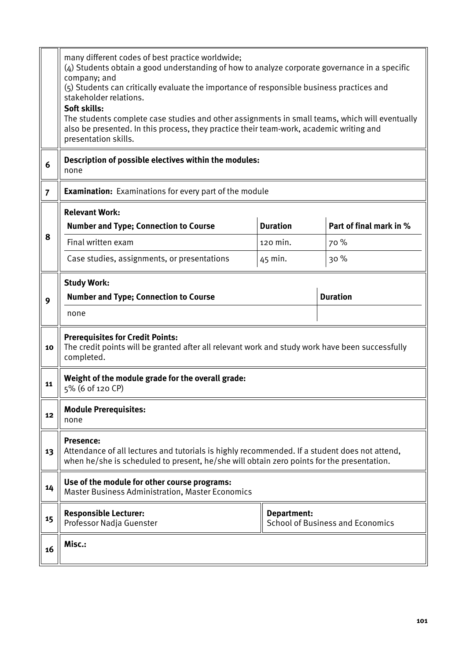|                | many different codes of best practice worldwide;<br>(4) Students obtain a good understanding of how to analyze corporate governance in a specific<br>company; and<br>(5) Students can critically evaluate the importance of responsible business practices and<br>stakeholder relations.<br>Soft skills:<br>The students complete case studies and other assignments in small teams, which will eventually<br>also be presented. In this process, they practice their team-work, academic writing and<br>presentation skills. |             |                                         |  |  |  |  |  |
|----------------|-------------------------------------------------------------------------------------------------------------------------------------------------------------------------------------------------------------------------------------------------------------------------------------------------------------------------------------------------------------------------------------------------------------------------------------------------------------------------------------------------------------------------------|-------------|-----------------------------------------|--|--|--|--|--|
| 6              | Description of possible electives within the modules:<br>none                                                                                                                                                                                                                                                                                                                                                                                                                                                                 |             |                                         |  |  |  |  |  |
| $\overline{7}$ | <b>Examination:</b> Examinations for every part of the module                                                                                                                                                                                                                                                                                                                                                                                                                                                                 |             |                                         |  |  |  |  |  |
| 8              | <b>Relevant Work:</b><br><b>Duration</b><br>Part of final mark in %<br><b>Number and Type; Connection to Course</b><br>Final written exam<br>120 min.<br>70 %<br>Case studies, assignments, or presentations<br>30%<br>45 min.                                                                                                                                                                                                                                                                                                |             |                                         |  |  |  |  |  |
| 9              | <b>Study Work:</b><br><b>Number and Type; Connection to Course</b><br>none                                                                                                                                                                                                                                                                                                                                                                                                                                                    |             | <b>Duration</b>                         |  |  |  |  |  |
| 10             | <b>Prerequisites for Credit Points:</b><br>The credit points will be granted after all relevant work and study work have been successfully<br>completed.                                                                                                                                                                                                                                                                                                                                                                      |             |                                         |  |  |  |  |  |
| 11             | Weight of the module grade for the overall grade:<br>5% (6 of 120 CP)                                                                                                                                                                                                                                                                                                                                                                                                                                                         |             |                                         |  |  |  |  |  |
| 12             | <b>Module Prerequisites:</b><br>none                                                                                                                                                                                                                                                                                                                                                                                                                                                                                          |             |                                         |  |  |  |  |  |
| 13             | <b>Presence:</b><br>Attendance of all lectures and tutorials is highly recommended. If a student does not attend,<br>when he/she is scheduled to present, he/she will obtain zero points for the presentation.                                                                                                                                                                                                                                                                                                                |             |                                         |  |  |  |  |  |
| 14             | Use of the module for other course programs:<br><b>Master Business Administration, Master Economics</b>                                                                                                                                                                                                                                                                                                                                                                                                                       |             |                                         |  |  |  |  |  |
| 15             | <b>Responsible Lecturer:</b><br>Professor Nadja Guenster                                                                                                                                                                                                                                                                                                                                                                                                                                                                      | Department: | <b>School of Business and Economics</b> |  |  |  |  |  |
| 16             | Misc.:                                                                                                                                                                                                                                                                                                                                                                                                                                                                                                                        |             |                                         |  |  |  |  |  |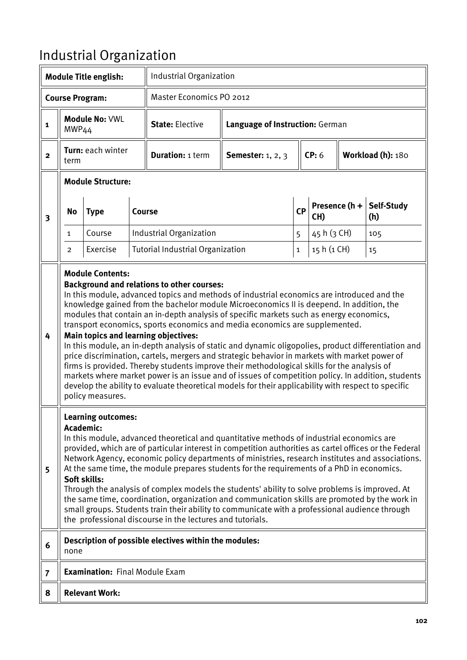# Industrial Organization

|                         |                                                                                                                                                                                                                                                                                                                                                                                                                                                                                                                                                                                                                                                                                                                                                                                                                                                                                                                                                                                                                                 | <b>Module Title english:</b>          |  | Industrial Organization                               |                                 |             |             |                   |                   |
|-------------------------|---------------------------------------------------------------------------------------------------------------------------------------------------------------------------------------------------------------------------------------------------------------------------------------------------------------------------------------------------------------------------------------------------------------------------------------------------------------------------------------------------------------------------------------------------------------------------------------------------------------------------------------------------------------------------------------------------------------------------------------------------------------------------------------------------------------------------------------------------------------------------------------------------------------------------------------------------------------------------------------------------------------------------------|---------------------------------------|--|-------------------------------------------------------|---------------------------------|-------------|-------------|-------------------|-------------------|
|                         |                                                                                                                                                                                                                                                                                                                                                                                                                                                                                                                                                                                                                                                                                                                                                                                                                                                                                                                                                                                                                                 | <b>Course Program:</b>                |  | <b>Master Economics PO 2012</b>                       |                                 |             |             |                   |                   |
| $\mathbf{1}$            | MWP <sub>44</sub>                                                                                                                                                                                                                                                                                                                                                                                                                                                                                                                                                                                                                                                                                                                                                                                                                                                                                                                                                                                                               | <b>Module No: VWL</b>                 |  | <b>State: Elective</b>                                | Language of Instruction: German |             |             |                   |                   |
| $\mathbf{2}$            | Turn: each winter<br>term                                                                                                                                                                                                                                                                                                                                                                                                                                                                                                                                                                                                                                                                                                                                                                                                                                                                                                                                                                                                       |                                       |  | <b>Duration: 1 term</b>                               | <b>Semester:</b> 1, 2, 3        |             | CP: 6       | Workload (h): 180 |                   |
|                         |                                                                                                                                                                                                                                                                                                                                                                                                                                                                                                                                                                                                                                                                                                                                                                                                                                                                                                                                                                                                                                 | <b>Module Structure:</b>              |  |                                                       |                                 |             |             |                   |                   |
| $\overline{\mathbf{3}}$ | No                                                                                                                                                                                                                                                                                                                                                                                                                                                                                                                                                                                                                                                                                                                                                                                                                                                                                                                                                                                                                              | <b>Type</b>                           |  | <b>Course</b>                                         | CP<br>CH)                       |             |             | Presence (h +     | Self-Study<br>(h) |
|                         | $\mathbf{1}$                                                                                                                                                                                                                                                                                                                                                                                                                                                                                                                                                                                                                                                                                                                                                                                                                                                                                                                                                                                                                    | Course                                |  | Industrial Organization                               |                                 | 5           | 45 h (3 CH) |                   | 105               |
|                         | 2                                                                                                                                                                                                                                                                                                                                                                                                                                                                                                                                                                                                                                                                                                                                                                                                                                                                                                                                                                                                                               | Exercise                              |  | <b>Tutorial Industrial Organization</b>               |                                 | $\mathbf 1$ | 15 h (1 CH) |                   | 15                |
| 4                       | <b>Module Contents:</b><br><b>Background and relations to other courses:</b><br>In this module, advanced topics and methods of industrial economics are introduced and the<br>knowledge gained from the bachelor module Microeconomics II is deepend. In addition, the<br>modules that contain an in-depth analysis of specific markets such as energy economics,<br>transport economics, sports economics and media economics are supplemented.<br>Main topics and learning objectives:<br>In this module, an in-depth analysis of static and dynamic oligopolies, product differentiation and<br>price discrimination, cartels, mergers and strategic behavior in markets with market power of<br>firms is provided. Thereby students improve their methodological skills for the analysis of<br>markets where market power is an issue and of issues of competition policy. In addition, students<br>develop the ability to evaluate theoretical models for their applicability with respect to specific<br>policy measures. |                                       |  |                                                       |                                 |             |             |                   |                   |
| 5                       | Learning outcomes:<br>Academic:<br>In this module, advanced theoretical and quantitative methods of industrial economics are<br>provided, which are of particular interest in competition authorities as cartel offices or the Federal<br>Network Agency, economic policy departments of ministries, research institutes and associations.<br>At the same time, the module prepares students for the requirements of a PhD in economics.<br>Soft skills:<br>Through the analysis of complex models the students' ability to solve problems is improved. At<br>the same time, coordination, organization and communication skills are promoted by the work in<br>small groups. Students train their ability to communicate with a professional audience through<br>the professional discourse in the lectures and tutorials.                                                                                                                                                                                                     |                                       |  |                                                       |                                 |             |             |                   |                   |
| 6                       | none                                                                                                                                                                                                                                                                                                                                                                                                                                                                                                                                                                                                                                                                                                                                                                                                                                                                                                                                                                                                                            |                                       |  | Description of possible electives within the modules: |                                 |             |             |                   |                   |
| $\overline{7}$          |                                                                                                                                                                                                                                                                                                                                                                                                                                                                                                                                                                                                                                                                                                                                                                                                                                                                                                                                                                                                                                 | <b>Examination: Final Module Exam</b> |  |                                                       |                                 |             |             |                   |                   |
| 8                       |                                                                                                                                                                                                                                                                                                                                                                                                                                                                                                                                                                                                                                                                                                                                                                                                                                                                                                                                                                                                                                 | <b>Relevant Work:</b>                 |  |                                                       |                                 |             |             |                   |                   |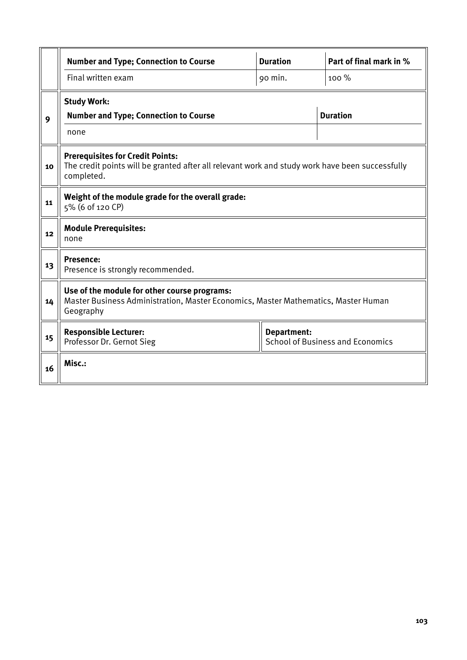|    | <b>Number and Type; Connection to Course</b>                                                                                                             | <b>Duration</b> | Part of final mark in % |  |  |  |  |  |  |
|----|----------------------------------------------------------------------------------------------------------------------------------------------------------|-----------------|-------------------------|--|--|--|--|--|--|
|    | Final written exam                                                                                                                                       | 90 min.         | 100 %                   |  |  |  |  |  |  |
|    | <b>Study Work:</b>                                                                                                                                       |                 |                         |  |  |  |  |  |  |
| 9  | <b>Number and Type; Connection to Course</b>                                                                                                             |                 | <b>Duration</b>         |  |  |  |  |  |  |
|    | none                                                                                                                                                     |                 |                         |  |  |  |  |  |  |
| 10 | <b>Prerequisites for Credit Points:</b><br>The credit points will be granted after all relevant work and study work have been successfully<br>completed. |                 |                         |  |  |  |  |  |  |
| 11 | Weight of the module grade for the overall grade:<br>5% (6 of 120 CP)                                                                                    |                 |                         |  |  |  |  |  |  |
| 12 | <b>Module Prerequisites:</b><br>none                                                                                                                     |                 |                         |  |  |  |  |  |  |
| 13 | Presence:<br>Presence is strongly recommended.                                                                                                           |                 |                         |  |  |  |  |  |  |
| 14 | Use of the module for other course programs:<br>Master Business Administration, Master Economics, Master Mathematics, Master Human<br>Geography          |                 |                         |  |  |  |  |  |  |
| 15 | <b>Responsible Lecturer:</b><br>Department:<br><b>School of Business and Economics</b><br>Professor Dr. Gernot Sieg                                      |                 |                         |  |  |  |  |  |  |
| 16 | Misc.:                                                                                                                                                   |                 |                         |  |  |  |  |  |  |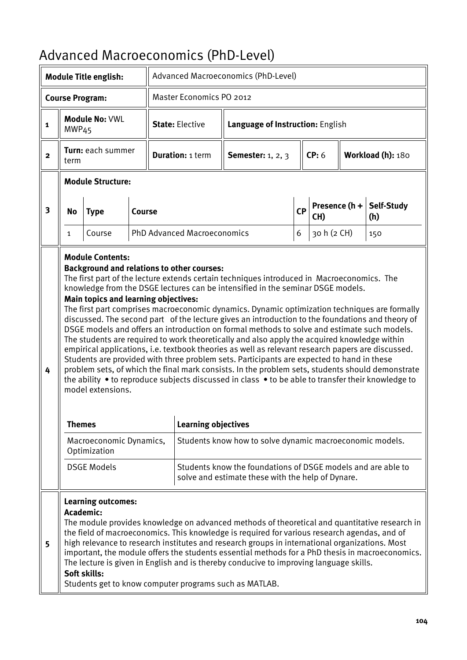## Advanced Macroeconomics (PhD-Level)

|                |                                                                                                                                                                                                                                                                                                                                                                                                                                                                                                                                                                                                                                                                       | <b>Module Title english:</b>                 |               |                                                                                                  |  | Advanced Macroeconomics (PhD-Level)                                                                                                                                                                                                                                                                                                                                                                                                                                                                                                                                                                                                                                                                                                                                                                                                                                                                                                                                                           |                                  |             |                   |                   |  |
|----------------|-----------------------------------------------------------------------------------------------------------------------------------------------------------------------------------------------------------------------------------------------------------------------------------------------------------------------------------------------------------------------------------------------------------------------------------------------------------------------------------------------------------------------------------------------------------------------------------------------------------------------------------------------------------------------|----------------------------------------------|---------------|--------------------------------------------------------------------------------------------------|--|-----------------------------------------------------------------------------------------------------------------------------------------------------------------------------------------------------------------------------------------------------------------------------------------------------------------------------------------------------------------------------------------------------------------------------------------------------------------------------------------------------------------------------------------------------------------------------------------------------------------------------------------------------------------------------------------------------------------------------------------------------------------------------------------------------------------------------------------------------------------------------------------------------------------------------------------------------------------------------------------------|----------------------------------|-------------|-------------------|-------------------|--|
|                |                                                                                                                                                                                                                                                                                                                                                                                                                                                                                                                                                                                                                                                                       | <b>Course Program:</b>                       |               | <b>Master Economics PO 2012</b>                                                                  |  |                                                                                                                                                                                                                                                                                                                                                                                                                                                                                                                                                                                                                                                                                                                                                                                                                                                                                                                                                                                               |                                  |             |                   |                   |  |
| $\mathbf{1}$   | MWP <sub>45</sub>                                                                                                                                                                                                                                                                                                                                                                                                                                                                                                                                                                                                                                                     | Module No: VWL                               |               | <b>State: Elective</b>                                                                           |  |                                                                                                                                                                                                                                                                                                                                                                                                                                                                                                                                                                                                                                                                                                                                                                                                                                                                                                                                                                                               | Language of Instruction: English |             |                   |                   |  |
| $\overline{2}$ | term                                                                                                                                                                                                                                                                                                                                                                                                                                                                                                                                                                                                                                                                  | Turn: each summer                            |               | <b>Duration: 1 term</b>                                                                          |  | <b>Semester:</b> 1, 2, 3                                                                                                                                                                                                                                                                                                                                                                                                                                                                                                                                                                                                                                                                                                                                                                                                                                                                                                                                                                      |                                  | CP: 6       |                   | Workload (h): 180 |  |
|                |                                                                                                                                                                                                                                                                                                                                                                                                                                                                                                                                                                                                                                                                       | <b>Module Structure:</b>                     |               |                                                                                                  |  |                                                                                                                                                                                                                                                                                                                                                                                                                                                                                                                                                                                                                                                                                                                                                                                                                                                                                                                                                                                               |                                  |             |                   |                   |  |
| 3              | <b>No</b>                                                                                                                                                                                                                                                                                                                                                                                                                                                                                                                                                                                                                                                             | <b>Type</b>                                  | <b>Course</b> |                                                                                                  |  | <b>CP</b>                                                                                                                                                                                                                                                                                                                                                                                                                                                                                                                                                                                                                                                                                                                                                                                                                                                                                                                                                                                     | Presence (h +<br>CH)             |             | Self-Study<br>(h) |                   |  |
|                | 1                                                                                                                                                                                                                                                                                                                                                                                                                                                                                                                                                                                                                                                                     | Course                                       |               | <b>PhD Advanced Macroeconomics</b>                                                               |  |                                                                                                                                                                                                                                                                                                                                                                                                                                                                                                                                                                                                                                                                                                                                                                                                                                                                                                                                                                                               | 6                                | 30 h (2 CH) |                   | 150               |  |
| 4              |                                                                                                                                                                                                                                                                                                                                                                                                                                                                                                                                                                                                                                                                       | <b>Module Contents:</b><br>model extensions. |               | <b>Background and relations to other courses:</b><br><b>Main topics and learning objectives:</b> |  | The first part of the lecture extends certain techniques introduced in Macroeconomics. The<br>knowledge from the DSGE lectures can be intensified in the seminar DSGE models.<br>The first part comprises macroeconomic dynamics. Dynamic optimization techniques are formally<br>discussed. The second part of the lecture gives an introduction to the foundations and theory of<br>DSGE models and offers an introduction on formal methods to solve and estimate such models.<br>The students are required to work theoretically and also apply the acquired knowledge within<br>empirical applications, i.e. textbook theories as well as relevant research papers are discussed.<br>Students are provided with three problem sets. Participants are expected to hand in these<br>problem sets, of which the final mark consists. In the problem sets, students should demonstrate<br>the ability • to reproduce subjects discussed in class • to be able to transfer their knowledge to |                                  |             |                   |                   |  |
|                | <b>Themes</b>                                                                                                                                                                                                                                                                                                                                                                                                                                                                                                                                                                                                                                                         | Macroeconomic Dynamics,                      |               |                                                                                                  |  | <b>Learning objectives</b><br>Students know how to solve dynamic macroeconomic models.                                                                                                                                                                                                                                                                                                                                                                                                                                                                                                                                                                                                                                                                                                                                                                                                                                                                                                        |                                  |             |                   |                   |  |
|                |                                                                                                                                                                                                                                                                                                                                                                                                                                                                                                                                                                                                                                                                       | Optimization                                 |               |                                                                                                  |  |                                                                                                                                                                                                                                                                                                                                                                                                                                                                                                                                                                                                                                                                                                                                                                                                                                                                                                                                                                                               |                                  |             |                   |                   |  |
|                |                                                                                                                                                                                                                                                                                                                                                                                                                                                                                                                                                                                                                                                                       | <b>DSGE Models</b>                           |               |                                                                                                  |  | Students know the foundations of DSGE models and are able to                                                                                                                                                                                                                                                                                                                                                                                                                                                                                                                                                                                                                                                                                                                                                                                                                                                                                                                                  |                                  |             |                   |                   |  |
| 5              | solve and estimate these with the help of Dynare.<br><b>Learning outcomes:</b><br>Academic:<br>The module provides knowledge on advanced methods of theoretical and quantitative research in<br>the field of macroeconomics. This knowledge is required for various research agendas, and of<br>high relevance to research institutes and research groups in international organizations. Most<br>important, the module offers the students essential methods for a PhD thesis in macroeconomics.<br>The lecture is given in English and is thereby conducive to improving language skills.<br>Soft skills:<br>Students get to know computer programs such as MATLAB. |                                              |               |                                                                                                  |  |                                                                                                                                                                                                                                                                                                                                                                                                                                                                                                                                                                                                                                                                                                                                                                                                                                                                                                                                                                                               |                                  |             |                   |                   |  |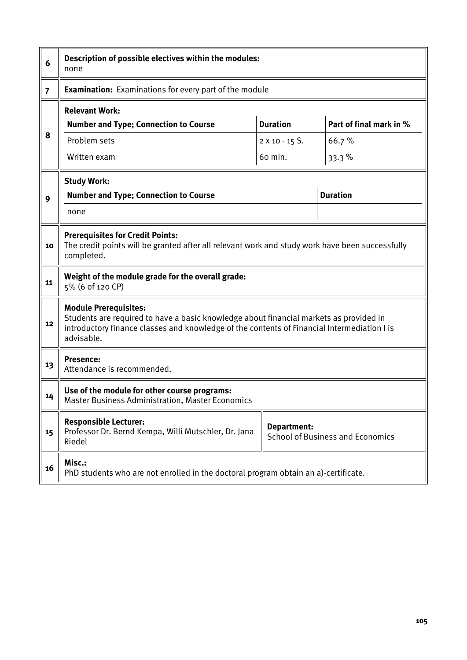| 6              | Description of possible electives within the modules:<br>none                                                                                                                                                                       |                       |                         |  |  |  |  |  |  |
|----------------|-------------------------------------------------------------------------------------------------------------------------------------------------------------------------------------------------------------------------------------|-----------------------|-------------------------|--|--|--|--|--|--|
| $\overline{7}$ | <b>Examination:</b> Examinations for every part of the module                                                                                                                                                                       |                       |                         |  |  |  |  |  |  |
|                | <b>Relevant Work:</b>                                                                                                                                                                                                               |                       |                         |  |  |  |  |  |  |
|                | <b>Number and Type; Connection to Course</b>                                                                                                                                                                                        | <b>Duration</b>       | Part of final mark in % |  |  |  |  |  |  |
| 8              | Problem sets                                                                                                                                                                                                                        | $2 \times 10 - 15$ S. | 66.7%                   |  |  |  |  |  |  |
|                | Written exam                                                                                                                                                                                                                        | 60 min.               | 33.3%                   |  |  |  |  |  |  |
|                | <b>Study Work:</b>                                                                                                                                                                                                                  |                       |                         |  |  |  |  |  |  |
| 9              | <b>Number and Type; Connection to Course</b>                                                                                                                                                                                        |                       | <b>Duration</b>         |  |  |  |  |  |  |
|                | none                                                                                                                                                                                                                                |                       |                         |  |  |  |  |  |  |
| 10             | <b>Prerequisites for Credit Points:</b><br>The credit points will be granted after all relevant work and study work have been successfully<br>completed.                                                                            |                       |                         |  |  |  |  |  |  |
| 11             | Weight of the module grade for the overall grade:<br>5% (6 of 120 CP)                                                                                                                                                               |                       |                         |  |  |  |  |  |  |
| 12             | <b>Module Prerequisites:</b><br>Students are required to have a basic knowledge about financial markets as provided in<br>introductory finance classes and knowledge of the contents of Financial Intermediation I is<br>advisable. |                       |                         |  |  |  |  |  |  |
| 13             | <b>Presence:</b><br>Attendance is recommended.                                                                                                                                                                                      |                       |                         |  |  |  |  |  |  |
| 14             | Use of the module for other course programs:<br><b>Master Business Administration, Master Economics</b>                                                                                                                             |                       |                         |  |  |  |  |  |  |
| 15             | <b>Responsible Lecturer:</b><br>Department:<br>Professor Dr. Bernd Kempa, Willi Mutschler, Dr. Jana<br><b>School of Business and Economics</b><br>Riedel                                                                            |                       |                         |  |  |  |  |  |  |
| 16             | Misc.:<br>PhD students who are not enrolled in the doctoral program obtain an a)-certificate.                                                                                                                                       |                       |                         |  |  |  |  |  |  |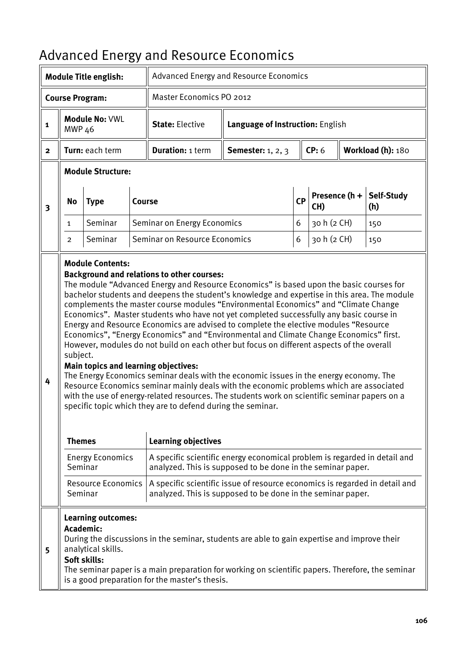|                         |                           | <b>Module Title english:</b>                                    | ر ب           |                                                                                                                                                                                                                                                                                                                                                                                                                                                                                                                                                                                                                                                                                                                                                                                                                                                                                                                                                                                                                                                                                                                                          | Advanced Energy and Resource Economics |    |                          |  |                   |  |  |
|-------------------------|---------------------------|-----------------------------------------------------------------|---------------|------------------------------------------------------------------------------------------------------------------------------------------------------------------------------------------------------------------------------------------------------------------------------------------------------------------------------------------------------------------------------------------------------------------------------------------------------------------------------------------------------------------------------------------------------------------------------------------------------------------------------------------------------------------------------------------------------------------------------------------------------------------------------------------------------------------------------------------------------------------------------------------------------------------------------------------------------------------------------------------------------------------------------------------------------------------------------------------------------------------------------------------|----------------------------------------|----|--------------------------|--|-------------------|--|--|
|                         |                           | <b>Course Program:</b>                                          |               | Master Economics PO 2012                                                                                                                                                                                                                                                                                                                                                                                                                                                                                                                                                                                                                                                                                                                                                                                                                                                                                                                                                                                                                                                                                                                 |                                        |    |                          |  |                   |  |  |
| 1                       | <b>MWP 46</b>             | Module No: VWL                                                  |               | <b>State: Elective</b>                                                                                                                                                                                                                                                                                                                                                                                                                                                                                                                                                                                                                                                                                                                                                                                                                                                                                                                                                                                                                                                                                                                   | Language of Instruction: English       |    |                          |  |                   |  |  |
| $\mathbf{2}$            |                           | Turn: each term                                                 |               | <b>Duration: 1 term</b>                                                                                                                                                                                                                                                                                                                                                                                                                                                                                                                                                                                                                                                                                                                                                                                                                                                                                                                                                                                                                                                                                                                  | <b>Semester:</b> 1, 2, 3               |    | CP: 6                    |  | Workload (h): 180 |  |  |
|                         |                           | <b>Module Structure:</b>                                        |               |                                                                                                                                                                                                                                                                                                                                                                                                                                                                                                                                                                                                                                                                                                                                                                                                                                                                                                                                                                                                                                                                                                                                          |                                        |    |                          |  |                   |  |  |
| $\overline{\mathbf{3}}$ | <b>No</b>                 | <b>Type</b>                                                     | <b>Course</b> |                                                                                                                                                                                                                                                                                                                                                                                                                                                                                                                                                                                                                                                                                                                                                                                                                                                                                                                                                                                                                                                                                                                                          |                                        | CP | Presence $(h +  $<br>CH) |  | Self-Study<br>(h) |  |  |
|                         | 1                         | Seminar                                                         |               | Seminar on Energy Economics                                                                                                                                                                                                                                                                                                                                                                                                                                                                                                                                                                                                                                                                                                                                                                                                                                                                                                                                                                                                                                                                                                              |                                        | 6  | 30 h (2 CH)              |  | 150               |  |  |
|                         | 2                         | Seminar                                                         |               | Seminar on Resource Economics                                                                                                                                                                                                                                                                                                                                                                                                                                                                                                                                                                                                                                                                                                                                                                                                                                                                                                                                                                                                                                                                                                            |                                        | 6  | 30 h (2 CH)              |  | 150               |  |  |
| 4                       | subject.<br><b>Themes</b> | <b>Module Contents:</b>                                         |               | <b>Background and relations to other courses:</b><br>The module "Advanced Energy and Resource Economics" is based upon the basic courses for<br>bachelor students and deepens the student's knowledge and expertise in this area. The module<br>complements the master course modules "Environmental Economics" and "Climate Change<br>Economics". Master students who have not yet completed successfully any basic course in<br>Energy and Resource Economics are advised to complete the elective modules "Resource<br>Economics", "Energy Economics" and "Environmental and Climate Change Economics" first.<br>However, modules do not build on each other but focus on different aspects of the overall<br>Main topics and learning objectives:<br>The Energy Economics seminar deals with the economic issues in the energy economy. The<br>Resource Economics seminar mainly deals with the economic problems which are associated<br>with the use of energy-related resources. The students work on scientific seminar papers on a<br>specific topic which they are to defend during the seminar.<br><b>Learning objectives</b> |                                        |    |                          |  |                   |  |  |
|                         | Seminar                   | <b>Energy Economics</b>                                         |               | A specific scientific energy economical problem is regarded in detail and<br>analyzed. This is supposed to be done in the seminar paper.                                                                                                                                                                                                                                                                                                                                                                                                                                                                                                                                                                                                                                                                                                                                                                                                                                                                                                                                                                                                 |                                        |    |                          |  |                   |  |  |
|                         | Seminar                   | <b>Resource Economics</b>                                       |               | A specific scientific issue of resource economics is regarded in detail and<br>analyzed. This is supposed to be done in the seminar paper.                                                                                                                                                                                                                                                                                                                                                                                                                                                                                                                                                                                                                                                                                                                                                                                                                                                                                                                                                                                               |                                        |    |                          |  |                   |  |  |
| 5                       | Academic:                 | <b>Learning outcomes:</b><br>analytical skills.<br>Soft skills: |               | During the discussions in the seminar, students are able to gain expertise and improve their<br>The seminar paper is a main preparation for working on scientific papers. Therefore, the seminar<br>is a good preparation for the master's thesis.                                                                                                                                                                                                                                                                                                                                                                                                                                                                                                                                                                                                                                                                                                                                                                                                                                                                                       |                                        |    |                          |  |                   |  |  |

#### Advanced Energy and Resource Economics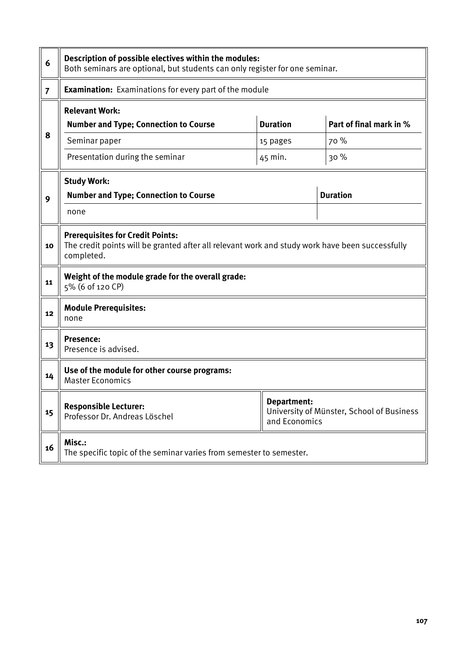| 6              | Description of possible electives within the modules:<br>Both seminars are optional, but students can only register for one seminar.                     |                              |                                           |  |  |  |  |  |
|----------------|----------------------------------------------------------------------------------------------------------------------------------------------------------|------------------------------|-------------------------------------------|--|--|--|--|--|
| $\overline{7}$ | <b>Examination:</b> Examinations for every part of the module                                                                                            |                              |                                           |  |  |  |  |  |
| 8              | <b>Relevant Work:</b><br><b>Number and Type; Connection to Course</b>                                                                                    | <b>Duration</b>              | Part of final mark in %                   |  |  |  |  |  |
|                | Seminar paper<br>Presentation during the seminar                                                                                                         | 15 pages<br>45 min.          | 70 %<br>30 %                              |  |  |  |  |  |
| 9              | <b>Study Work:</b><br><b>Duration</b><br><b>Number and Type; Connection to Course</b><br>none                                                            |                              |                                           |  |  |  |  |  |
| 10             | <b>Prerequisites for Credit Points:</b><br>The credit points will be granted after all relevant work and study work have been successfully<br>completed. |                              |                                           |  |  |  |  |  |
| 11             | Weight of the module grade for the overall grade:<br>5% (6 of 120 CP)                                                                                    |                              |                                           |  |  |  |  |  |
| 12             | <b>Module Prerequisites:</b><br>none                                                                                                                     |                              |                                           |  |  |  |  |  |
| 13             | <b>Presence:</b><br>Presence is advised.                                                                                                                 |                              |                                           |  |  |  |  |  |
| 14             | Use of the module for other course programs:<br><b>Master Economics</b>                                                                                  |                              |                                           |  |  |  |  |  |
| 15             | <b>Responsible Lecturer:</b><br>Professor Dr. Andreas Löschel                                                                                            | Department:<br>and Economics | University of Münster, School of Business |  |  |  |  |  |
| 16             | Misc.:<br>The specific topic of the seminar varies from semester to semester.                                                                            |                              |                                           |  |  |  |  |  |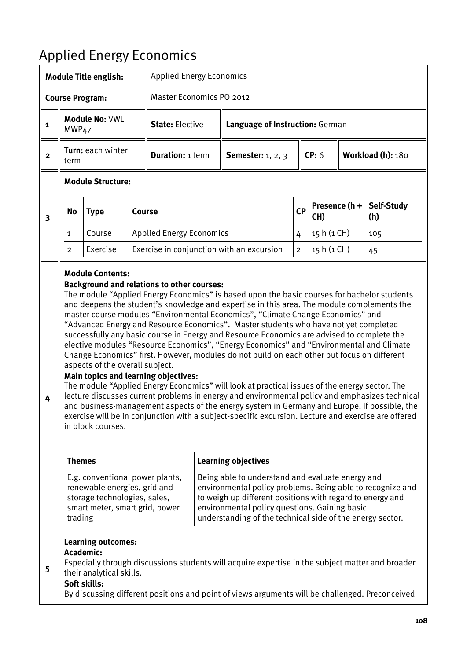# Applied Energy Economics

|              |                                                                                                                                                                                                                                                                                                                                                                                                                                           | <b>Module Title english:</b>                                                    |  | <b>Applied Energy Economics</b>                                                                  |  |                                                                                                                                                                                                                                                                                                                                                                                                                                                                                                                                                                                                                                                                                                                                                                                                                                                                                                                                                                                                                                                                                                       |                  |             |                   |                   |
|--------------|-------------------------------------------------------------------------------------------------------------------------------------------------------------------------------------------------------------------------------------------------------------------------------------------------------------------------------------------------------------------------------------------------------------------------------------------|---------------------------------------------------------------------------------|--|--------------------------------------------------------------------------------------------------|--|-------------------------------------------------------------------------------------------------------------------------------------------------------------------------------------------------------------------------------------------------------------------------------------------------------------------------------------------------------------------------------------------------------------------------------------------------------------------------------------------------------------------------------------------------------------------------------------------------------------------------------------------------------------------------------------------------------------------------------------------------------------------------------------------------------------------------------------------------------------------------------------------------------------------------------------------------------------------------------------------------------------------------------------------------------------------------------------------------------|------------------|-------------|-------------------|-------------------|
|              |                                                                                                                                                                                                                                                                                                                                                                                                                                           | <b>Course Program:</b>                                                          |  | Master Economics PO 2012                                                                         |  |                                                                                                                                                                                                                                                                                                                                                                                                                                                                                                                                                                                                                                                                                                                                                                                                                                                                                                                                                                                                                                                                                                       |                  |             |                   |                   |
| $\mathbf{1}$ | MWP <sub>47</sub>                                                                                                                                                                                                                                                                                                                                                                                                                         | Module No: VWL                                                                  |  | <b>State: Elective</b>                                                                           |  | Language of Instruction: German                                                                                                                                                                                                                                                                                                                                                                                                                                                                                                                                                                                                                                                                                                                                                                                                                                                                                                                                                                                                                                                                       |                  |             |                   |                   |
| $\mathbf{2}$ | term                                                                                                                                                                                                                                                                                                                                                                                                                                      | Turn: each winter                                                               |  | <b>Duration: 1 term</b>                                                                          |  | <b>Semester:</b> 1, 2, 3                                                                                                                                                                                                                                                                                                                                                                                                                                                                                                                                                                                                                                                                                                                                                                                                                                                                                                                                                                                                                                                                              |                  | CP: 6       | Workload (h): 180 |                   |
|              |                                                                                                                                                                                                                                                                                                                                                                                                                                           | <b>Module Structure:</b>                                                        |  |                                                                                                  |  |                                                                                                                                                                                                                                                                                                                                                                                                                                                                                                                                                                                                                                                                                                                                                                                                                                                                                                                                                                                                                                                                                                       |                  |             |                   |                   |
| 3            | No                                                                                                                                                                                                                                                                                                                                                                                                                                        | <b>Type</b><br>Course                                                           |  |                                                                                                  |  |                                                                                                                                                                                                                                                                                                                                                                                                                                                                                                                                                                                                                                                                                                                                                                                                                                                                                                                                                                                                                                                                                                       | <b>CP</b><br>CH) |             | Presence $(h +$   | Self-Study<br>(h) |
|              | 1                                                                                                                                                                                                                                                                                                                                                                                                                                         | Course                                                                          |  | <b>Applied Energy Economics</b>                                                                  |  |                                                                                                                                                                                                                                                                                                                                                                                                                                                                                                                                                                                                                                                                                                                                                                                                                                                                                                                                                                                                                                                                                                       | 4                | 15 h (1 CH) |                   | 105               |
|              | $\overline{2}$                                                                                                                                                                                                                                                                                                                                                                                                                            | Exercise                                                                        |  |                                                                                                  |  | Exercise in conjunction with an excursion                                                                                                                                                                                                                                                                                                                                                                                                                                                                                                                                                                                                                                                                                                                                                                                                                                                                                                                                                                                                                                                             | $\overline{c}$   | 15 h (1 CH) |                   | 45                |
| 4            | <b>Themes</b>                                                                                                                                                                                                                                                                                                                                                                                                                             | <b>Module Contents:</b><br>aspects of the overall subject.<br>in block courses. |  | <b>Background and relations to other courses:</b><br><b>Main topics and learning objectives:</b> |  | The module "Applied Energy Economics" is based upon the basic courses for bachelor students<br>and deepens the student's knowledge and expertise in this area. The module complements the<br>master course modules "Environmental Economics", "Climate Change Economics" and<br>"Advanced Energy and Resource Economics". Master students who have not yet completed<br>successfully any basic course in Energy and Resource Economics are advised to complete the<br>elective modules "Resource Economics", "Energy Economics" and "Environmental and Climate<br>Change Economics" first. However, modules do not build on each other but focus on different<br>The module "Applied Energy Economics" will look at practical issues of the energy sector. The<br>lecture discusses current problems in energy and environmental policy and emphasizes technical<br>and business-management aspects of the energy system in Germany and Europe. If possible, the<br>exercise will be in conjunction with a subject-specific excursion. Lecture and exercise are offered<br><b>Learning objectives</b> |                  |             |                   |                   |
|              | E.g. conventional power plants,<br>Being able to understand and evaluate energy and<br>renewable energies, grid and<br>environmental policy problems. Being able to recognize and<br>storage technologies, sales,<br>to weigh up different positions with regard to energy and<br>environmental policy questions. Gaining basic<br>smart meter, smart grid, power<br>understanding of the technical side of the energy sector.<br>trading |                                                                                 |  |                                                                                                  |  |                                                                                                                                                                                                                                                                                                                                                                                                                                                                                                                                                                                                                                                                                                                                                                                                                                                                                                                                                                                                                                                                                                       |                  |             |                   |                   |
| 5            | Academic:                                                                                                                                                                                                                                                                                                                                                                                                                                 | <b>Learning outcomes:</b><br>their analytical skills.<br>Soft skills:           |  |                                                                                                  |  | Especially through discussions students will acquire expertise in the subject matter and broaden<br>By discussing different positions and point of views arguments will be challenged. Preconceived                                                                                                                                                                                                                                                                                                                                                                                                                                                                                                                                                                                                                                                                                                                                                                                                                                                                                                   |                  |             |                   |                   |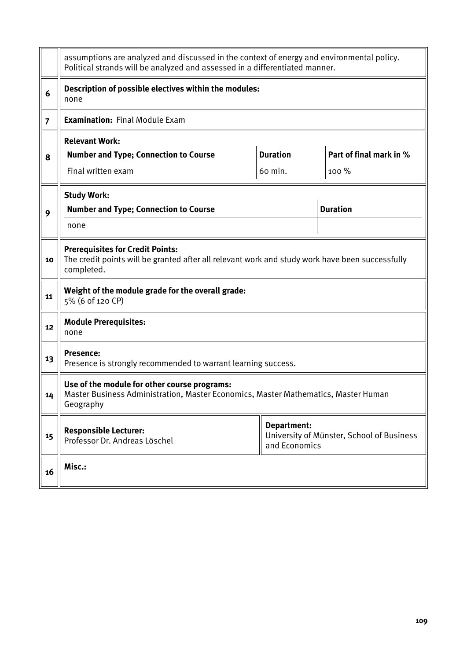|                | assumptions are analyzed and discussed in the context of energy and environmental policy.<br>Political strands will be analyzed and assessed in a differentiated manner. |                         |                 |  |  |  |  |  |  |
|----------------|--------------------------------------------------------------------------------------------------------------------------------------------------------------------------|-------------------------|-----------------|--|--|--|--|--|--|
| 6              | Description of possible electives within the modules:<br>none                                                                                                            |                         |                 |  |  |  |  |  |  |
| $\overline{7}$ | <b>Examination: Final Module Exam</b>                                                                                                                                    |                         |                 |  |  |  |  |  |  |
|                | <b>Relevant Work:</b>                                                                                                                                                    |                         |                 |  |  |  |  |  |  |
| 8              | <b>Number and Type; Connection to Course</b>                                                                                                                             | Part of final mark in % |                 |  |  |  |  |  |  |
|                | Final written exam                                                                                                                                                       | 60 min.                 | $100\%$         |  |  |  |  |  |  |
|                | <b>Study Work:</b>                                                                                                                                                       |                         |                 |  |  |  |  |  |  |
| 9              | <b>Number and Type; Connection to Course</b>                                                                                                                             |                         | <b>Duration</b> |  |  |  |  |  |  |
|                | none                                                                                                                                                                     |                         |                 |  |  |  |  |  |  |
| 10             | <b>Prerequisites for Credit Points:</b><br>The credit points will be granted after all relevant work and study work have been successfully<br>completed.                 |                         |                 |  |  |  |  |  |  |
| 11             | Weight of the module grade for the overall grade:<br>5% (6 of 120 CP)                                                                                                    |                         |                 |  |  |  |  |  |  |
| 12             | <b>Module Prerequisites:</b><br>none                                                                                                                                     |                         |                 |  |  |  |  |  |  |
| 13             | <b>Presence:</b><br>Presence is strongly recommended to warrant learning success.                                                                                        |                         |                 |  |  |  |  |  |  |
| 14             | Use of the module for other course programs:<br>Master Business Administration, Master Economics, Master Mathematics, Master Human<br>Geography                          |                         |                 |  |  |  |  |  |  |
| 15             | Department:<br><b>Responsible Lecturer:</b><br>University of Münster, School of Business<br>Professor Dr. Andreas Löschel<br>and Economics                               |                         |                 |  |  |  |  |  |  |
| 16             | Misc.:                                                                                                                                                                   |                         |                 |  |  |  |  |  |  |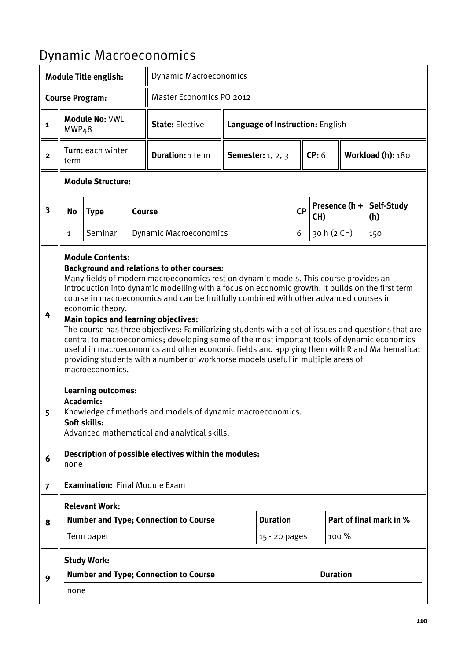## Dynamic Macroeconomics

| <b>Module Title english:</b> |                                                                                                                                                                                                                                                                                                                                                                                                                                                                                                                                                                                                                                                                                                                                                                                                                                                    |                                       |                                              | <b>Dynamic Macroeconomics</b>                         |                                  |                          |   |       |                         |                   |  |
|------------------------------|----------------------------------------------------------------------------------------------------------------------------------------------------------------------------------------------------------------------------------------------------------------------------------------------------------------------------------------------------------------------------------------------------------------------------------------------------------------------------------------------------------------------------------------------------------------------------------------------------------------------------------------------------------------------------------------------------------------------------------------------------------------------------------------------------------------------------------------------------|---------------------------------------|----------------------------------------------|-------------------------------------------------------|----------------------------------|--------------------------|---|-------|-------------------------|-------------------|--|
|                              |                                                                                                                                                                                                                                                                                                                                                                                                                                                                                                                                                                                                                                                                                                                                                                                                                                                    | <b>Course Program:</b>                |                                              | Master Economics PO 2012                              |                                  |                          |   |       |                         |                   |  |
| $\mathbf{1}$                 | MWP <sub>4</sub> 8                                                                                                                                                                                                                                                                                                                                                                                                                                                                                                                                                                                                                                                                                                                                                                                                                                 | Module No: VWL                        |                                              | <b>State: Elective</b>                                | Language of Instruction: English |                          |   |       |                         |                   |  |
| $\overline{\mathbf{2}}$      | term                                                                                                                                                                                                                                                                                                                                                                                                                                                                                                                                                                                                                                                                                                                                                                                                                                               | Turn: each winter                     |                                              | <b>Duration: 1 term</b>                               |                                  | <b>Semester:</b> 1, 2, 3 |   | CP: 6 |                         | Workload (h): 180 |  |
|                              |                                                                                                                                                                                                                                                                                                                                                                                                                                                                                                                                                                                                                                                                                                                                                                                                                                                    | <b>Module Structure:</b>              |                                              |                                                       |                                  |                          |   |       |                         |                   |  |
| 3                            | No                                                                                                                                                                                                                                                                                                                                                                                                                                                                                                                                                                                                                                                                                                                                                                                                                                                 | <b>Type</b>                           | <b>Course</b>                                |                                                       | CP                               |                          |   | CH)   | Presence $(h +  $       | Self-Study<br>(h) |  |
|                              | $\mathbf{1}$                                                                                                                                                                                                                                                                                                                                                                                                                                                                                                                                                                                                                                                                                                                                                                                                                                       | Seminar                               |                                              | <b>Dynamic Macroeconomics</b>                         |                                  |                          | 6 |       | 30 h (2 CH)             | 150               |  |
| 4                            | <b>Module Contents:</b><br><b>Background and relations to other courses:</b><br>Many fields of modern macroeconomics rest on dynamic models. This course provides an<br>introduction into dynamic modelling with a focus on economic growth. It builds on the first term<br>course in macroeconomics and can be fruitfully combined with other advanced courses in<br>economic theory.<br><b>Main topics and learning objectives:</b><br>The course has three objectives: Familiarizing students with a set of issues and questions that are<br>central to macroeconomics; developing some of the most important tools of dynamic economics<br>useful in macroeconomics and other economic fields and applying them with R and Mathematica;<br>providing students with a number of workhorse models useful in multiple areas of<br>macroeconomics. |                                       |                                              |                                                       |                                  |                          |   |       |                         |                   |  |
| 5                            | <b>Learning outcomes:</b><br>Academic:<br>Knowledge of methods and models of dynamic macroeconomics.<br>Soft skills:<br>Advanced mathematical and analytical skills.                                                                                                                                                                                                                                                                                                                                                                                                                                                                                                                                                                                                                                                                               |                                       |                                              |                                                       |                                  |                          |   |       |                         |                   |  |
| 6                            | none                                                                                                                                                                                                                                                                                                                                                                                                                                                                                                                                                                                                                                                                                                                                                                                                                                               |                                       |                                              | Description of possible electives within the modules: |                                  |                          |   |       |                         |                   |  |
| $\overline{7}$               |                                                                                                                                                                                                                                                                                                                                                                                                                                                                                                                                                                                                                                                                                                                                                                                                                                                    | <b>Examination: Final Module Exam</b> |                                              |                                                       |                                  |                          |   |       |                         |                   |  |
|                              |                                                                                                                                                                                                                                                                                                                                                                                                                                                                                                                                                                                                                                                                                                                                                                                                                                                    | <b>Relevant Work:</b>                 |                                              |                                                       |                                  |                          |   |       |                         |                   |  |
| 8                            |                                                                                                                                                                                                                                                                                                                                                                                                                                                                                                                                                                                                                                                                                                                                                                                                                                                    |                                       | <b>Number and Type; Connection to Course</b> |                                                       | <b>Duration</b>                  |                          |   |       | Part of final mark in % |                   |  |
|                              |                                                                                                                                                                                                                                                                                                                                                                                                                                                                                                                                                                                                                                                                                                                                                                                                                                                    | Term paper                            |                                              |                                                       |                                  | 15 - 20 pages            |   |       | 100 %                   |                   |  |
|                              |                                                                                                                                                                                                                                                                                                                                                                                                                                                                                                                                                                                                                                                                                                                                                                                                                                                    | <b>Study Work:</b>                    |                                              | <b>Number and Type; Connection to Course</b>          |                                  |                          |   |       | <b>Duration</b>         |                   |  |
| 9                            | none                                                                                                                                                                                                                                                                                                                                                                                                                                                                                                                                                                                                                                                                                                                                                                                                                                               |                                       |                                              |                                                       |                                  |                          |   |       |                         |                   |  |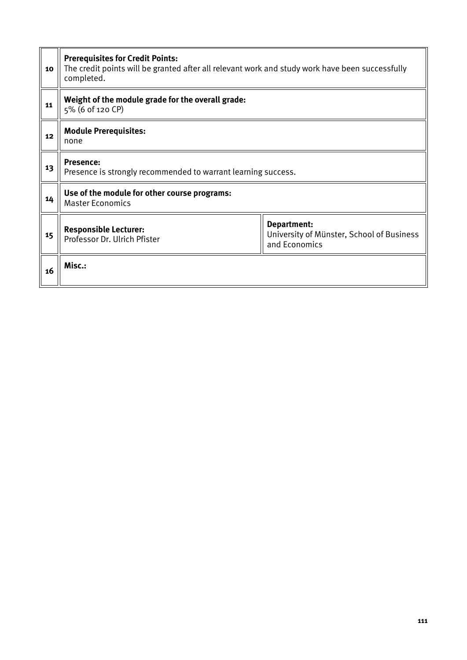| 10 | <b>Prerequisites for Credit Points:</b><br>The credit points will be granted after all relevant work and study work have been successfully<br>completed. |                                                                           |  |  |  |  |
|----|----------------------------------------------------------------------------------------------------------------------------------------------------------|---------------------------------------------------------------------------|--|--|--|--|
| 11 | Weight of the module grade for the overall grade:<br>5% (6 of 120 CP)                                                                                    |                                                                           |  |  |  |  |
| 12 | <b>Module Prerequisites:</b><br>none                                                                                                                     |                                                                           |  |  |  |  |
| 13 | <b>Presence:</b><br>Presence is strongly recommended to warrant learning success.                                                                        |                                                                           |  |  |  |  |
| 14 | Use of the module for other course programs:<br><b>Master Economics</b>                                                                                  |                                                                           |  |  |  |  |
| 15 | <b>Responsible Lecturer:</b><br>Professor Dr. Ulrich Pfister                                                                                             | Department:<br>University of Münster, School of Business<br>and Economics |  |  |  |  |
| 16 | Misc.:                                                                                                                                                   |                                                                           |  |  |  |  |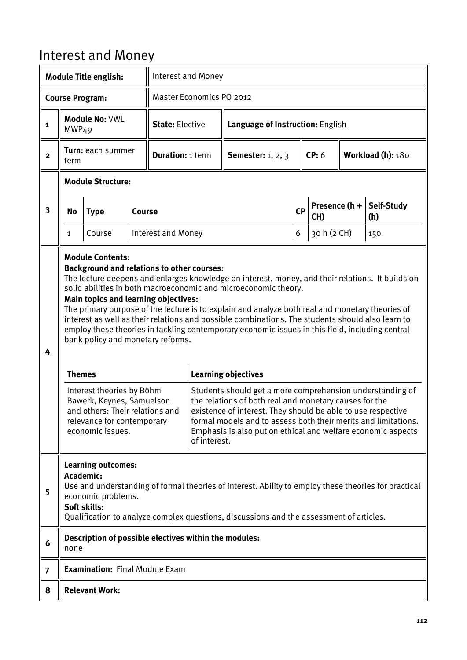## Interest and Money

| <b>Module Title english:</b> |                                                                                                                                                                                                                                                                                                                                                                                                                                                                                                                                                                                                                                                                                                                                                                                                                                                                                                                                                                                                                                                                                                                                                                                          |                                                       |  | Interest and Money        |                                                            |                          |           |                      |  |                   |
|------------------------------|------------------------------------------------------------------------------------------------------------------------------------------------------------------------------------------------------------------------------------------------------------------------------------------------------------------------------------------------------------------------------------------------------------------------------------------------------------------------------------------------------------------------------------------------------------------------------------------------------------------------------------------------------------------------------------------------------------------------------------------------------------------------------------------------------------------------------------------------------------------------------------------------------------------------------------------------------------------------------------------------------------------------------------------------------------------------------------------------------------------------------------------------------------------------------------------|-------------------------------------------------------|--|---------------------------|------------------------------------------------------------|--------------------------|-----------|----------------------|--|-------------------|
|                              | <b>Course Program:</b>                                                                                                                                                                                                                                                                                                                                                                                                                                                                                                                                                                                                                                                                                                                                                                                                                                                                                                                                                                                                                                                                                                                                                                   |                                                       |  | Master Economics PO 2012  |                                                            |                          |           |                      |  |                   |
| 1                            | MWP <sub>49</sub>                                                                                                                                                                                                                                                                                                                                                                                                                                                                                                                                                                                                                                                                                                                                                                                                                                                                                                                                                                                                                                                                                                                                                                        | <b>Module No: VWL</b>                                 |  |                           | <b>State: Elective</b><br>Language of Instruction: English |                          |           |                      |  |                   |
| $\mathbf{2}$                 | term                                                                                                                                                                                                                                                                                                                                                                                                                                                                                                                                                                                                                                                                                                                                                                                                                                                                                                                                                                                                                                                                                                                                                                                     | Turn: each summer                                     |  | <b>Duration: 1 term</b>   |                                                            | <b>Semester:</b> 1, 2, 3 |           | CP: 6                |  | Workload (h): 180 |
|                              |                                                                                                                                                                                                                                                                                                                                                                                                                                                                                                                                                                                                                                                                                                                                                                                                                                                                                                                                                                                                                                                                                                                                                                                          | <b>Module Structure:</b>                              |  |                           |                                                            |                          |           |                      |  |                   |
| 3                            | No<br><b>Type</b><br>Course                                                                                                                                                                                                                                                                                                                                                                                                                                                                                                                                                                                                                                                                                                                                                                                                                                                                                                                                                                                                                                                                                                                                                              |                                                       |  |                           |                                                            |                          | <b>CP</b> | Presence (h +<br>CH) |  | Self-Study<br>(h) |
|                              | 1                                                                                                                                                                                                                                                                                                                                                                                                                                                                                                                                                                                                                                                                                                                                                                                                                                                                                                                                                                                                                                                                                                                                                                                        | Course                                                |  | <b>Interest and Money</b> |                                                            |                          | 6         | 30 h (2 CH)          |  | 150               |
| 4                            | <b>Module Contents:</b><br><b>Background and relations to other courses:</b><br>The lecture deepens and enlarges knowledge on interest, money, and their relations. It builds on<br>solid abilities in both macroeconomic and microeconomic theory.<br><b>Main topics and learning objectives:</b><br>The primary purpose of the lecture is to explain and analyze both real and monetary theories of<br>interest as well as their relations and possible combinations. The students should also learn to<br>employ these theories in tackling contemporary economic issues in this field, including central<br>bank policy and monetary reforms.<br><b>Learning objectives</b><br><b>Themes</b><br>Students should get a more comprehension understanding of<br>Interest theories by Böhm<br>Bawerk, Keynes, Samuelson<br>the relations of both real and monetary causes for the<br>existence of interest. They should be able to use respective<br>and others: Their relations and<br>formal models and to assess both their merits and limitations.<br>relevance for contemporary<br>economic issues.<br>Emphasis is also put on ethical and welfare economic aspects<br>of interest. |                                                       |  |                           |                                                            |                          |           |                      |  |                   |
| 5                            | <b>Learning outcomes:</b><br><b>Academic:</b><br>Use and understanding of formal theories of interest. Ability to employ these theories for practical<br>economic problems.<br>Soft skills:<br>Qualification to analyze complex questions, discussions and the assessment of articles.                                                                                                                                                                                                                                                                                                                                                                                                                                                                                                                                                                                                                                                                                                                                                                                                                                                                                                   |                                                       |  |                           |                                                            |                          |           |                      |  |                   |
| 6                            | none                                                                                                                                                                                                                                                                                                                                                                                                                                                                                                                                                                                                                                                                                                                                                                                                                                                                                                                                                                                                                                                                                                                                                                                     | Description of possible electives within the modules: |  |                           |                                                            |                          |           |                      |  |                   |
| $\overline{7}$               |                                                                                                                                                                                                                                                                                                                                                                                                                                                                                                                                                                                                                                                                                                                                                                                                                                                                                                                                                                                                                                                                                                                                                                                          | <b>Examination: Final Module Exam</b>                 |  |                           |                                                            |                          |           |                      |  |                   |
| 8                            |                                                                                                                                                                                                                                                                                                                                                                                                                                                                                                                                                                                                                                                                                                                                                                                                                                                                                                                                                                                                                                                                                                                                                                                          | <b>Relevant Work:</b>                                 |  |                           |                                                            |                          |           |                      |  |                   |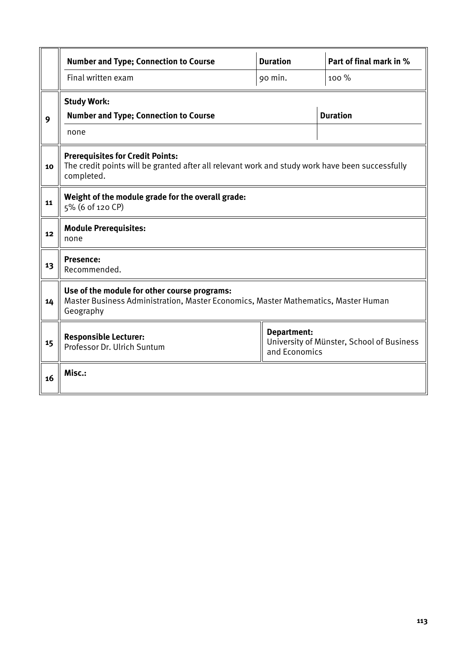|    | <b>Number and Type; Connection to Course</b>                                                                                                             | <b>Duration</b> | Part of final mark in % |  |  |  |  |  |
|----|----------------------------------------------------------------------------------------------------------------------------------------------------------|-----------------|-------------------------|--|--|--|--|--|
|    | Final written exam                                                                                                                                       | 90 min.         | 100%                    |  |  |  |  |  |
| 9  | <b>Study Work:</b><br><b>Number and Type; Connection to Course</b><br>none                                                                               | <b>Duration</b> |                         |  |  |  |  |  |
| 10 | <b>Prerequisites for Credit Points:</b><br>The credit points will be granted after all relevant work and study work have been successfully<br>completed. |                 |                         |  |  |  |  |  |
| 11 | Weight of the module grade for the overall grade:<br>5% (6 of 120 CP)                                                                                    |                 |                         |  |  |  |  |  |
| 12 | <b>Module Prerequisites:</b><br>none                                                                                                                     |                 |                         |  |  |  |  |  |
| 13 | <b>Presence:</b><br>Recommended.                                                                                                                         |                 |                         |  |  |  |  |  |
| 14 | Use of the module for other course programs:<br>Master Business Administration, Master Economics, Master Mathematics, Master Human<br>Geography          |                 |                         |  |  |  |  |  |
| 15 | <b>Department:</b><br><b>Responsible Lecturer:</b><br>University of Münster, School of Business<br>Professor Dr. Ulrich Suntum<br>and Economics          |                 |                         |  |  |  |  |  |
| 16 | Misc.:                                                                                                                                                   |                 |                         |  |  |  |  |  |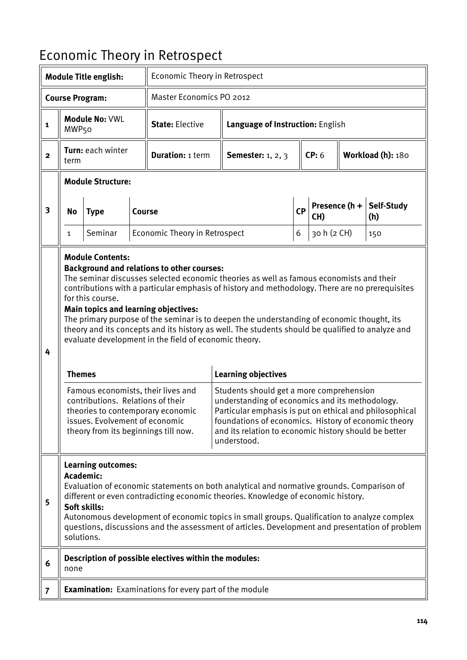## Economic Theory in Retrospect

| <b>Module Title english:</b> |                                                                                                                                                                                                                                                                                                                                                                                                                                                                                                                                                                                                                                                                                                                                                                                                                                                                                                                                                                                                                                                                                                                                             |                          |        | Economic Theory in Retrospect                                 |                          |                                  |    |                            |               |                   |  |  |
|------------------------------|---------------------------------------------------------------------------------------------------------------------------------------------------------------------------------------------------------------------------------------------------------------------------------------------------------------------------------------------------------------------------------------------------------------------------------------------------------------------------------------------------------------------------------------------------------------------------------------------------------------------------------------------------------------------------------------------------------------------------------------------------------------------------------------------------------------------------------------------------------------------------------------------------------------------------------------------------------------------------------------------------------------------------------------------------------------------------------------------------------------------------------------------|--------------------------|--------|---------------------------------------------------------------|--------------------------|----------------------------------|----|----------------------------|---------------|-------------------|--|--|
|                              |                                                                                                                                                                                                                                                                                                                                                                                                                                                                                                                                                                                                                                                                                                                                                                                                                                                                                                                                                                                                                                                                                                                                             | <b>Course Program:</b>   |        |                                                               | Master Economics PO 2012 |                                  |    |                            |               |                   |  |  |
| 1                            | Module No: VWL<br>MWP <sub>50</sub>                                                                                                                                                                                                                                                                                                                                                                                                                                                                                                                                                                                                                                                                                                                                                                                                                                                                                                                                                                                                                                                                                                         |                          |        | <b>State: Elective</b>                                        |                          | Language of Instruction: English |    |                            |               |                   |  |  |
| $\mathbf{2}$                 | Turn: each winter<br>term                                                                                                                                                                                                                                                                                                                                                                                                                                                                                                                                                                                                                                                                                                                                                                                                                                                                                                                                                                                                                                                                                                                   |                          |        | <b>Duration: 1 term</b>                                       |                          | <b>Semester:</b> 1, 2, 3         |    | CP: 6<br>Workload (h): 180 |               |                   |  |  |
|                              |                                                                                                                                                                                                                                                                                                                                                                                                                                                                                                                                                                                                                                                                                                                                                                                                                                                                                                                                                                                                                                                                                                                                             | <b>Module Structure:</b> |        |                                                               |                          |                                  |    |                            |               |                   |  |  |
| $\overline{\mathbf{3}}$      | <b>No</b>                                                                                                                                                                                                                                                                                                                                                                                                                                                                                                                                                                                                                                                                                                                                                                                                                                                                                                                                                                                                                                                                                                                                   | <b>Type</b>              | Course |                                                               |                          |                                  | CP | CH)                        | Presence (h + | Self-Study<br>(h) |  |  |
|                              | 1                                                                                                                                                                                                                                                                                                                                                                                                                                                                                                                                                                                                                                                                                                                                                                                                                                                                                                                                                                                                                                                                                                                                           | Seminar                  |        | Economic Theory in Retrospect                                 |                          |                                  | 6  | 30 h (2 CH)                |               | 150               |  |  |
| 4                            | <b>Module Contents:</b><br><b>Background and relations to other courses:</b><br>The seminar discusses selected economic theories as well as famous economists and their<br>contributions with a particular emphasis of history and methodology. There are no prerequisites<br>for this course.<br><b>Main topics and learning objectives:</b><br>The primary purpose of the seminar is to deepen the understanding of economic thought, its<br>theory and its concepts and its history as well. The students should be qualified to analyze and<br>evaluate development in the field of economic theory.<br><b>Learning objectives</b><br><b>Themes</b><br>Famous economists, their lives and<br>Students should get a more comprehension<br>contributions. Relations of their<br>understanding of economics and its methodology.<br>Particular emphasis is put on ethical and philosophical<br>theories to contemporary economic<br>issues. Evolvement of economic<br>foundations of economics. History of economic theory<br>theory from its beginnings till now.<br>and its relation to economic history should be better<br>understood. |                          |        |                                                               |                          |                                  |    |                            |               |                   |  |  |
| 5                            | <b>Learning outcomes:</b><br><b>Academic:</b><br>Evaluation of economic statements on both analytical and normative grounds. Comparison of<br>different or even contradicting economic theories. Knowledge of economic history.<br>Soft skills:<br>Autonomous development of economic topics in small groups. Qualification to analyze complex<br>questions, discussions and the assessment of articles. Development and presentation of problem<br>solutions.                                                                                                                                                                                                                                                                                                                                                                                                                                                                                                                                                                                                                                                                              |                          |        |                                                               |                          |                                  |    |                            |               |                   |  |  |
| 6                            | none                                                                                                                                                                                                                                                                                                                                                                                                                                                                                                                                                                                                                                                                                                                                                                                                                                                                                                                                                                                                                                                                                                                                        |                          |        | Description of possible electives within the modules:         |                          |                                  |    |                            |               |                   |  |  |
| $\overline{7}$               |                                                                                                                                                                                                                                                                                                                                                                                                                                                                                                                                                                                                                                                                                                                                                                                                                                                                                                                                                                                                                                                                                                                                             |                          |        | <b>Examination:</b> Examinations for every part of the module |                          |                                  |    |                            |               |                   |  |  |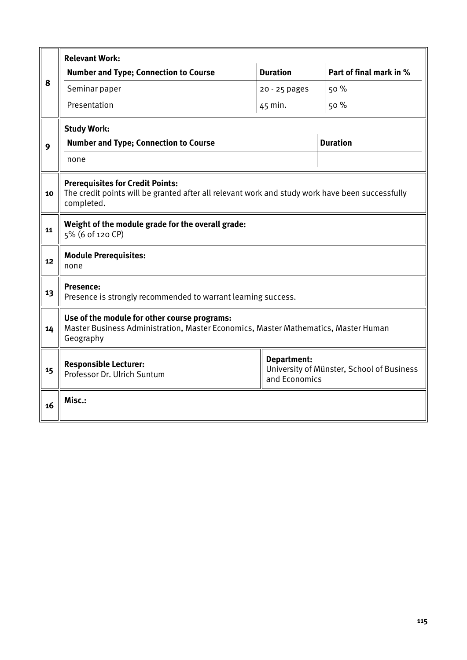|    | <b>Relevant Work:</b>                                                                                                                                    |                 |                         |  |  |  |  |  |
|----|----------------------------------------------------------------------------------------------------------------------------------------------------------|-----------------|-------------------------|--|--|--|--|--|
|    | <b>Number and Type; Connection to Course</b>                                                                                                             | <b>Duration</b> | Part of final mark in % |  |  |  |  |  |
| 8  | Seminar paper                                                                                                                                            | 20 - 25 pages   | 50 %                    |  |  |  |  |  |
|    | Presentation                                                                                                                                             | 45 min.         | 50 %                    |  |  |  |  |  |
|    | <b>Study Work:</b>                                                                                                                                       |                 |                         |  |  |  |  |  |
| 9  | <b>Number and Type; Connection to Course</b>                                                                                                             |                 | <b>Duration</b>         |  |  |  |  |  |
|    | none                                                                                                                                                     |                 |                         |  |  |  |  |  |
| 10 | <b>Prerequisites for Credit Points:</b><br>The credit points will be granted after all relevant work and study work have been successfully<br>completed. |                 |                         |  |  |  |  |  |
| 11 | Weight of the module grade for the overall grade:<br>5% (6 of 120 CP)                                                                                    |                 |                         |  |  |  |  |  |
| 12 | <b>Module Prerequisites:</b><br>none                                                                                                                     |                 |                         |  |  |  |  |  |
| 13 | <b>Presence:</b><br>Presence is strongly recommended to warrant learning success.                                                                        |                 |                         |  |  |  |  |  |
| 14 | Use of the module for other course programs:<br>Master Business Administration, Master Economics, Master Mathematics, Master Human<br>Geography          |                 |                         |  |  |  |  |  |
| 15 | <b>Department:</b><br><b>Responsible Lecturer:</b><br>University of Münster, School of Business<br>Professor Dr. Ulrich Suntum<br>and Economics          |                 |                         |  |  |  |  |  |
| 16 | Misc.:                                                                                                                                                   |                 |                         |  |  |  |  |  |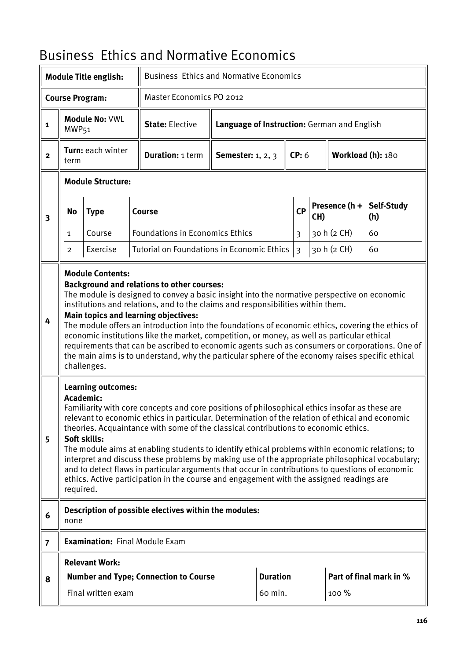## Business Ethics and Normative Economics

|                         |                                                                                                                                                                                                                                                                                                                                                                                                                                                                                                                                                                                                                                                                                                                                                                        | <b>Module Title english:</b> |  | <b>Business Ethics and Normative Economics</b>        |                                             |                 |                |       |                   |                                     |  |
|-------------------------|------------------------------------------------------------------------------------------------------------------------------------------------------------------------------------------------------------------------------------------------------------------------------------------------------------------------------------------------------------------------------------------------------------------------------------------------------------------------------------------------------------------------------------------------------------------------------------------------------------------------------------------------------------------------------------------------------------------------------------------------------------------------|------------------------------|--|-------------------------------------------------------|---------------------------------------------|-----------------|----------------|-------|-------------------|-------------------------------------|--|
|                         |                                                                                                                                                                                                                                                                                                                                                                                                                                                                                                                                                                                                                                                                                                                                                                        | <b>Course Program:</b>       |  | Master Economics PO 2012                              |                                             |                 |                |       |                   |                                     |  |
| 1                       | MWP <sub>51</sub>                                                                                                                                                                                                                                                                                                                                                                                                                                                                                                                                                                                                                                                                                                                                                      | <b>Module No: VWL</b>        |  | <b>State: Elective</b>                                | Language of Instruction: German and English |                 |                |       |                   |                                     |  |
| $\overline{\mathbf{2}}$ | term                                                                                                                                                                                                                                                                                                                                                                                                                                                                                                                                                                                                                                                                                                                                                                   | Turn: each winter            |  | <b>Duration: 1 term</b>                               | <b>Semester:</b> 1, 2, 3                    |                 | CP: 6          |       | Workload (h): 180 |                                     |  |
|                         |                                                                                                                                                                                                                                                                                                                                                                                                                                                                                                                                                                                                                                                                                                                                                                        | <b>Module Structure:</b>     |  |                                                       |                                             |                 |                |       |                   |                                     |  |
| $\overline{\mathbf{3}}$ | No                                                                                                                                                                                                                                                                                                                                                                                                                                                                                                                                                                                                                                                                                                                                                                     | <b>Type</b>                  |  | Course                                                |                                             |                 | CP<br>CH)      |       |                   | Presence $(h +  $ Self-Study<br>(h) |  |
|                         | $\mathbf{1}$                                                                                                                                                                                                                                                                                                                                                                                                                                                                                                                                                                                                                                                                                                                                                           | Course                       |  | <b>Foundations in Economics Ethics</b>                |                                             |                 | $\overline{3}$ |       | 30 h (2 CH)       | 60                                  |  |
|                         | $\overline{2}$                                                                                                                                                                                                                                                                                                                                                                                                                                                                                                                                                                                                                                                                                                                                                         | Exercise                     |  | Tutorial on Foundations in Economic Ethics            |                                             |                 | $\overline{3}$ |       | 30 h (2 CH)       | 60                                  |  |
| 4                       | <b>Module Contents:</b><br><b>Background and relations to other courses:</b><br>The module is designed to convey a basic insight into the normative perspective on economic<br>institutions and relations, and to the claims and responsibilities within them.<br>Main topics and learning objectives:<br>The module offers an introduction into the foundations of economic ethics, covering the ethics of<br>economic institutions like the market, competition, or money, as well as particular ethical<br>requirements that can be ascribed to economic agents such as consumers or corporations. One of<br>the main aims is to understand, why the particular sphere of the economy raises specific ethical<br>challenges.                                        |                              |  |                                                       |                                             |                 |                |       |                   |                                     |  |
| 5                       | <b>Learning outcomes:</b><br>Academic:<br>Familiarity with core concepts and core positions of philosophical ethics insofar as these are<br>relevant to economic ethics in particular. Determination of the relation of ethical and economic<br>theories. Acquaintance with some of the classical contributions to economic ethics.<br>Soft skills:<br>The module aims at enabling students to identify ethical problems within economic relations; to<br>interpret and discuss these problems by making use of the appropriate philosophical vocabulary;<br>and to detect flaws in particular arguments that occur in contributions to questions of economic<br>ethics. Active participation in the course and engagement with the assigned readings are<br>required. |                              |  |                                                       |                                             |                 |                |       |                   |                                     |  |
| 6                       | none                                                                                                                                                                                                                                                                                                                                                                                                                                                                                                                                                                                                                                                                                                                                                                   |                              |  | Description of possible electives within the modules: |                                             |                 |                |       |                   |                                     |  |
| $\overline{7}$          |                                                                                                                                                                                                                                                                                                                                                                                                                                                                                                                                                                                                                                                                                                                                                                        |                              |  | <b>Examination: Final Module Exam</b>                 |                                             |                 |                |       |                   |                                     |  |
|                         |                                                                                                                                                                                                                                                                                                                                                                                                                                                                                                                                                                                                                                                                                                                                                                        | <b>Relevant Work:</b>        |  |                                                       |                                             |                 |                |       |                   |                                     |  |
| 8                       |                                                                                                                                                                                                                                                                                                                                                                                                                                                                                                                                                                                                                                                                                                                                                                        |                              |  | <b>Number and Type; Connection to Course</b>          |                                             | <b>Duration</b> |                |       |                   | Part of final mark in %             |  |
|                         |                                                                                                                                                                                                                                                                                                                                                                                                                                                                                                                                                                                                                                                                                                                                                                        | Final written exam           |  |                                                       |                                             | 60 min.         |                | 100 % |                   |                                     |  |